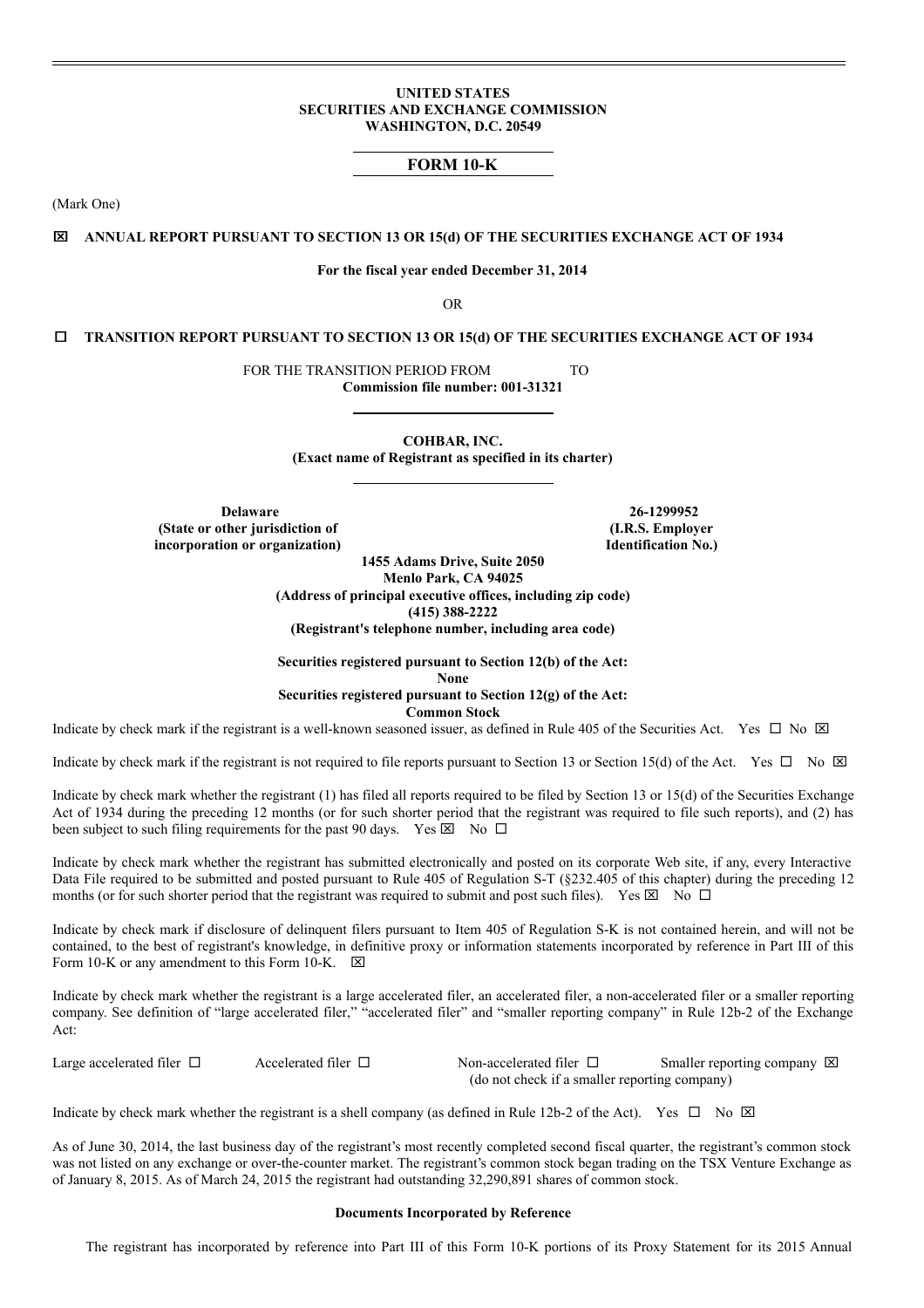### **UNITED STATES SECURITIES AND EXCHANGE COMMISSION WASHINGTON, D.C. 20549**

## **FORM 10-K**

(Mark One)

### x **ANNUAL REPORT PURSUANT TO SECTION 13 OR 15(d) OF THE SECURITIES EXCHANGE ACT OF 1934**

### **For the fiscal year ended December 31, 2014**

OR

### ¨ **TRANSITION REPORT PURSUANT TO SECTION 13 OR 15(d) OF THE SECURITIES EXCHANGE ACT OF 1934**

FOR THE TRANSITION PERIOD FROM TO **Commission file number: 001-31321**

> **COHBAR, INC. (Exact name of Registrant as specified in its charter)**

**Delaware 26-1299952 (State or other jurisdiction of incorporation or organization)**

**(I.R.S. Employer Identification No.)**

**1455 Adams Drive, Suite 2050 Menlo Park, CA 94025 (Address of principal executive offices, including zip code) (415) 388-2222 (Registrant's telephone number, including area code)**

### **Securities registered pursuant to Section 12(b) of the Act: None Securities registered pursuant to Section 12(g) of the Act: Common Stock**

Indicate by check mark if the registrant is a well-known seasoned issuer, as defined in Rule 405 of the Securities Act. Yes  $\Box$  No  $\boxtimes$ 

Indicate by check mark if the registrant is not required to file reports pursuant to Section 13 or Section 15(d) of the Act. Yes  $\Box$  No  $\boxtimes$ 

Indicate by check mark whether the registrant (1) has filed all reports required to be filed by Section 13 or 15(d) of the Securities Exchange Act of 1934 during the preceding 12 months (or for such shorter period that the registrant was required to file such reports), and (2) has been subject to such filing requirements for the past 90 days. Yes  $\boxtimes$  No  $\Box$ 

Indicate by check mark whether the registrant has submitted electronically and posted on its corporate Web site, if any, every Interactive Data File required to be submitted and posted pursuant to Rule 405 of Regulation S-T (§232.405 of this chapter) during the preceding 12 months (or for such shorter period that the registrant was required to submit and post such files). Yes  $\boxtimes$  No  $\Box$ 

Indicate by check mark if disclosure of delinquent filers pursuant to Item 405 of Regulation S-K is not contained herein, and will not be contained, to the best of registrant's knowledge, in definitive proxy or information statements incorporated by reference in Part III of this Form 10-K or any amendment to this Form 10-K.  $\boxtimes$ 

Indicate by check mark whether the registrant is a large accelerated filer, an accelerated filer, a non-accelerated filer or a smaller reporting company. See definition of "large accelerated filer," "accelerated filer" and "smaller reporting company" in Rule 12b-2 of the Exchange Act:

Large accelerated filer  $\square$  Accelerated filer  $\square$  Non-accelerated filer  $\square$  Smaller reporting company  $\square$ (do not check if a smaller reporting company)

Indicate by check mark whether the registrant is a shell company (as defined in Rule 12b-2 of the Act). Yes  $\Box$  No  $\boxtimes$ 

As of June 30, 2014, the last business day of the registrant's most recently completed second fiscal quarter, the registrant's common stock was not listed on any exchange or over-the-counter market. The registrant's common stock began trading on the TSX Venture Exchange as of January 8, 2015. As of March 24, 2015 the registrant had outstanding 32,290,891 shares of common stock.

#### **Documents Incorporated by Reference**

The registrant has incorporated by reference into Part III of this Form 10-K portions of its Proxy Statement for its 2015 Annual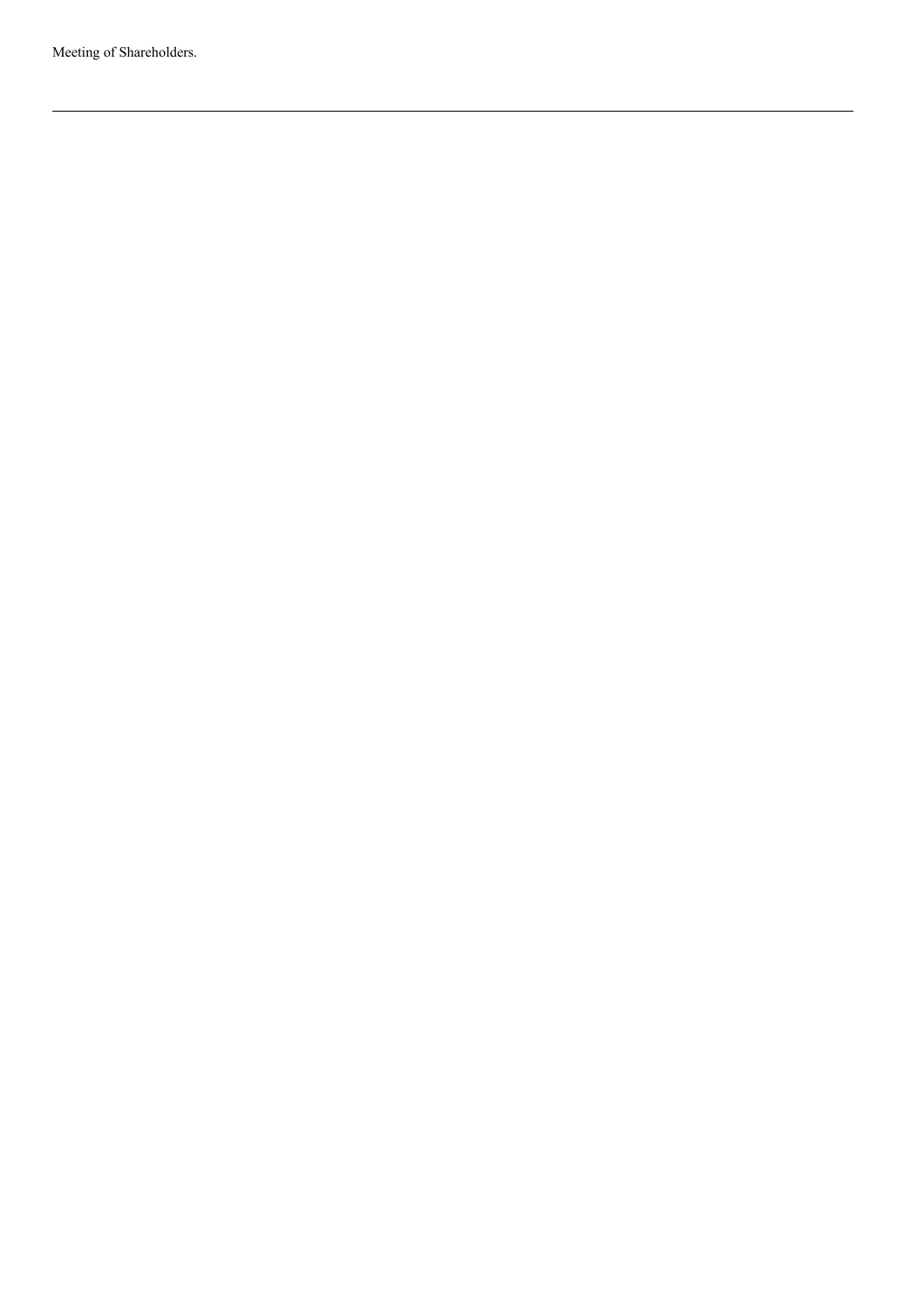Meeting of Shareholders.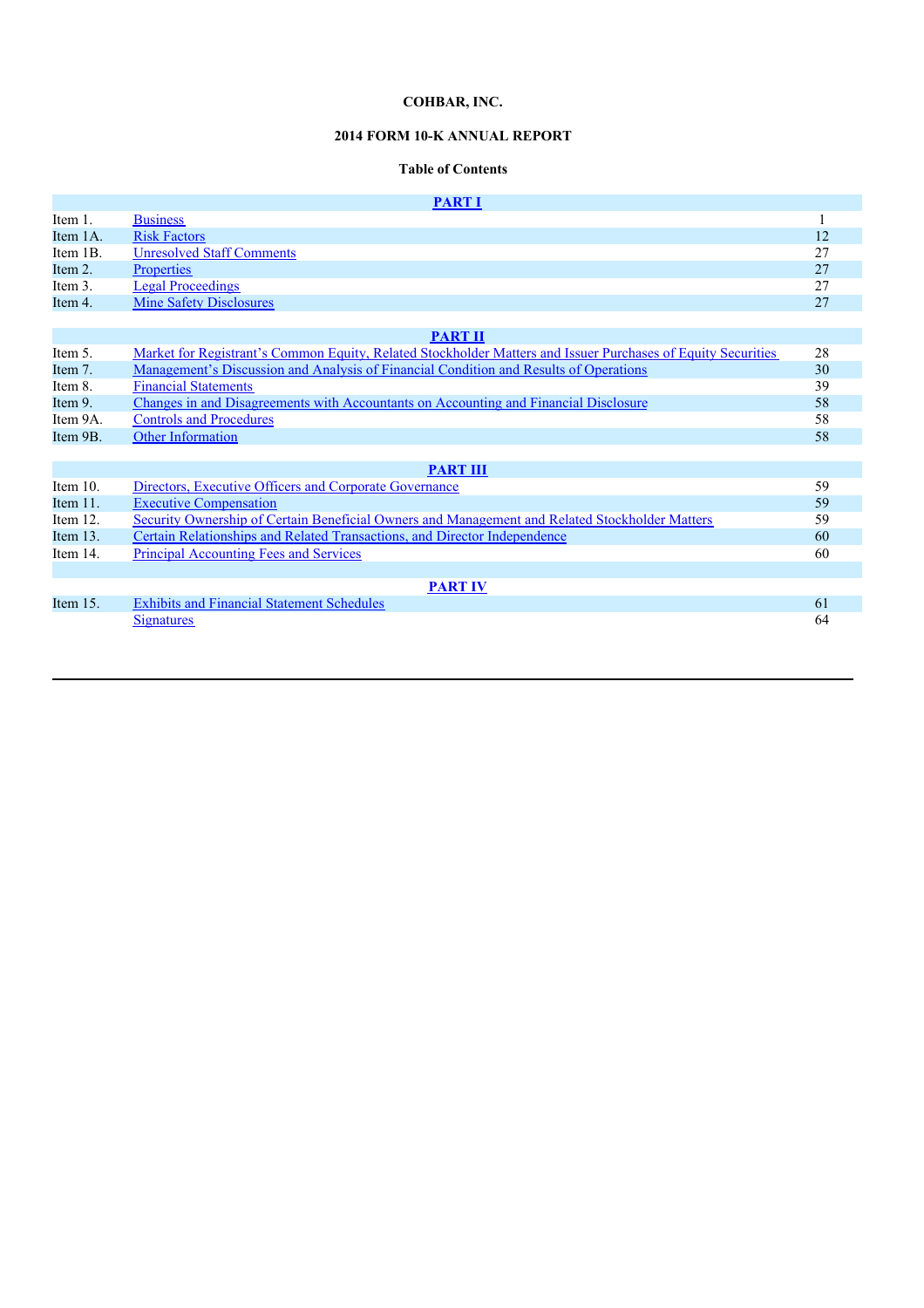# **2014 FORM 10-K ANNUAL REPORT**

# **Table of Contents**

|             | <b>PART I</b>                                                                                                |    |
|-------------|--------------------------------------------------------------------------------------------------------------|----|
| Item 1.     | <b>Business</b>                                                                                              |    |
| Item 1A.    | <b>Risk Factors</b>                                                                                          | 12 |
| Item 1B.    | <b>Unresolved Staff Comments</b>                                                                             | 27 |
| Item 2.     | <b>Properties</b>                                                                                            | 27 |
| Item 3.     | <b>Legal Proceedings</b>                                                                                     | 27 |
| Item 4.     | <b>Mine Safety Disclosures</b>                                                                               | 27 |
|             |                                                                                                              |    |
|             | <b>PART II</b>                                                                                               |    |
| Item 5.     | Market for Registrant's Common Equity, Related Stockholder Matters and Issuer Purchases of Equity Securities | 28 |
| Item 7.     | <u>Management's Discussion and Analysis of Financial Condition and Results of Operations</u>                 | 30 |
| Item 8.     | <b>Financial Statements</b>                                                                                  | 39 |
| Item 9.     | Changes in and Disagreements with Accountants on Accounting and Financial Disclosure                         | 58 |
| Item 9A.    | <b>Controls and Procedures</b>                                                                               | 58 |
| Item 9B.    | <b>Other Information</b>                                                                                     | 58 |
|             |                                                                                                              |    |
|             | <b>PART III</b>                                                                                              |    |
| Item $10$ . | Directors, Executive Officers and Corporate Governance                                                       | 59 |
| Item $11$ . | <b>Executive Compensation</b>                                                                                | 59 |
| Item $12$ . | Security Ownership of Certain Beneficial Owners and Management and Related Stockholder Matters               | 59 |
| Item 13.    | Certain Relationships and Related Transactions, and Director Independence                                    | 60 |
| Item 14.    | <b>Principal Accounting Fees and Services</b>                                                                | 60 |
|             |                                                                                                              |    |
|             | <b>PART IV</b>                                                                                               |    |
| Item $15$ . | <b>Exhibits and Financial Statement Schedules</b>                                                            | 61 |
|             | <b>Signatures</b>                                                                                            | 64 |
|             |                                                                                                              |    |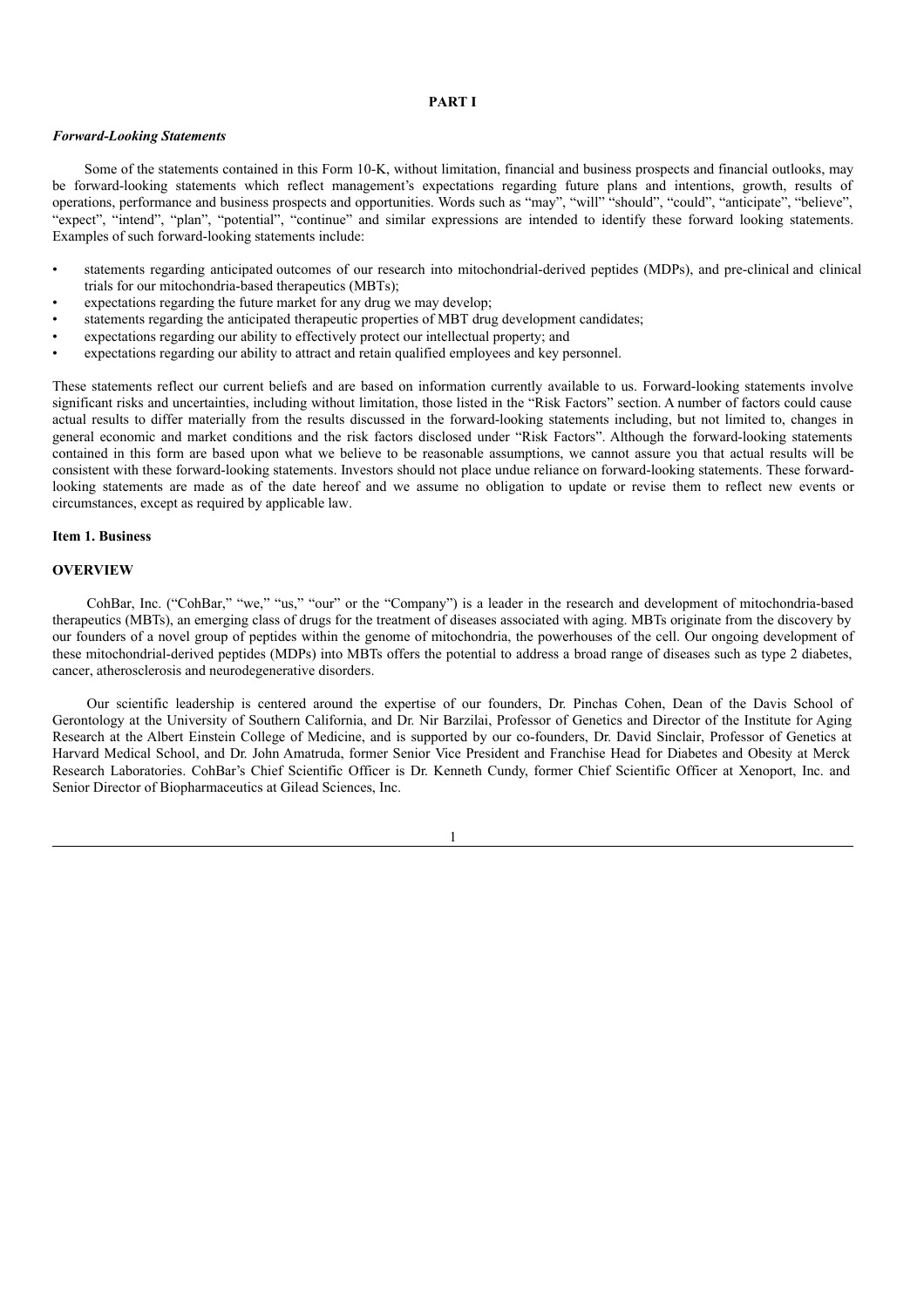### **PART I**

### *Forward-Looking Statements*

Some of the statements contained in this Form 10-K, without limitation, financial and business prospects and financial outlooks, may be forward-looking statements which reflect management's expectations regarding future plans and intentions, growth, results of operations, performance and business prospects and opportunities. Words such as "may", "will" "should", "could", "anticipate", "believe", "expect", "intend", "plan", "potential", "continue" and similar expressions are intended to identify these forward looking statements. Examples of such forward-looking statements include:

- statements regarding anticipated outcomes of our research into mitochondrial-derived peptides (MDPs), and pre-clinical and clinical trials for our mitochondria-based therapeutics (MBTs);
- expectations regarding the future market for any drug we may develop;
- statements regarding the anticipated therapeutic properties of MBT drug development candidates;
- expectations regarding our ability to effectively protect our intellectual property; and
- expectations regarding our ability to attract and retain qualified employees and key personnel.

These statements reflect our current beliefs and are based on information currently available to us. Forward-looking statements involve significant risks and uncertainties, including without limitation, those listed in the "Risk Factors" section. A number of factors could cause actual results to differ materially from the results discussed in the forward-looking statements including, but not limited to, changes in general economic and market conditions and the risk factors disclosed under "Risk Factors". Although the forward-looking statements contained in this form are based upon what we believe to be reasonable assumptions, we cannot assure you that actual results will be consistent with these forward-looking statements. Investors should not place undue reliance on forward-looking statements. These forwardlooking statements are made as of the date hereof and we assume no obligation to update or revise them to reflect new events or circumstances, except as required by applicable law.

### **Item 1. Business**

#### **OVERVIEW**

CohBar, Inc. ("CohBar," "we," "us," "our" or the "Company") is a leader in the research and development of mitochondria-based therapeutics (MBTs), an emerging class of drugs for the treatment of diseases associated with aging. MBTs originate from the discovery by our founders of a novel group of peptides within the genome of mitochondria, the powerhouses of the cell. Our ongoing development of these mitochondrial-derived peptides (MDPs) into MBTs offers the potential to address a broad range of diseases such as type 2 diabetes, cancer, atherosclerosis and neurodegenerative disorders.

Our scientific leadership is centered around the expertise of our founders, Dr. Pinchas Cohen, Dean of the Davis School of Gerontology at the University of Southern California, and Dr. Nir Barzilai, Professor of Genetics and Director of the Institute for Aging Research at the Albert Einstein College of Medicine, and is supported by our co-founders, Dr. David Sinclair, Professor of Genetics at Harvard Medical School, and Dr. John Amatruda, former Senior Vice President and Franchise Head for Diabetes and Obesity at Merck Research Laboratories. CohBar's Chief Scientific Officer is Dr. Kenneth Cundy, former Chief Scientific Officer at Xenoport, Inc. and Senior Director of Biopharmaceutics at Gilead Sciences, Inc.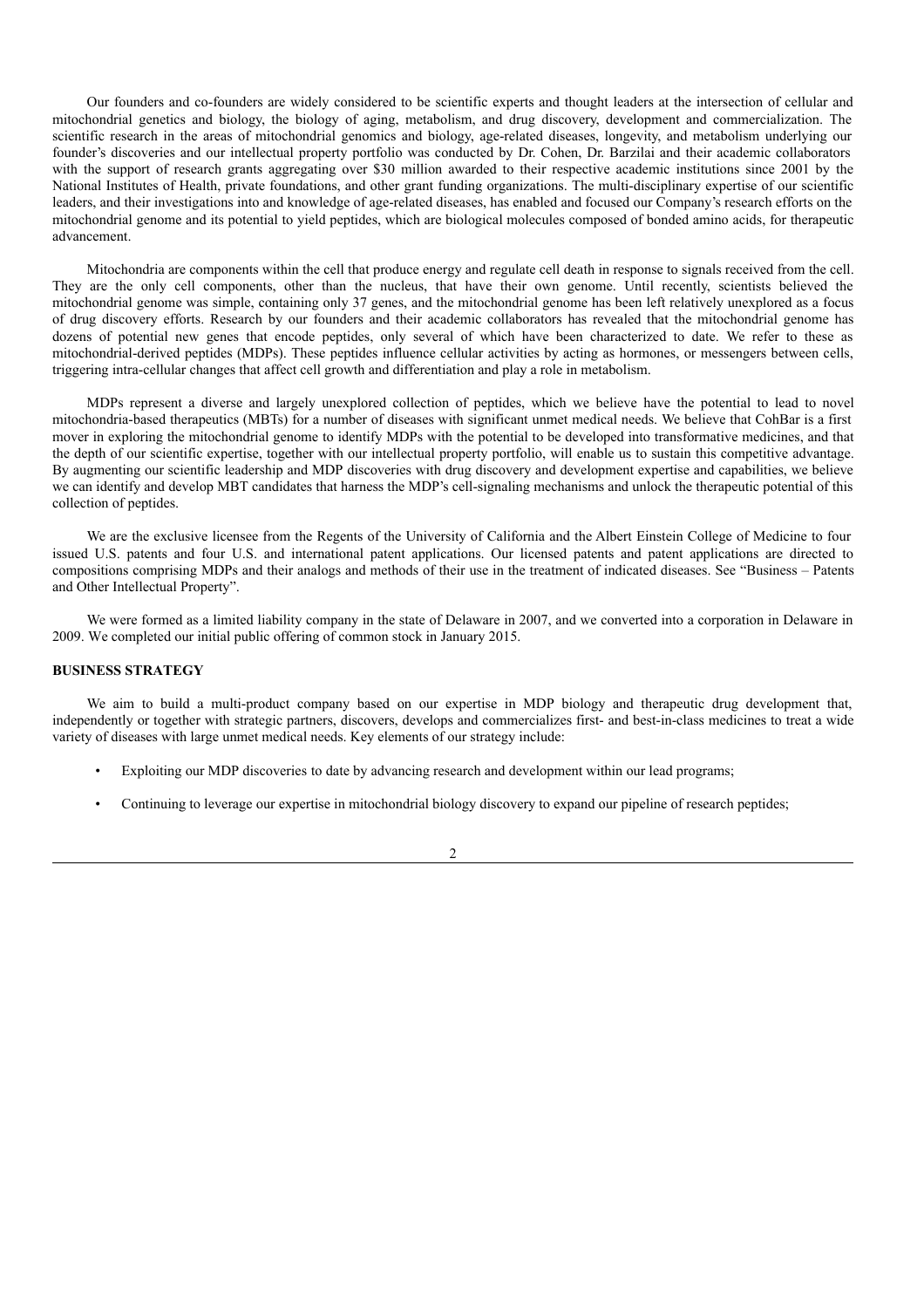Our founders and co-founders are widely considered to be scientific experts and thought leaders at the intersection of cellular and mitochondrial genetics and biology, the biology of aging, metabolism, and drug discovery, development and commercialization. The scientific research in the areas of mitochondrial genomics and biology, age-related diseases, longevity, and metabolism underlying our founder's discoveries and our intellectual property portfolio was conducted by Dr. Cohen, Dr. Barzilai and their academic collaborators with the support of research grants aggregating over \$30 million awarded to their respective academic institutions since 2001 by the National Institutes of Health, private foundations, and other grant funding organizations. The multi-disciplinary expertise of our scientific leaders, and their investigations into and knowledge of age-related diseases, has enabled and focused our Company's research efforts on the mitochondrial genome and its potential to yield peptides, which are biological molecules composed of bonded amino acids, for therapeutic advancement.

Mitochondria are components within the cell that produce energy and regulate cell death in response to signals received from the cell. They are the only cell components, other than the nucleus, that have their own genome. Until recently, scientists believed the mitochondrial genome was simple, containing only 37 genes, and the mitochondrial genome has been left relatively unexplored as a focus of drug discovery efforts. Research by our founders and their academic collaborators has revealed that the mitochondrial genome has dozens of potential new genes that encode peptides, only several of which have been characterized to date. We refer to these as mitochondrial-derived peptides (MDPs). These peptides influence cellular activities by acting as hormones, or messengers between cells, triggering intra-cellular changes that affect cell growth and differentiation and play a role in metabolism.

MDPs represent a diverse and largely unexplored collection of peptides, which we believe have the potential to lead to novel mitochondria-based therapeutics (MBTs) for a number of diseases with significant unmet medical needs. We believe that CohBar is a first mover in exploring the mitochondrial genome to identify MDPs with the potential to be developed into transformative medicines, and that the depth of our scientific expertise, together with our intellectual property portfolio, will enable us to sustain this competitive advantage. By augmenting our scientific leadership and MDP discoveries with drug discovery and development expertise and capabilities, we believe we can identify and develop MBT candidates that harness the MDP's cell-signaling mechanisms and unlock the therapeutic potential of this collection of peptides.

We are the exclusive licensee from the Regents of the University of California and the Albert Einstein College of Medicine to four issued U.S. patents and four U.S. and international patent applications. Our licensed patents and patent applications are directed to compositions comprising MDPs and their analogs and methods of their use in the treatment of indicated diseases. See "Business – Patents and Other Intellectual Property".

We were formed as a limited liability company in the state of Delaware in 2007, and we converted into a corporation in Delaware in 2009. We completed our initial public offering of common stock in January 2015.

### **BUSINESS STRATEGY**

We aim to build a multi-product company based on our expertise in MDP biology and therapeutic drug development that, independently or together with strategic partners, discovers, develops and commercializes first- and best-in-class medicines to treat a wide variety of diseases with large unmet medical needs. Key elements of our strategy include:

- Exploiting our MDP discoveries to date by advancing research and development within our lead programs;
- Continuing to leverage our expertise in mitochondrial biology discovery to expand our pipeline of research peptides;

#### $\overline{2}$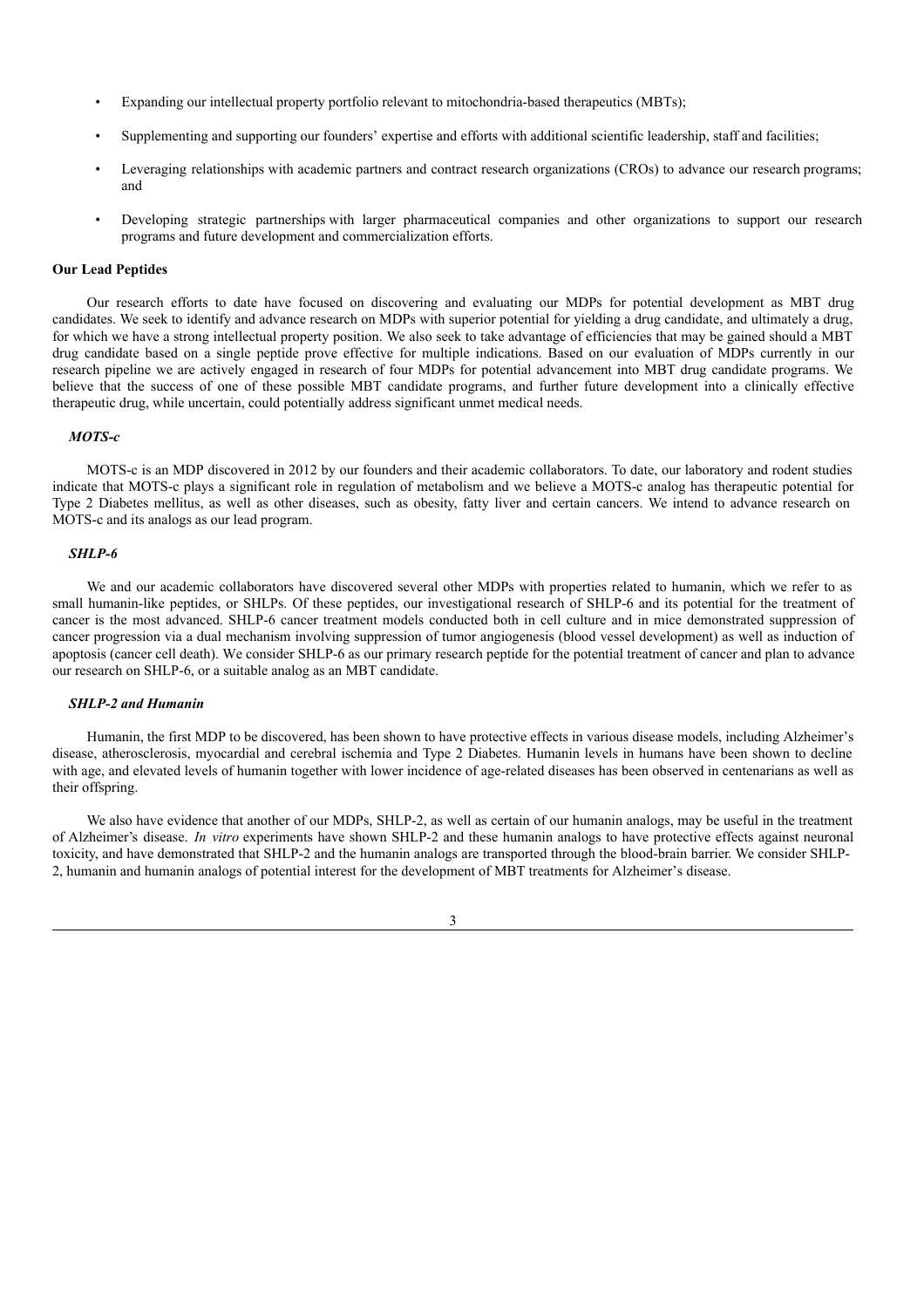- Expanding our intellectual property portfolio relevant to mitochondria-based therapeutics (MBTs);
- Supplementing and supporting our founders' expertise and efforts with additional scientific leadership, staff and facilities;
- Leveraging relationships with academic partners and contract research organizations (CROs) to advance our research programs; and
- Developing strategic partnerships with larger pharmaceutical companies and other organizations to support our research programs and future development and commercialization efforts.

### **Our Lead Peptides**

Our research efforts to date have focused on discovering and evaluating our MDPs for potential development as MBT drug candidates. We seek to identify and advance research on MDPs with superior potential for yielding a drug candidate, and ultimately a drug, for which we have a strong intellectual property position. We also seek to take advantage of efficiencies that may be gained should a MBT drug candidate based on a single peptide prove effective for multiple indications. Based on our evaluation of MDPs currently in our research pipeline we are actively engaged in research of four MDPs for potential advancement into MBT drug candidate programs. We believe that the success of one of these possible MBT candidate programs, and further future development into a clinically effective therapeutic drug, while uncertain, could potentially address significant unmet medical needs.

### *MOTS-c*

MOTS-c is an MDP discovered in 2012 by our founders and their academic collaborators. To date, our laboratory and rodent studies indicate that MOTS-c plays a significant role in regulation of metabolism and we believe a MOTS-c analog has therapeutic potential for Type 2 Diabetes mellitus, as well as other diseases, such as obesity, fatty liver and certain cancers. We intend to advance research on MOTS-c and its analogs as our lead program.

### *SHLP-6*

We and our academic collaborators have discovered several other MDPs with properties related to humanin, which we refer to as small humanin-like peptides, or SHLPs. Of these peptides, our investigational research of SHLP-6 and its potential for the treatment of cancer is the most advanced. SHLP-6 cancer treatment models conducted both in cell culture and in mice demonstrated suppression of cancer progression via a dual mechanism involving suppression of tumor angiogenesis (blood vessel development) as well as induction of apoptosis (cancer cell death). We consider SHLP-6 as our primary research peptide for the potential treatment of cancer and plan to advance our research on SHLP-6, or a suitable analog as an MBT candidate.

## *SHLP-2 and Humanin*

Humanin, the first MDP to be discovered, has been shown to have protective effects in various disease models, including Alzheimer's disease, atherosclerosis, myocardial and cerebral ischemia and Type 2 Diabetes. Humanin levels in humans have been shown to decline with age, and elevated levels of humanin together with lower incidence of age-related diseases has been observed in centenarians as well as their offspring.

We also have evidence that another of our MDPs, SHLP-2, as well as certain of our humanin analogs, may be useful in the treatment of Alzheimer's disease. *In vitro* experiments have shown SHLP-2 and these humanin analogs to have protective effects against neuronal toxicity, and have demonstrated that SHLP-2 and the humanin analogs are transported through the blood-brain barrier. We consider SHLP-2, humanin and humanin analogs of potential interest for the development of MBT treatments for Alzheimer's disease.

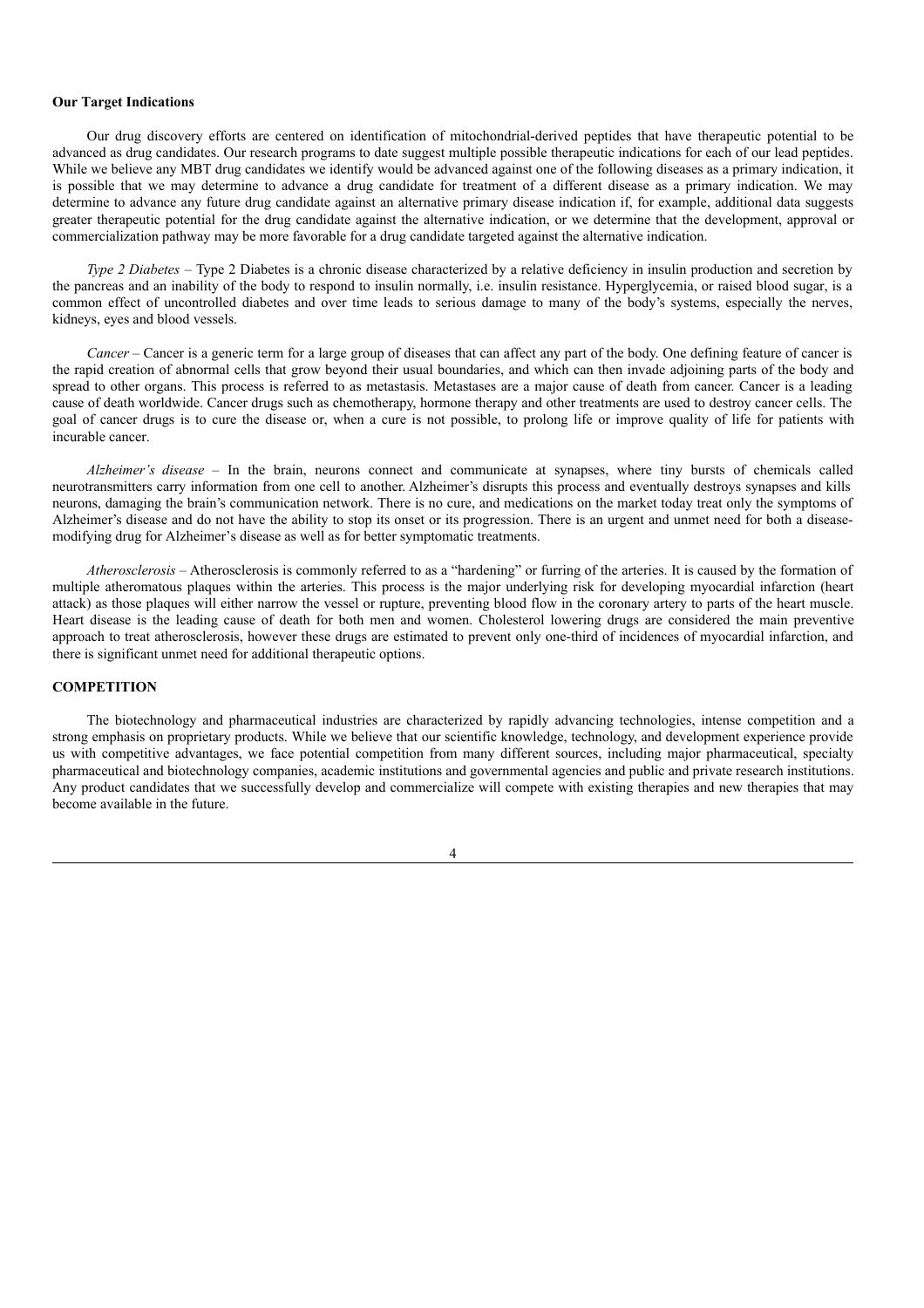### **Our Target Indications**

Our drug discovery efforts are centered on identification of mitochondrial-derived peptides that have therapeutic potential to be advanced as drug candidates. Our research programs to date suggest multiple possible therapeutic indications for each of our lead peptides. While we believe any MBT drug candidates we identify would be advanced against one of the following diseases as a primary indication, it is possible that we may determine to advance a drug candidate for treatment of a different disease as a primary indication. We may determine to advance any future drug candidate against an alternative primary disease indication if, for example, additional data suggests greater therapeutic potential for the drug candidate against the alternative indication, or we determine that the development, approval or commercialization pathway may be more favorable for a drug candidate targeted against the alternative indication.

*Type 2 Diabetes* – Type 2 Diabetes is a chronic disease characterized by a relative deficiency in insulin production and secretion by the pancreas and an inability of the body to respond to insulin normally, i.e. insulin resistance. Hyperglycemia, or raised blood sugar, is a common effect of uncontrolled diabetes and over time leads to serious damage to many of the body's systems, especially the nerves, kidneys, eyes and blood vessels.

*Cancer* – Cancer is a generic term for a large group of diseases that can affect any part of the body. One defining feature of cancer is the rapid creation of abnormal cells that grow beyond their usual boundaries, and which can then invade adjoining parts of the body and spread to other organs. This process is referred to as metastasis. Metastases are a major cause of death from cancer. Cancer is a leading cause of death worldwide. Cancer drugs such as chemotherapy, hormone therapy and other treatments are used to destroy cancer cells. The goal of cancer drugs is to cure the disease or, when a cure is not possible, to prolong life or improve quality of life for patients with incurable cancer.

*Alzheimer's disease* – In the brain, neurons connect and communicate at synapses, where tiny bursts of chemicals called neurotransmitters carry information from one cell to another. Alzheimer's disrupts this process and eventually destroys synapses and kills neurons, damaging the brain's communication network. There is no cure, and medications on the market today treat only the symptoms of Alzheimer's disease and do not have the ability to stop its onset or its progression. There is an urgent and unmet need for both a diseasemodifying drug for Alzheimer's disease as well as for better symptomatic treatments.

*Atherosclerosis –* Atherosclerosis is commonly referred to as a "hardening" or furring of the arteries. It is caused by the formation of multiple atheromatous plaques within the arteries. This process is the major underlying risk for developing myocardial infarction (heart attack) as those plaques will either narrow the vessel or rupture, preventing blood flow in the coronary artery to parts of the heart muscle. Heart disease is the leading cause of death for both men and women. Cholesterol lowering drugs are considered the main preventive approach to treat atherosclerosis, however these drugs are estimated to prevent only one-third of incidences of myocardial infarction, and there is significant unmet need for additional therapeutic options.

## **COMPETITION**

The biotechnology and pharmaceutical industries are characterized by rapidly advancing technologies, intense competition and a strong emphasis on proprietary products. While we believe that our scientific knowledge, technology, and development experience provide us with competitive advantages, we face potential competition from many different sources, including major pharmaceutical, specialty pharmaceutical and biotechnology companies, academic institutions and governmental agencies and public and private research institutions. Any product candidates that we successfully develop and commercialize will compete with existing therapies and new therapies that may become available in the future.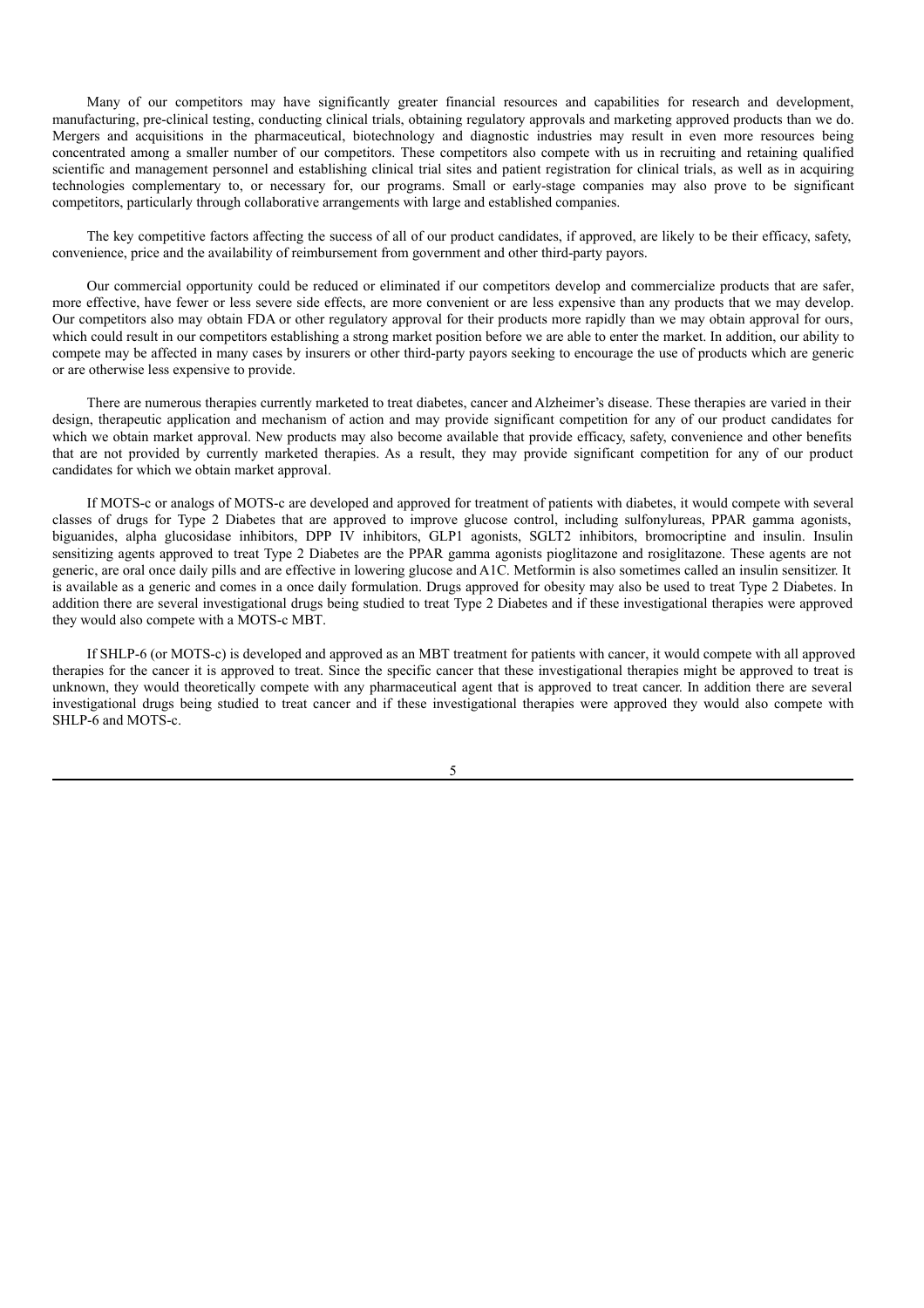Many of our competitors may have significantly greater financial resources and capabilities for research and development, manufacturing, pre-clinical testing, conducting clinical trials, obtaining regulatory approvals and marketing approved products than we do. Mergers and acquisitions in the pharmaceutical, biotechnology and diagnostic industries may result in even more resources being concentrated among a smaller number of our competitors. These competitors also compete with us in recruiting and retaining qualified scientific and management personnel and establishing clinical trial sites and patient registration for clinical trials, as well as in acquiring technologies complementary to, or necessary for, our programs. Small or early-stage companies may also prove to be significant competitors, particularly through collaborative arrangements with large and established companies.

The key competitive factors affecting the success of all of our product candidates, if approved, are likely to be their efficacy, safety, convenience, price and the availability of reimbursement from government and other third-party payors.

Our commercial opportunity could be reduced or eliminated if our competitors develop and commercialize products that are safer, more effective, have fewer or less severe side effects, are more convenient or are less expensive than any products that we may develop. Our competitors also may obtain FDA or other regulatory approval for their products more rapidly than we may obtain approval for ours, which could result in our competitors establishing a strong market position before we are able to enter the market. In addition, our ability to compete may be affected in many cases by insurers or other third-party payors seeking to encourage the use of products which are generic or are otherwise less expensive to provide.

There are numerous therapies currently marketed to treat diabetes, cancer and Alzheimer's disease. These therapies are varied in their design, therapeutic application and mechanism of action and may provide significant competition for any of our product candidates for which we obtain market approval. New products may also become available that provide efficacy, safety, convenience and other benefits that are not provided by currently marketed therapies. As a result, they may provide significant competition for any of our product candidates for which we obtain market approval.

If MOTS-c or analogs of MOTS-c are developed and approved for treatment of patients with diabetes, it would compete with several classes of drugs for Type 2 Diabetes that are approved to improve glucose control, including sulfonylureas, PPAR gamma agonists, biguanides, alpha glucosidase inhibitors, DPP IV inhibitors, GLP1 agonists, SGLT2 inhibitors, bromocriptine and insulin. Insulin sensitizing agents approved to treat Type 2 Diabetes are the PPAR gamma agonists pioglitazone and rosiglitazone. These agents are not generic, are oral once daily pills and are effective in lowering glucose and A1C. Metformin is also sometimes called an insulin sensitizer. It is available as a generic and comes in a once daily formulation. Drugs approved for obesity may also be used to treat Type 2 Diabetes. In addition there are several investigational drugs being studied to treat Type 2 Diabetes and if these investigational therapies were approved they would also compete with a MOTS-c MBT.

If SHLP-6 (or MOTS-c) is developed and approved as an MBT treatment for patients with cancer, it would compete with all approved therapies for the cancer it is approved to treat. Since the specific cancer that these investigational therapies might be approved to treat is unknown, they would theoretically compete with any pharmaceutical agent that is approved to treat cancer. In addition there are several investigational drugs being studied to treat cancer and if these investigational therapies were approved they would also compete with SHLP-6 and MOTS-c.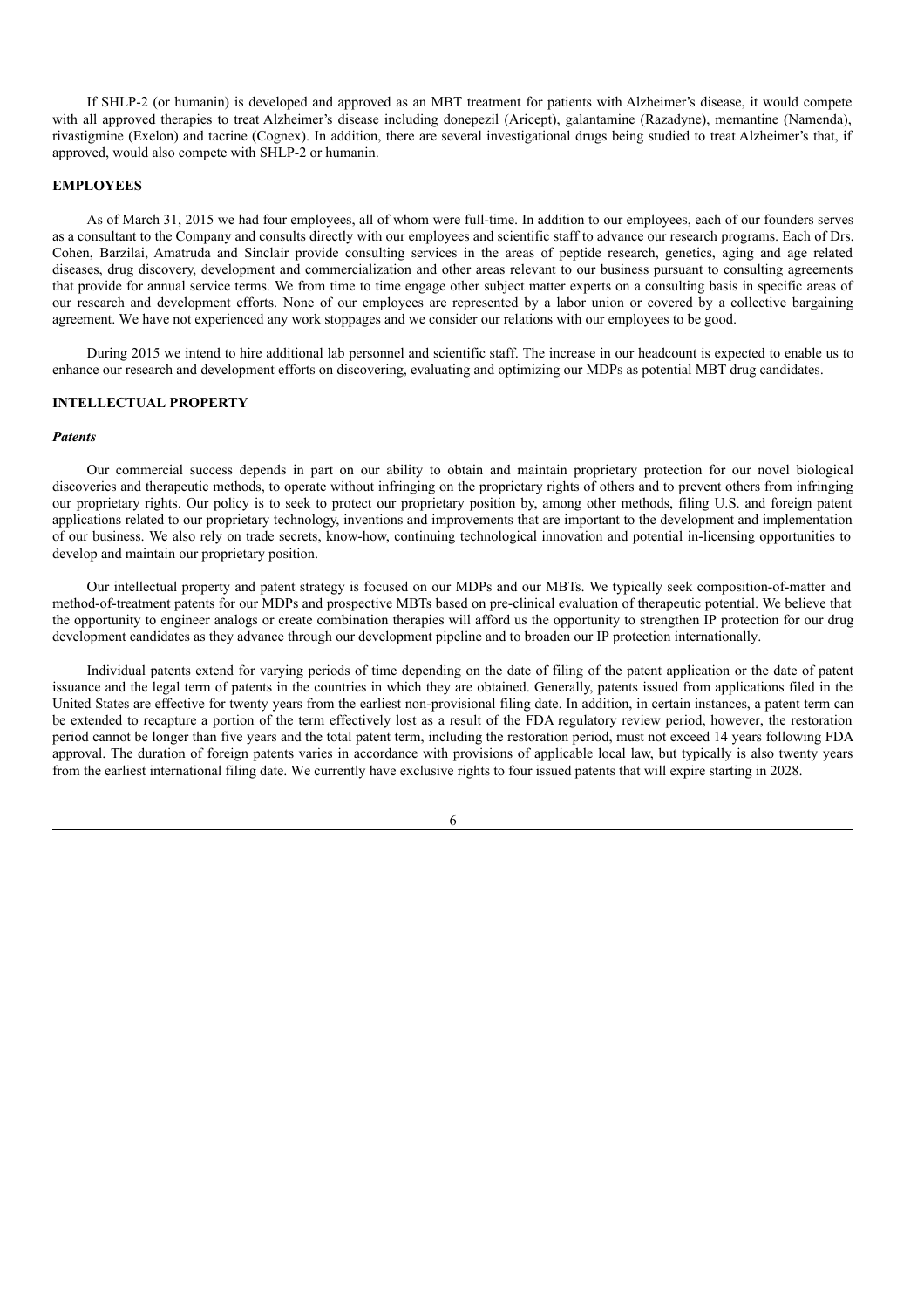If SHLP-2 (or humanin) is developed and approved as an MBT treatment for patients with Alzheimer's disease, it would compete with all approved therapies to treat Alzheimer's disease including donepezil (Aricept), galantamine (Razadyne), memantine (Namenda), rivastigmine (Exelon) and tacrine (Cognex). In addition, there are several investigational drugs being studied to treat Alzheimer's that, if approved, would also compete with SHLP-2 or humanin.

#### **EMPLOYEES**

As of March 31, 2015 we had four employees, all of whom were full-time. In addition to our employees, each of our founders serves as a consultant to the Company and consults directly with our employees and scientific staff to advance our research programs. Each of Drs. Cohen, Barzilai, Amatruda and Sinclair provide consulting services in the areas of peptide research, genetics, aging and age related diseases, drug discovery, development and commercialization and other areas relevant to our business pursuant to consulting agreements that provide for annual service terms. We from time to time engage other subject matter experts on a consulting basis in specific areas of our research and development efforts. None of our employees are represented by a labor union or covered by a collective bargaining agreement. We have not experienced any work stoppages and we consider our relations with our employees to be good.

During 2015 we intend to hire additional lab personnel and scientific staff. The increase in our headcount is expected to enable us to enhance our research and development efforts on discovering, evaluating and optimizing our MDPs as potential MBT drug candidates.

## **INTELLECTUAL PROPERTY**

### *Patents*

Our commercial success depends in part on our ability to obtain and maintain proprietary protection for our novel biological discoveries and therapeutic methods, to operate without infringing on the proprietary rights of others and to prevent others from infringing our proprietary rights. Our policy is to seek to protect our proprietary position by, among other methods, filing U.S. and foreign patent applications related to our proprietary technology, inventions and improvements that are important to the development and implementation of our business. We also rely on trade secrets, know-how, continuing technological innovation and potential in-licensing opportunities to develop and maintain our proprietary position.

Our intellectual property and patent strategy is focused on our MDPs and our MBTs. We typically seek composition-of-matter and method-of-treatment patents for our MDPs and prospective MBTs based on pre-clinical evaluation of therapeutic potential. We believe that the opportunity to engineer analogs or create combination therapies will afford us the opportunity to strengthen IP protection for our drug development candidates as they advance through our development pipeline and to broaden our IP protection internationally.

Individual patents extend for varying periods of time depending on the date of filing of the patent application or the date of patent issuance and the legal term of patents in the countries in which they are obtained. Generally, patents issued from applications filed in the United States are effective for twenty years from the earliest non-provisional filing date. In addition, in certain instances, a patent term can be extended to recapture a portion of the term effectively lost as a result of the FDA regulatory review period, however, the restoration period cannot be longer than five years and the total patent term, including the restoration period, must not exceed 14 years following FDA approval. The duration of foreign patents varies in accordance with provisions of applicable local law, but typically is also twenty years from the earliest international filing date. We currently have exclusive rights to four issued patents that will expire starting in 2028.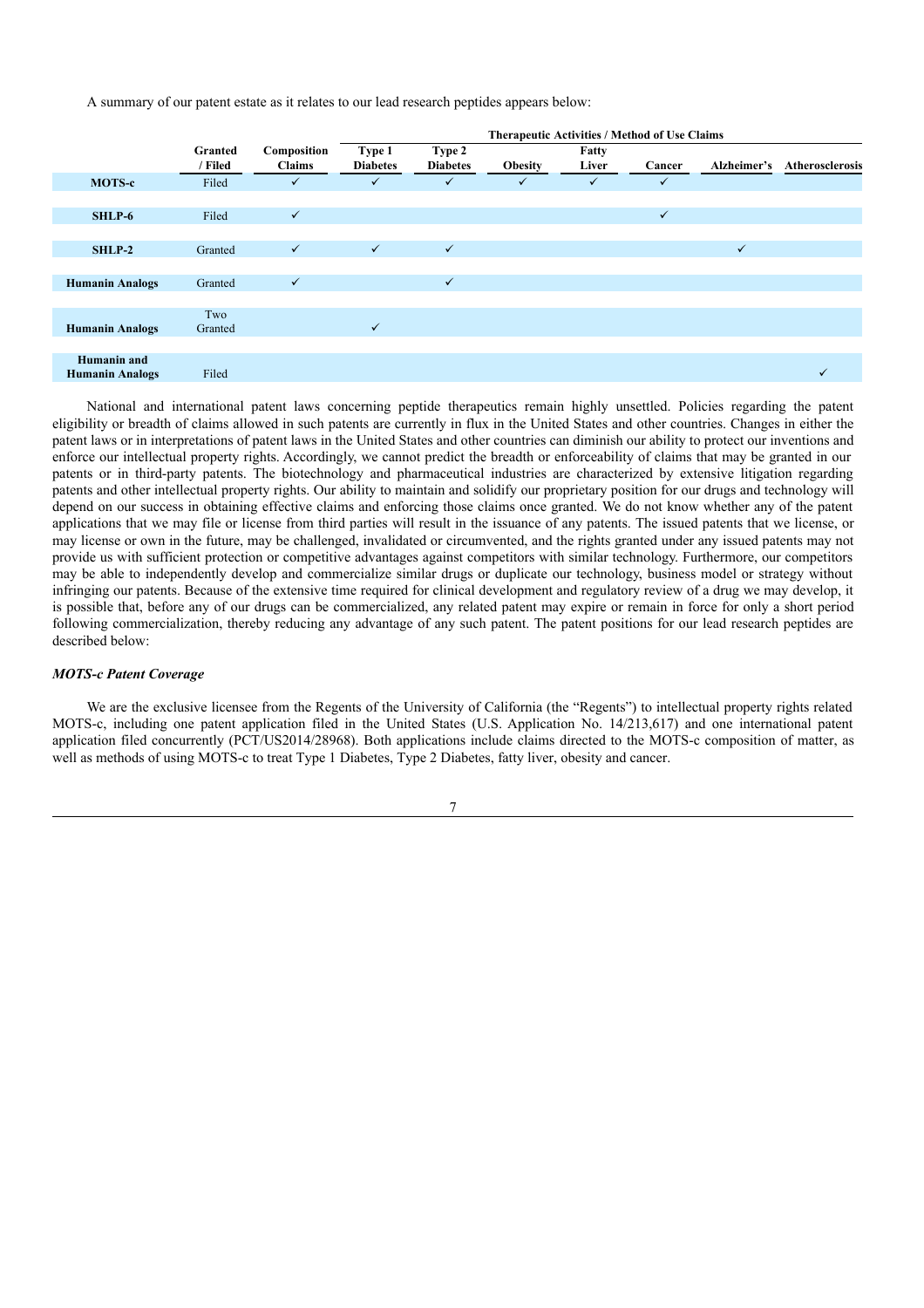A summary of our patent estate as it relates to our lead research peptides appears below:

|                                              |                    |                              |                           |                           | <b>Therapeutic Activities / Method of Use Claims</b> |                |              |              |                 |
|----------------------------------------------|--------------------|------------------------------|---------------------------|---------------------------|------------------------------------------------------|----------------|--------------|--------------|-----------------|
|                                              | Granted<br>/ Filed | Composition<br><b>Claims</b> | Type 1<br><b>Diabetes</b> | Type 2<br><b>Diabetes</b> | <b>Obesity</b>                                       | Fatty<br>Liver | Cancer       | Alzheimer's  | Atherosclerosis |
| <b>MOTS-c</b>                                | Filed              | $\checkmark$                 | $\checkmark$              | $\checkmark$              | $\checkmark$                                         | $\checkmark$   | $\checkmark$ |              |                 |
|                                              |                    |                              |                           |                           |                                                      |                |              |              |                 |
| SHLP-6                                       | Filed              | $\checkmark$                 |                           |                           |                                                      |                | $\checkmark$ |              |                 |
|                                              |                    |                              |                           |                           |                                                      |                |              |              |                 |
| SHLP-2                                       | Granted            | $\checkmark$                 | $\checkmark$              | $\checkmark$              |                                                      |                |              | $\checkmark$ |                 |
|                                              |                    |                              |                           |                           |                                                      |                |              |              |                 |
| <b>Humanin Analogs</b>                       | Granted            | $\checkmark$                 |                           | $\checkmark$              |                                                      |                |              |              |                 |
|                                              |                    |                              |                           |                           |                                                      |                |              |              |                 |
| <b>Humanin Analogs</b>                       | Two<br>Granted     |                              | $\checkmark$              |                           |                                                      |                |              |              |                 |
|                                              |                    |                              |                           |                           |                                                      |                |              |              |                 |
| <b>Humanin</b> and<br><b>Humanin Analogs</b> | Filed              |                              |                           |                           |                                                      |                |              |              | ✓               |

National and international patent laws concerning peptide therapeutics remain highly unsettled. Policies regarding the patent eligibility or breadth of claims allowed in such patents are currently in flux in the United States and other countries. Changes in either the patent laws or in interpretations of patent laws in the United States and other countries can diminish our ability to protect our inventions and enforce our intellectual property rights. Accordingly, we cannot predict the breadth or enforceability of claims that may be granted in our patents or in third-party patents. The biotechnology and pharmaceutical industries are characterized by extensive litigation regarding patents and other intellectual property rights. Our ability to maintain and solidify our proprietary position for our drugs and technology will depend on our success in obtaining effective claims and enforcing those claims once granted. We do not know whether any of the patent applications that we may file or license from third parties will result in the issuance of any patents. The issued patents that we license, or may license or own in the future, may be challenged, invalidated or circumvented, and the rights granted under any issued patents may not provide us with sufficient protection or competitive advantages against competitors with similar technology. Furthermore, our competitors may be able to independently develop and commercialize similar drugs or duplicate our technology, business model or strategy without infringing our patents. Because of the extensive time required for clinical development and regulatory review of a drug we may develop, it is possible that, before any of our drugs can be commercialized, any related patent may expire or remain in force for only a short period following commercialization, thereby reducing any advantage of any such patent. The patent positions for our lead research peptides are described below:

### *MOTS-c Patent Coverage*

We are the exclusive licensee from the Regents of the University of California (the "Regents") to intellectual property rights related MOTS-c, including one patent application filed in the United States (U.S. Application No. 14/213,617) and one international patent application filed concurrently (PCT/US2014/28968). Both applications include claims directed to the MOTS-c composition of matter, as well as methods of using MOTS-c to treat Type 1 Diabetes, Type 2 Diabetes, fatty liver, obesity and cancer.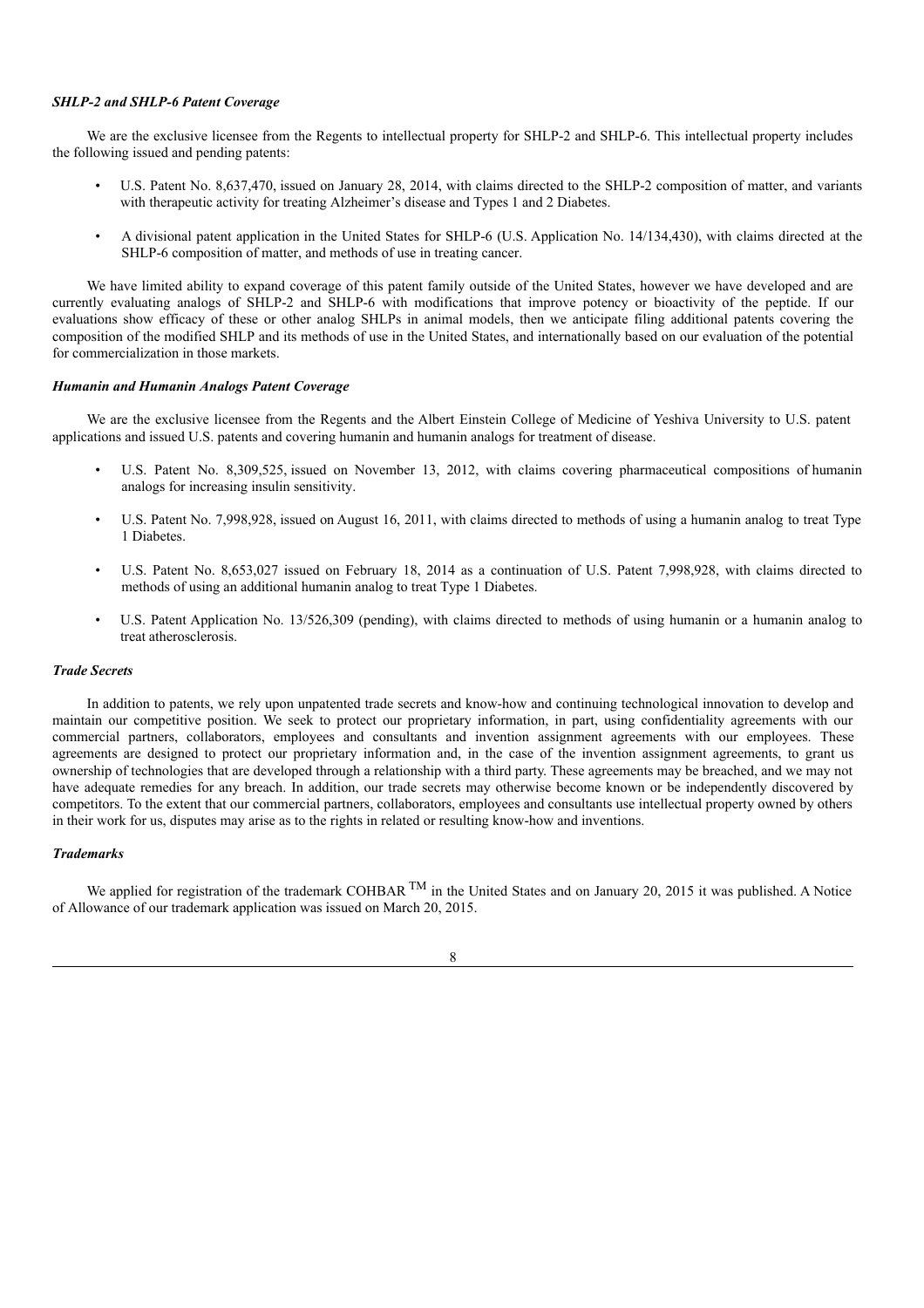### *SHLP-2 and SHLP-6 Patent Coverage*

We are the exclusive licensee from the Regents to intellectual property for SHLP-2 and SHLP-6. This intellectual property includes the following issued and pending patents:

- U.S. Patent No. 8,637,470, issued on January 28, 2014, with claims directed to the SHLP-2 composition of matter, and variants with therapeutic activity for treating Alzheimer's disease and Types 1 and 2 Diabetes.
- A divisional patent application in the United States for SHLP-6 (U.S. Application No. 14/134,430), with claims directed at the SHLP-6 composition of matter, and methods of use in treating cancer.

We have limited ability to expand coverage of this patent family outside of the United States, however we have developed and are currently evaluating analogs of SHLP-2 and SHLP-6 with modifications that improve potency or bioactivity of the peptide. If our evaluations show efficacy of these or other analog SHLPs in animal models, then we anticipate filing additional patents covering the composition of the modified SHLP and its methods of use in the United States, and internationally based on our evaluation of the potential for commercialization in those markets.

#### *Humanin and Humanin Analogs Patent Coverage*

We are the exclusive licensee from the Regents and the Albert Einstein College of Medicine of Yeshiva University to U.S. patent applications and issued U.S. patents and covering humanin and humanin analogs for treatment of disease.

- U.S. Patent No. 8,309,525, issued on November 13, 2012, with claims covering pharmaceutical compositions of humanin analogs for increasing insulin sensitivity.
- U.S. Patent No. 7,998,928, issued on August 16, 2011, with claims directed to methods of using a humanin analog to treat Type 1 Diabetes.
- U.S. Patent No. 8,653,027 issued on February 18, 2014 as a continuation of U.S. Patent 7,998,928, with claims directed to methods of using an additional humanin analog to treat Type 1 Diabetes.
- U.S. Patent Application No. 13/526,309 (pending), with claims directed to methods of using humanin or a humanin analog to treat atherosclerosis.

### *Trade Secrets*

In addition to patents, we rely upon unpatented trade secrets and know-how and continuing technological innovation to develop and maintain our competitive position. We seek to protect our proprietary information, in part, using confidentiality agreements with our commercial partners, collaborators, employees and consultants and invention assignment agreements with our employees. These agreements are designed to protect our proprietary information and, in the case of the invention assignment agreements, to grant us ownership of technologies that are developed through a relationship with a third party. These agreements may be breached, and we may not have adequate remedies for any breach. In addition, our trade secrets may otherwise become known or be independently discovered by competitors. To the extent that our commercial partners, collaborators, employees and consultants use intellectual property owned by others in their work for us, disputes may arise as to the rights in related or resulting know-how and inventions.

#### *Trademarks*

We applied for registration of the trademark COHBAR  $^{TM}$  in the United States and on January 20, 2015 it was published. A Notice of Allowance of our trademark application was issued on March 20, 2015.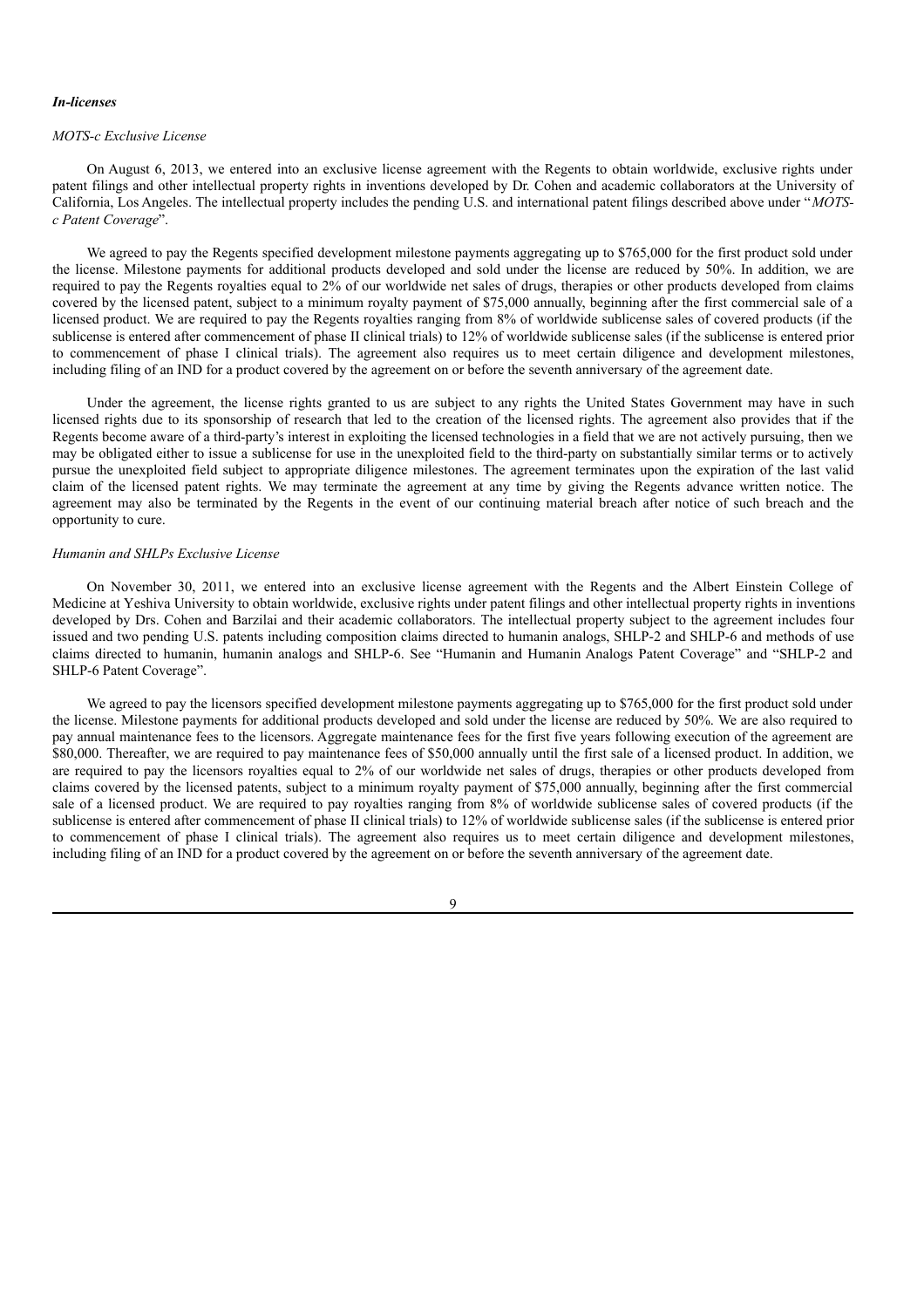#### *In-licenses*

#### *MOTS-c Exclusive License*

On August 6, 2013, we entered into an exclusive license agreement with the Regents to obtain worldwide, exclusive rights under patent filings and other intellectual property rights in inventions developed by Dr. Cohen and academic collaborators at the University of California, Los Angeles. The intellectual property includes the pending U.S. and international patent filings described above under "*MOTSc Patent Coverage*".

We agreed to pay the Regents specified development milestone payments aggregating up to \$765,000 for the first product sold under the license. Milestone payments for additional products developed and sold under the license are reduced by 50%. In addition, we are required to pay the Regents royalties equal to 2% of our worldwide net sales of drugs, therapies or other products developed from claims covered by the licensed patent, subject to a minimum royalty payment of \$75,000 annually, beginning after the first commercial sale of a licensed product. We are required to pay the Regents royalties ranging from 8% of worldwide sublicense sales of covered products (if the sublicense is entered after commencement of phase II clinical trials) to 12% of worldwide sublicense sales (if the sublicense is entered prior to commencement of phase I clinical trials). The agreement also requires us to meet certain diligence and development milestones, including filing of an IND for a product covered by the agreement on or before the seventh anniversary of the agreement date.

Under the agreement, the license rights granted to us are subject to any rights the United States Government may have in such licensed rights due to its sponsorship of research that led to the creation of the licensed rights. The agreement also provides that if the Regents become aware of a third-party's interest in exploiting the licensed technologies in a field that we are not actively pursuing, then we may be obligated either to issue a sublicense for use in the unexploited field to the third-party on substantially similar terms or to actively pursue the unexploited field subject to appropriate diligence milestones. The agreement terminates upon the expiration of the last valid claim of the licensed patent rights. We may terminate the agreement at any time by giving the Regents advance written notice. The agreement may also be terminated by the Regents in the event of our continuing material breach after notice of such breach and the opportunity to cure.

### *Humanin and SHLPs Exclusive License*

On November 30, 2011, we entered into an exclusive license agreement with the Regents and the Albert Einstein College of Medicine at Yeshiva University to obtain worldwide, exclusive rights under patent filings and other intellectual property rights in inventions developed by Drs. Cohen and Barzilai and their academic collaborators. The intellectual property subject to the agreement includes four issued and two pending U.S. patents including composition claims directed to humanin analogs, SHLP-2 and SHLP-6 and methods of use claims directed to humanin, humanin analogs and SHLP-6. See "Humanin and Humanin Analogs Patent Coverage" and "SHLP-2 and SHLP-6 Patent Coverage".

We agreed to pay the licensors specified development milestone payments aggregating up to \$765,000 for the first product sold under the license. Milestone payments for additional products developed and sold under the license are reduced by 50%. We are also required to pay annual maintenance fees to the licensors. Aggregate maintenance fees for the first five years following execution of the agreement are \$80,000. Thereafter, we are required to pay maintenance fees of \$50,000 annually until the first sale of a licensed product. In addition, we are required to pay the licensors royalties equal to 2% of our worldwide net sales of drugs, therapies or other products developed from claims covered by the licensed patents, subject to a minimum royalty payment of \$75,000 annually, beginning after the first commercial sale of a licensed product. We are required to pay royalties ranging from 8% of worldwide sublicense sales of covered products (if the sublicense is entered after commencement of phase II clinical trials) to 12% of worldwide sublicense sales (if the sublicense is entered prior to commencement of phase I clinical trials). The agreement also requires us to meet certain diligence and development milestones, including filing of an IND for a product covered by the agreement on or before the seventh anniversary of the agreement date.

 $\alpha$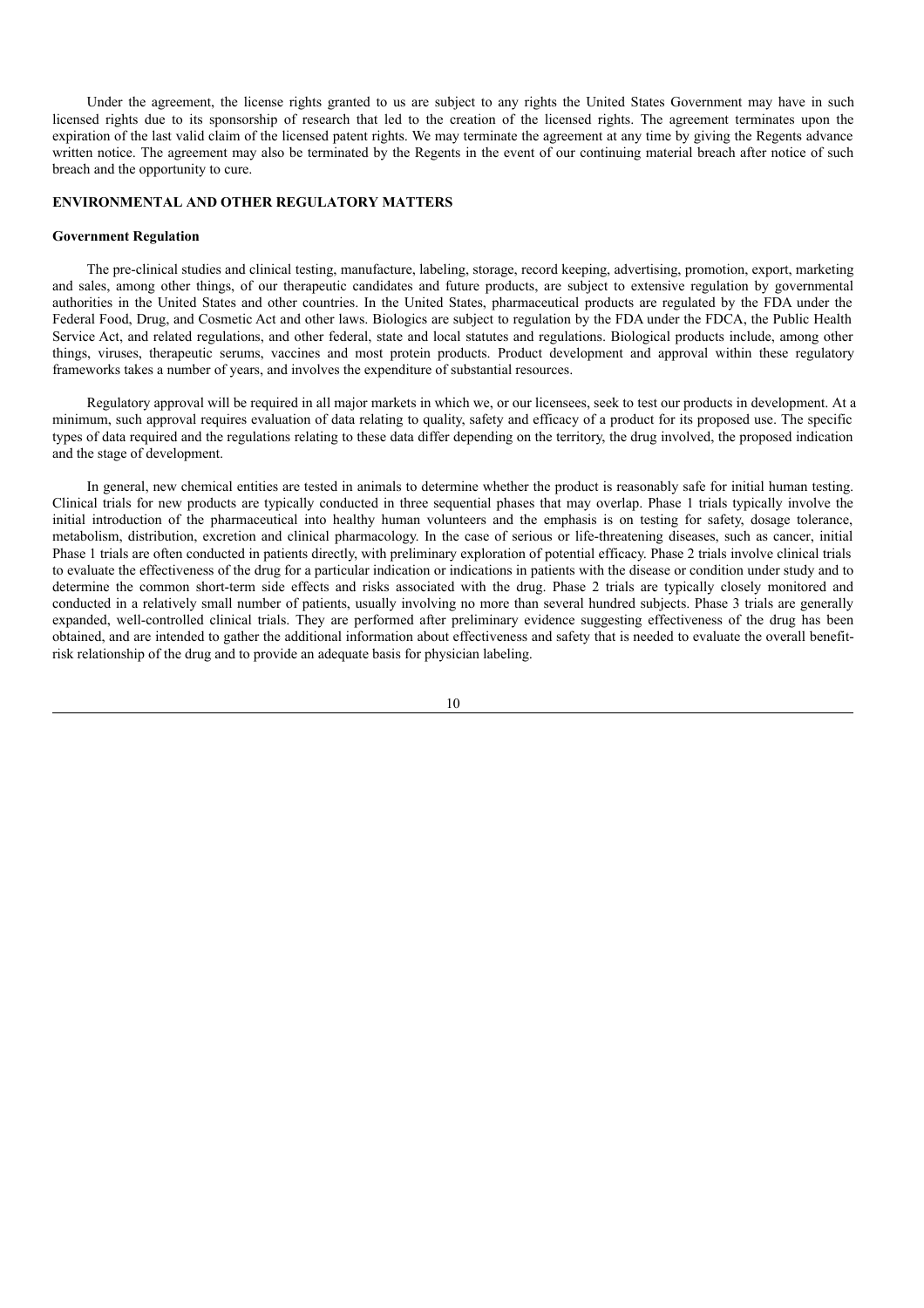Under the agreement, the license rights granted to us are subject to any rights the United States Government may have in such licensed rights due to its sponsorship of research that led to the creation of the licensed rights. The agreement terminates upon the expiration of the last valid claim of the licensed patent rights. We may terminate the agreement at any time by giving the Regents advance written notice. The agreement may also be terminated by the Regents in the event of our continuing material breach after notice of such breach and the opportunity to cure.

## **ENVIRONMENTAL AND OTHER REGULATORY MATTERS**

#### **Government Regulation**

The pre-clinical studies and clinical testing, manufacture, labeling, storage, record keeping, advertising, promotion, export, marketing and sales, among other things, of our therapeutic candidates and future products, are subject to extensive regulation by governmental authorities in the United States and other countries. In the United States, pharmaceutical products are regulated by the FDA under the Federal Food, Drug, and Cosmetic Act and other laws. Biologics are subject to regulation by the FDA under the FDCA, the Public Health Service Act, and related regulations, and other federal, state and local statutes and regulations. Biological products include, among other things, viruses, therapeutic serums, vaccines and most protein products. Product development and approval within these regulatory frameworks takes a number of years, and involves the expenditure of substantial resources.

Regulatory approval will be required in all major markets in which we, or our licensees, seek to test our products in development. At a minimum, such approval requires evaluation of data relating to quality, safety and efficacy of a product for its proposed use. The specific types of data required and the regulations relating to these data differ depending on the territory, the drug involved, the proposed indication and the stage of development.

In general, new chemical entities are tested in animals to determine whether the product is reasonably safe for initial human testing. Clinical trials for new products are typically conducted in three sequential phases that may overlap. Phase 1 trials typically involve the initial introduction of the pharmaceutical into healthy human volunteers and the emphasis is on testing for safety, dosage tolerance, metabolism, distribution, excretion and clinical pharmacology. In the case of serious or life-threatening diseases, such as cancer, initial Phase 1 trials are often conducted in patients directly, with preliminary exploration of potential efficacy. Phase 2 trials involve clinical trials to evaluate the effectiveness of the drug for a particular indication or indications in patients with the disease or condition under study and to determine the common short-term side effects and risks associated with the drug. Phase 2 trials are typically closely monitored and conducted in a relatively small number of patients, usually involving no more than several hundred subjects. Phase 3 trials are generally expanded, well-controlled clinical trials. They are performed after preliminary evidence suggesting effectiveness of the drug has been obtained, and are intended to gather the additional information about effectiveness and safety that is needed to evaluate the overall benefitrisk relationship of the drug and to provide an adequate basis for physician labeling.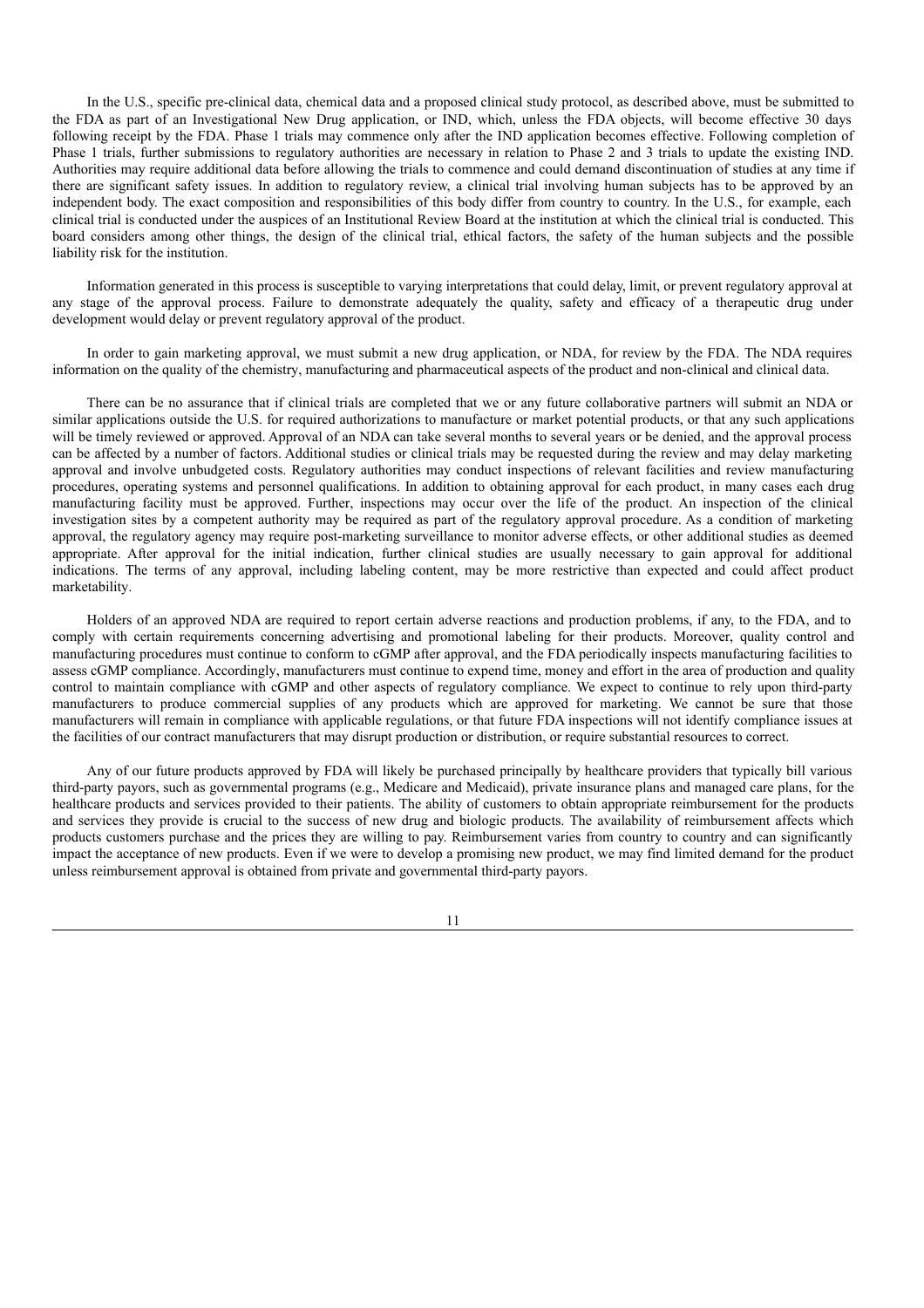In the U.S., specific pre-clinical data, chemical data and a proposed clinical study protocol, as described above, must be submitted to the FDA as part of an Investigational New Drug application, or IND, which, unless the FDA objects, will become effective 30 days following receipt by the FDA. Phase 1 trials may commence only after the IND application becomes effective. Following completion of Phase 1 trials, further submissions to regulatory authorities are necessary in relation to Phase 2 and 3 trials to update the existing IND. Authorities may require additional data before allowing the trials to commence and could demand discontinuation of studies at any time if there are significant safety issues. In addition to regulatory review, a clinical trial involving human subjects has to be approved by an independent body. The exact composition and responsibilities of this body differ from country to country. In the U.S., for example, each clinical trial is conducted under the auspices of an Institutional Review Board at the institution at which the clinical trial is conducted. This board considers among other things, the design of the clinical trial, ethical factors, the safety of the human subjects and the possible liability risk for the institution.

Information generated in this process is susceptible to varying interpretations that could delay, limit, or prevent regulatory approval at any stage of the approval process. Failure to demonstrate adequately the quality, safety and efficacy of a therapeutic drug under development would delay or prevent regulatory approval of the product.

In order to gain marketing approval, we must submit a new drug application, or NDA, for review by the FDA. The NDA requires information on the quality of the chemistry, manufacturing and pharmaceutical aspects of the product and non-clinical and clinical data.

There can be no assurance that if clinical trials are completed that we or any future collaborative partners will submit an NDA or similar applications outside the U.S. for required authorizations to manufacture or market potential products, or that any such applications will be timely reviewed or approved. Approval of an NDA can take several months to several years or be denied, and the approval process can be affected by a number of factors. Additional studies or clinical trials may be requested during the review and may delay marketing approval and involve unbudgeted costs. Regulatory authorities may conduct inspections of relevant facilities and review manufacturing procedures, operating systems and personnel qualifications. In addition to obtaining approval for each product, in many cases each drug manufacturing facility must be approved. Further, inspections may occur over the life of the product. An inspection of the clinical investigation sites by a competent authority may be required as part of the regulatory approval procedure. As a condition of marketing approval, the regulatory agency may require post-marketing surveillance to monitor adverse effects, or other additional studies as deemed appropriate. After approval for the initial indication, further clinical studies are usually necessary to gain approval for additional indications. The terms of any approval, including labeling content, may be more restrictive than expected and could affect product marketability.

Holders of an approved NDA are required to report certain adverse reactions and production problems, if any, to the FDA, and to comply with certain requirements concerning advertising and promotional labeling for their products. Moreover, quality control and manufacturing procedures must continue to conform to cGMP after approval, and the FDA periodically inspects manufacturing facilities to assess cGMP compliance. Accordingly, manufacturers must continue to expend time, money and effort in the area of production and quality control to maintain compliance with cGMP and other aspects of regulatory compliance. We expect to continue to rely upon third-party manufacturers to produce commercial supplies of any products which are approved for marketing. We cannot be sure that those manufacturers will remain in compliance with applicable regulations, or that future FDA inspections will not identify compliance issues at the facilities of our contract manufacturers that may disrupt production or distribution, or require substantial resources to correct.

Any of our future products approved by FDA will likely be purchased principally by healthcare providers that typically bill various third-party payors, such as governmental programs (e.g., Medicare and Medicaid), private insurance plans and managed care plans, for the healthcare products and services provided to their patients. The ability of customers to obtain appropriate reimbursement for the products and services they provide is crucial to the success of new drug and biologic products. The availability of reimbursement affects which products customers purchase and the prices they are willing to pay. Reimbursement varies from country to country and can significantly impact the acceptance of new products. Even if we were to develop a promising new product, we may find limited demand for the product unless reimbursement approval is obtained from private and governmental third-party payors.

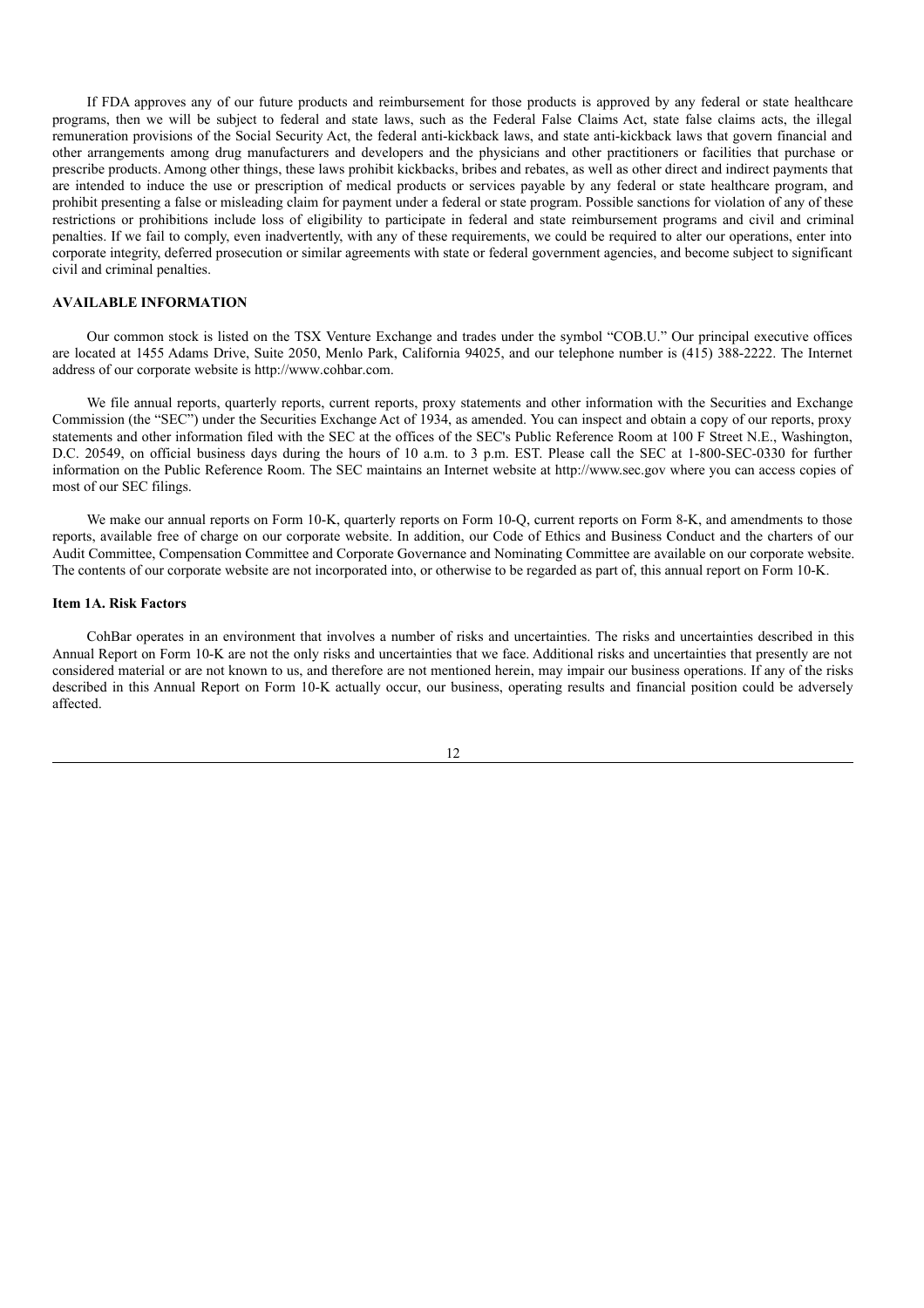If FDA approves any of our future products and reimbursement for those products is approved by any federal or state healthcare programs, then we will be subject to federal and state laws, such as the Federal False Claims Act, state false claims acts, the illegal remuneration provisions of the Social Security Act, the federal anti-kickback laws, and state anti-kickback laws that govern financial and other arrangements among drug manufacturers and developers and the physicians and other practitioners or facilities that purchase or prescribe products. Among other things, these laws prohibit kickbacks, bribes and rebates, as well as other direct and indirect payments that are intended to induce the use or prescription of medical products or services payable by any federal or state healthcare program, and prohibit presenting a false or misleading claim for payment under a federal or state program. Possible sanctions for violation of any of these restrictions or prohibitions include loss of eligibility to participate in federal and state reimbursement programs and civil and criminal penalties. If we fail to comply, even inadvertently, with any of these requirements, we could be required to alter our operations, enter into corporate integrity, deferred prosecution or similar agreements with state or federal government agencies, and become subject to significant civil and criminal penalties.

## **AVAILABLE INFORMATION**

Our common stock is listed on the TSX Venture Exchange and trades under the symbol "COB.U." Our principal executive offices are located at 1455 Adams Drive, Suite 2050, Menlo Park, California 94025, and our telephone number is (415) 388-2222. The Internet address of our corporate website is http://www.cohbar.com.

We file annual reports, quarterly reports, current reports, proxy statements and other information with the Securities and Exchange Commission (the "SEC") under the Securities Exchange Act of 1934, as amended. You can inspect and obtain a copy of our reports, proxy statements and other information filed with the SEC at the offices of the SEC's Public Reference Room at 100 F Street N.E., Washington, D.C. 20549, on official business days during the hours of 10 a.m. to 3 p.m. EST. Please call the SEC at 1-800-SEC-0330 for further information on the Public Reference Room. The SEC maintains an Internet website at http://www.sec.gov where you can access copies of most of our SEC filings.

We make our annual reports on Form 10-K, quarterly reports on Form 10-Q, current reports on Form 8-K, and amendments to those reports, available free of charge on our corporate website. In addition, our Code of Ethics and Business Conduct and the charters of our Audit Committee, Compensation Committee and Corporate Governance and Nominating Committee are available on our corporate website. The contents of our corporate website are not incorporated into, or otherwise to be regarded as part of, this annual report on Form 10-K.

## **Item 1A. Risk Factors**

CohBar operates in an environment that involves a number of risks and uncertainties. The risks and uncertainties described in this Annual Report on Form 10-K are not the only risks and uncertainties that we face. Additional risks and uncertainties that presently are not considered material or are not known to us, and therefore are not mentioned herein, may impair our business operations. If any of the risks described in this Annual Report on Form 10-K actually occur, our business, operating results and financial position could be adversely affected.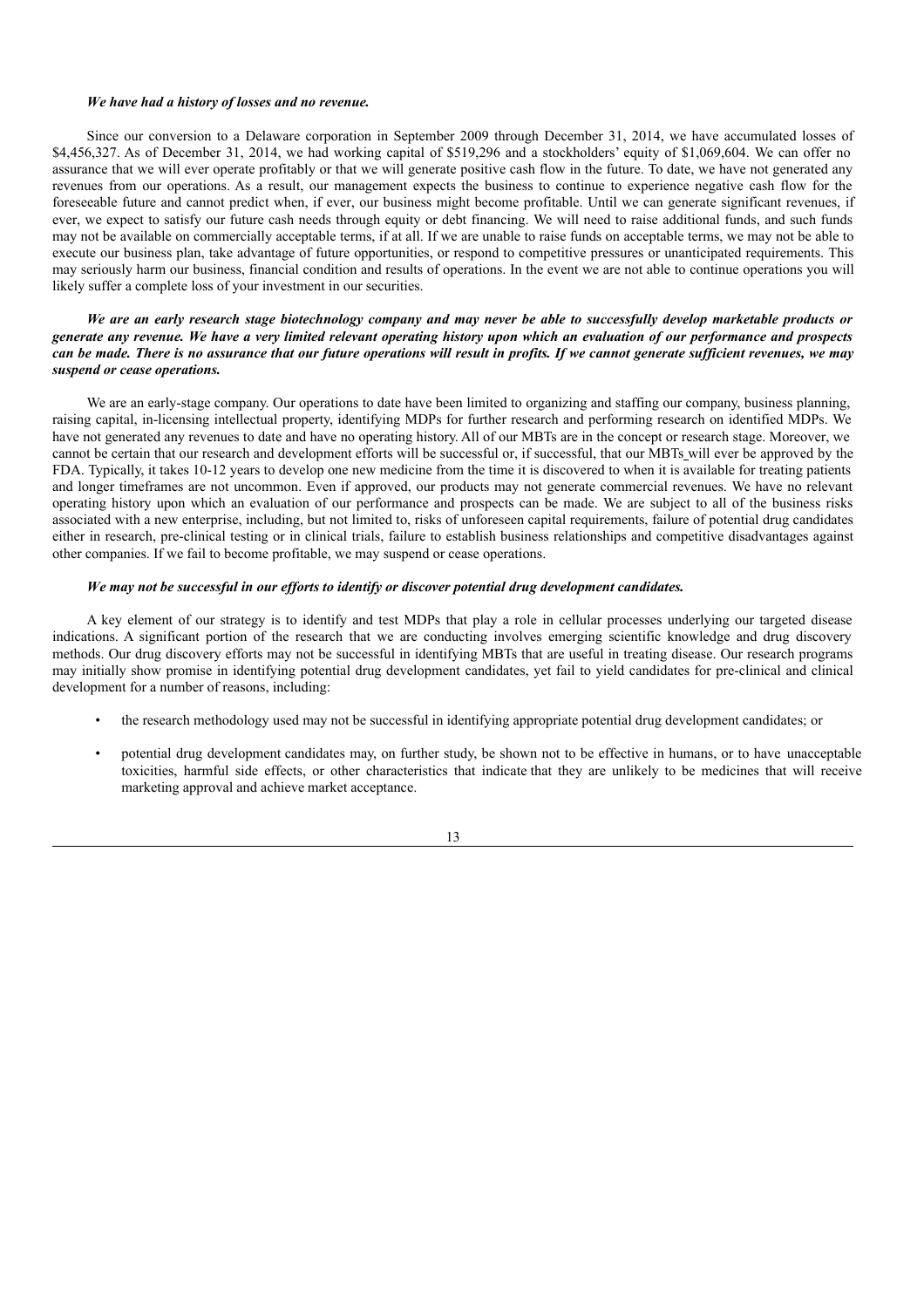#### *We have had a history of losses and no revenue.*

Since our conversion to a Delaware corporation in September 2009 through December 31, 2014, we have accumulated losses of \$4,456,327. As of December 31, 2014, we had working capital of \$519,296 and a stockholders' equity of \$1,069,604. We can offer no assurance that we will ever operate profitably or that we will generate positive cash flow in the future. To date, we have not generated any revenues from our operations. As a result, our management expects the business to continue to experience negative cash flow for the foreseeable future and cannot predict when, if ever, our business might become profitable. Until we can generate significant revenues, if ever, we expect to satisfy our future cash needs through equity or debt financing. We will need to raise additional funds, and such funds may not be available on commercially acceptable terms, if at all. If we are unable to raise funds on acceptable terms, we may not be able to execute our business plan, take advantage of future opportunities, or respond to competitive pressures or unanticipated requirements. This may seriously harm our business, financial condition and results of operations. In the event we are not able to continue operations you will likely suffer a complete loss of your investment in our securities.

### We are an early research stage biotechnology company and may never be able to successfully develop marketable products or generate any revenue. We have a very limited relevant operating history upon which an evaluation of our performance and prospects can be made. There is no assurance that our future operations will result in profits. If we cannot generate sufficient revenues, we may *suspend or cease operations.*

We are an early-stage company. Our operations to date have been limited to organizing and staffing our company, business planning, raising capital, in-licensing intellectual property, identifying MDPs for further research and performing research on identified MDPs. We have not generated any revenues to date and have no operating history. All of our MBTs are in the concept or research stage. Moreover, we cannot be certain that our research and development efforts will be successful or, if successful, that our MBTs will ever be approved by the FDA. Typically, it takes 10-12 years to develop one new medicine from the time it is discovered to when it is available for treating patients and longer timeframes are not uncommon. Even if approved, our products may not generate commercial revenues. We have no relevant operating history upon which an evaluation of our performance and prospects can be made. We are subject to all of the business risks associated with a new enterprise, including, but not limited to, risks of unforeseen capital requirements, failure of potential drug candidates either in research, pre-clinical testing or in clinical trials, failure to establish business relationships and competitive disadvantages against other companies. If we fail to become profitable, we may suspend or cease operations.

### *We may not be successful in our ef orts to identify or discover potential drug development candidates.*

A key element of our strategy is to identify and test MDPs that play a role in cellular processes underlying our targeted disease indications. A significant portion of the research that we are conducting involves emerging scientific knowledge and drug discovery methods. Our drug discovery efforts may not be successful in identifying MBTs that are useful in treating disease. Our research programs may initially show promise in identifying potential drug development candidates, yet fail to yield candidates for pre-clinical and clinical development for a number of reasons, including:

- the research methodology used may not be successful in identifying appropriate potential drug development candidates; or
- potential drug development candidates may, on further study, be shown not to be effective in humans, or to have unacceptable toxicities, harmful side effects, or other characteristics that indicate that they are unlikely to be medicines that will receive marketing approval and achieve market acceptance.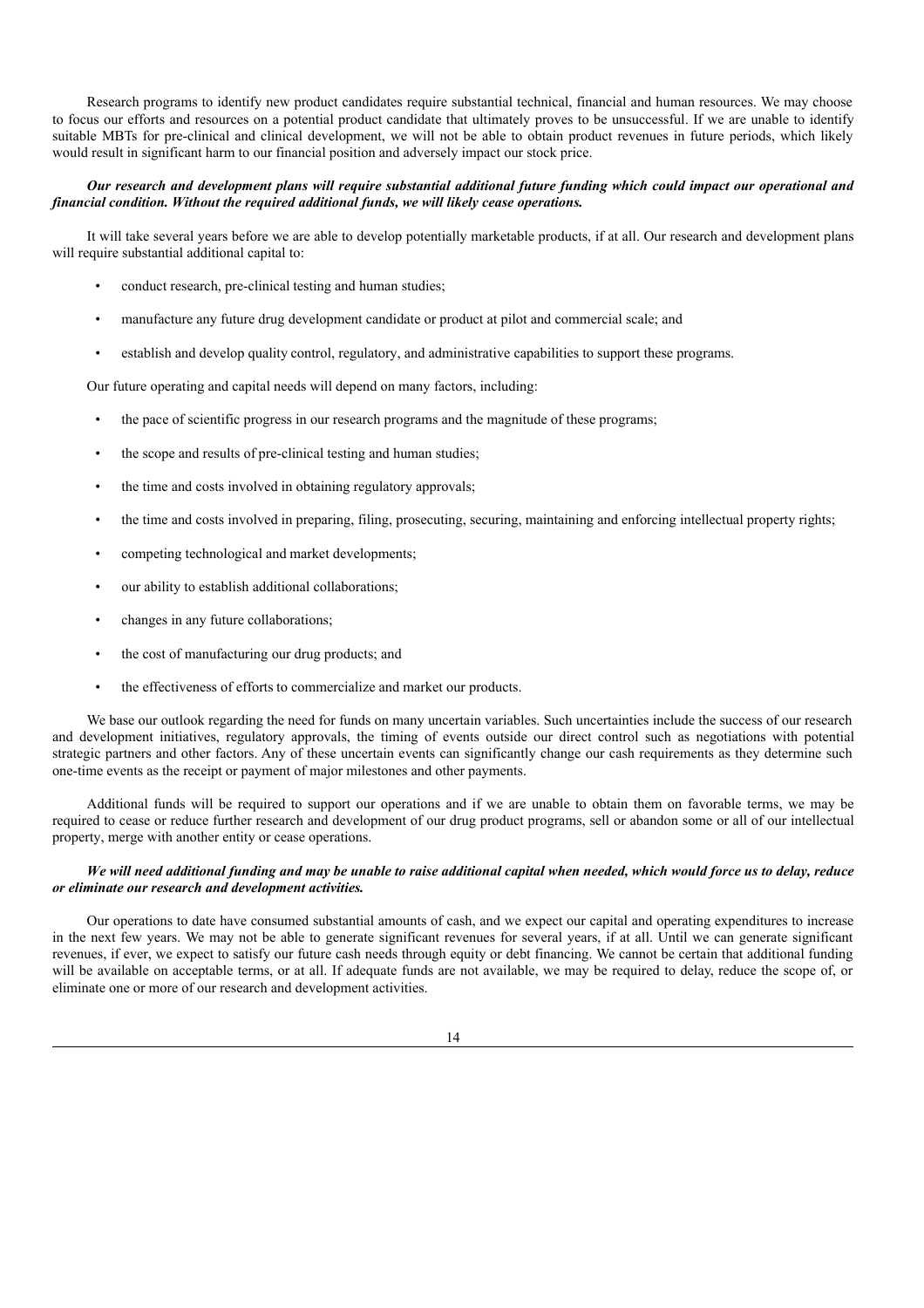Research programs to identify new product candidates require substantial technical, financial and human resources. We may choose to focus our efforts and resources on a potential product candidate that ultimately proves to be unsuccessful. If we are unable to identify suitable MBTs for pre-clinical and clinical development, we will not be able to obtain product revenues in future periods, which likely would result in significant harm to our financial position and adversely impact our stock price.

### Our research and development plans will require substantial additional future funding which could impact our operational and *financial condition. Without the required additional funds, we will likely cease operations.*

It will take several years before we are able to develop potentially marketable products, if at all. Our research and development plans will require substantial additional capital to:

- conduct research, pre-clinical testing and human studies;
- manufacture any future drug development candidate or product at pilot and commercial scale; and
- establish and develop quality control, regulatory, and administrative capabilities to support these programs.

Our future operating and capital needs will depend on many factors, including:

- the pace of scientific progress in our research programs and the magnitude of these programs;
- the scope and results of pre-clinical testing and human studies;
- the time and costs involved in obtaining regulatory approvals;
- the time and costs involved in preparing, filing, prosecuting, securing, maintaining and enforcing intellectual property rights;
- competing technological and market developments;
- our ability to establish additional collaborations;
- changes in any future collaborations;
- the cost of manufacturing our drug products; and
- the effectiveness of efforts to commercialize and market our products.

We base our outlook regarding the need for funds on many uncertain variables. Such uncertainties include the success of our research and development initiatives, regulatory approvals, the timing of events outside our direct control such as negotiations with potential strategic partners and other factors. Any of these uncertain events can significantly change our cash requirements as they determine such one-time events as the receipt or payment of major milestones and other payments.

Additional funds will be required to support our operations and if we are unable to obtain them on favorable terms, we may be required to cease or reduce further research and development of our drug product programs, sell or abandon some or all of our intellectual property, merge with another entity or cease operations.

### We will need additional funding and may be unable to raise additional capital when needed, which would force us to delay, reduce *or eliminate our research and development activities.*

Our operations to date have consumed substantial amounts of cash, and we expect our capital and operating expenditures to increase in the next few years. We may not be able to generate significant revenues for several years, if at all. Until we can generate significant revenues, if ever, we expect to satisfy our future cash needs through equity or debt financing. We cannot be certain that additional funding will be available on acceptable terms, or at all. If adequate funds are not available, we may be required to delay, reduce the scope of, or eliminate one or more of our research and development activities.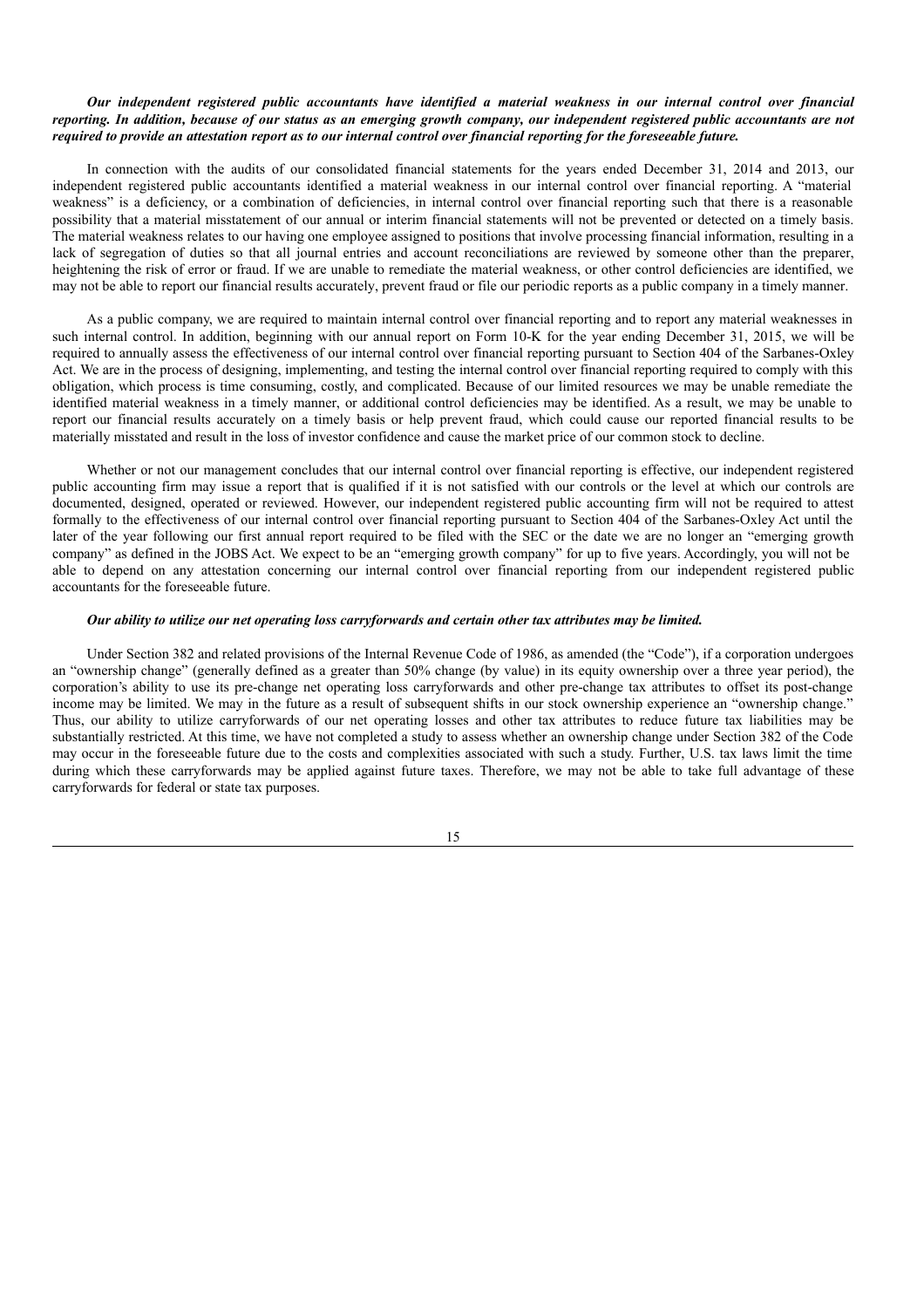### Our independent registered public accountants have identified a material weakness in our internal control over financial reporting. In addition, because of our status as an emerging growth company, our independent registered public accountants are not required to provide an attestation report as to our internal control over financial reporting for the foreseeable future.

In connection with the audits of our consolidated financial statements for the years ended December 31, 2014 and 2013, our independent registered public accountants identified a material weakness in our internal control over financial reporting. A "material weakness" is a deficiency, or a combination of deficiencies, in internal control over financial reporting such that there is a reasonable possibility that a material misstatement of our annual or interim financial statements will not be prevented or detected on a timely basis. The material weakness relates to our having one employee assigned to positions that involve processing financial information, resulting in a lack of segregation of duties so that all journal entries and account reconciliations are reviewed by someone other than the preparer, heightening the risk of error or fraud. If we are unable to remediate the material weakness, or other control deficiencies are identified, we may not be able to report our financial results accurately, prevent fraud or file our periodic reports as a public company in a timely manner.

As a public company, we are required to maintain internal control over financial reporting and to report any material weaknesses in such internal control. In addition, beginning with our annual report on Form 10-K for the year ending December 31, 2015, we will be required to annually assess the effectiveness of our internal control over financial reporting pursuant to Section 404 of the Sarbanes-Oxley Act. We are in the process of designing, implementing, and testing the internal control over financial reporting required to comply with this obligation, which process is time consuming, costly, and complicated. Because of our limited resources we may be unable remediate the identified material weakness in a timely manner, or additional control deficiencies may be identified. As a result, we may be unable to report our financial results accurately on a timely basis or help prevent fraud, which could cause our reported financial results to be materially misstated and result in the loss of investor confidence and cause the market price of our common stock to decline.

Whether or not our management concludes that our internal control over financial reporting is effective, our independent registered public accounting firm may issue a report that is qualified if it is not satisfied with our controls or the level at which our controls are documented, designed, operated or reviewed. However, our independent registered public accounting firm will not be required to attest formally to the effectiveness of our internal control over financial reporting pursuant to Section 404 of the Sarbanes-Oxley Act until the later of the year following our first annual report required to be filed with the SEC or the date we are no longer an "emerging growth company" as defined in the JOBS Act. We expect to be an "emerging growth company" for up to five years. Accordingly, you will not be able to depend on any attestation concerning our internal control over financial reporting from our independent registered public accountants for the foreseeable future.

### Our ability to utilize our net operating loss carryforwards and certain other tax attributes may be limited.

Under Section 382 and related provisions of the Internal Revenue Code of 1986, as amended (the "Code"), if a corporation undergoes an "ownership change" (generally defined as a greater than 50% change (by value) in its equity ownership over a three year period), the corporation's ability to use its pre-change net operating loss carryforwards and other pre-change tax attributes to offset its post-change income may be limited. We may in the future as a result of subsequent shifts in our stock ownership experience an "ownership change." Thus, our ability to utilize carryforwards of our net operating losses and other tax attributes to reduce future tax liabilities may be substantially restricted. At this time, we have not completed a study to assess whether an ownership change under Section 382 of the Code may occur in the foreseeable future due to the costs and complexities associated with such a study. Further, U.S. tax laws limit the time during which these carryforwards may be applied against future taxes. Therefore, we may not be able to take full advantage of these carryforwards for federal or state tax purposes.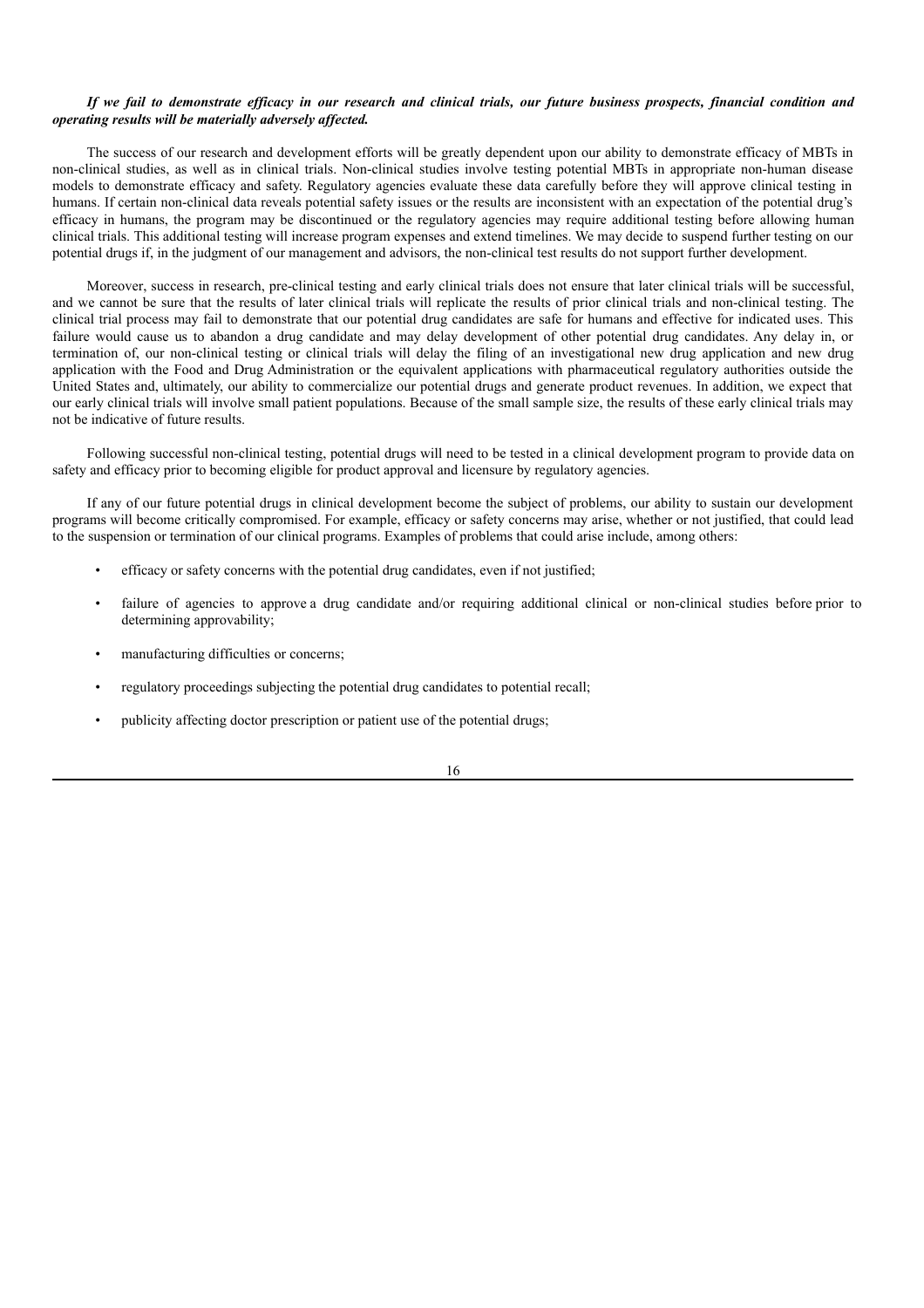### If we fail to demonstrate efficacy in our research and clinical trials, our future business prospects, financial condition and *operating results will be materially adversely af ected.*

The success of our research and development efforts will be greatly dependent upon our ability to demonstrate efficacy of MBTs in non-clinical studies, as well as in clinical trials. Non-clinical studies involve testing potential MBTs in appropriate non-human disease models to demonstrate efficacy and safety. Regulatory agencies evaluate these data carefully before they will approve clinical testing in humans. If certain non-clinical data reveals potential safety issues or the results are inconsistent with an expectation of the potential drug's efficacy in humans, the program may be discontinued or the regulatory agencies may require additional testing before allowing human clinical trials. This additional testing will increase program expenses and extend timelines. We may decide to suspend further testing on our potential drugs if, in the judgment of our management and advisors, the non-clinical test results do not support further development.

Moreover, success in research, pre-clinical testing and early clinical trials does not ensure that later clinical trials will be successful, and we cannot be sure that the results of later clinical trials will replicate the results of prior clinical trials and non-clinical testing. The clinical trial process may fail to demonstrate that our potential drug candidates are safe for humans and effective for indicated uses. This failure would cause us to abandon a drug candidate and may delay development of other potential drug candidates. Any delay in, or termination of, our non-clinical testing or clinical trials will delay the filing of an investigational new drug application and new drug application with the Food and Drug Administration or the equivalent applications with pharmaceutical regulatory authorities outside the United States and, ultimately, our ability to commercialize our potential drugs and generate product revenues. In addition, we expect that our early clinical trials will involve small patient populations. Because of the small sample size, the results of these early clinical trials may not be indicative of future results.

Following successful non-clinical testing, potential drugs will need to be tested in a clinical development program to provide data on safety and efficacy prior to becoming eligible for product approval and licensure by regulatory agencies.

If any of our future potential drugs in clinical development become the subject of problems, our ability to sustain our development programs will become critically compromised. For example, efficacy or safety concerns may arise, whether or not justified, that could lead to the suspension or termination of our clinical programs. Examples of problems that could arise include, among others:

- efficacy or safety concerns with the potential drug candidates, even if not justified;
- failure of agencies to approve a drug candidate and/or requiring additional clinical or non-clinical studies before prior to determining approvability;
- manufacturing difficulties or concerns;
- regulatory proceedings subjecting the potential drug candidates to potential recall;
- publicity affecting doctor prescription or patient use of the potential drugs;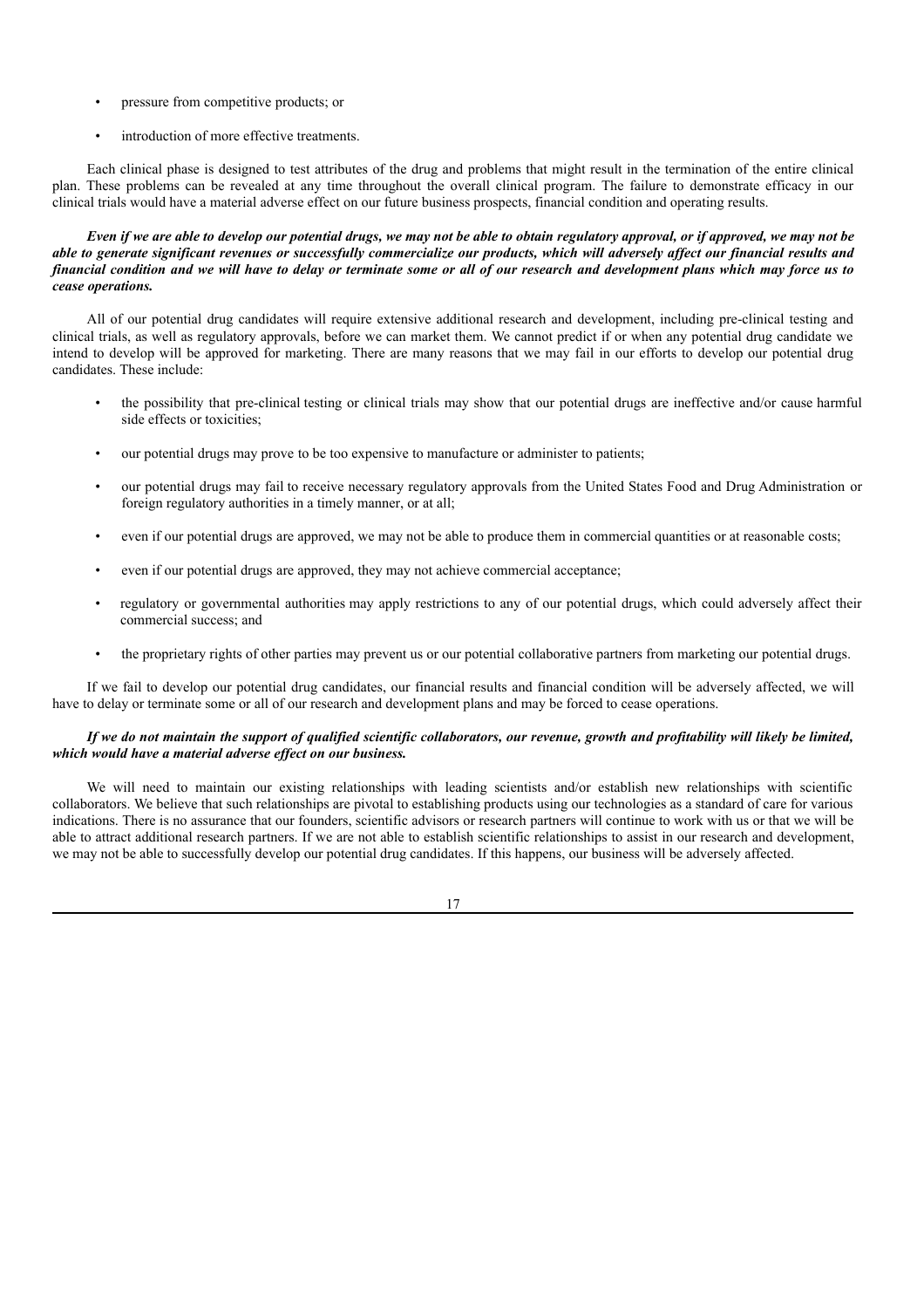- pressure from competitive products; or
- introduction of more effective treatments.

Each clinical phase is designed to test attributes of the drug and problems that might result in the termination of the entire clinical plan. These problems can be revealed at any time throughout the overall clinical program. The failure to demonstrate efficacy in our clinical trials would have a material adverse effect on our future business prospects, financial condition and operating results.

Even if we are able to develop our potential drugs, we may not be able to obtain regulatory approval, or if approved, we may not be able to generate significant revenues or successfully commercialize our products, which will adversely affect our financial results and financial condition and we will have to delay or terminate some or all of our research and development plans which may force us to *cease operations.*

All of our potential drug candidates will require extensive additional research and development, including pre-clinical testing and clinical trials, as well as regulatory approvals, before we can market them. We cannot predict if or when any potential drug candidate we intend to develop will be approved for marketing. There are many reasons that we may fail in our efforts to develop our potential drug candidates. These include:

- the possibility that pre-clinical testing or clinical trials may show that our potential drugs are ineffective and/or cause harmful side effects or toxicities;
- our potential drugs may prove to be too expensive to manufacture or administer to patients;
- our potential drugs may fail to receive necessary regulatory approvals from the United States Food and Drug Administration or foreign regulatory authorities in a timely manner, or at all;
- even if our potential drugs are approved, we may not be able to produce them in commercial quantities or at reasonable costs;
- even if our potential drugs are approved, they may not achieve commercial acceptance;
- regulatory or governmental authorities may apply restrictions to any of our potential drugs, which could adversely affect their commercial success; and
- the proprietary rights of other parties may prevent us or our potential collaborative partners from marketing our potential drugs.

If we fail to develop our potential drug candidates, our financial results and financial condition will be adversely affected, we will have to delay or terminate some or all of our research and development plans and may be forced to cease operations.

### If we do not maintain the support of qualified scientific collaborators, our revenue, growth and profitability will likely be limited, *which would have a material adverse ef ect on our business.*

We will need to maintain our existing relationships with leading scientists and/or establish new relationships with scientific collaborators. We believe that such relationships are pivotal to establishing products using our technologies as a standard of care for various indications. There is no assurance that our founders, scientific advisors or research partners will continue to work with us or that we will be able to attract additional research partners. If we are not able to establish scientific relationships to assist in our research and development, we may not be able to successfully develop our potential drug candidates. If this happens, our business will be adversely affected.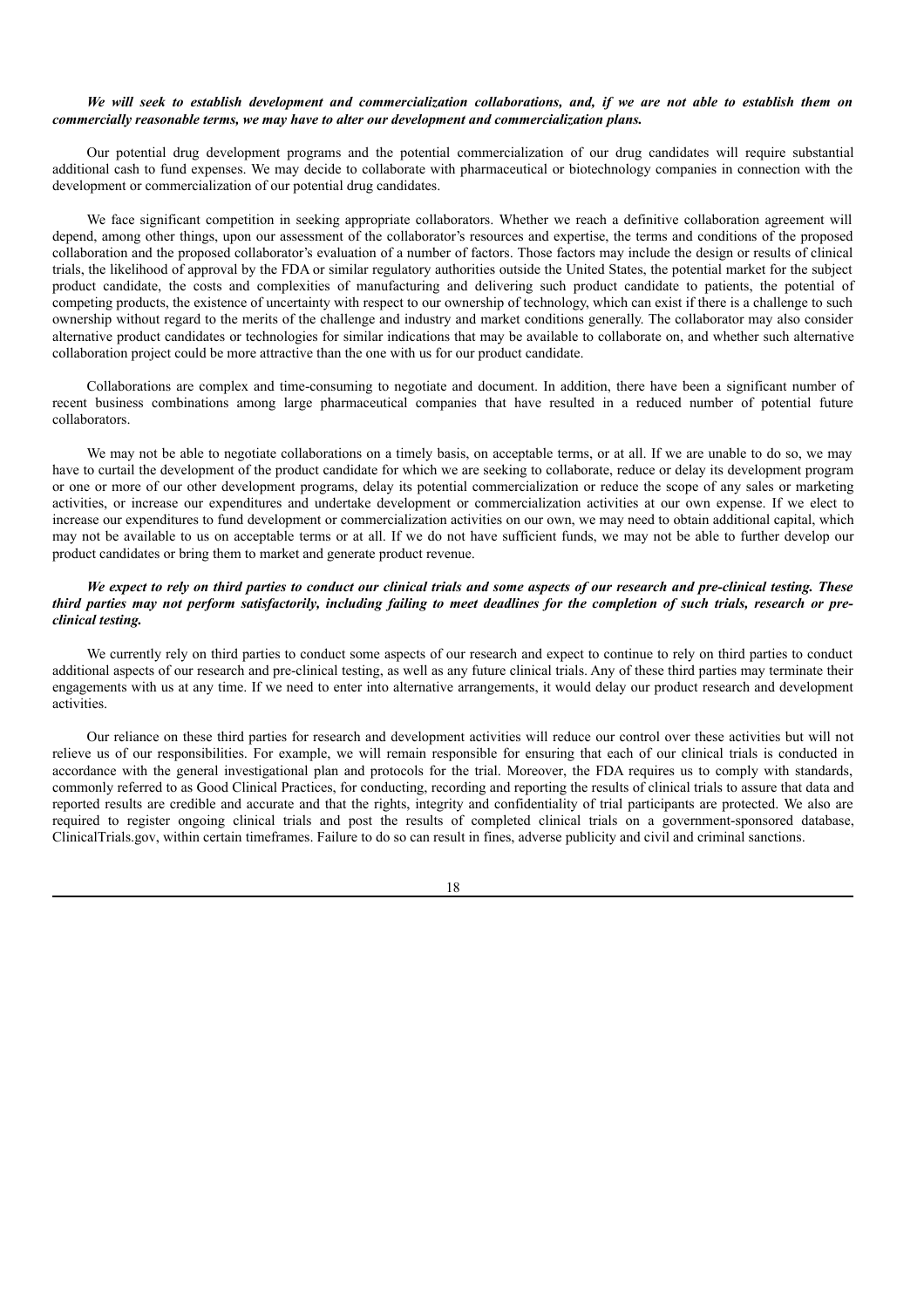### We will seek to establish development and commercialization collaborations, and, if we are not able to establish them on *commercially reasonable terms, we may have to alter our development and commercialization plans.*

Our potential drug development programs and the potential commercialization of our drug candidates will require substantial additional cash to fund expenses. We may decide to collaborate with pharmaceutical or biotechnology companies in connection with the development or commercialization of our potential drug candidates.

We face significant competition in seeking appropriate collaborators. Whether we reach a definitive collaboration agreement will depend, among other things, upon our assessment of the collaborator's resources and expertise, the terms and conditions of the proposed collaboration and the proposed collaborator's evaluation of a number of factors. Those factors may include the design or results of clinical trials, the likelihood of approval by the FDA or similar regulatory authorities outside the United States, the potential market for the subject product candidate, the costs and complexities of manufacturing and delivering such product candidate to patients, the potential of competing products, the existence of uncertainty with respect to our ownership of technology, which can exist if there is a challenge to such ownership without regard to the merits of the challenge and industry and market conditions generally. The collaborator may also consider alternative product candidates or technologies for similar indications that may be available to collaborate on, and whether such alternative collaboration project could be more attractive than the one with us for our product candidate.

Collaborations are complex and time-consuming to negotiate and document. In addition, there have been a significant number of recent business combinations among large pharmaceutical companies that have resulted in a reduced number of potential future collaborators.

We may not be able to negotiate collaborations on a timely basis, on acceptable terms, or at all. If we are unable to do so, we may have to curtail the development of the product candidate for which we are seeking to collaborate, reduce or delay its development program or one or more of our other development programs, delay its potential commercialization or reduce the scope of any sales or marketing activities, or increase our expenditures and undertake development or commercialization activities at our own expense. If we elect to increase our expenditures to fund development or commercialization activities on our own, we may need to obtain additional capital, which may not be available to us on acceptable terms or at all. If we do not have sufficient funds, we may not be able to further develop our product candidates or bring them to market and generate product revenue.

## We expect to rely on third parties to conduct our clinical trials and some aspects of our research and pre-clinical testing. These third parties may not perform satisfactorily, including failing to meet deadlines for the completion of such trials, research or pre*clinical testing.*

We currently rely on third parties to conduct some aspects of our research and expect to continue to rely on third parties to conduct additional aspects of our research and pre-clinical testing, as well as any future clinical trials. Any of these third parties may terminate their engagements with us at any time. If we need to enter into alternative arrangements, it would delay our product research and development activities.

Our reliance on these third parties for research and development activities will reduce our control over these activities but will not relieve us of our responsibilities. For example, we will remain responsible for ensuring that each of our clinical trials is conducted in accordance with the general investigational plan and protocols for the trial. Moreover, the FDA requires us to comply with standards, commonly referred to as Good Clinical Practices, for conducting, recording and reporting the results of clinical trials to assure that data and reported results are credible and accurate and that the rights, integrity and confidentiality of trial participants are protected. We also are required to register ongoing clinical trials and post the results of completed clinical trials on a government-sponsored database, ClinicalTrials.gov, within certain timeframes. Failure to do so can result in fines, adverse publicity and civil and criminal sanctions.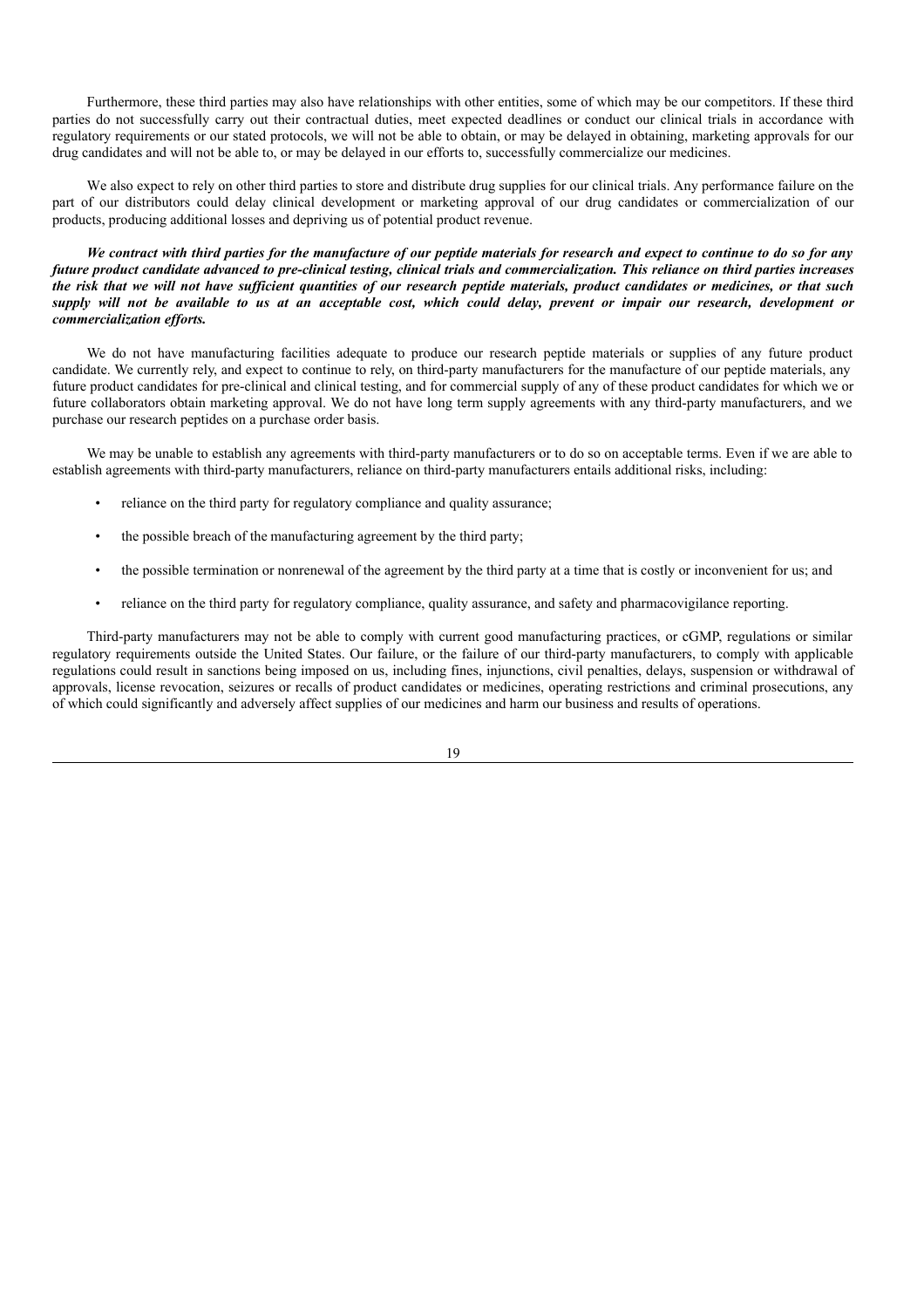Furthermore, these third parties may also have relationships with other entities, some of which may be our competitors. If these third parties do not successfully carry out their contractual duties, meet expected deadlines or conduct our clinical trials in accordance with regulatory requirements or our stated protocols, we will not be able to obtain, or may be delayed in obtaining, marketing approvals for our drug candidates and will not be able to, or may be delayed in our efforts to, successfully commercialize our medicines.

We also expect to rely on other third parties to store and distribute drug supplies for our clinical trials. Any performance failure on the part of our distributors could delay clinical development or marketing approval of our drug candidates or commercialization of our products, producing additional losses and depriving us of potential product revenue.

We contract with third parties for the manufacture of our peptide materials for research and expect to continue to do so for any future product candidate advanced to pre-clinical testing, clinical trials and commercialization. This reliance on third parties increases the risk that we will not have sufficient quantities of our research peptide materials, product candidates or medicines, or that such supply will not be available to us at an acceptable cost, which could delay, prevent or impair our research, development or *commercialization ef orts.*

We do not have manufacturing facilities adequate to produce our research peptide materials or supplies of any future product candidate. We currently rely, and expect to continue to rely, on third-party manufacturers for the manufacture of our peptide materials, any future product candidates for pre-clinical and clinical testing, and for commercial supply of any of these product candidates for which we or future collaborators obtain marketing approval. We do not have long term supply agreements with any third-party manufacturers, and we purchase our research peptides on a purchase order basis.

We may be unable to establish any agreements with third-party manufacturers or to do so on acceptable terms. Even if we are able to establish agreements with third-party manufacturers, reliance on third-party manufacturers entails additional risks, including:

- reliance on the third party for regulatory compliance and quality assurance;
- the possible breach of the manufacturing agreement by the third party;
- the possible termination or nonrenewal of the agreement by the third party at a time that is costly or inconvenient for us; and
- reliance on the third party for regulatory compliance, quality assurance, and safety and pharmacovigilance reporting.

Third-party manufacturers may not be able to comply with current good manufacturing practices, or cGMP, regulations or similar regulatory requirements outside the United States. Our failure, or the failure of our third-party manufacturers, to comply with applicable regulations could result in sanctions being imposed on us, including fines, injunctions, civil penalties, delays, suspension or withdrawal of approvals, license revocation, seizures or recalls of product candidates or medicines, operating restrictions and criminal prosecutions, any of which could significantly and adversely affect supplies of our medicines and harm our business and results of operations.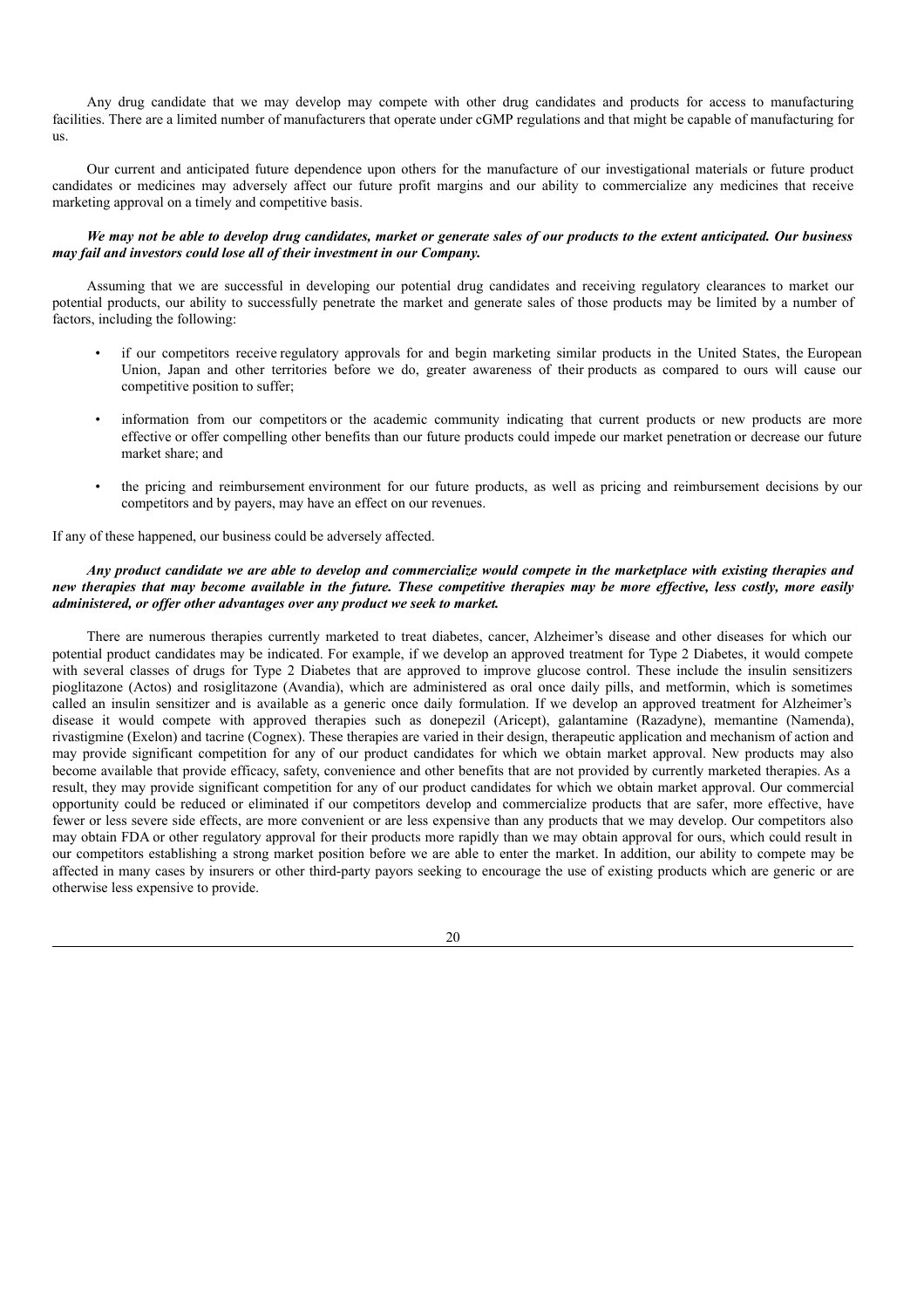Any drug candidate that we may develop may compete with other drug candidates and products for access to manufacturing facilities. There are a limited number of manufacturers that operate under cGMP regulations and that might be capable of manufacturing for us.

Our current and anticipated future dependence upon others for the manufacture of our investigational materials or future product candidates or medicines may adversely affect our future profit margins and our ability to commercialize any medicines that receive marketing approval on a timely and competitive basis.

### We may not be able to develop drug candidates, market or generate sales of our products to the extent anticipated. Our business *may fail and investors could lose all of their investment in our Company.*

Assuming that we are successful in developing our potential drug candidates and receiving regulatory clearances to market our potential products, our ability to successfully penetrate the market and generate sales of those products may be limited by a number of factors, including the following:

- if our competitors receive regulatory approvals for and begin marketing similar products in the United States, the European Union, Japan and other territories before we do, greater awareness of their products as compared to ours will cause our competitive position to suffer;
- information from our competitors or the academic community indicating that current products or new products are more effective or offer compelling other benefits than our future products could impede our market penetration or decrease our future market share; and
- the pricing and reimbursement environment for our future products, as well as pricing and reimbursement decisions by our competitors and by payers, may have an effect on our revenues.

If any of these happened, our business could be adversely affected.

### Any product candidate we are able to develop and commercialize would compete in the marketplace with existing therapies and new therapies that may become available in the future. These competitive therapies may be more effective, less costly, more easily *administered, or of er other advantages over any product we seek to market.*

There are numerous therapies currently marketed to treat diabetes, cancer, Alzheimer's disease and other diseases for which our potential product candidates may be indicated. For example, if we develop an approved treatment for Type 2 Diabetes, it would compete with several classes of drugs for Type 2 Diabetes that are approved to improve glucose control. These include the insulin sensitizers pioglitazone (Actos) and rosiglitazone (Avandia), which are administered as oral once daily pills, and metformin, which is sometimes called an insulin sensitizer and is available as a generic once daily formulation. If we develop an approved treatment for Alzheimer's disease it would compete with approved therapies such as donepezil (Aricept), galantamine (Razadyne), memantine (Namenda), rivastigmine (Exelon) and tacrine (Cognex). These therapies are varied in their design, therapeutic application and mechanism of action and may provide significant competition for any of our product candidates for which we obtain market approval. New products may also become available that provide efficacy, safety, convenience and other benefits that are not provided by currently marketed therapies. As a result, they may provide significant competition for any of our product candidates for which we obtain market approval. Our commercial opportunity could be reduced or eliminated if our competitors develop and commercialize products that are safer, more effective, have fewer or less severe side effects, are more convenient or are less expensive than any products that we may develop. Our competitors also may obtain FDA or other regulatory approval for their products more rapidly than we may obtain approval for ours, which could result in our competitors establishing a strong market position before we are able to enter the market. In addition, our ability to compete may be affected in many cases by insurers or other third-party payors seeking to encourage the use of existing products which are generic or are otherwise less expensive to provide.

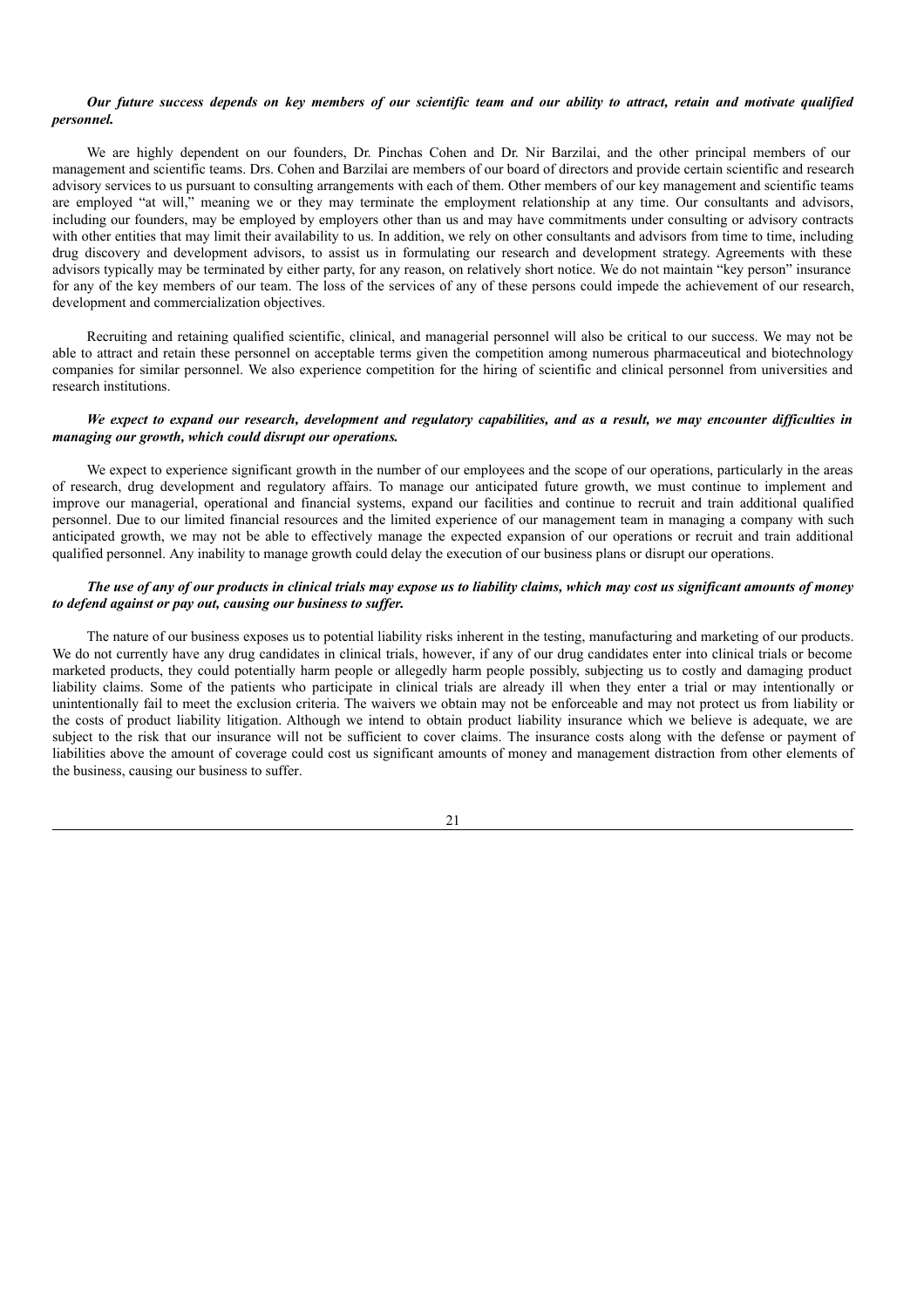## Our future success depends on key members of our scientific team and our ability to attract, retain and motivate qualified *personnel.*

We are highly dependent on our founders, Dr. Pinchas Cohen and Dr. Nir Barzilai, and the other principal members of our management and scientific teams. Drs. Cohen and Barzilai are members of our board of directors and provide certain scientific and research advisory services to us pursuant to consulting arrangements with each of them. Other members of our key management and scientific teams are employed "at will," meaning we or they may terminate the employment relationship at any time. Our consultants and advisors, including our founders, may be employed by employers other than us and may have commitments under consulting or advisory contracts with other entities that may limit their availability to us. In addition, we rely on other consultants and advisors from time to time, including drug discovery and development advisors, to assist us in formulating our research and development strategy. Agreements with these advisors typically may be terminated by either party, for any reason, on relatively short notice. We do not maintain "key person" insurance for any of the key members of our team. The loss of the services of any of these persons could impede the achievement of our research, development and commercialization objectives.

Recruiting and retaining qualified scientific, clinical, and managerial personnel will also be critical to our success. We may not be able to attract and retain these personnel on acceptable terms given the competition among numerous pharmaceutical and biotechnology companies for similar personnel. We also experience competition for the hiring of scientific and clinical personnel from universities and research institutions.

### We expect to expand our research, development and regulatory capabilities, and as a result, we may encounter difficulties in *managing our growth, which could disrupt our operations.*

We expect to experience significant growth in the number of our employees and the scope of our operations, particularly in the areas of research, drug development and regulatory affairs. To manage our anticipated future growth, we must continue to implement and improve our managerial, operational and financial systems, expand our facilities and continue to recruit and train additional qualified personnel. Due to our limited financial resources and the limited experience of our management team in managing a company with such anticipated growth, we may not be able to effectively manage the expected expansion of our operations or recruit and train additional qualified personnel. Any inability to manage growth could delay the execution of our business plans or disrupt our operations.

### The use of any of our products in clinical trials may expose us to liability claims, which may cost us significant amounts of money *to defend against or pay out, causing our business to suffer.*

The nature of our business exposes us to potential liability risks inherent in the testing, manufacturing and marketing of our products. We do not currently have any drug candidates in clinical trials, however, if any of our drug candidates enter into clinical trials or become marketed products, they could potentially harm people or allegedly harm people possibly, subjecting us to costly and damaging product liability claims. Some of the patients who participate in clinical trials are already ill when they enter a trial or may intentionally or unintentionally fail to meet the exclusion criteria. The waivers we obtain may not be enforceable and may not protect us from liability or the costs of product liability litigation. Although we intend to obtain product liability insurance which we believe is adequate, we are subject to the risk that our insurance will not be sufficient to cover claims. The insurance costs along with the defense or payment of liabilities above the amount of coverage could cost us significant amounts of money and management distraction from other elements of the business, causing our business to suffer.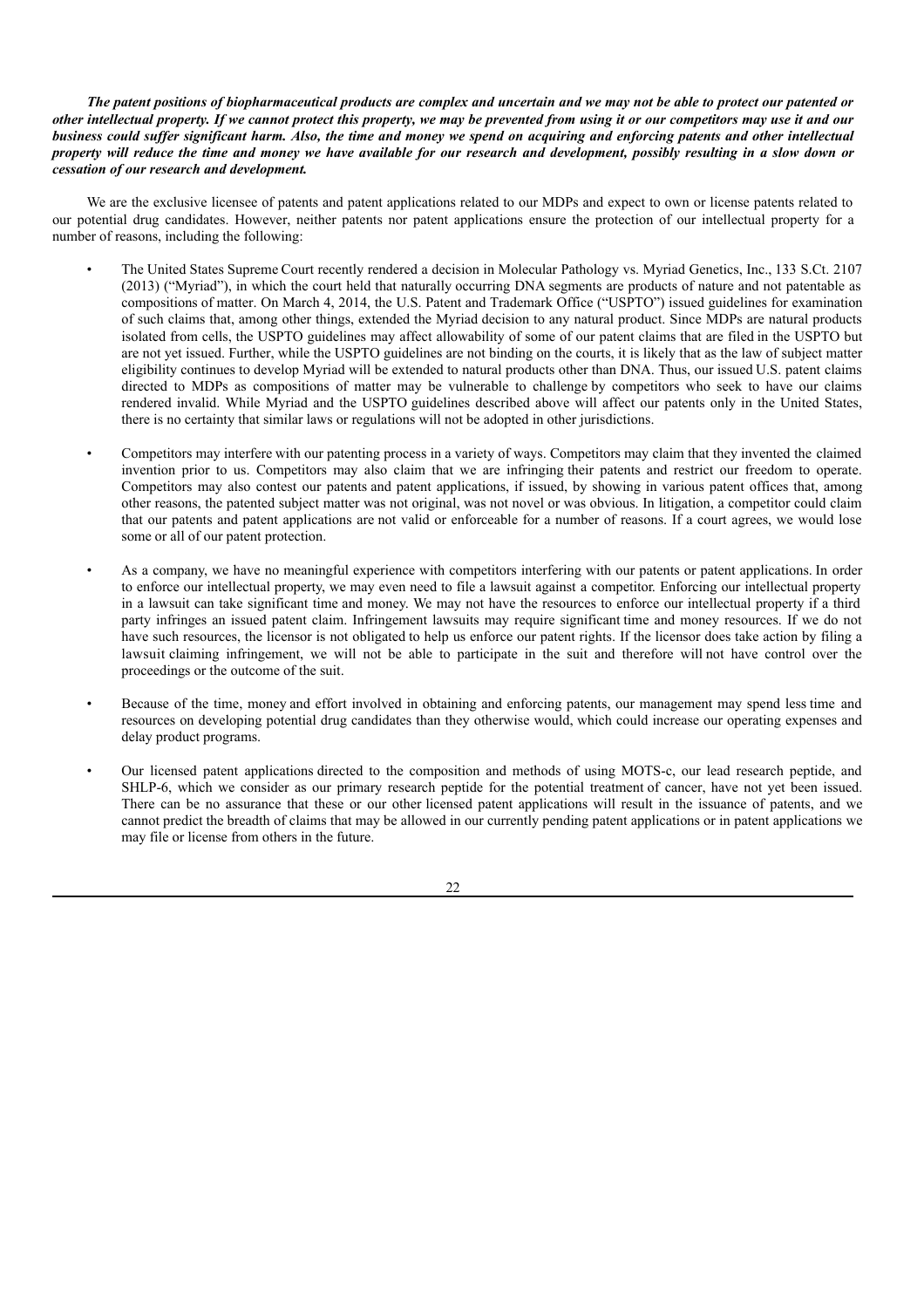The patent positions of biopharmaceutical products are complex and uncertain and we may not be able to protect our patented or other intellectual property. If we cannot protect this property, we may be prevented from using it or our competitors may use it and our business could suffer significant harm. Also, the time and money we spend on acquiring and enforcing patents and other intellectual property will reduce the time and money we have available for our research and development, possibly resulting in a slow down or *cessation of our research and development.*

We are the exclusive licensee of patents and patent applications related to our MDPs and expect to own or license patents related to our potential drug candidates. However, neither patents nor patent applications ensure the protection of our intellectual property for a number of reasons, including the following:

- The United States Supreme Court recently rendered a decision in Molecular Pathology vs. Myriad Genetics, Inc., 133 S.Ct. 2107 (2013) ("Myriad"), in which the court held that naturally occurring DNA segments are products of nature and not patentable as compositions of matter. On March 4, 2014, the U.S. Patent and Trademark Office ("USPTO") issued guidelines for examination of such claims that, among other things, extended the Myriad decision to any natural product. Since MDPs are natural products isolated from cells, the USPTO guidelines may affect allowability of some of our patent claims that are filed in the USPTO but are not yet issued. Further, while the USPTO guidelines are not binding on the courts, it is likely that as the law of subject matter eligibility continues to develop Myriad will be extended to natural products other than DNA. Thus, our issued U.S. patent claims directed to MDPs as compositions of matter may be vulnerable to challenge by competitors who seek to have our claims rendered invalid. While Myriad and the USPTO guidelines described above will affect our patents only in the United States, there is no certainty that similar laws or regulations will not be adopted in other jurisdictions.
- Competitors may interfere with our patenting process in a variety of ways. Competitors may claim that they invented the claimed invention prior to us. Competitors may also claim that we are infringing their patents and restrict our freedom to operate. Competitors may also contest our patents and patent applications, if issued, by showing in various patent offices that, among other reasons, the patented subject matter was not original, was not novel or was obvious. In litigation, a competitor could claim that our patents and patent applications are not valid or enforceable for a number of reasons. If a court agrees, we would lose some or all of our patent protection.
- As a company, we have no meaningful experience with competitors interfering with our patents or patent applications. In order to enforce our intellectual property, we may even need to file a lawsuit against a competitor. Enforcing our intellectual property in a lawsuit can take significant time and money. We may not have the resources to enforce our intellectual property if a third party infringes an issued patent claim. Infringement lawsuits may require significant time and money resources. If we do not have such resources, the licensor is not obligated to help us enforce our patent rights. If the licensor does take action by filing a lawsuit claiming infringement, we will not be able to participate in the suit and therefore will not have control over the proceedings or the outcome of the suit.
- Because of the time, money and effort involved in obtaining and enforcing patents, our management may spend less time and resources on developing potential drug candidates than they otherwise would, which could increase our operating expenses and delay product programs.
- Our licensed patent applications directed to the composition and methods of using MOTS-c, our lead research peptide, and SHLP-6, which we consider as our primary research peptide for the potential treatment of cancer, have not yet been issued. There can be no assurance that these or our other licensed patent applications will result in the issuance of patents, and we cannot predict the breadth of claims that may be allowed in our currently pending patent applications or in patent applications we may file or license from others in the future.

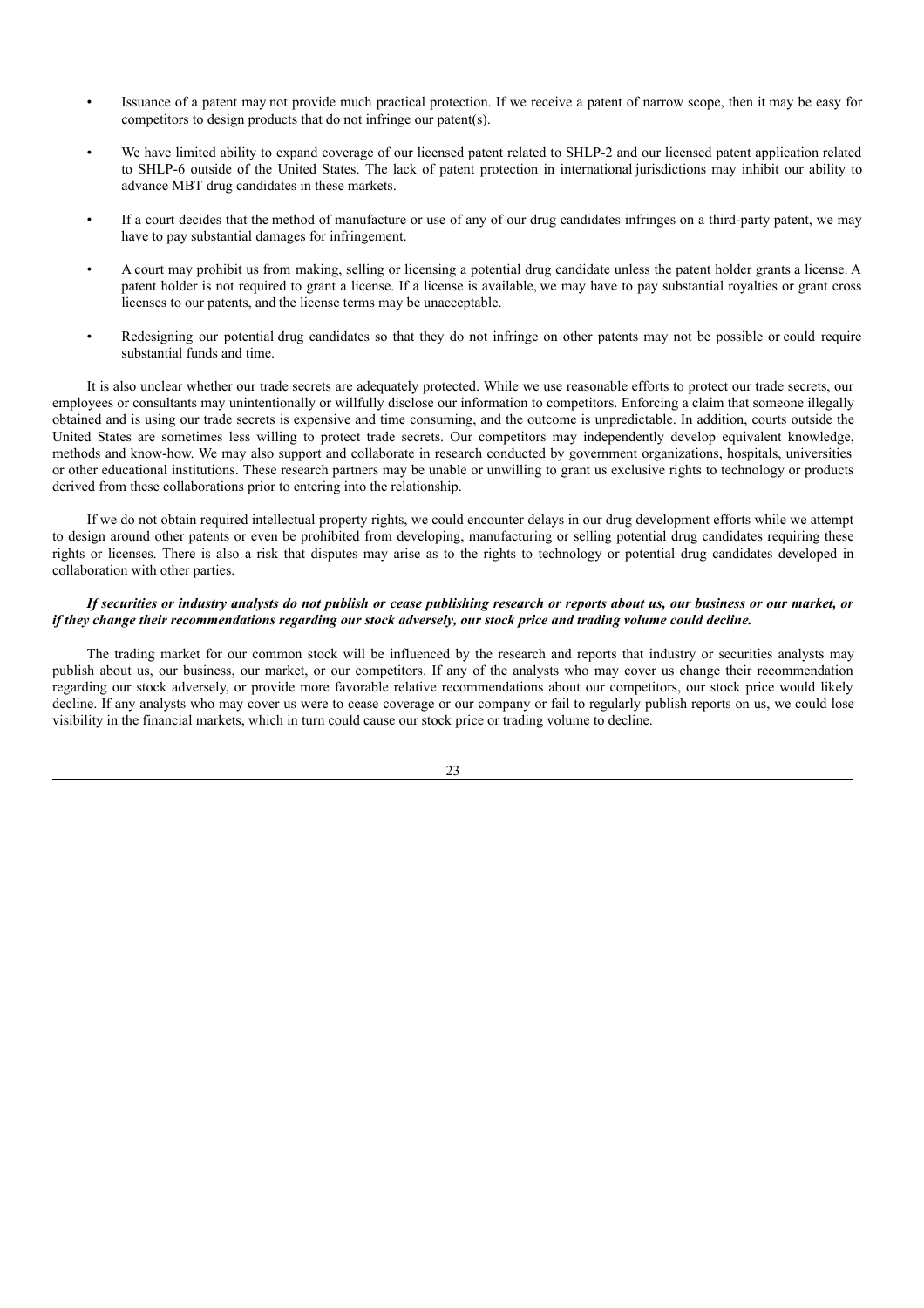- Issuance of a patent may not provide much practical protection. If we receive a patent of narrow scope, then it may be easy for competitors to design products that do not infringe our patent(s).
- We have limited ability to expand coverage of our licensed patent related to SHLP-2 and our licensed patent application related to SHLP-6 outside of the United States. The lack of patent protection in international jurisdictions may inhibit our ability to advance MBT drug candidates in these markets.
- If a court decides that the method of manufacture or use of any of our drug candidates infringes on a third-party patent, we may have to pay substantial damages for infringement.
- A court may prohibit us from making, selling or licensing a potential drug candidate unless the patent holder grants a license. A patent holder is not required to grant a license. If a license is available, we may have to pay substantial royalties or grant cross licenses to our patents, and the license terms may be unacceptable.
- Redesigning our potential drug candidates so that they do not infringe on other patents may not be possible or could require substantial funds and time.

It is also unclear whether our trade secrets are adequately protected. While we use reasonable efforts to protect our trade secrets, our employees or consultants may unintentionally or willfully disclose our information to competitors. Enforcing a claim that someone illegally obtained and is using our trade secrets is expensive and time consuming, and the outcome is unpredictable. In addition, courts outside the United States are sometimes less willing to protect trade secrets. Our competitors may independently develop equivalent knowledge, methods and know-how. We may also support and collaborate in research conducted by government organizations, hospitals, universities or other educational institutions. These research partners may be unable or unwilling to grant us exclusive rights to technology or products derived from these collaborations prior to entering into the relationship.

If we do not obtain required intellectual property rights, we could encounter delays in our drug development efforts while we attempt to design around other patents or even be prohibited from developing, manufacturing or selling potential drug candidates requiring these rights or licenses. There is also a risk that disputes may arise as to the rights to technology or potential drug candidates developed in collaboration with other parties.

## If securities or industry analysts do not publish or cease publishing research or reports about us, our business or our market, or if they change their recommendations regarding our stock adversely, our stock price and trading volume could decline.

The trading market for our common stock will be influenced by the research and reports that industry or securities analysts may publish about us, our business, our market, or our competitors. If any of the analysts who may cover us change their recommendation regarding our stock adversely, or provide more favorable relative recommendations about our competitors, our stock price would likely decline. If any analysts who may cover us were to cease coverage or our company or fail to regularly publish reports on us, we could lose visibility in the financial markets, which in turn could cause our stock price or trading volume to decline.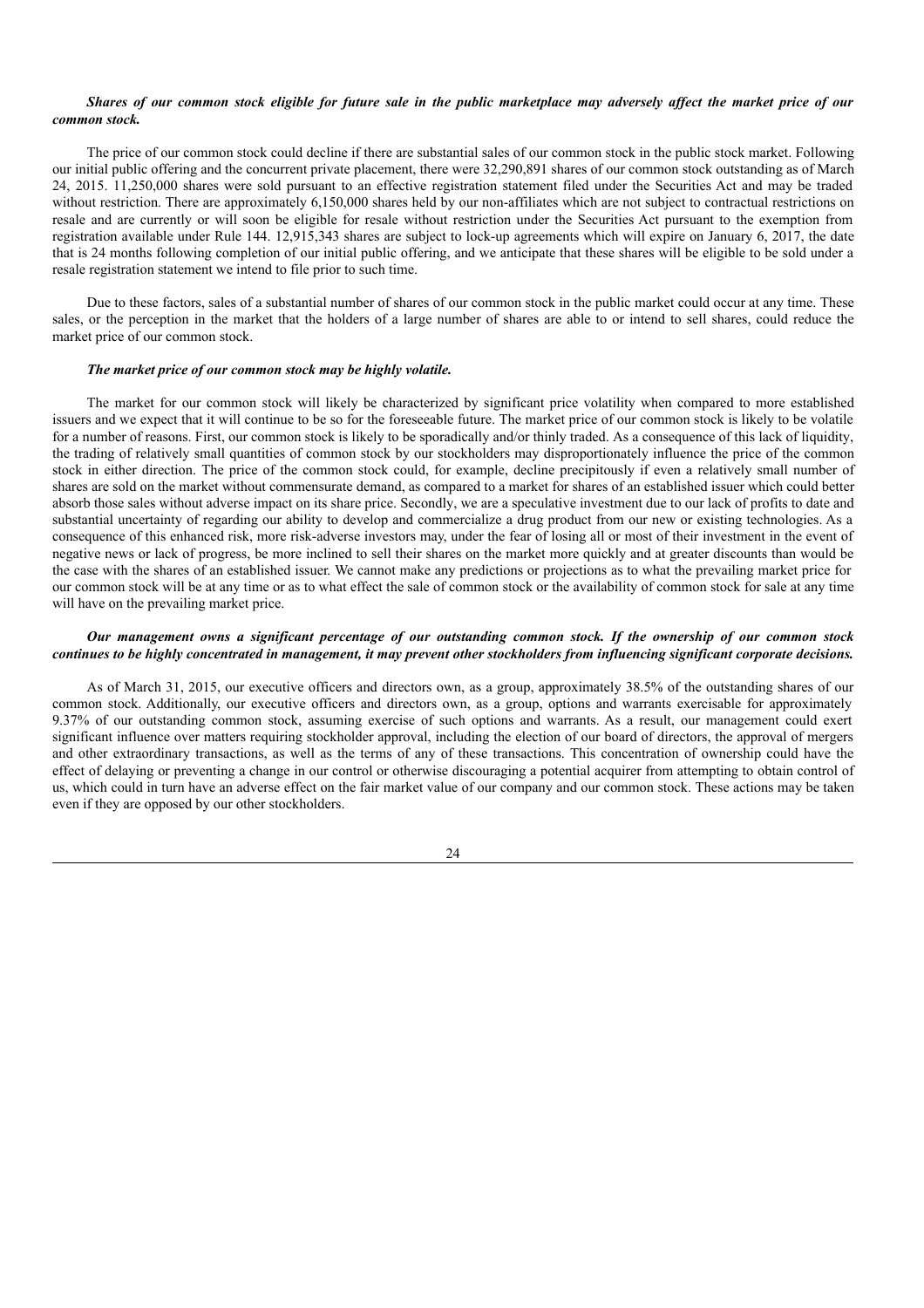### Shares of our common stock eligible for future sale in the public marketplace may adversely affect the market price of our *common stock.*

The price of our common stock could decline if there are substantial sales of our common stock in the public stock market. Following our initial public offering and the concurrent private placement, there were 32,290,891 shares of our common stock outstanding as of March 24, 2015. 11,250,000 shares were sold pursuant to an effective registration statement filed under the Securities Act and may be traded without restriction. There are approximately 6,150,000 shares held by our non-affiliates which are not subject to contractual restrictions on resale and are currently or will soon be eligible for resale without restriction under the Securities Act pursuant to the exemption from registration available under Rule 144. 12,915,343 shares are subject to lock-up agreements which will expire on January 6, 2017, the date that is 24 months following completion of our initial public offering, and we anticipate that these shares will be eligible to be sold under a resale registration statement we intend to file prior to such time.

Due to these factors, sales of a substantial number of shares of our common stock in the public market could occur at any time. These sales, or the perception in the market that the holders of a large number of shares are able to or intend to sell shares, could reduce the market price of our common stock.

#### *The market price of our common stock may be highly volatile.*

The market for our common stock will likely be characterized by significant price volatility when compared to more established issuers and we expect that it will continue to be so for the foreseeable future. The market price of our common stock is likely to be volatile for a number of reasons. First, our common stock is likely to be sporadically and/or thinly traded. As a consequence of this lack of liquidity, the trading of relatively small quantities of common stock by our stockholders may disproportionately influence the price of the common stock in either direction. The price of the common stock could, for example, decline precipitously if even a relatively small number of shares are sold on the market without commensurate demand, as compared to a market for shares of an established issuer which could better absorb those sales without adverse impact on its share price. Secondly, we are a speculative investment due to our lack of profits to date and substantial uncertainty of regarding our ability to develop and commercialize a drug product from our new or existing technologies. As a consequence of this enhanced risk, more risk-adverse investors may, under the fear of losing all or most of their investment in the event of negative news or lack of progress, be more inclined to sell their shares on the market more quickly and at greater discounts than would be the case with the shares of an established issuer. We cannot make any predictions or projections as to what the prevailing market price for our common stock will be at any time or as to what effect the sale of common stock or the availability of common stock for sale at any time will have on the prevailing market price.

### Our management owns a significant percentage of our outstanding common stock. If the ownership of our common stock continues to be highly concentrated in management, it may prevent other stockholders from influencing significant corporate decisions.

As of March 31, 2015, our executive officers and directors own, as a group, approximately 38.5% of the outstanding shares of our common stock. Additionally, our executive officers and directors own, as a group, options and warrants exercisable for approximately 9.37% of our outstanding common stock, assuming exercise of such options and warrants. As a result, our management could exert significant influence over matters requiring stockholder approval, including the election of our board of directors, the approval of mergers and other extraordinary transactions, as well as the terms of any of these transactions. This concentration of ownership could have the effect of delaying or preventing a change in our control or otherwise discouraging a potential acquirer from attempting to obtain control of us, which could in turn have an adverse effect on the fair market value of our company and our common stock. These actions may be taken even if they are opposed by our other stockholders.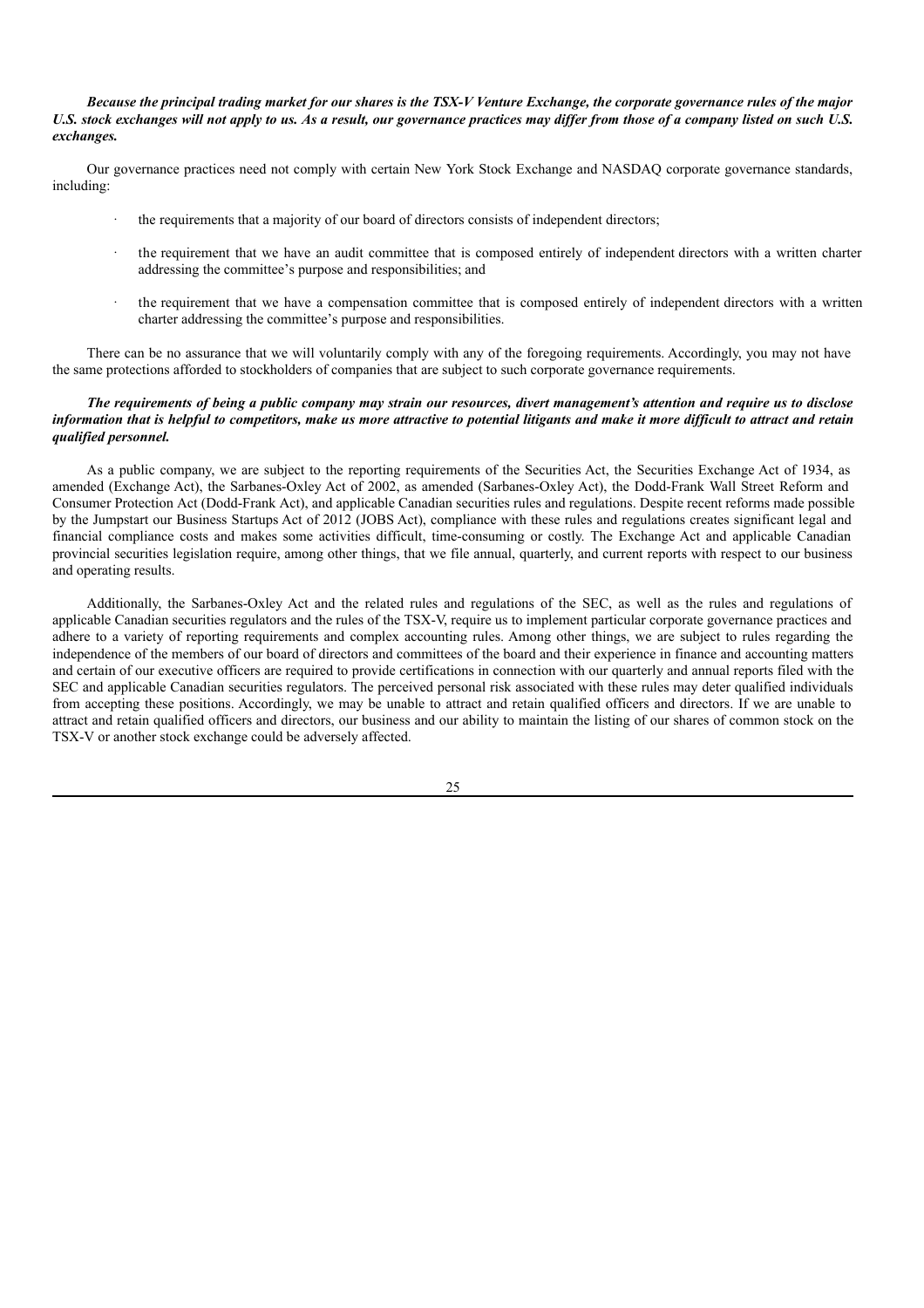Because the principal trading market for our shares is the TSX-V Venture Exchange, the corporate governance rules of the major U.S. stock exchanges will not apply to us. As a result, our governance practices may differ from those of a company listed on such U.S. *exchanges.*

Our governance practices need not comply with certain New York Stock Exchange and NASDAQ corporate governance standards, including:

- the requirements that a majority of our board of directors consists of independent directors;
- the requirement that we have an audit committee that is composed entirely of independent directors with a written charter addressing the committee's purpose and responsibilities; and
- the requirement that we have a compensation committee that is composed entirely of independent directors with a written charter addressing the committee's purpose and responsibilities.

There can be no assurance that we will voluntarily comply with any of the foregoing requirements. Accordingly, you may not have the same protections afforded to stockholders of companies that are subject to such corporate governance requirements.

### The requirements of being a public company may strain our resources, divert management's attention and require us to disclose information that is helpful to competitors, make us more attractive to potential litigants and make it more difficult to attract and retain *qualified personnel.*

As a public company, we are subject to the reporting requirements of the Securities Act, the Securities Exchange Act of 1934, as amended (Exchange Act), the Sarbanes-Oxley Act of 2002, as amended (Sarbanes-Oxley Act), the Dodd-Frank Wall Street Reform and Consumer Protection Act (Dodd-Frank Act), and applicable Canadian securities rules and regulations. Despite recent reforms made possible by the Jumpstart our Business Startups Act of 2012 (JOBS Act), compliance with these rules and regulations creates significant legal and financial compliance costs and makes some activities difficult, time-consuming or costly. The Exchange Act and applicable Canadian provincial securities legislation require, among other things, that we file annual, quarterly, and current reports with respect to our business and operating results.

Additionally, the Sarbanes-Oxley Act and the related rules and regulations of the SEC, as well as the rules and regulations of applicable Canadian securities regulators and the rules of the TSX-V, require us to implement particular corporate governance practices and adhere to a variety of reporting requirements and complex accounting rules. Among other things, we are subject to rules regarding the independence of the members of our board of directors and committees of the board and their experience in finance and accounting matters and certain of our executive officers are required to provide certifications in connection with our quarterly and annual reports filed with the SEC and applicable Canadian securities regulators. The perceived personal risk associated with these rules may deter qualified individuals from accepting these positions. Accordingly, we may be unable to attract and retain qualified officers and directors. If we are unable to attract and retain qualified officers and directors, our business and our ability to maintain the listing of our shares of common stock on the TSX-V or another stock exchange could be adversely affected.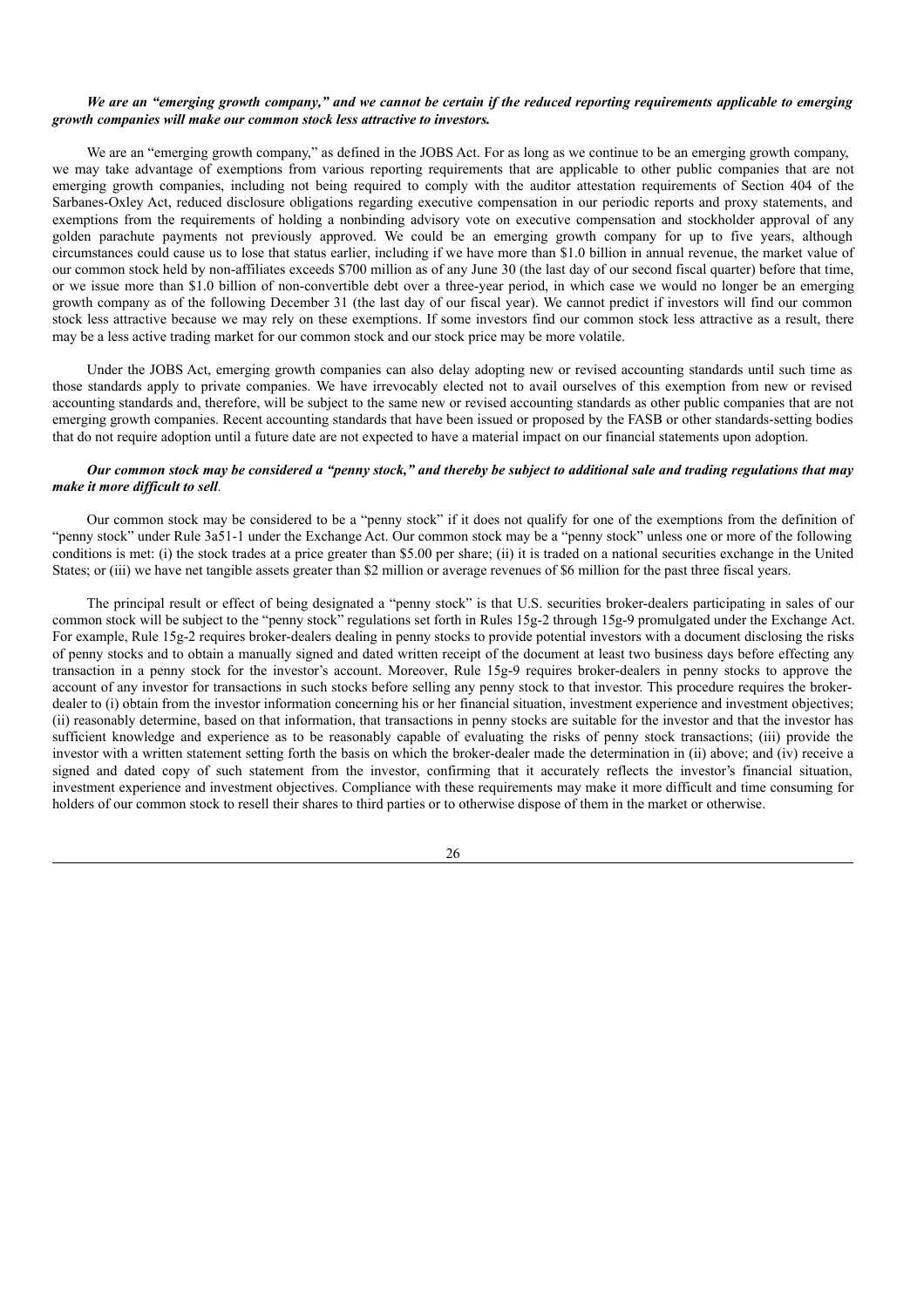### We are an "emerging growth company," and we cannot be certain if the reduced reporting requirements applicable to emerging *growth companies will make our common stock less attractive to investors.*

We are an "emerging growth company," as defined in the JOBS Act. For as long as we continue to be an emerging growth company, we may take advantage of exemptions from various reporting requirements that are applicable to other public companies that are not emerging growth companies, including not being required to comply with the auditor attestation requirements of Section 404 of the Sarbanes-Oxley Act, reduced disclosure obligations regarding executive compensation in our periodic reports and proxy statements, and exemptions from the requirements of holding a nonbinding advisory vote on executive compensation and stockholder approval of any golden parachute payments not previously approved. We could be an emerging growth company for up to five years, although circumstances could cause us to lose that status earlier, including if we have more than \$1.0 billion in annual revenue, the market value of our common stock held by non-affiliates exceeds \$700 million as of any June 30 (the last day of our second fiscal quarter) before that time, or we issue more than \$1.0 billion of non-convertible debt over a three-year period, in which case we would no longer be an emerging growth company as of the following December 31 (the last day of our fiscal year). We cannot predict if investors will find our common stock less attractive because we may rely on these exemptions. If some investors find our common stock less attractive as a result, there may be a less active trading market for our common stock and our stock price may be more volatile.

Under the JOBS Act, emerging growth companies can also delay adopting new or revised accounting standards until such time as those standards apply to private companies. We have irrevocably elected not to avail ourselves of this exemption from new or revised accounting standards and, therefore, will be subject to the same new or revised accounting standards as other public companies that are not emerging growth companies. Recent accounting standards that have been issued or proposed by the FASB or other standards-setting bodies that do not require adoption until a future date are not expected to have a material impact on our financial statements upon adoption.

### Our common stock may be considered a "penny stock," and thereby be subject to additional sale and trading regulations that may *make it more dif icult to sell.*

Our common stock may be considered to be a "penny stock" if it does not qualify for one of the exemptions from the definition of "penny stock" under Rule 3a51-1 under the Exchange Act. Our common stock may be a "penny stock" unless one or more of the following conditions is met: (i) the stock trades at a price greater than \$5.00 per share; (ii) it is traded on a national securities exchange in the United States; or (iii) we have net tangible assets greater than \$2 million or average revenues of \$6 million for the past three fiscal years.

The principal result or effect of being designated a "penny stock" is that U.S. securities broker-dealers participating in sales of our common stock will be subject to the "penny stock" regulations set forth in Rules 15g-2 through 15g-9 promulgated under the Exchange Act. For example, Rule 15g-2 requires broker-dealers dealing in penny stocks to provide potential investors with a document disclosing the risks of penny stocks and to obtain a manually signed and dated written receipt of the document at least two business days before effecting any transaction in a penny stock for the investor's account. Moreover, Rule 15g-9 requires broker-dealers in penny stocks to approve the account of any investor for transactions in such stocks before selling any penny stock to that investor. This procedure requires the brokerdealer to (i) obtain from the investor information concerning his or her financial situation, investment experience and investment objectives; (ii) reasonably determine, based on that information, that transactions in penny stocks are suitable for the investor and that the investor has sufficient knowledge and experience as to be reasonably capable of evaluating the risks of penny stock transactions; (iii) provide the investor with a written statement setting forth the basis on which the broker-dealer made the determination in (ii) above; and (iv) receive a signed and dated copy of such statement from the investor, confirming that it accurately reflects the investor's financial situation, investment experience and investment objectives. Compliance with these requirements may make it more difficult and time consuming for holders of our common stock to resell their shares to third parties or to otherwise dispose of them in the market or otherwise.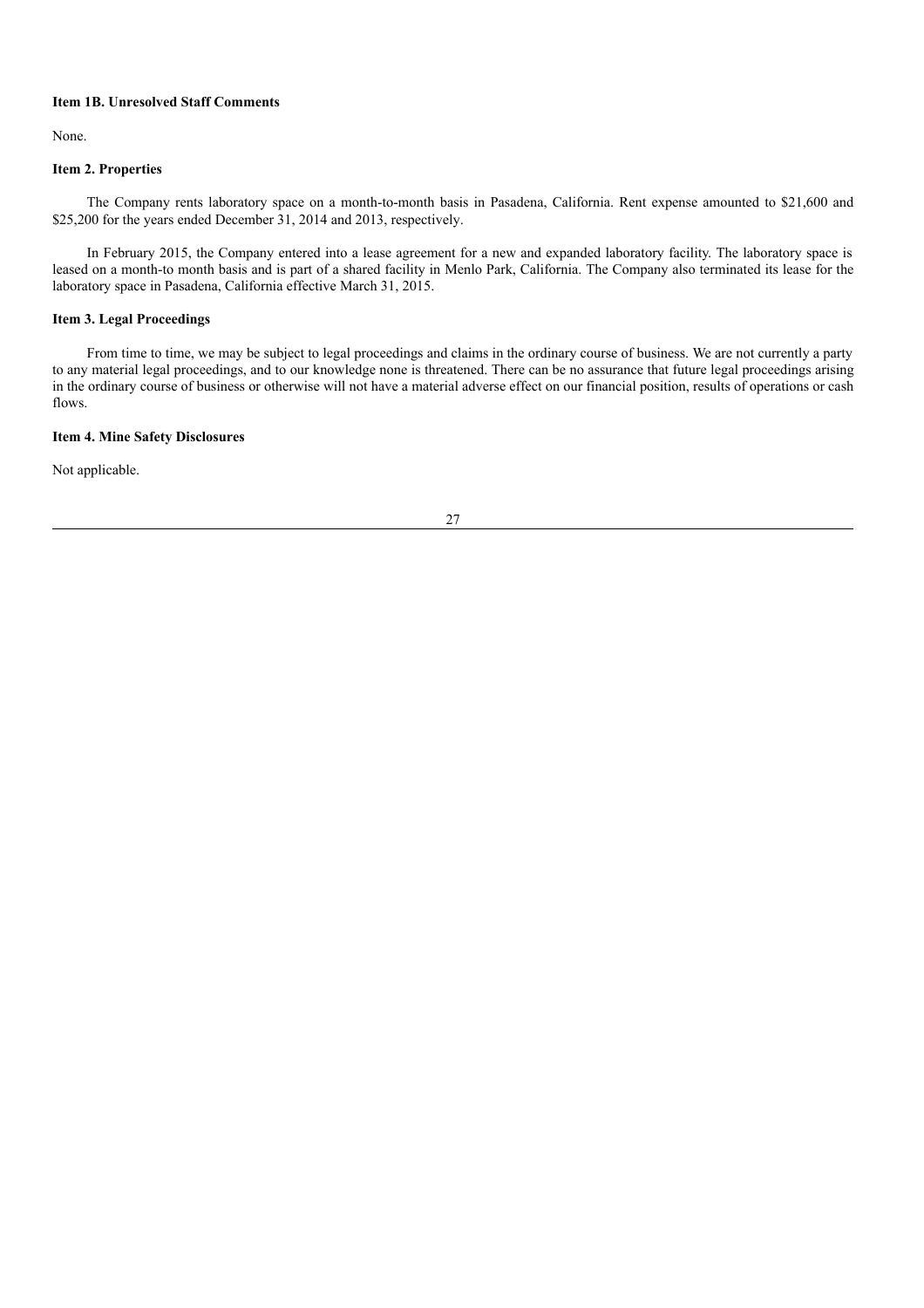### **Item 1B. Unresolved Staff Comments**

None.

### **Item 2. Properties**

The Company rents laboratory space on a month-to-month basis in Pasadena, California. Rent expense amounted to \$21,600 and \$25,200 for the years ended December 31, 2014 and 2013, respectively.

In February 2015, the Company entered into a lease agreement for a new and expanded laboratory facility. The laboratory space is leased on a month-to month basis and is part of a shared facility in Menlo Park, California. The Company also terminated its lease for the laboratory space in Pasadena, California effective March 31, 2015.

# **Item 3. Legal Proceedings**

From time to time, we may be subject to legal proceedings and claims in the ordinary course of business. We are not currently a party to any material legal proceedings, and to our knowledge none is threatened. There can be no assurance that future legal proceedings arising in the ordinary course of business or otherwise will not have a material adverse effect on our financial position, results of operations or cash flows.

## **Item 4. Mine Safety Disclosures**

Not applicable.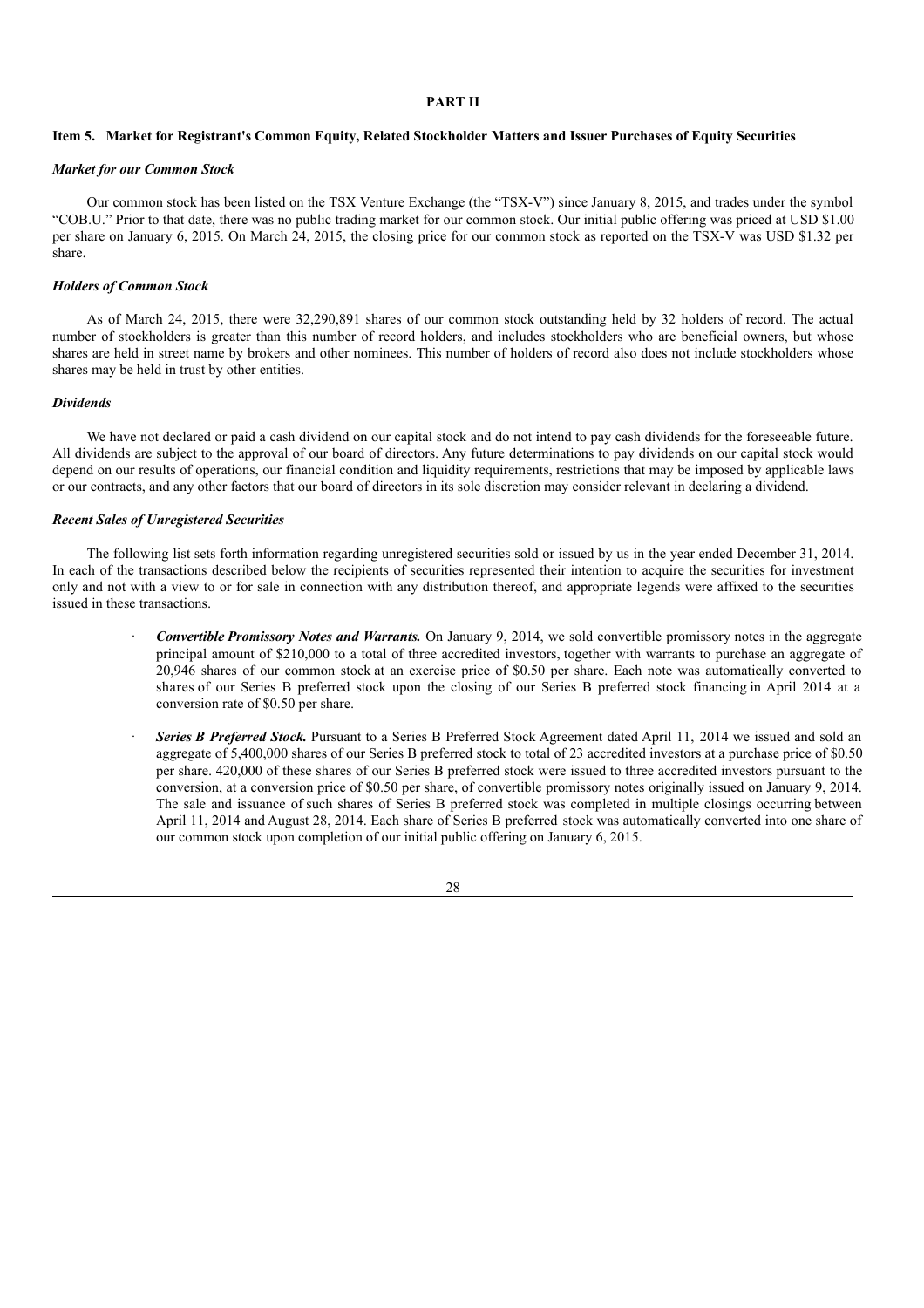## **PART II**

### Item 5. Market for Registrant's Common Equity, Related Stockholder Matters and Issuer Purchases of Equity Securities

#### *Market for our Common Stock*

Our common stock has been listed on the TSX Venture Exchange (the "TSX-V") since January 8, 2015, and trades under the symbol "COB.U." Prior to that date, there was no public trading market for our common stock. Our initial public offering was priced at USD \$1.00 per share on January 6, 2015. On March 24, 2015, the closing price for our common stock as reported on the TSX-V was USD \$1.32 per share.

#### *Holders of Common Stock*

As of March 24, 2015, there were 32,290,891 shares of our common stock outstanding held by 32 holders of record. The actual number of stockholders is greater than this number of record holders, and includes stockholders who are beneficial owners, but whose shares are held in street name by brokers and other nominees. This number of holders of record also does not include stockholders whose shares may be held in trust by other entities.

#### *Dividends*

We have not declared or paid a cash dividend on our capital stock and do not intend to pay cash dividends for the foreseeable future. All dividends are subject to the approval of our board of directors. Any future determinations to pay dividends on our capital stock would depend on our results of operations, our financial condition and liquidity requirements, restrictions that may be imposed by applicable laws or our contracts, and any other factors that our board of directors in its sole discretion may consider relevant in declaring a dividend.

### *Recent Sales of Unregistered Securities*

The following list sets forth information regarding unregistered securities sold or issued by us in the year ended December 31, 2014. In each of the transactions described below the recipients of securities represented their intention to acquire the securities for investment only and not with a view to or for sale in connection with any distribution thereof, and appropriate legends were affixed to the securities issued in these transactions.

- · *Convertible Promissory Notes and Warrants.* On January 9, 2014, we sold convertible promissory notes in the aggregate principal amount of \$210,000 to a total of three accredited investors, together with warrants to purchase an aggregate of 20,946 shares of our common stock at an exercise price of \$0.50 per share. Each note was automatically converted to shares of our Series B preferred stock upon the closing of our Series B preferred stock financing in April 2014 at a conversion rate of \$0.50 per share.
- · *Series B Preferred Stock.* Pursuant to a Series B Preferred Stock Agreement dated April 11, 2014 we issued and sold an aggregate of 5,400,000 shares of our Series B preferred stock to total of 23 accredited investors at a purchase price of \$0.50 per share. 420,000 of these shares of our Series B preferred stock were issued to three accredited investors pursuant to the conversion, at a conversion price of \$0.50 per share, of convertible promissory notes originally issued on January 9, 2014. The sale and issuance of such shares of Series B preferred stock was completed in multiple closings occurring between April 11, 2014 and August 28, 2014. Each share of Series B preferred stock was automatically converted into one share of our common stock upon completion of our initial public offering on January 6, 2015.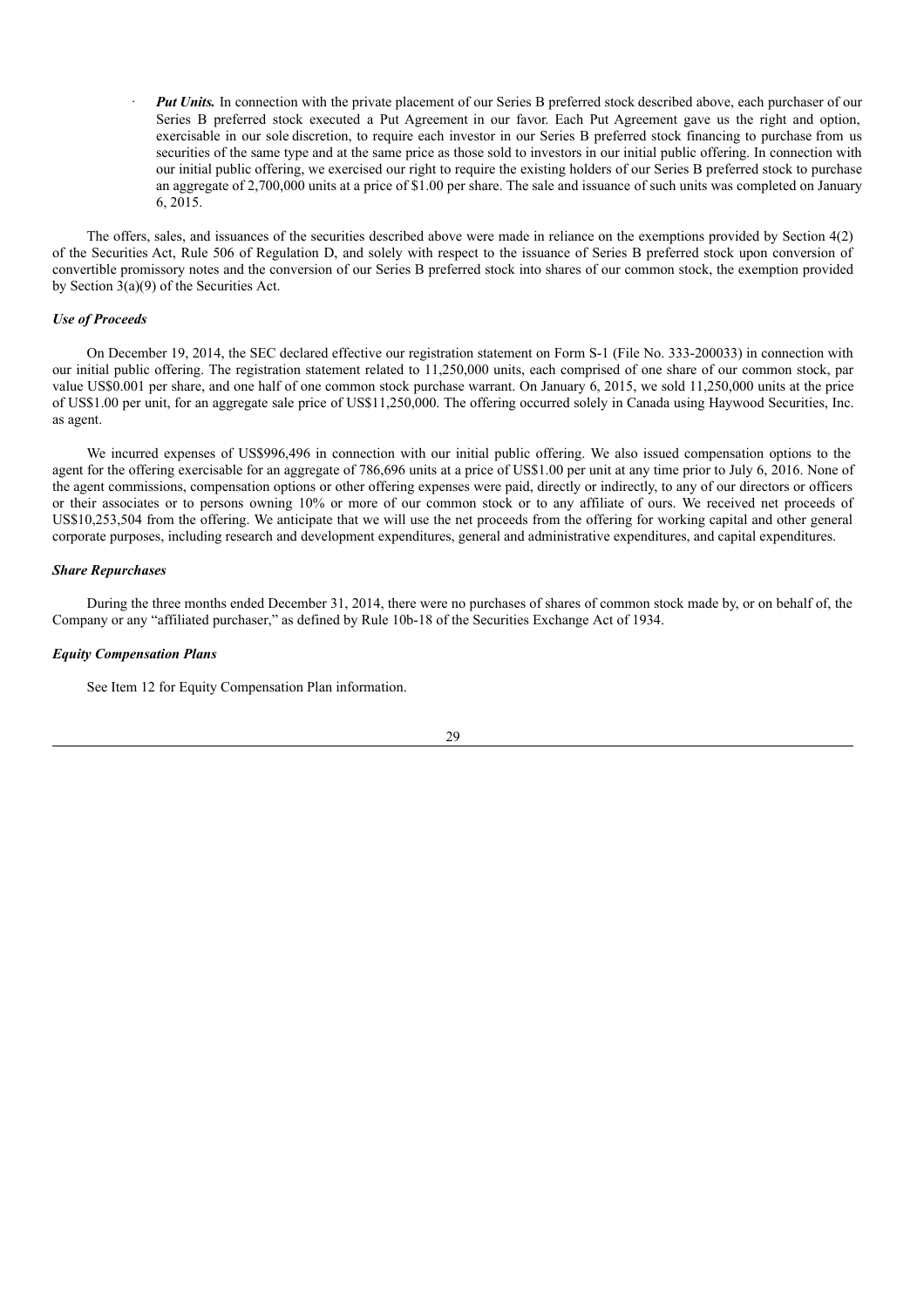*Put Units.* In connection with the private placement of our Series B preferred stock described above, each purchaser of our Series B preferred stock executed a Put Agreement in our favor. Each Put Agreement gave us the right and option, exercisable in our sole discretion, to require each investor in our Series B preferred stock financing to purchase from us securities of the same type and at the same price as those sold to investors in our initial public offering. In connection with our initial public offering, we exercised our right to require the existing holders of our Series B preferred stock to purchase an aggregate of 2,700,000 units at a price of \$1.00 per share. The sale and issuance of such units was completed on January 6, 2015.

The offers, sales, and issuances of the securities described above were made in reliance on the exemptions provided by Section 4(2) of the Securities Act, Rule 506 of Regulation D, and solely with respect to the issuance of Series B preferred stock upon conversion of convertible promissory notes and the conversion of our Series B preferred stock into shares of our common stock, the exemption provided by Section 3(a)(9) of the Securities Act.

### *Use of Proceeds*

On December 19, 2014, the SEC declared effective our registration statement on Form S-1 (File No. 333-200033) in connection with our initial public offering. The registration statement related to 11,250,000 units, each comprised of one share of our common stock, par value US\$0.001 per share, and one half of one common stock purchase warrant. On January 6, 2015, we sold 11,250,000 units at the price of US\$1.00 per unit, for an aggregate sale price of US\$11,250,000. The offering occurred solely in Canada using Haywood Securities, Inc. as agent.

We incurred expenses of US\$996,496 in connection with our initial public offering. We also issued compensation options to the agent for the offering exercisable for an aggregate of 786,696 units at a price of US\$1.00 per unit at any time prior to July 6, 2016. None of the agent commissions, compensation options or other offering expenses were paid, directly or indirectly, to any of our directors or officers or their associates or to persons owning 10% or more of our common stock or to any affiliate of ours. We received net proceeds of US\$10,253,504 from the offering. We anticipate that we will use the net proceeds from the offering for working capital and other general corporate purposes, including research and development expenditures, general and administrative expenditures, and capital expenditures.

### *Share Repurchases*

During the three months ended December 31, 2014, there were no purchases of shares of common stock made by, or on behalf of, the Company or any "affiliated purchaser," as defined by Rule 10b-18 of the Securities Exchange Act of 1934.

### *Equity Compensation Plans*

See Item 12 for Equity Compensation Plan information.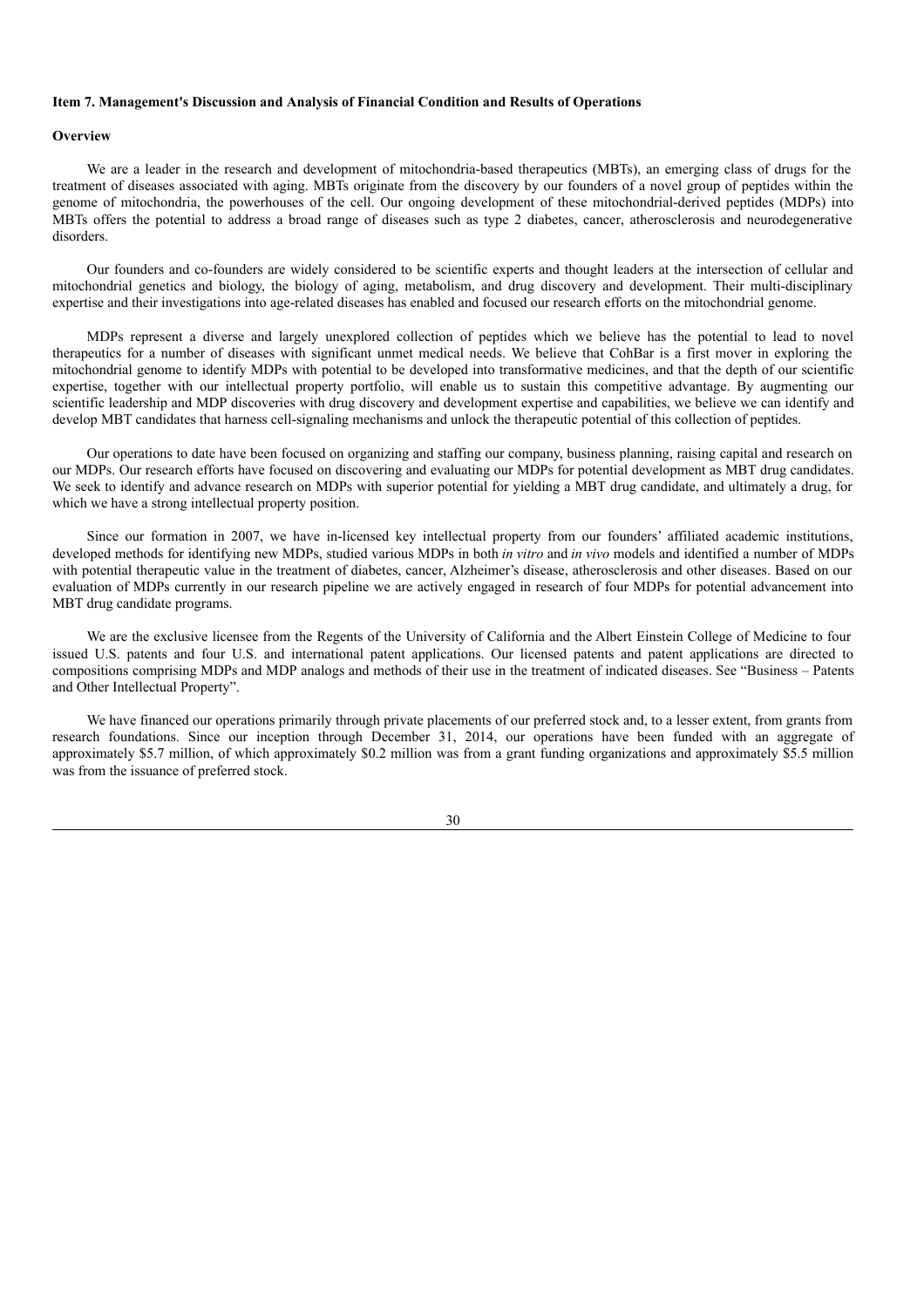### **Item 7. Management's Discussion and Analysis of Financial Condition and Results of Operations**

### **Overview**

We are a leader in the research and development of mitochondria-based therapeutics (MBTs), an emerging class of drugs for the treatment of diseases associated with aging. MBTs originate from the discovery by our founders of a novel group of peptides within the genome of mitochondria, the powerhouses of the cell. Our ongoing development of these mitochondrial-derived peptides (MDPs) into MBTs offers the potential to address a broad range of diseases such as type 2 diabetes, cancer, atherosclerosis and neurodegenerative disorders.

Our founders and co-founders are widely considered to be scientific experts and thought leaders at the intersection of cellular and mitochondrial genetics and biology, the biology of aging, metabolism, and drug discovery and development. Their multi-disciplinary expertise and their investigations into age-related diseases has enabled and focused our research efforts on the mitochondrial genome.

MDPs represent a diverse and largely unexplored collection of peptides which we believe has the potential to lead to novel therapeutics for a number of diseases with significant unmet medical needs. We believe that CohBar is a first mover in exploring the mitochondrial genome to identify MDPs with potential to be developed into transformative medicines, and that the depth of our scientific expertise, together with our intellectual property portfolio, will enable us to sustain this competitive advantage. By augmenting our scientific leadership and MDP discoveries with drug discovery and development expertise and capabilities, we believe we can identify and develop MBT candidates that harness cell-signaling mechanisms and unlock the therapeutic potential of this collection of peptides.

Our operations to date have been focused on organizing and staffing our company, business planning, raising capital and research on our MDPs. Our research efforts have focused on discovering and evaluating our MDPs for potential development as MBT drug candidates. We seek to identify and advance research on MDPs with superior potential for yielding a MBT drug candidate, and ultimately a drug, for which we have a strong intellectual property position.

Since our formation in 2007, we have in-licensed key intellectual property from our founders' affiliated academic institutions, developed methods for identifying new MDPs, studied various MDPs in both *in vitro* and *in vivo* models and identified a number of MDPs with potential therapeutic value in the treatment of diabetes, cancer, Alzheimer's disease, atherosclerosis and other diseases. Based on our evaluation of MDPs currently in our research pipeline we are actively engaged in research of four MDPs for potential advancement into MBT drug candidate programs.

We are the exclusive licensee from the Regents of the University of California and the Albert Einstein College of Medicine to four issued U.S. patents and four U.S. and international patent applications. Our licensed patents and patent applications are directed to compositions comprising MDPs and MDP analogs and methods of their use in the treatment of indicated diseases. See "Business – Patents and Other Intellectual Property".

We have financed our operations primarily through private placements of our preferred stock and, to a lesser extent, from grants from research foundations. Since our inception through December 31, 2014, our operations have been funded with an aggregate of approximately \$5.7 million, of which approximately \$0.2 million was from a grant funding organizations and approximately \$5.5 million was from the issuance of preferred stock.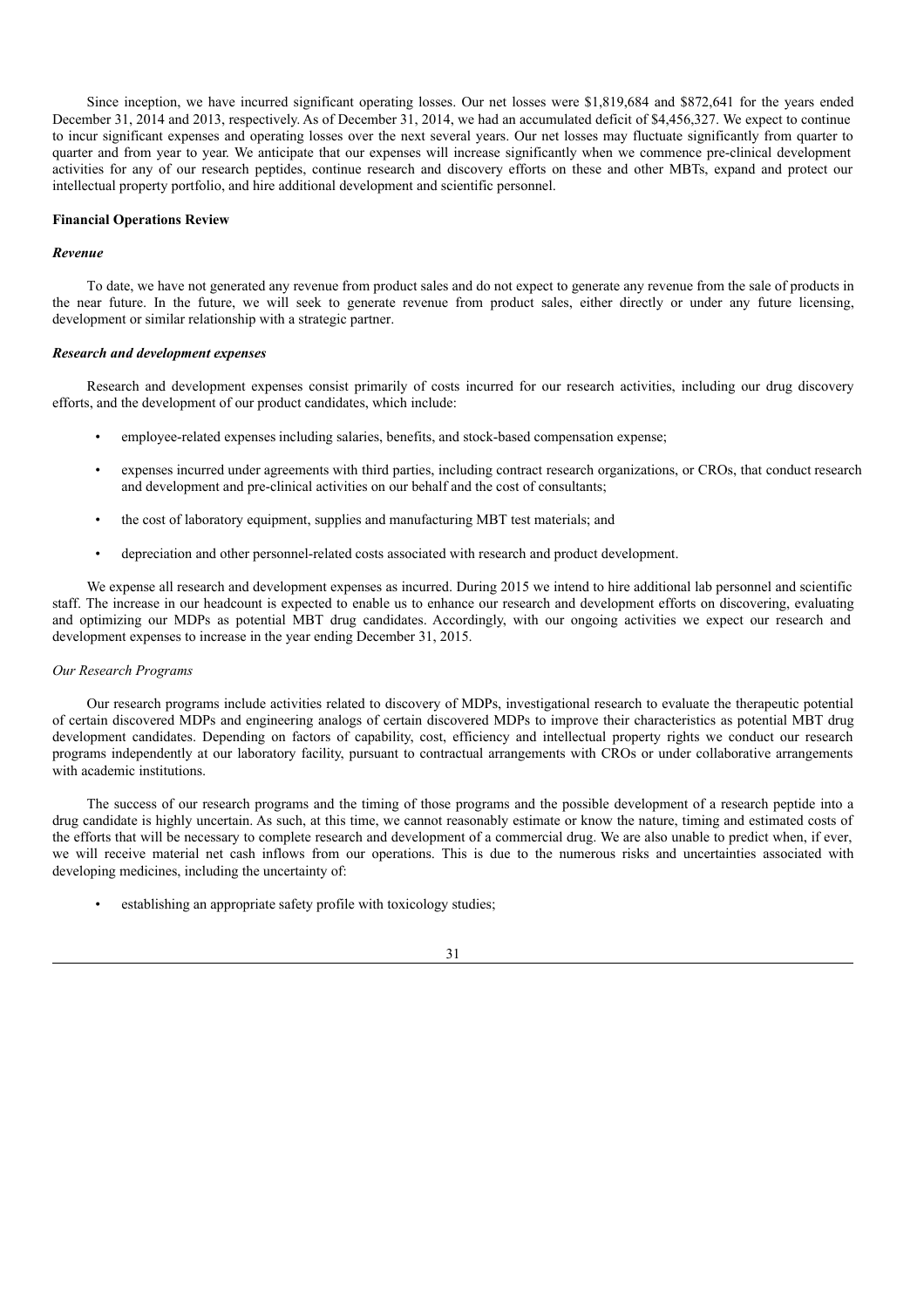Since inception, we have incurred significant operating losses. Our net losses were \$1,819,684 and \$872,641 for the years ended December 31, 2014 and 2013, respectively. As of December 31, 2014, we had an accumulated deficit of \$4,456,327. We expect to continue to incur significant expenses and operating losses over the next several years. Our net losses may fluctuate significantly from quarter to quarter and from year to year. We anticipate that our expenses will increase significantly when we commence pre-clinical development activities for any of our research peptides, continue research and discovery efforts on these and other MBTs, expand and protect our intellectual property portfolio, and hire additional development and scientific personnel.

### **Financial Operations Review**

### *Revenue*

To date, we have not generated any revenue from product sales and do not expect to generate any revenue from the sale of products in the near future. In the future, we will seek to generate revenue from product sales, either directly or under any future licensing, development or similar relationship with a strategic partner.

#### *Research and development expenses*

Research and development expenses consist primarily of costs incurred for our research activities, including our drug discovery efforts, and the development of our product candidates, which include:

- employee-related expenses including salaries, benefits, and stock-based compensation expense;
- expenses incurred under agreements with third parties, including contract research organizations, or CROs, that conduct research and development and pre-clinical activities on our behalf and the cost of consultants;
- the cost of laboratory equipment, supplies and manufacturing MBT test materials; and
- depreciation and other personnel-related costs associated with research and product development.

We expense all research and development expenses as incurred. During 2015 we intend to hire additional lab personnel and scientific staff. The increase in our headcount is expected to enable us to enhance our research and development efforts on discovering, evaluating and optimizing our MDPs as potential MBT drug candidates. Accordingly, with our ongoing activities we expect our research and development expenses to increase in the year ending December 31, 2015.

### *Our Research Programs*

Our research programs include activities related to discovery of MDPs, investigational research to evaluate the therapeutic potential of certain discovered MDPs and engineering analogs of certain discovered MDPs to improve their characteristics as potential MBT drug development candidates. Depending on factors of capability, cost, efficiency and intellectual property rights we conduct our research programs independently at our laboratory facility, pursuant to contractual arrangements with CROs or under collaborative arrangements with academic institutions.

The success of our research programs and the timing of those programs and the possible development of a research peptide into a drug candidate is highly uncertain. As such, at this time, we cannot reasonably estimate or know the nature, timing and estimated costs of the efforts that will be necessary to complete research and development of a commercial drug. We are also unable to predict when, if ever, we will receive material net cash inflows from our operations. This is due to the numerous risks and uncertainties associated with developing medicines, including the uncertainty of:

establishing an appropriate safety profile with toxicology studies;

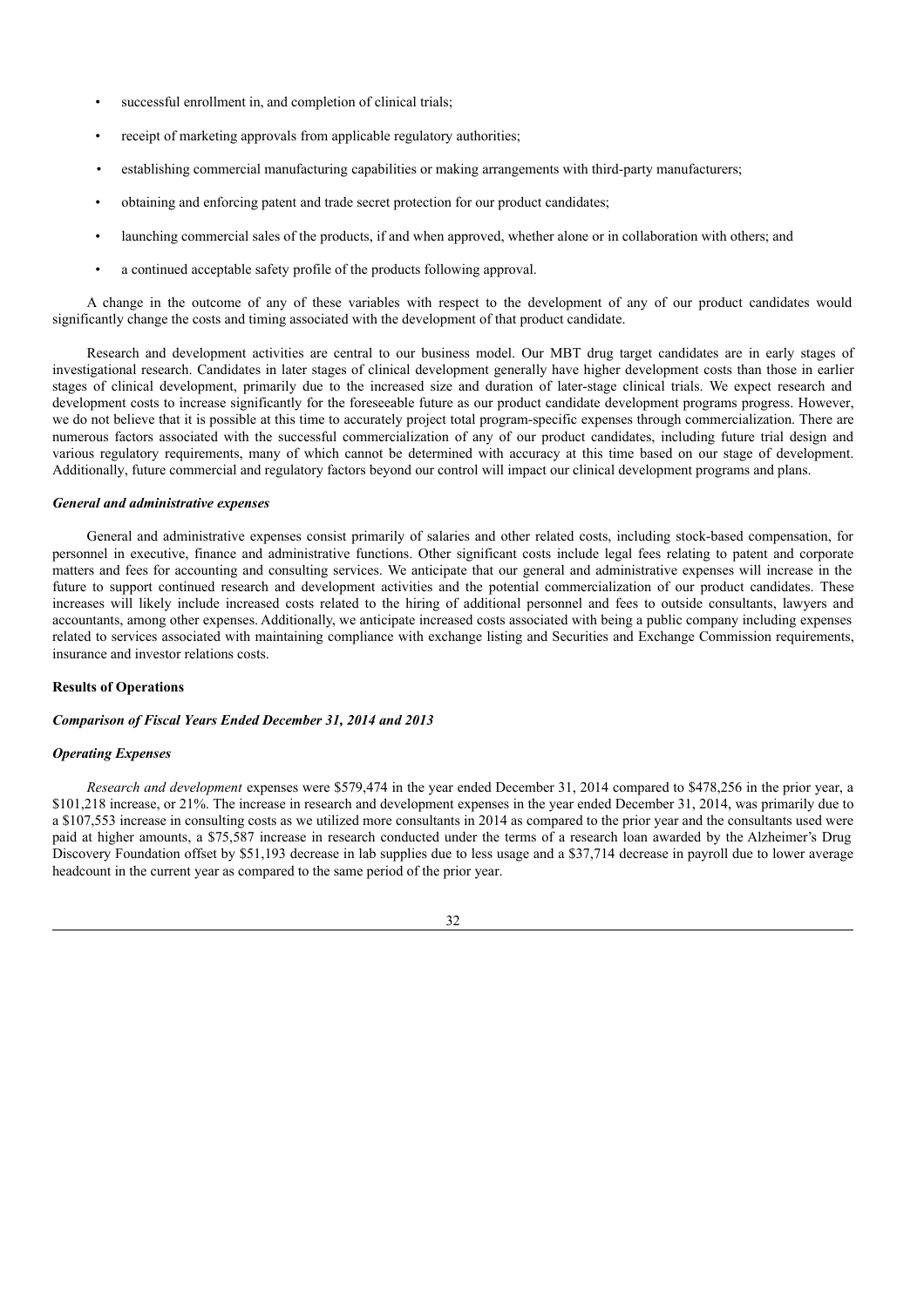- successful enrollment in, and completion of clinical trials;
- receipt of marketing approvals from applicable regulatory authorities;
- establishing commercial manufacturing capabilities or making arrangements with third-party manufacturers;
- obtaining and enforcing patent and trade secret protection for our product candidates;
- launching commercial sales of the products, if and when approved, whether alone or in collaboration with others; and
- a continued acceptable safety profile of the products following approval.

A change in the outcome of any of these variables with respect to the development of any of our product candidates would significantly change the costs and timing associated with the development of that product candidate.

Research and development activities are central to our business model. Our MBT drug target candidates are in early stages of investigational research. Candidates in later stages of clinical development generally have higher development costs than those in earlier stages of clinical development, primarily due to the increased size and duration of later-stage clinical trials. We expect research and development costs to increase significantly for the foreseeable future as our product candidate development programs progress. However, we do not believe that it is possible at this time to accurately project total program-specific expenses through commercialization. There are numerous factors associated with the successful commercialization of any of our product candidates, including future trial design and various regulatory requirements, many of which cannot be determined with accuracy at this time based on our stage of development. Additionally, future commercial and regulatory factors beyond our control will impact our clinical development programs and plans.

### *General and administrative expenses*

General and administrative expenses consist primarily of salaries and other related costs, including stock-based compensation, for personnel in executive, finance and administrative functions. Other significant costs include legal fees relating to patent and corporate matters and fees for accounting and consulting services. We anticipate that our general and administrative expenses will increase in the future to support continued research and development activities and the potential commercialization of our product candidates. These increases will likely include increased costs related to the hiring of additional personnel and fees to outside consultants, lawyers and accountants, among other expenses. Additionally, we anticipate increased costs associated with being a public company including expenses related to services associated with maintaining compliance with exchange listing and Securities and Exchange Commission requirements, insurance and investor relations costs.

### **Results of Operations**

## *Comparison of Fiscal Years Ended December 31, 2014 and 2013*

### *Operating Expenses*

*Research and development* expenses were \$579,474 in the year ended December 31, 2014 compared to \$478,256 in the prior year, a \$101,218 increase, or 21%. The increase in research and development expenses in the year ended December 31, 2014, was primarily due to a \$107,553 increase in consulting costs as we utilized more consultants in 2014 as compared to the prior year and the consultants used were paid at higher amounts, a \$75,587 increase in research conducted under the terms of a research loan awarded by the Alzheimer's Drug Discovery Foundation offset by \$51,193 decrease in lab supplies due to less usage and a \$37,714 decrease in payroll due to lower average headcount in the current year as compared to the same period of the prior year.

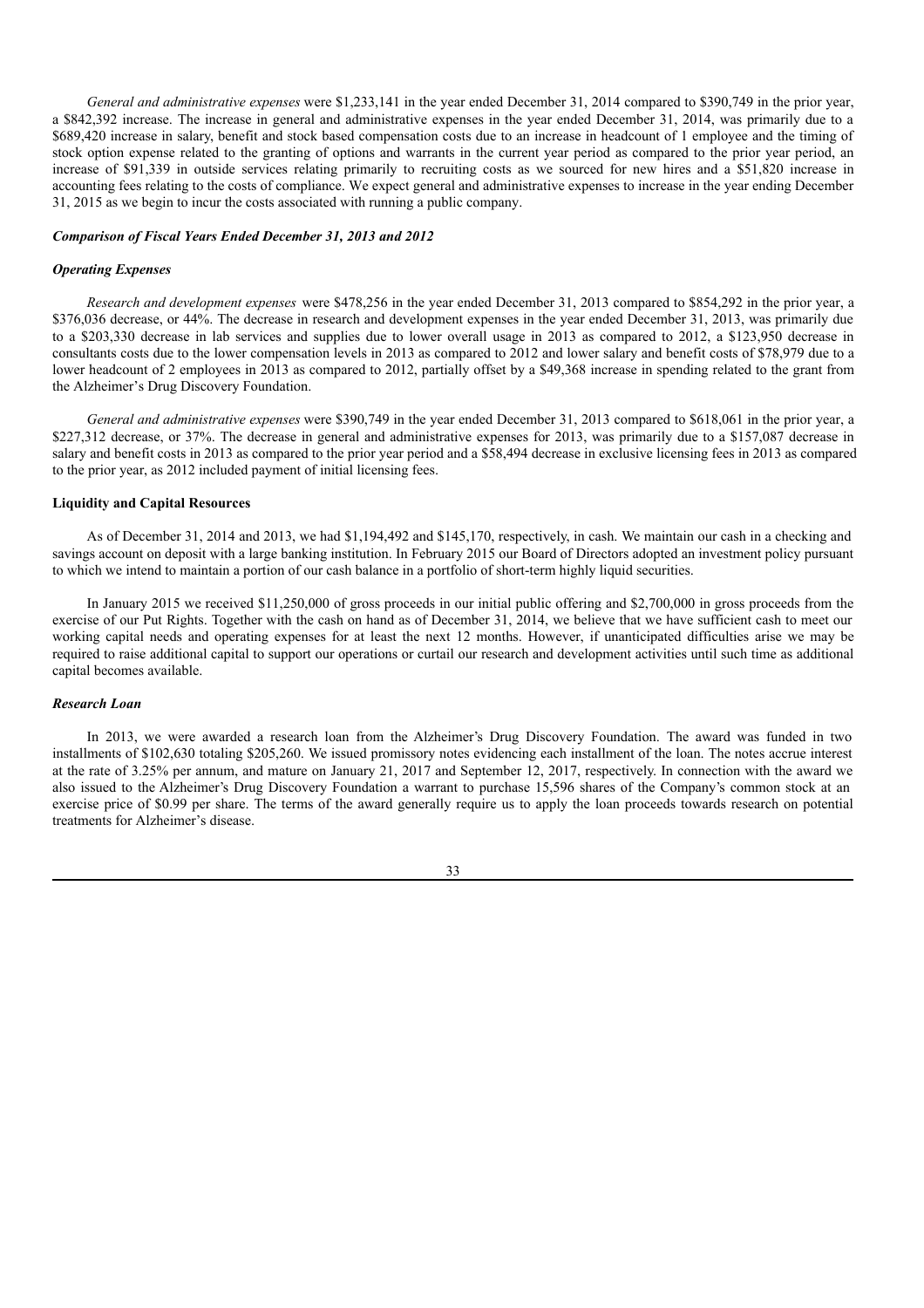*General and administrative expenses* were \$1,233,141 in the year ended December 31, 2014 compared to \$390,749 in the prior year, a \$842,392 increase. The increase in general and administrative expenses in the year ended December 31, 2014, was primarily due to a \$689,420 increase in salary, benefit and stock based compensation costs due to an increase in headcount of 1 employee and the timing of stock option expense related to the granting of options and warrants in the current year period as compared to the prior year period, an increase of \$91,339 in outside services relating primarily to recruiting costs as we sourced for new hires and a \$51,820 increase in accounting fees relating to the costs of compliance. We expect general and administrative expenses to increase in the year ending December 31, 2015 as we begin to incur the costs associated with running a public company.

#### *Comparison of Fiscal Years Ended December 31, 2013 and 2012*

#### *Operating Expenses*

*Research and development expenses* were \$478,256 in the year ended December 31, 2013 compared to \$854,292 in the prior year, a \$376,036 decrease, or 44%. The decrease in research and development expenses in the year ended December 31, 2013, was primarily due to a \$203,330 decrease in lab services and supplies due to lower overall usage in 2013 as compared to 2012, a \$123,950 decrease in consultants costs due to the lower compensation levels in 2013 as compared to 2012 and lower salary and benefit costs of \$78,979 due to a lower headcount of 2 employees in 2013 as compared to 2012, partially offset by a \$49,368 increase in spending related to the grant from the Alzheimer's Drug Discovery Foundation.

*General and administrative expenses* were \$390,749 in the year ended December 31, 2013 compared to \$618,061 in the prior year, a \$227,312 decrease, or 37%. The decrease in general and administrative expenses for 2013, was primarily due to a \$157,087 decrease in salary and benefit costs in 2013 as compared to the prior year period and a \$58,494 decrease in exclusive licensing fees in 2013 as compared to the prior year, as 2012 included payment of initial licensing fees.

### **Liquidity and Capital Resources**

As of December 31, 2014 and 2013, we had \$1,194,492 and \$145,170, respectively, in cash. We maintain our cash in a checking and savings account on deposit with a large banking institution. In February 2015 our Board of Directors adopted an investment policy pursuant to which we intend to maintain a portion of our cash balance in a portfolio of short-term highly liquid securities.

In January 2015 we received \$11,250,000 of gross proceeds in our initial public offering and \$2,700,000 in gross proceeds from the exercise of our Put Rights. Together with the cash on hand as of December 31, 2014, we believe that we have sufficient cash to meet our working capital needs and operating expenses for at least the next 12 months. However, if unanticipated difficulties arise we may be required to raise additional capital to support our operations or curtail our research and development activities until such time as additional capital becomes available.

## *Research Loan*

In 2013, we were awarded a research loan from the Alzheimer's Drug Discovery Foundation. The award was funded in two installments of \$102,630 totaling \$205,260. We issued promissory notes evidencing each installment of the loan. The notes accrue interest at the rate of 3.25% per annum, and mature on January 21, 2017 and September 12, 2017, respectively. In connection with the award we also issued to the Alzheimer's Drug Discovery Foundation a warrant to purchase 15,596 shares of the Company's common stock at an exercise price of \$0.99 per share. The terms of the award generally require us to apply the loan proceeds towards research on potential treatments for Alzheimer's disease.

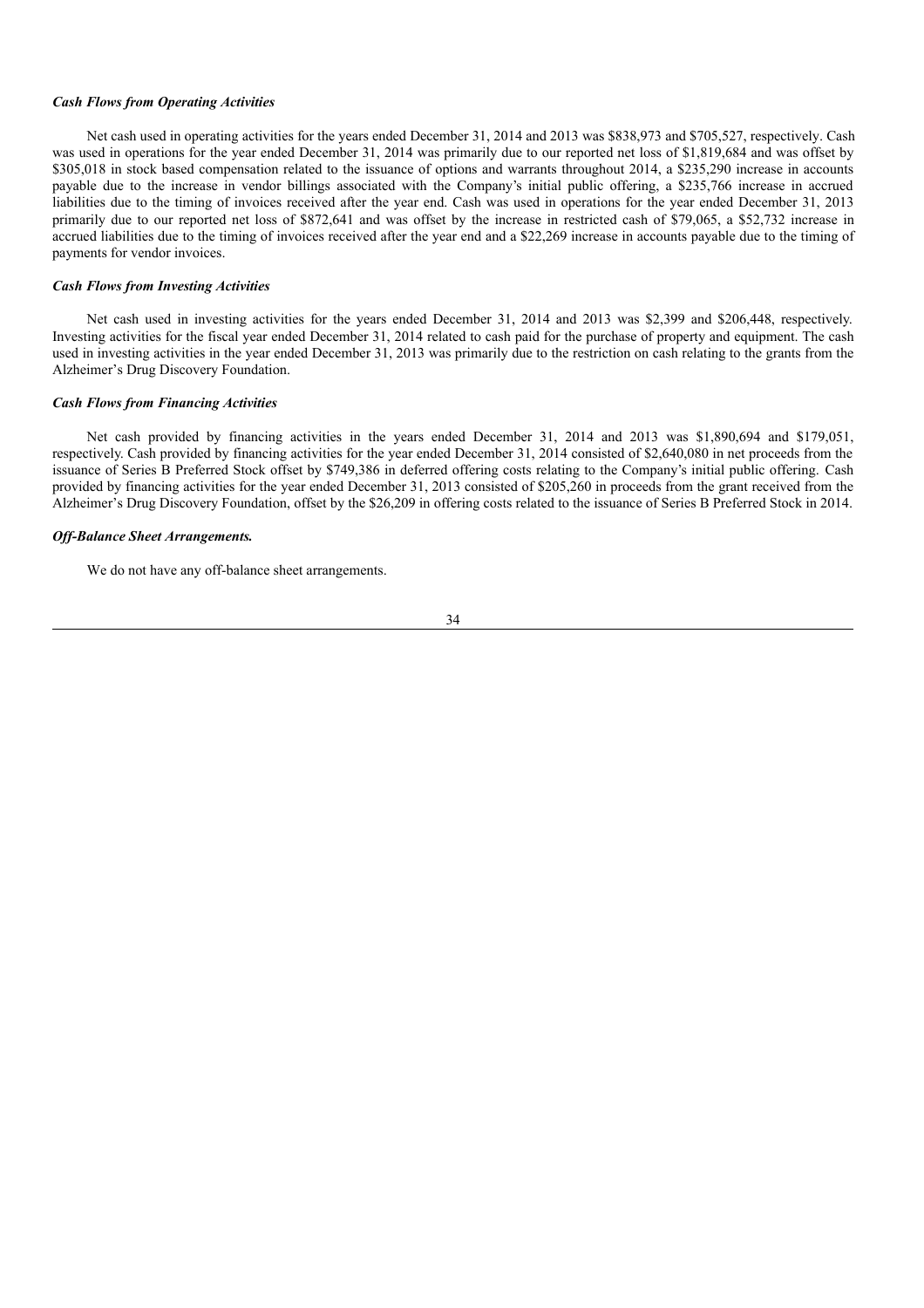#### *Cash Flows from Operating Activities*

Net cash used in operating activities for the years ended December 31, 2014 and 2013 was \$838,973 and \$705,527, respectively. Cash was used in operations for the year ended December 31, 2014 was primarily due to our reported net loss of \$1,819,684 and was offset by \$305,018 in stock based compensation related to the issuance of options and warrants throughout 2014, a \$235,290 increase in accounts payable due to the increase in vendor billings associated with the Company's initial public offering, a \$235,766 increase in accrued liabilities due to the timing of invoices received after the year end. Cash was used in operations for the year ended December 31, 2013 primarily due to our reported net loss of \$872,641 and was offset by the increase in restricted cash of \$79,065, a \$52,732 increase in accrued liabilities due to the timing of invoices received after the year end and a \$22,269 increase in accounts payable due to the timing of payments for vendor invoices.

#### *Cash Flows from Investing Activities*

Net cash used in investing activities for the years ended December 31, 2014 and 2013 was \$2,399 and \$206,448, respectively. Investing activities for the fiscal year ended December 31, 2014 related to cash paid for the purchase of property and equipment. The cash used in investing activities in the year ended December 31, 2013 was primarily due to the restriction on cash relating to the grants from the Alzheimer's Drug Discovery Foundation.

#### *Cash Flows from Financing Activities*

Net cash provided by financing activities in the years ended December 31, 2014 and 2013 was \$1,890,694 and \$179,051, respectively. Cash provided by financing activities for the year ended December 31, 2014 consisted of \$2,640,080 in net proceeds from the issuance of Series B Preferred Stock offset by \$749,386 in deferred offering costs relating to the Company's initial public offering. Cash provided by financing activities for the year ended December 31, 2013 consisted of \$205,260 in proceeds from the grant received from the Alzheimer's Drug Discovery Foundation, offset by the \$26,209 in offering costs related to the issuance of Series B Preferred Stock in 2014.

### *Of -Balance Sheet Arrangements.*

We do not have any off-balance sheet arrangements.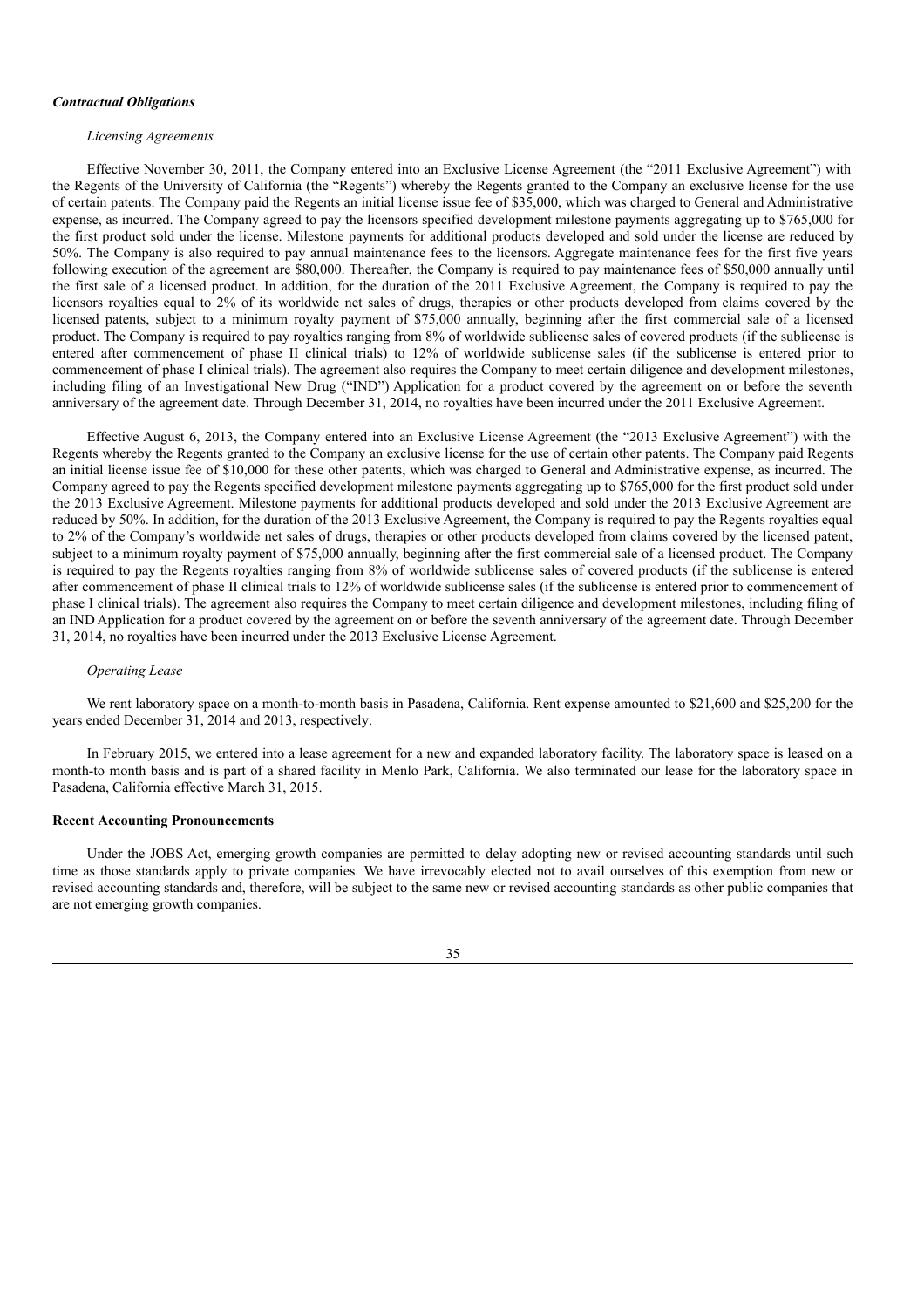#### *Contractual Obligations*

#### *Licensing Agreements*

Effective November 30, 2011, the Company entered into an Exclusive License Agreement (the "2011 Exclusive Agreement") with the Regents of the University of California (the "Regents") whereby the Regents granted to the Company an exclusive license for the use of certain patents. The Company paid the Regents an initial license issue fee of \$35,000, which was charged to General and Administrative expense, as incurred. The Company agreed to pay the licensors specified development milestone payments aggregating up to \$765,000 for the first product sold under the license. Milestone payments for additional products developed and sold under the license are reduced by 50%. The Company is also required to pay annual maintenance fees to the licensors. Aggregate maintenance fees for the first five years following execution of the agreement are \$80,000. Thereafter, the Company is required to pay maintenance fees of \$50,000 annually until the first sale of a licensed product. In addition, for the duration of the 2011 Exclusive Agreement, the Company is required to pay the licensors royalties equal to 2% of its worldwide net sales of drugs, therapies or other products developed from claims covered by the licensed patents, subject to a minimum royalty payment of \$75,000 annually, beginning after the first commercial sale of a licensed product. The Company is required to pay royalties ranging from 8% of worldwide sublicense sales of covered products (if the sublicense is entered after commencement of phase II clinical trials) to 12% of worldwide sublicense sales (if the sublicense is entered prior to commencement of phase I clinical trials). The agreement also requires the Company to meet certain diligence and development milestones, including filing of an Investigational New Drug ("IND") Application for a product covered by the agreement on or before the seventh anniversary of the agreement date. Through December 31, 2014, no royalties have been incurred under the 2011 Exclusive Agreement.

Effective August 6, 2013, the Company entered into an Exclusive License Agreement (the "2013 Exclusive Agreement") with the Regents whereby the Regents granted to the Company an exclusive license for the use of certain other patents. The Company paid Regents an initial license issue fee of \$10,000 for these other patents, which was charged to General and Administrative expense, as incurred. The Company agreed to pay the Regents specified development milestone payments aggregating up to \$765,000 for the first product sold under the 2013 Exclusive Agreement. Milestone payments for additional products developed and sold under the 2013 Exclusive Agreement are reduced by 50%. In addition, for the duration of the 2013 Exclusive Agreement, the Company is required to pay the Regents royalties equal to 2% of the Company's worldwide net sales of drugs, therapies or other products developed from claims covered by the licensed patent, subject to a minimum royalty payment of \$75,000 annually, beginning after the first commercial sale of a licensed product. The Company is required to pay the Regents royalties ranging from 8% of worldwide sublicense sales of covered products (if the sublicense is entered after commencement of phase II clinical trials to 12% of worldwide sublicense sales (if the sublicense is entered prior to commencement of phase I clinical trials). The agreement also requires the Company to meet certain diligence and development milestones, including filing of an IND Application for a product covered by the agreement on or before the seventh anniversary of the agreement date. Through December 31, 2014, no royalties have been incurred under the 2013 Exclusive License Agreement.

### *Operating Lease*

We rent laboratory space on a month-to-month basis in Pasadena, California. Rent expense amounted to \$21,600 and \$25,200 for the years ended December 31, 2014 and 2013, respectively.

In February 2015, we entered into a lease agreement for a new and expanded laboratory facility. The laboratory space is leased on a month-to month basis and is part of a shared facility in Menlo Park, California. We also terminated our lease for the laboratory space in Pasadena, California effective March 31, 2015.

### **Recent Accounting Pronouncements**

Under the JOBS Act, emerging growth companies are permitted to delay adopting new or revised accounting standards until such time as those standards apply to private companies. We have irrevocably elected not to avail ourselves of this exemption from new or revised accounting standards and, therefore, will be subject to the same new or revised accounting standards as other public companies that are not emerging growth companies.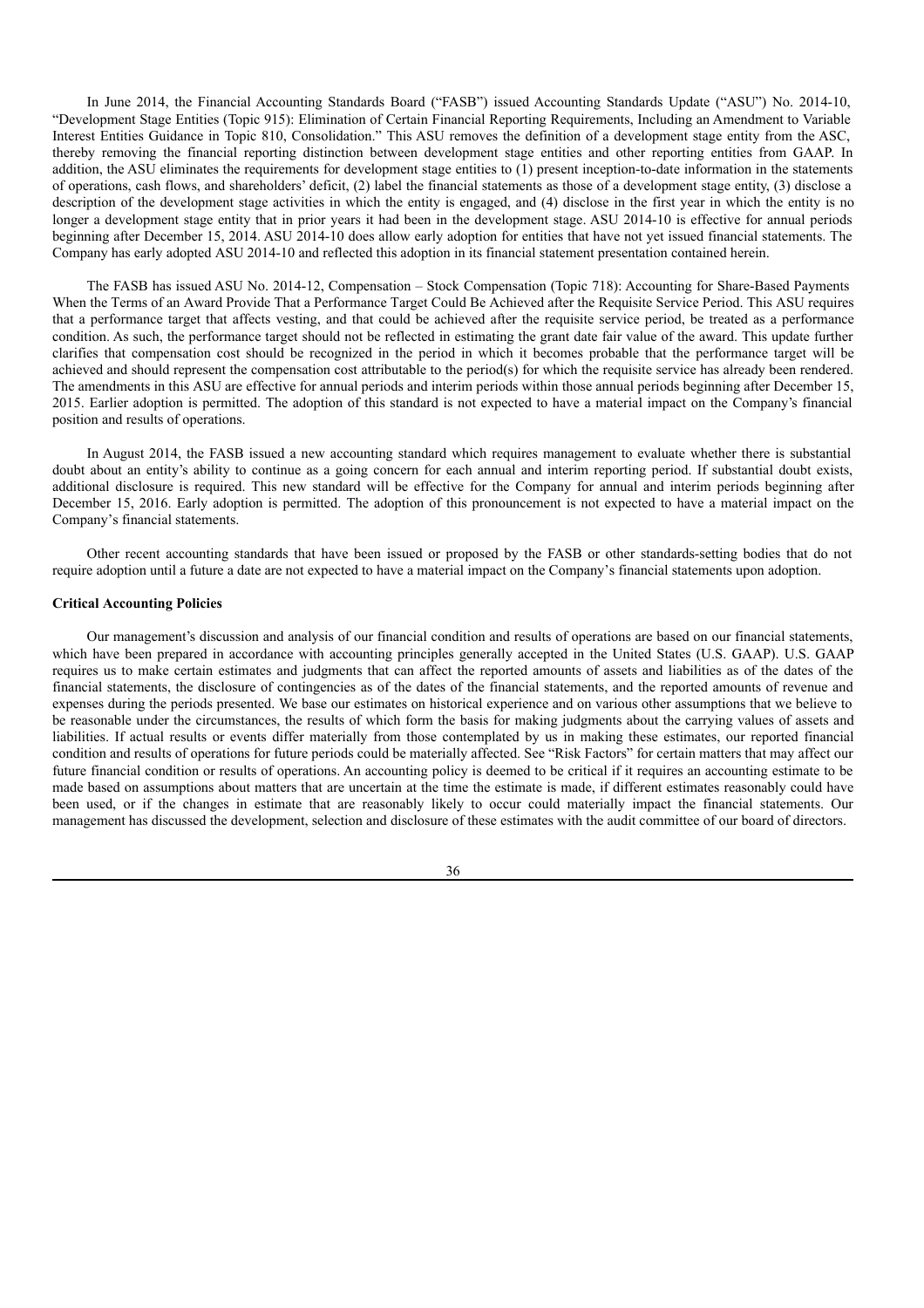In June 2014, the Financial Accounting Standards Board ("FASB") issued Accounting Standards Update ("ASU") No. 2014-10, "Development Stage Entities (Topic 915): Elimination of Certain Financial Reporting Requirements, Including an Amendment to Variable Interest Entities Guidance in Topic 810, Consolidation." This ASU removes the definition of a development stage entity from the ASC, thereby removing the financial reporting distinction between development stage entities and other reporting entities from GAAP. In addition, the ASU eliminates the requirements for development stage entities to (1) present inception-to-date information in the statements of operations, cash flows, and shareholders' deficit, (2) label the financial statements as those of a development stage entity, (3) disclose a description of the development stage activities in which the entity is engaged, and (4) disclose in the first year in which the entity is no longer a development stage entity that in prior years it had been in the development stage. ASU 2014-10 is effective for annual periods beginning after December 15, 2014. ASU 2014-10 does allow early adoption for entities that have not yet issued financial statements. The Company has early adopted ASU 2014-10 and reflected this adoption in its financial statement presentation contained herein.

The FASB has issued ASU No. 2014-12, Compensation – Stock Compensation (Topic 718): Accounting for Share-Based Payments When the Terms of an Award Provide That a Performance Target Could Be Achieved after the Requisite Service Period. This ASU requires that a performance target that affects vesting, and that could be achieved after the requisite service period, be treated as a performance condition. As such, the performance target should not be reflected in estimating the grant date fair value of the award. This update further clarifies that compensation cost should be recognized in the period in which it becomes probable that the performance target will be achieved and should represent the compensation cost attributable to the period(s) for which the requisite service has already been rendered. The amendments in this ASU are effective for annual periods and interim periods within those annual periods beginning after December 15, 2015. Earlier adoption is permitted. The adoption of this standard is not expected to have a material impact on the Company's financial position and results of operations.

In August 2014, the FASB issued a new accounting standard which requires management to evaluate whether there is substantial doubt about an entity's ability to continue as a going concern for each annual and interim reporting period. If substantial doubt exists, additional disclosure is required. This new standard will be effective for the Company for annual and interim periods beginning after December 15, 2016. Early adoption is permitted. The adoption of this pronouncement is not expected to have a material impact on the Company's financial statements.

Other recent accounting standards that have been issued or proposed by the FASB or other standards-setting bodies that do not require adoption until a future a date are not expected to have a material impact on the Company's financial statements upon adoption.

## **Critical Accounting Policies**

Our management's discussion and analysis of our financial condition and results of operations are based on our financial statements, which have been prepared in accordance with accounting principles generally accepted in the United States (U.S. GAAP). U.S. GAAP requires us to make certain estimates and judgments that can affect the reported amounts of assets and liabilities as of the dates of the financial statements, the disclosure of contingencies as of the dates of the financial statements, and the reported amounts of revenue and expenses during the periods presented. We base our estimates on historical experience and on various other assumptions that we believe to be reasonable under the circumstances, the results of which form the basis for making judgments about the carrying values of assets and liabilities. If actual results or events differ materially from those contemplated by us in making these estimates, our reported financial condition and results of operations for future periods could be materially affected. See "Risk Factors" for certain matters that may affect our future financial condition or results of operations. An accounting policy is deemed to be critical if it requires an accounting estimate to be made based on assumptions about matters that are uncertain at the time the estimate is made, if different estimates reasonably could have been used, or if the changes in estimate that are reasonably likely to occur could materially impact the financial statements. Our management has discussed the development, selection and disclosure of these estimates with the audit committee of our board of directors.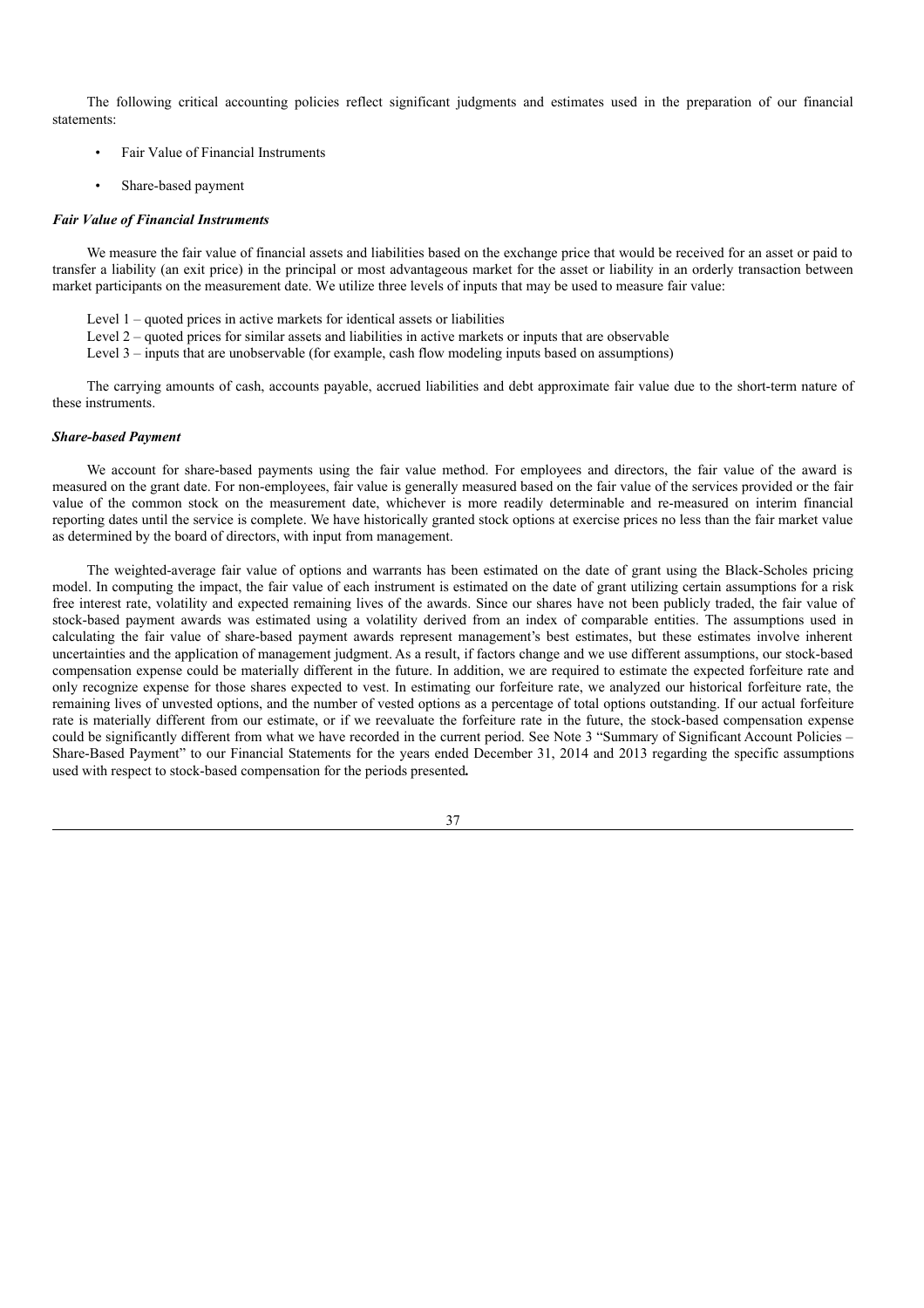The following critical accounting policies reflect significant judgments and estimates used in the preparation of our financial statements:

- Fair Value of Financial Instruments
- Share-based payment

#### *Fair Value of Financial Instruments*

We measure the fair value of financial assets and liabilities based on the exchange price that would be received for an asset or paid to transfer a liability (an exit price) in the principal or most advantageous market for the asset or liability in an orderly transaction between market participants on the measurement date. We utilize three levels of inputs that may be used to measure fair value:

- Level  $1$  quoted prices in active markets for identical assets or liabilities
- Level  $2$  quoted prices for similar assets and liabilities in active markets or inputs that are observable
- Level 3 inputs that are unobservable (for example, cash flow modeling inputs based on assumptions)

The carrying amounts of cash, accounts payable, accrued liabilities and debt approximate fair value due to the short-term nature of these instruments.

### *Share-based Payment*

We account for share-based payments using the fair value method. For employees and directors, the fair value of the award is measured on the grant date. For non-employees, fair value is generally measured based on the fair value of the services provided or the fair value of the common stock on the measurement date, whichever is more readily determinable and re-measured on interim financial reporting dates until the service is complete. We have historically granted stock options at exercise prices no less than the fair market value as determined by the board of directors, with input from management.

The weighted-average fair value of options and warrants has been estimated on the date of grant using the Black-Scholes pricing model. In computing the impact, the fair value of each instrument is estimated on the date of grant utilizing certain assumptions for a risk free interest rate, volatility and expected remaining lives of the awards. Since our shares have not been publicly traded, the fair value of stock-based payment awards was estimated using a volatility derived from an index of comparable entities. The assumptions used in calculating the fair value of share-based payment awards represent management's best estimates, but these estimates involve inherent uncertainties and the application of management judgment. As a result, if factors change and we use different assumptions, our stock-based compensation expense could be materially different in the future. In addition, we are required to estimate the expected forfeiture rate and only recognize expense for those shares expected to vest. In estimating our forfeiture rate, we analyzed our historical forfeiture rate, the remaining lives of unvested options, and the number of vested options as a percentage of total options outstanding. If our actual forfeiture rate is materially different from our estimate, or if we reevaluate the forfeiture rate in the future, the stock-based compensation expense could be significantly different from what we have recorded in the current period. See Note 3 "Summary of Significant Account Policies – Share-Based Payment" to our Financial Statements for the years ended December 31, 2014 and 2013 regarding the specific assumptions used with respect to stock-based compensation for the periods presented**.**

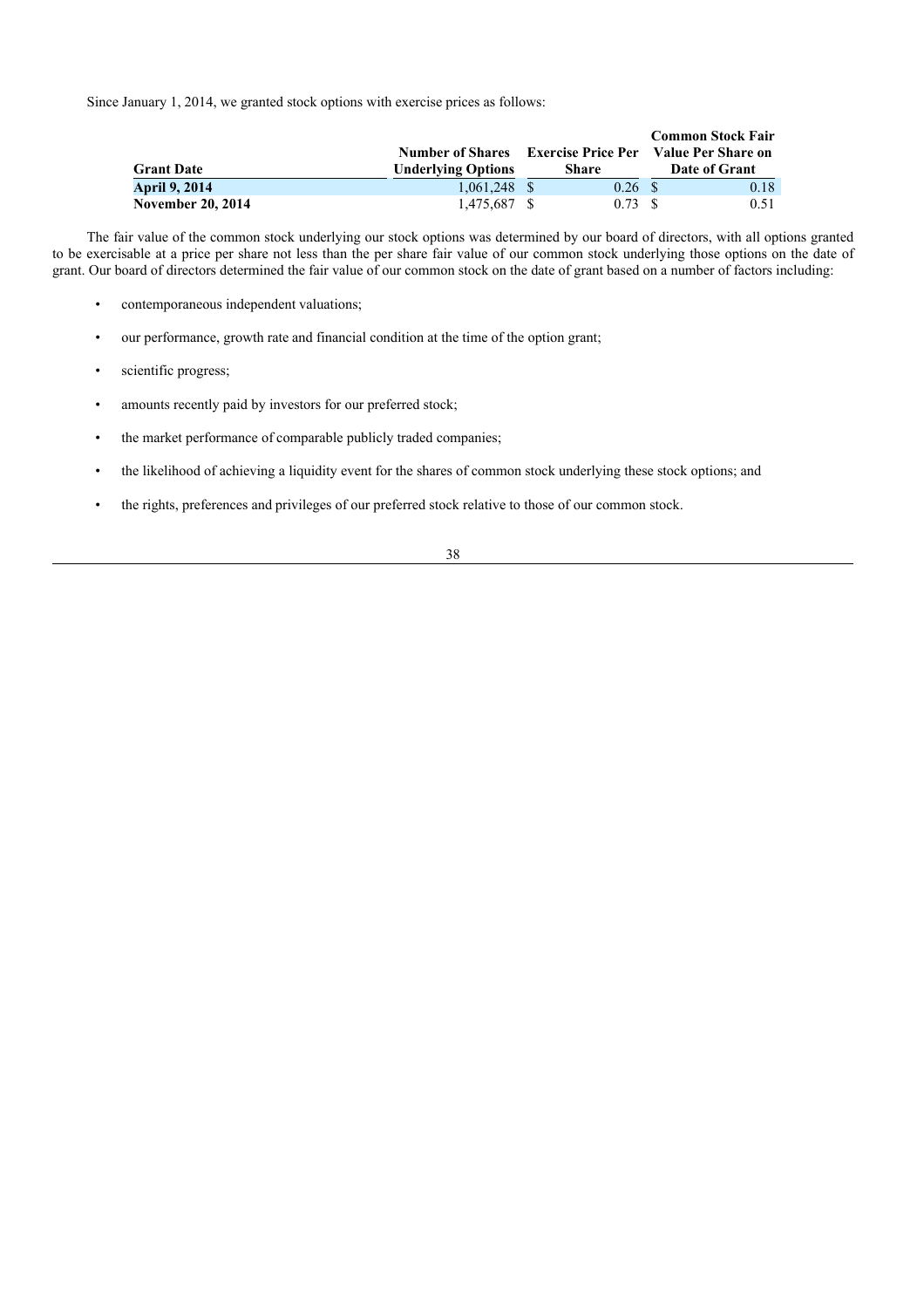Since January 1, 2014, we granted stock options with exercise prices as follows:

|                          |                           |                           | <b>Common Stock Fair</b> |
|--------------------------|---------------------------|---------------------------|--------------------------|
|                          | <b>Number of Shares</b>   | <b>Exercise Price Per</b> | Value Per Share on       |
| <b>Grant Date</b>        | <b>Underlying Options</b> | Share                     | Date of Grant            |
| <b>April 9, 2014</b>     | $1.061.248$ \$            | $0.26 \text{ }$ \$        | 0.18                     |
| <b>November 20, 2014</b> | 1.475.687 \$              | 0.73 S                    | 0.51                     |

The fair value of the common stock underlying our stock options was determined by our board of directors, with all options granted to be exercisable at a price per share not less than the per share fair value of our common stock underlying those options on the date of grant. Our board of directors determined the fair value of our common stock on the date of grant based on a number of factors including:

- contemporaneous independent valuations;
- our performance, growth rate and financial condition at the time of the option grant;
- scientific progress;
- amounts recently paid by investors for our preferred stock;
- the market performance of comparable publicly traded companies;
- the likelihood of achieving a liquidity event for the shares of common stock underlying these stock options; and
- the rights, preferences and privileges of our preferred stock relative to those of our common stock.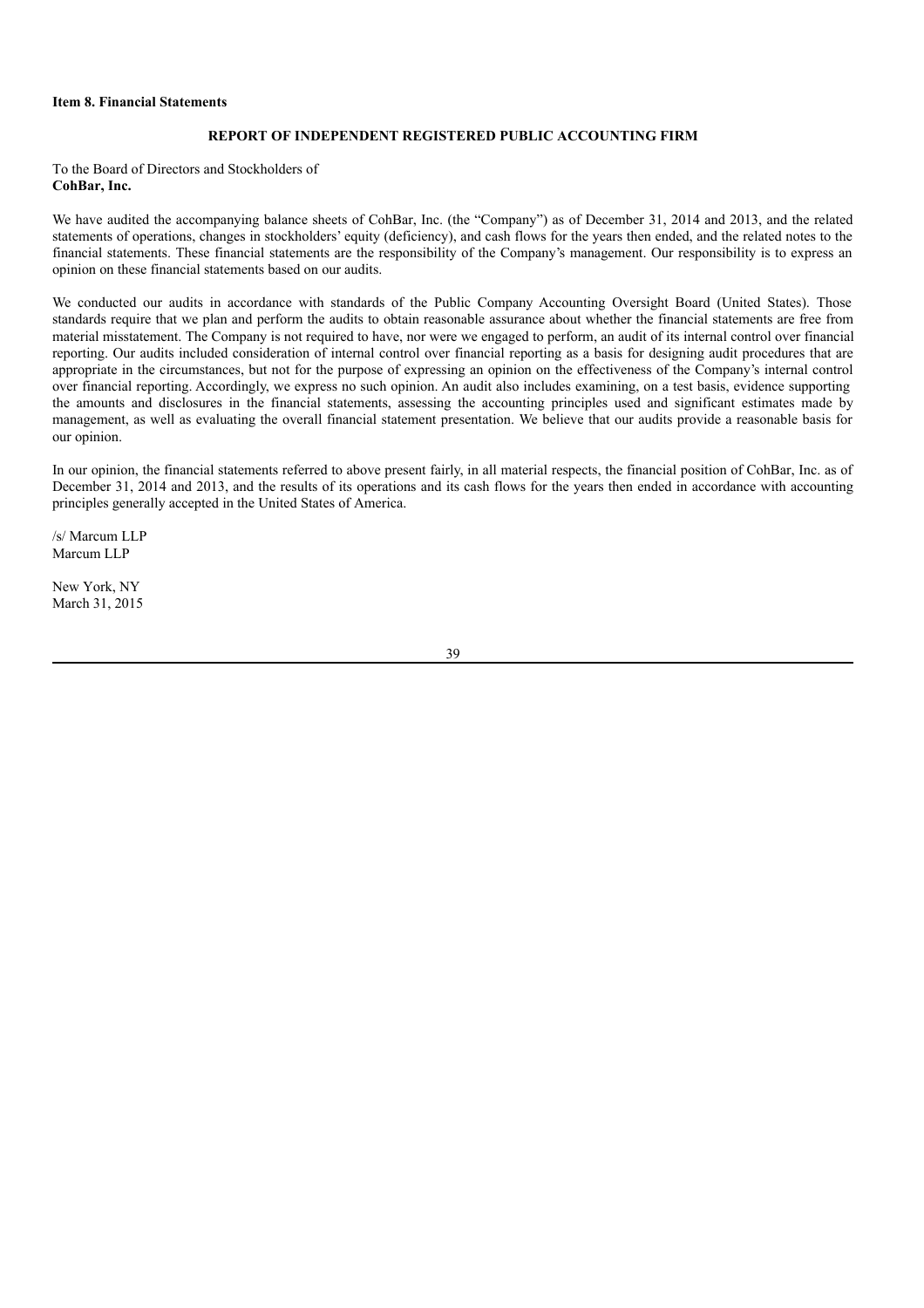### **Item 8. Financial Statements**

## **REPORT OF INDEPENDENT REGISTERED PUBLIC ACCOUNTING FIRM**

To the Board of Directors and Stockholders of **CohBar, Inc.**

We have audited the accompanying balance sheets of CohBar, Inc. (the "Company") as of December 31, 2014 and 2013, and the related statements of operations, changes in stockholders' equity (deficiency), and cash flows for the years then ended, and the related notes to the financial statements. These financial statements are the responsibility of the Company's management. Our responsibility is to express an opinion on these financial statements based on our audits.

We conducted our audits in accordance with standards of the Public Company Accounting Oversight Board (United States). Those standards require that we plan and perform the audits to obtain reasonable assurance about whether the financial statements are free from material misstatement. The Company is not required to have, nor were we engaged to perform, an audit of its internal control over financial reporting. Our audits included consideration of internal control over financial reporting as a basis for designing audit procedures that are appropriate in the circumstances, but not for the purpose of expressing an opinion on the effectiveness of the Company's internal control over financial reporting. Accordingly, we express no such opinion. An audit also includes examining, on a test basis, evidence supporting the amounts and disclosures in the financial statements, assessing the accounting principles used and significant estimates made by management, as well as evaluating the overall financial statement presentation. We believe that our audits provide a reasonable basis for our opinion.

In our opinion, the financial statements referred to above present fairly, in all material respects, the financial position of CohBar, Inc. as of December 31, 2014 and 2013, and the results of its operations and its cash flows for the years then ended in accordance with accounting principles generally accepted in the United States of America.

/s/ Marcum LLP Marcum LLP

New York, NY March 31, 2015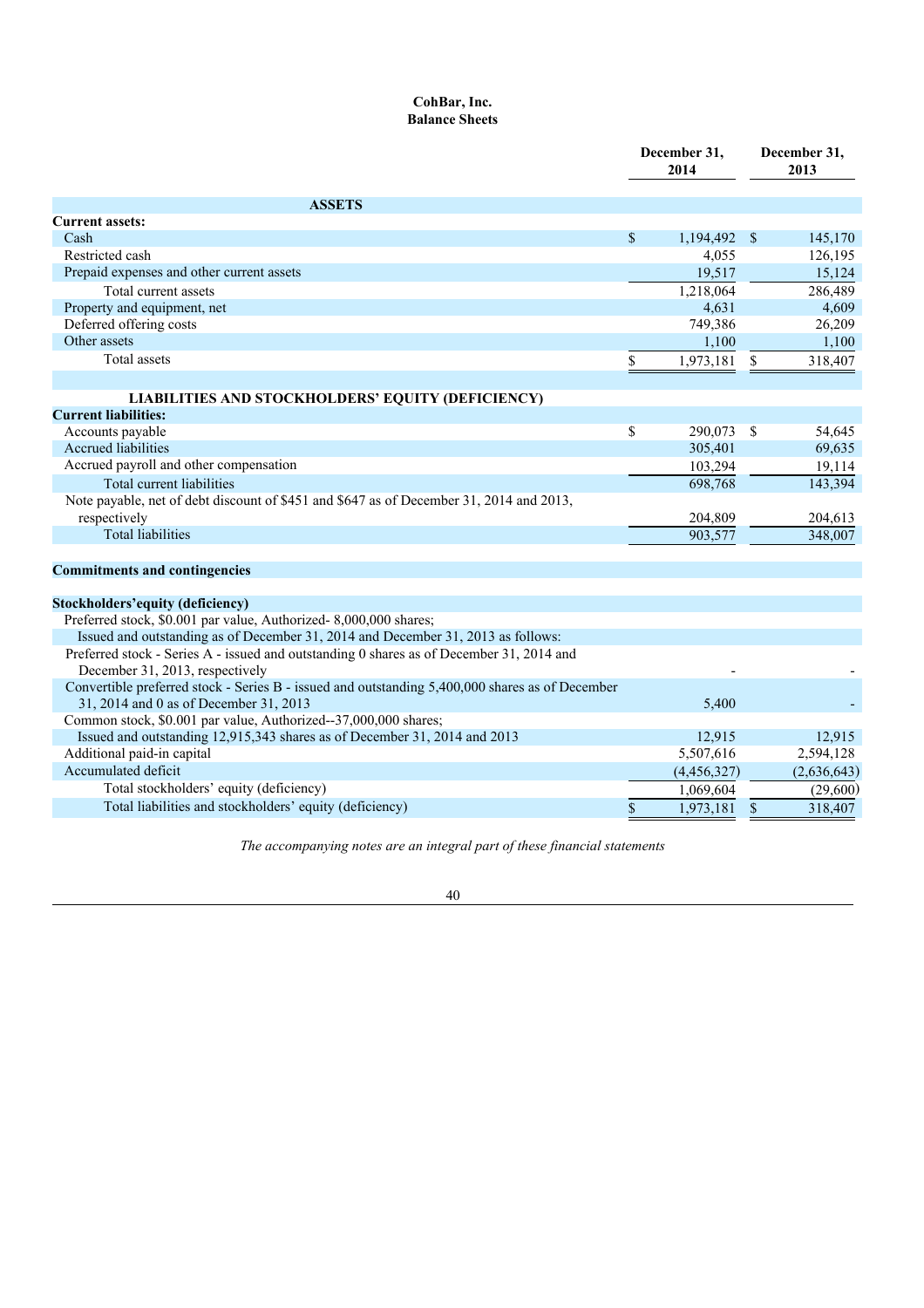## **CohBar, Inc. Balance Sheets**

|                                                                                                                             | December 31,<br>2014 |            | December 31,<br>2013 |
|-----------------------------------------------------------------------------------------------------------------------------|----------------------|------------|----------------------|
| <b>ASSETS</b>                                                                                                               |                      |            |                      |
| <b>Current assets:</b>                                                                                                      |                      |            |                      |
| Cash                                                                                                                        | \$<br>1,194,492      | $\sqrt{3}$ | 145,170              |
| Restricted cash                                                                                                             | 4,055                |            | 126,195              |
| Prepaid expenses and other current assets                                                                                   | 19.517               |            | 15,124               |
| Total current assets                                                                                                        | 1,218,064            |            | 286,489              |
| Property and equipment, net                                                                                                 | 4,631                |            | 4,609                |
| Deferred offering costs                                                                                                     | 749,386              |            | 26,209               |
| Other assets                                                                                                                | 1.100                |            | 1.100                |
| Total assets                                                                                                                | \$<br>1,973,181      | \$         | 318,407              |
| LIABILITIES AND STOCKHOLDERS' EQUITY (DEFICIENCY)                                                                           |                      |            |                      |
| <b>Current liabilities:</b>                                                                                                 |                      |            |                      |
| Accounts payable                                                                                                            | \$<br>290,073 \$     |            | 54,645               |
| <b>Accrued liabilities</b>                                                                                                  | 305,401              |            | 69,635               |
| Accrued payroll and other compensation                                                                                      | 103,294              |            | 19,114               |
| Total current liabilities                                                                                                   | 698,768              |            | 143,394              |
| Note payable, net of debt discount of \$451 and \$647 as of December 31, 2014 and 2013,                                     |                      |            |                      |
| respectively                                                                                                                | 204,809              |            | 204,613              |
| <b>Total liabilities</b>                                                                                                    | 903,577              |            | 348,007              |
|                                                                                                                             |                      |            |                      |
| <b>Commitments and contingencies</b>                                                                                        |                      |            |                      |
|                                                                                                                             |                      |            |                      |
| Stockholders' equity (deficiency)                                                                                           |                      |            |                      |
| Preferred stock, \$0.001 par value, Authorized-8,000,000 shares;                                                            |                      |            |                      |
| Issued and outstanding as of December 31, 2014 and December 31, 2013 as follows:                                            |                      |            |                      |
| Preferred stock - Series A - issued and outstanding 0 shares as of December 31, 2014 and<br>December 31, 2013, respectively |                      |            |                      |
| Convertible preferred stock - Series B - issued and outstanding 5,400,000 shares as of December                             |                      |            |                      |
| 31, 2014 and 0 as of December 31, 2013                                                                                      | 5,400                |            |                      |
| Common stock, \$0.001 par value, Authorized--37,000,000 shares;                                                             |                      |            |                      |
| Issued and outstanding 12,915,343 shares as of December 31, 2014 and 2013                                                   | 12,915               |            | 12,915               |
| Additional paid-in capital                                                                                                  | 5,507,616            |            | 2,594,128            |
| Accumulated deficit                                                                                                         | (4,456,327)          |            | (2,636,643)          |
| Total stockholders' equity (deficiency)                                                                                     | 1,069,604            |            | (29,600)             |
| Total liabilities and stockholders' equity (deficiency)                                                                     | \$<br>1,973,181      | \$         | 318,407              |

*The accompanying notes are an integral part of these financial statements*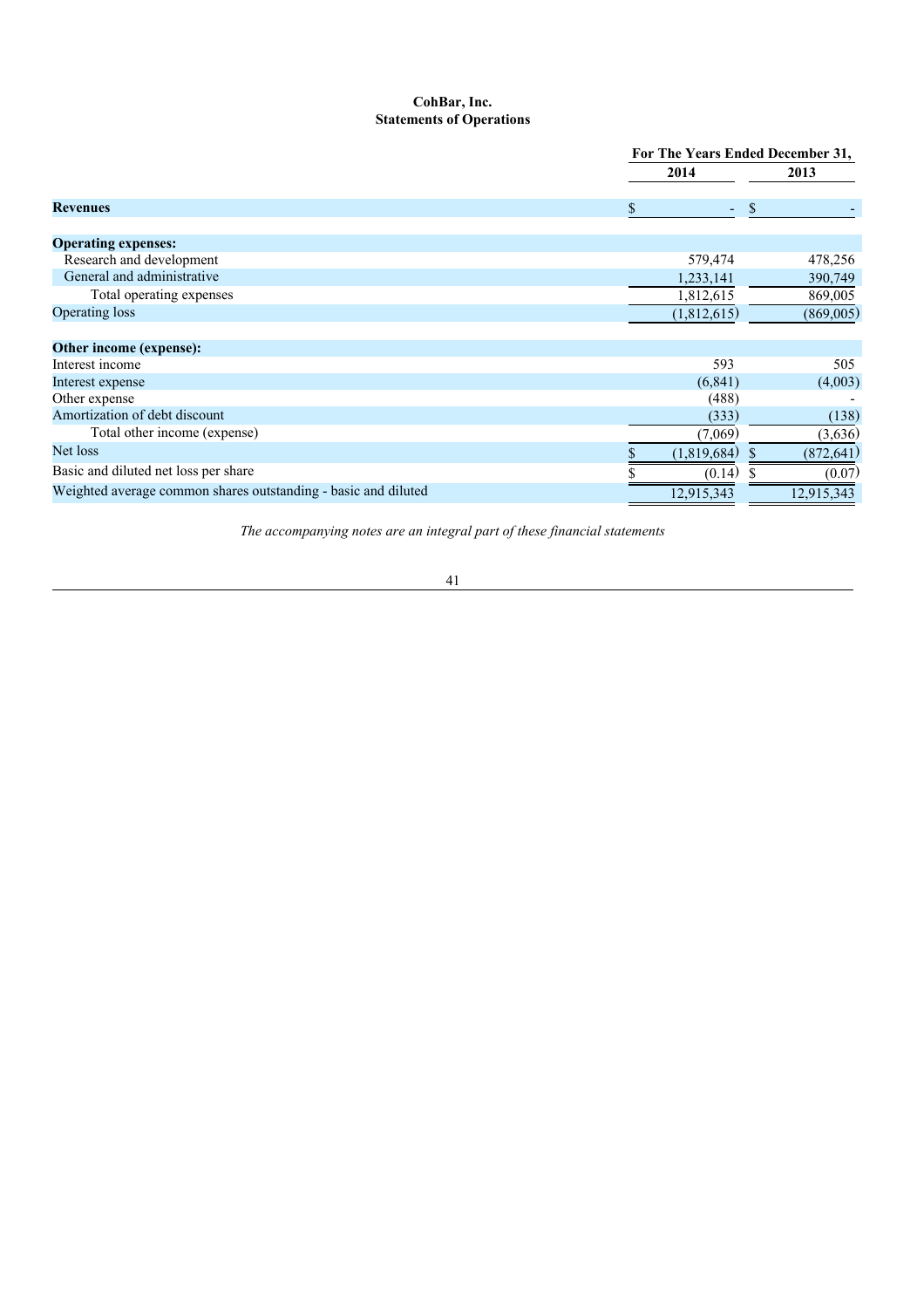## **CohBar, Inc. Statements of Operations**

|                                                                |             | For The Years Ended December 31, |  |  |  |
|----------------------------------------------------------------|-------------|----------------------------------|--|--|--|
|                                                                | 2014        | 2013                             |  |  |  |
| <b>Revenues</b>                                                |             | <sup>S</sup>                     |  |  |  |
| <b>Operating expenses:</b>                                     |             |                                  |  |  |  |
| Research and development                                       | 579,474     | 478,256                          |  |  |  |
| General and administrative                                     | 1,233,141   | 390,749                          |  |  |  |
| Total operating expenses                                       | 1,812,615   | 869,005                          |  |  |  |
| <b>Operating loss</b>                                          | (1,812,615) | (869,005)                        |  |  |  |
| Other income (expense):                                        |             |                                  |  |  |  |
| Interest income                                                | 593         | 505                              |  |  |  |
| Interest expense                                               | (6, 841)    | (4,003)                          |  |  |  |
| Other expense                                                  | (488)       |                                  |  |  |  |
| Amortization of debt discount                                  | (333)       | (138)                            |  |  |  |
| Total other income (expense)                                   | (7,069)     | (3,636)                          |  |  |  |
| Net loss                                                       | (1,819,684) | (872, 641)                       |  |  |  |
| Basic and diluted net loss per share                           | (0.14)      | (0.07)                           |  |  |  |
| Weighted average common shares outstanding - basic and diluted | 12,915,343  | 12,915,343                       |  |  |  |

*The accompanying notes are an integral part of these financial statements*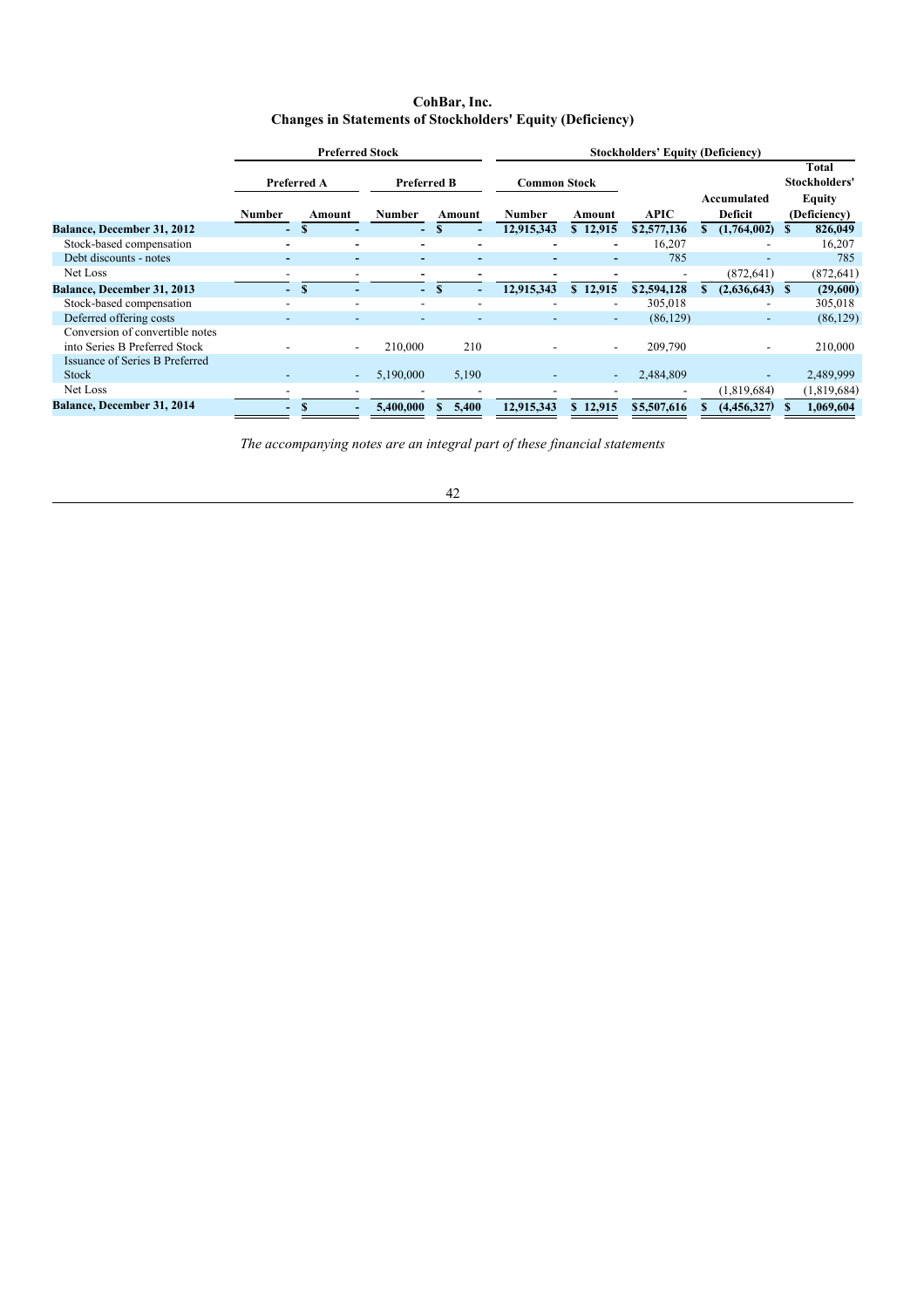## **CohBar, Inc. Changes in Statements of Stockholders' Equity (Deficiency)**

|                                 | <b>Preferred Stock</b> |   |                          |           | <b>Stockholders' Equity (Deficiency)</b> |        |               |  |                          |             |                                         |                          |    |              |
|---------------------------------|------------------------|---|--------------------------|-----------|------------------------------------------|--------|---------------|--|--------------------------|-------------|-----------------------------------------|--------------------------|----|--------------|
|                                 | <b>Preferred A</b>     |   | <b>Preferred B</b>       |           | <b>Common Stock</b>                      |        |               |  | Accumulated              |             | Total<br>Stockholders'<br><b>Equity</b> |                          |    |              |
|                                 | <b>Number</b>          |   | Amount                   | Number    |                                          | Amount | <b>Number</b> |  | Amount                   | APIC        |                                         | Deficit                  |    | (Deficiency) |
| Balance, December 31, 2012      |                        |   |                          | $\sim$    |                                          |        | 12,915,343    |  | \$12,915                 | \$2,577,136 |                                         | (1,764,002)              |    | 826,049      |
| Stock-based compensation        |                        |   |                          | ۰         |                                          |        |               |  | ۰                        | 16,207      |                                         |                          |    | 16,207       |
| Debt discounts - notes          |                        |   | $\overline{\phantom{0}}$ | ۰         |                                          |        |               |  |                          | 785         |                                         |                          |    | 785          |
| Net Loss                        |                        |   |                          |           |                                          |        |               |  |                          |             |                                         | (872, 641)               |    | (872, 641)   |
| Balance, December 31, 2013      | ۵.                     | S |                          | - 1       | S                                        |        | 12,915,343    |  | \$12,915                 | \$2,594,128 |                                         | (2,636,643)              | -8 | (29,600)     |
| Stock-based compensation        |                        |   |                          |           |                                          |        |               |  | $\overline{\phantom{a}}$ | 305,018     |                                         | $\overline{\phantom{a}}$ |    | 305,018      |
| Deferred offering costs         |                        |   |                          |           |                                          |        |               |  | ٠                        | (86, 129)   |                                         | -                        |    | (86, 129)    |
| Conversion of convertible notes |                        |   |                          |           |                                          |        |               |  |                          |             |                                         |                          |    |              |
| into Series B Preferred Stock   |                        |   | $\overline{\phantom{a}}$ | 210,000   |                                          | 210    |               |  |                          | 209,790     |                                         |                          |    | 210,000      |
| Issuance of Series B Preferred  |                        |   |                          |           |                                          |        |               |  |                          |             |                                         |                          |    |              |
| <b>Stock</b>                    |                        |   | ٠                        | 5,190,000 |                                          | 5,190  |               |  |                          | 2,484,809   |                                         |                          |    | 2,489,999    |
| Net Loss                        |                        |   |                          |           |                                          |        |               |  |                          |             |                                         | (1,819,684)              |    | (1,819,684)  |
| Balance, December 31, 2014      |                        |   |                          | 5,400,000 |                                          | 5,400  | 12,915,343    |  | \$12,915                 | \$5,507,616 |                                         | (4,456,327)              |    | 1,069,604    |

*The accompanying notes are an integral part of these financial statements*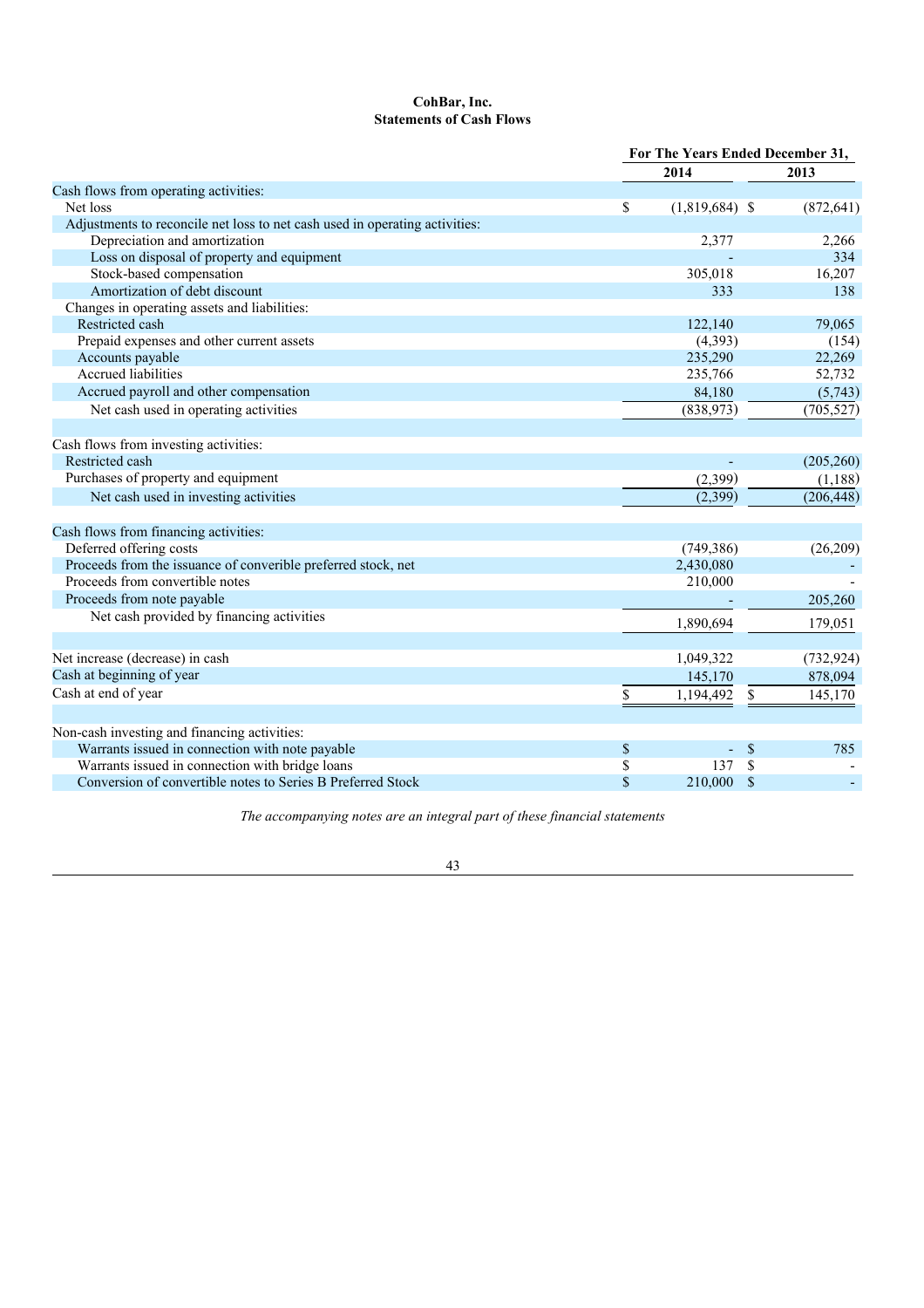# **CohBar, Inc. Statements of Cash Flows**

|                                                                             | For The Years Ended December 31, |                  |               |            |
|-----------------------------------------------------------------------------|----------------------------------|------------------|---------------|------------|
|                                                                             |                                  | 2014             |               | 2013       |
| Cash flows from operating activities:                                       |                                  |                  |               |            |
| Net loss                                                                    | \$                               | $(1,819,684)$ \$ |               | (872, 641) |
| Adjustments to reconcile net loss to net cash used in operating activities: |                                  |                  |               |            |
| Depreciation and amortization                                               |                                  | 2,377            |               | 2,266      |
| Loss on disposal of property and equipment                                  |                                  |                  |               | 334        |
| Stock-based compensation                                                    |                                  | 305,018          |               | 16,207     |
| Amortization of debt discount                                               |                                  | 333              |               | 138        |
| Changes in operating assets and liabilities:                                |                                  |                  |               |            |
| Restricted cash                                                             |                                  | 122,140          |               | 79,065     |
| Prepaid expenses and other current assets                                   |                                  | (4, 393)         |               | (154)      |
| Accounts payable                                                            |                                  | 235,290          |               | 22,269     |
| Accrued liabilities                                                         |                                  | 235,766          |               | 52,732     |
| Accrued payroll and other compensation                                      |                                  | 84,180           |               | (5,743)    |
| Net cash used in operating activities                                       |                                  | (838,973)        |               | (705, 527) |
|                                                                             |                                  |                  |               |            |
| Cash flows from investing activities:                                       |                                  |                  |               |            |
| Restricted cash                                                             |                                  |                  |               | (205, 260) |
| Purchases of property and equipment                                         |                                  | (2,399)          |               | (1,188)    |
| Net cash used in investing activities                                       |                                  | (2,399)          |               | (206, 448) |
| Cash flows from financing activities:                                       |                                  |                  |               |            |
| Deferred offering costs                                                     |                                  | (749, 386)       |               | (26, 209)  |
| Proceeds from the issuance of converible preferred stock, net               |                                  | 2,430,080        |               |            |
| Proceeds from convertible notes                                             |                                  | 210,000          |               |            |
| Proceeds from note payable                                                  |                                  |                  |               | 205,260    |
| Net cash provided by financing activities                                   |                                  |                  |               |            |
|                                                                             |                                  | 1,890,694        |               | 179,051    |
|                                                                             |                                  |                  |               |            |
| Net increase (decrease) in cash                                             |                                  | 1,049,322        |               | (732, 924) |
| Cash at beginning of year                                                   |                                  | 145,170          |               | 878,094    |
| Cash at end of year                                                         | \$                               | 1,194,492        | \$            | 145,170    |
| Non-cash investing and financing activities:                                |                                  |                  |               |            |
| Warrants issued in connection with note payable                             | \$                               |                  | $\mathcal{S}$ | 785        |
| Warrants issued in connection with bridge loans                             | \$                               | 137              | <sup>\$</sup> |            |
| Conversion of convertible notes to Series B Preferred Stock                 | \$                               | 210,000          | \$            |            |
|                                                                             |                                  |                  |               |            |

*The accompanying notes are an integral part of these financial statements*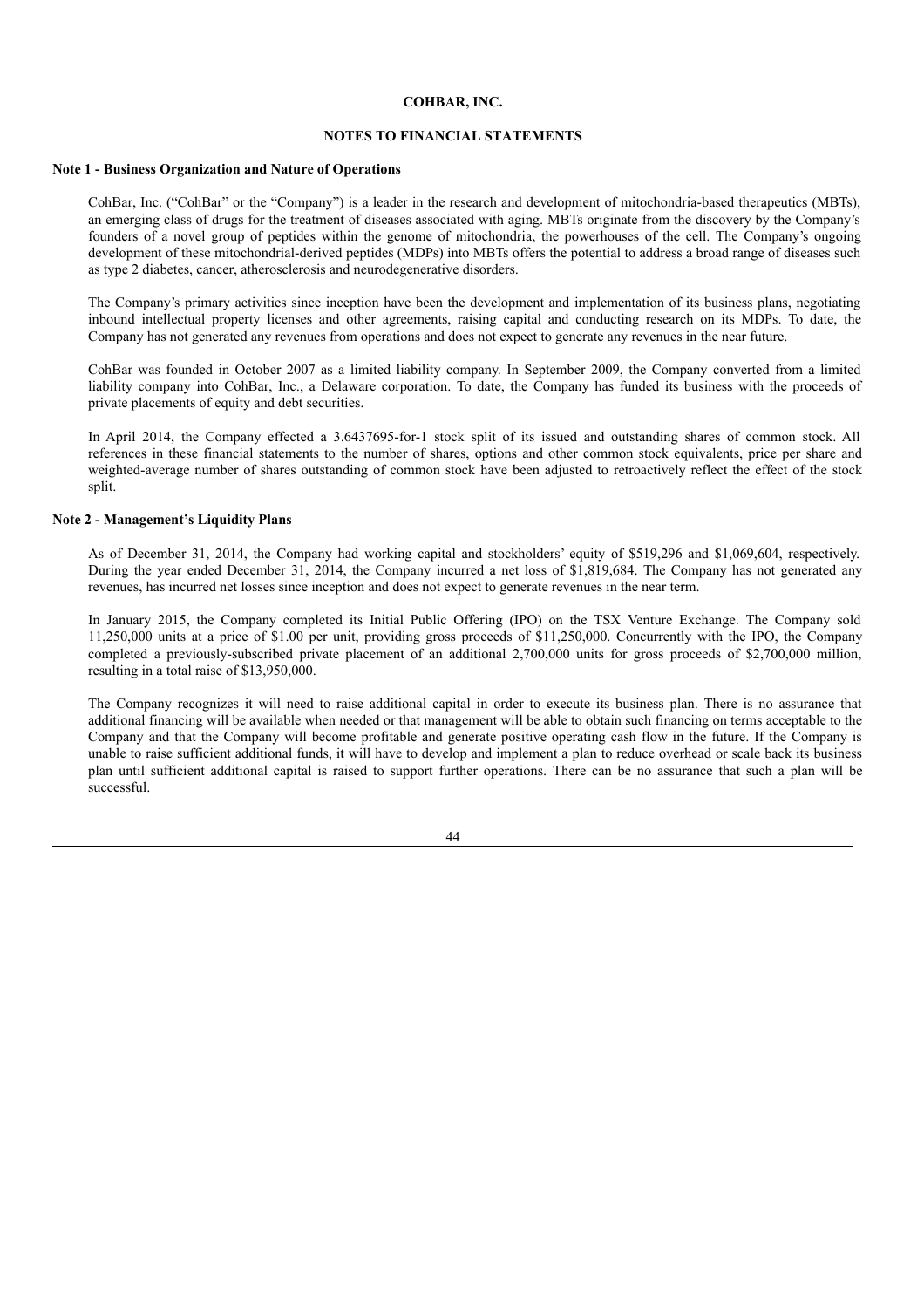## **NOTES TO FINANCIAL STATEMENTS**

## **Note 1 - Business Organization and Nature of Operations**

CohBar, Inc. ("CohBar" or the "Company") is a leader in the research and development of mitochondria-based therapeutics (MBTs), an emerging class of drugs for the treatment of diseases associated with aging. MBTs originate from the discovery by the Company's founders of a novel group of peptides within the genome of mitochondria, the powerhouses of the cell. The Company's ongoing development of these mitochondrial-derived peptides (MDPs) into MBTs offers the potential to address a broad range of diseases such as type 2 diabetes, cancer, atherosclerosis and neurodegenerative disorders.

The Company's primary activities since inception have been the development and implementation of its business plans, negotiating inbound intellectual property licenses and other agreements, raising capital and conducting research on its MDPs. To date, the Company has not generated any revenues from operations and does not expect to generate any revenues in the near future.

CohBar was founded in October 2007 as a limited liability company. In September 2009, the Company converted from a limited liability company into CohBar, Inc., a Delaware corporation. To date, the Company has funded its business with the proceeds of private placements of equity and debt securities.

In April 2014, the Company effected a 3.6437695-for-1 stock split of its issued and outstanding shares of common stock. All references in these financial statements to the number of shares, options and other common stock equivalents, price per share and weighted-average number of shares outstanding of common stock have been adjusted to retroactively reflect the effect of the stock split.

## **Note 2 - Management's Liquidity Plans**

As of December 31, 2014, the Company had working capital and stockholders' equity of \$519,296 and \$1,069,604, respectively. During the year ended December 31, 2014, the Company incurred a net loss of \$1,819,684. The Company has not generated any revenues, has incurred net losses since inception and does not expect to generate revenues in the near term.

In January 2015, the Company completed its Initial Public Offering (IPO) on the TSX Venture Exchange. The Company sold 11,250,000 units at a price of \$1.00 per unit, providing gross proceeds of \$11,250,000. Concurrently with the IPO, the Company completed a previously-subscribed private placement of an additional 2,700,000 units for gross proceeds of \$2,700,000 million, resulting in a total raise of \$13,950,000.

The Company recognizes it will need to raise additional capital in order to execute its business plan. There is no assurance that additional financing will be available when needed or that management will be able to obtain such financing on terms acceptable to the Company and that the Company will become profitable and generate positive operating cash flow in the future. If the Company is unable to raise sufficient additional funds, it will have to develop and implement a plan to reduce overhead or scale back its business plan until sufficient additional capital is raised to support further operations. There can be no assurance that such a plan will be successful.

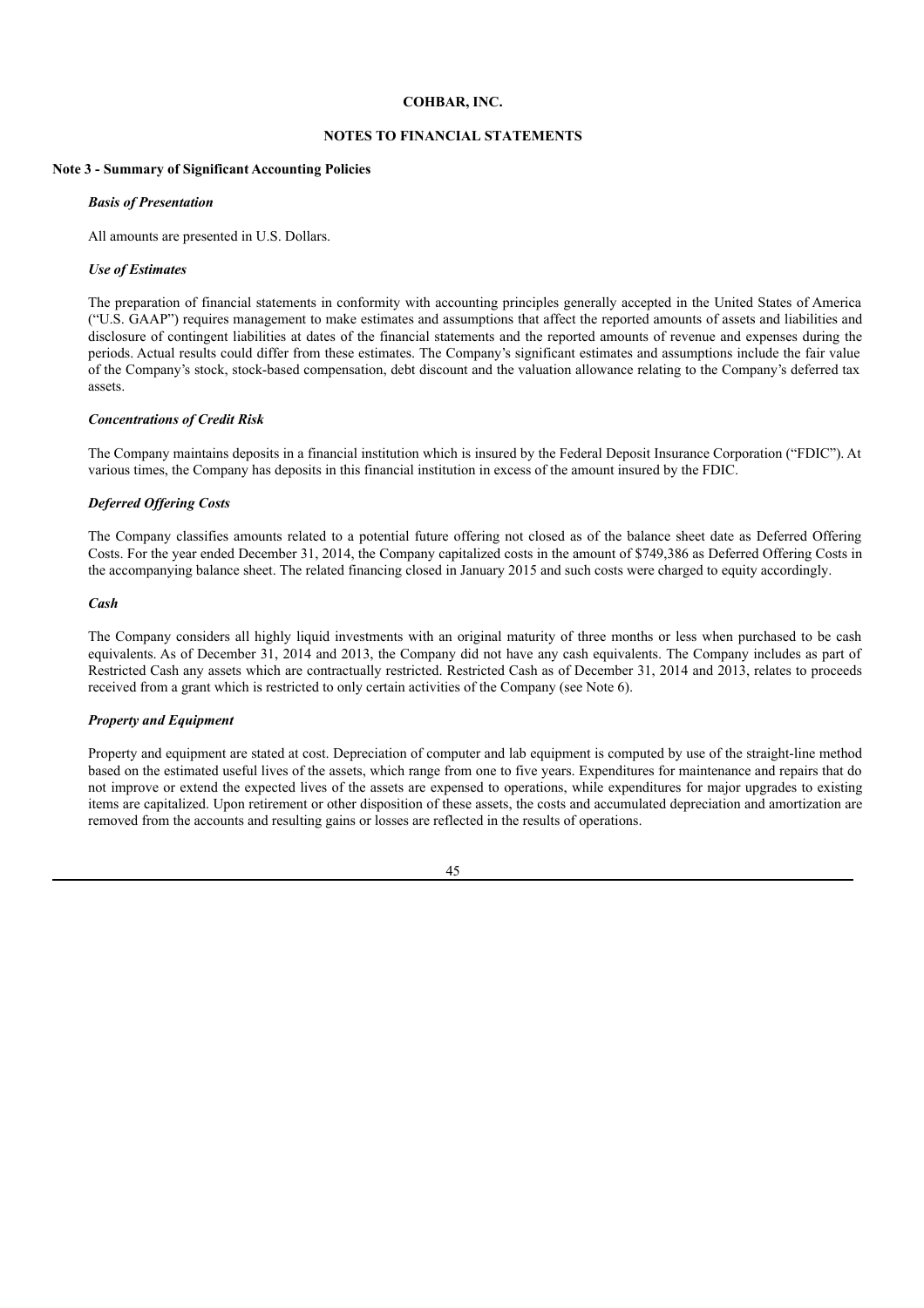### **NOTES TO FINANCIAL STATEMENTS**

### **Note 3 - Summary of Significant Accounting Policies**

#### *Basis of Presentation*

All amounts are presented in U.S. Dollars.

#### *Use of Estimates*

The preparation of financial statements in conformity with accounting principles generally accepted in the United States of America ("U.S. GAAP") requires management to make estimates and assumptions that affect the reported amounts of assets and liabilities and disclosure of contingent liabilities at dates of the financial statements and the reported amounts of revenue and expenses during the periods. Actual results could differ from these estimates. The Company's significant estimates and assumptions include the fair value of the Company's stock, stock-based compensation, debt discount and the valuation allowance relating to the Company's deferred tax assets.

### *Concentrations of Credit Risk*

The Company maintains deposits in a financial institution which is insured by the Federal Deposit Insurance Corporation ("FDIC"). At various times, the Company has deposits in this financial institution in excess of the amount insured by the FDIC.

### *Deferred Of ering Costs*

The Company classifies amounts related to a potential future offering not closed as of the balance sheet date as Deferred Offering Costs. For the year ended December 31, 2014, the Company capitalized costs in the amount of \$749,386 as Deferred Offering Costs in the accompanying balance sheet. The related financing closed in January 2015 and such costs were charged to equity accordingly.

## *Cash*

The Company considers all highly liquid investments with an original maturity of three months or less when purchased to be cash equivalents. As of December 31, 2014 and 2013, the Company did not have any cash equivalents. The Company includes as part of Restricted Cash any assets which are contractually restricted. Restricted Cash as of December 31, 2014 and 2013, relates to proceeds received from a grant which is restricted to only certain activities of the Company (see Note 6).

### *Property and Equipment*

Property and equipment are stated at cost. Depreciation of computer and lab equipment is computed by use of the straight-line method based on the estimated useful lives of the assets, which range from one to five years. Expenditures for maintenance and repairs that do not improve or extend the expected lives of the assets are expensed to operations, while expenditures for major upgrades to existing items are capitalized. Upon retirement or other disposition of these assets, the costs and accumulated depreciation and amortization are removed from the accounts and resulting gains or losses are reflected in the results of operations.

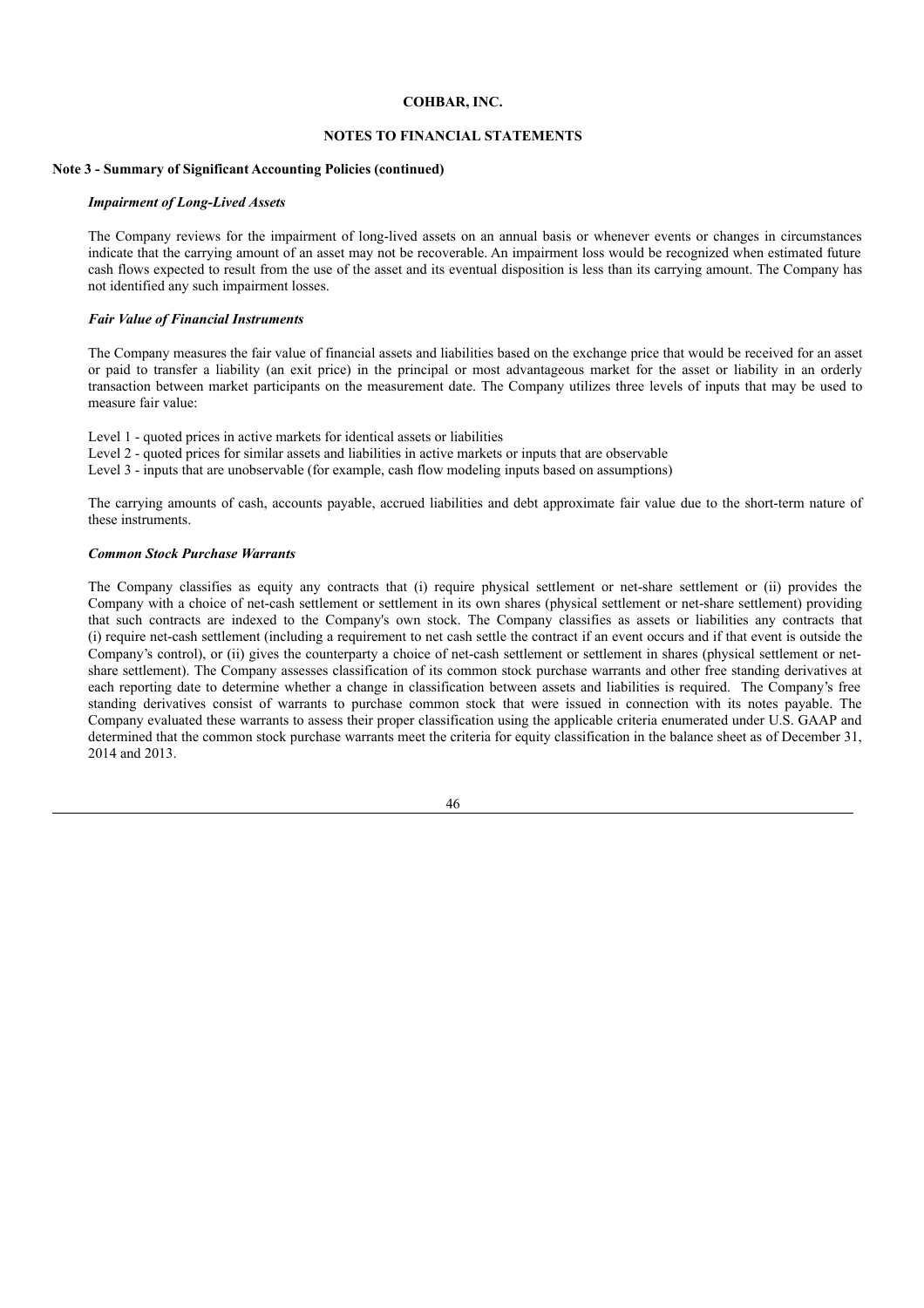### **NOTES TO FINANCIAL STATEMENTS**

## **Note 3 - Summary of Significant Accounting Policies (continued)**

### *Impairment of Long-Lived Assets*

The Company reviews for the impairment of long-lived assets on an annual basis or whenever events or changes in circumstances indicate that the carrying amount of an asset may not be recoverable. An impairment loss would be recognized when estimated future cash flows expected to result from the use of the asset and its eventual disposition is less than its carrying amount. The Company has not identified any such impairment losses.

#### *Fair Value of Financial Instruments*

The Company measures the fair value of financial assets and liabilities based on the exchange price that would be received for an asset or paid to transfer a liability (an exit price) in the principal or most advantageous market for the asset or liability in an orderly transaction between market participants on the measurement date. The Company utilizes three levels of inputs that may be used to measure fair value:

Level 1 - quoted prices in active markets for identical assets or liabilities

Level 2 - quoted prices for similar assets and liabilities in active markets or inputs that are observable

Level 3 - inputs that are unobservable (for example, cash flow modeling inputs based on assumptions)

The carrying amounts of cash, accounts payable, accrued liabilities and debt approximate fair value due to the short-term nature of these instruments.

### *Common Stock Purchase Warrants*

The Company classifies as equity any contracts that (i) require physical settlement or net-share settlement or (ii) provides the Company with a choice of net-cash settlement or settlement in its own shares (physical settlement or net-share settlement) providing that such contracts are indexed to the Company's own stock. The Company classifies as assets or liabilities any contracts that (i) require net-cash settlement (including a requirement to net cash settle the contract if an event occurs and if that event is outside the Company's control), or (ii) gives the counterparty a choice of net-cash settlement or settlement in shares (physical settlement or netshare settlement). The Company assesses classification of its common stock purchase warrants and other free standing derivatives at each reporting date to determine whether a change in classification between assets and liabilities is required. The Company's free standing derivatives consist of warrants to purchase common stock that were issued in connection with its notes payable. The Company evaluated these warrants to assess their proper classification using the applicable criteria enumerated under U.S. GAAP and determined that the common stock purchase warrants meet the criteria for equity classification in the balance sheet as of December 31, 2014 and 2013.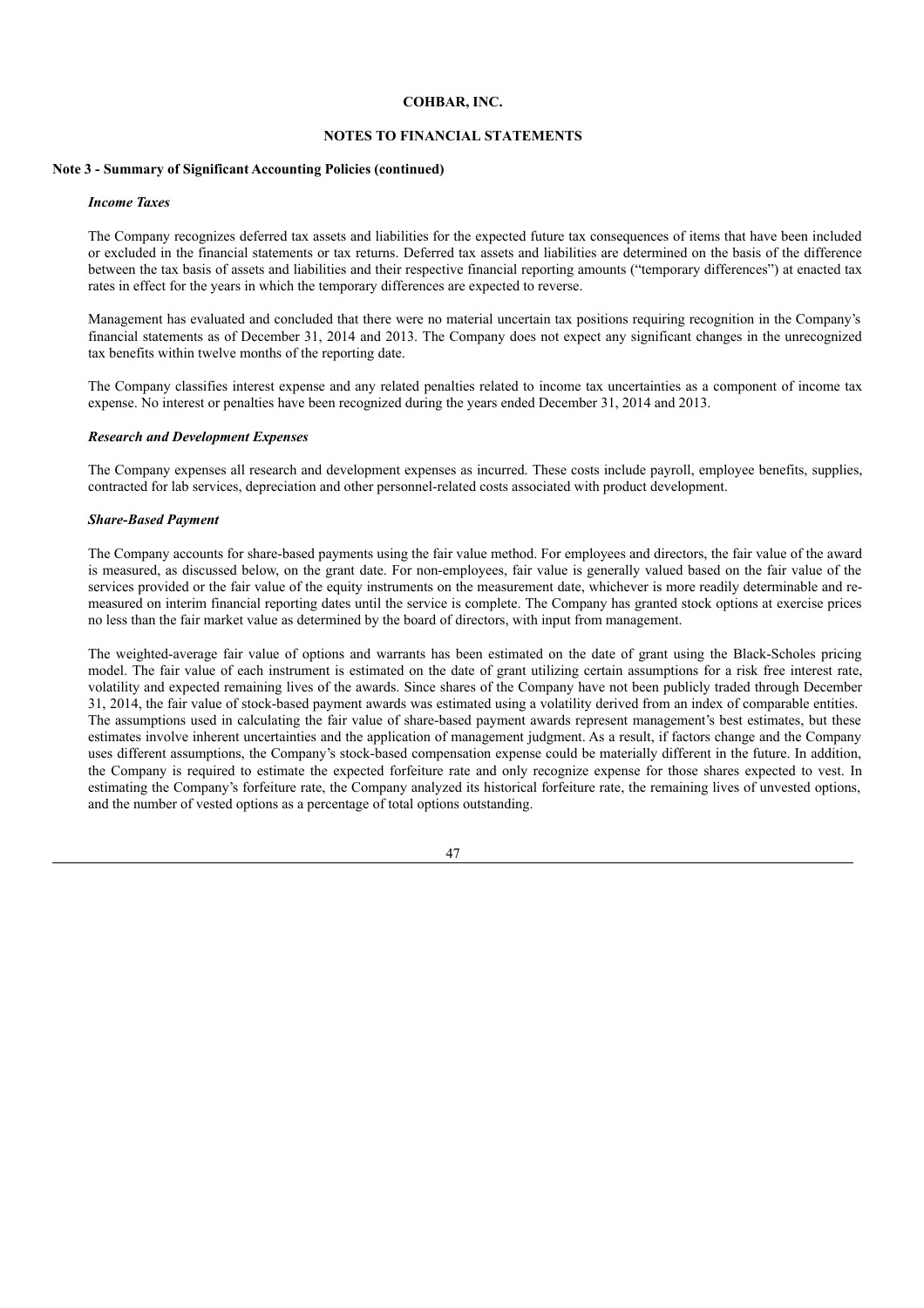### **NOTES TO FINANCIAL STATEMENTS**

### **Note 3 - Summary of Significant Accounting Policies (continued)**

### *Income Taxes*

The Company recognizes deferred tax assets and liabilities for the expected future tax consequences of items that have been included or excluded in the financial statements or tax returns. Deferred tax assets and liabilities are determined on the basis of the difference between the tax basis of assets and liabilities and their respective financial reporting amounts ("temporary differences") at enacted tax rates in effect for the years in which the temporary differences are expected to reverse.

Management has evaluated and concluded that there were no material uncertain tax positions requiring recognition in the Company's financial statements as of December 31, 2014 and 2013. The Company does not expect any significant changes in the unrecognized tax benefits within twelve months of the reporting date.

The Company classifies interest expense and any related penalties related to income tax uncertainties as a component of income tax expense. No interest or penalties have been recognized during the years ended December 31, 2014 and 2013.

### *Research and Development Expenses*

The Company expenses all research and development expenses as incurred. These costs include payroll, employee benefits, supplies, contracted for lab services, depreciation and other personnel-related costs associated with product development.

### *Share-Based Payment*

The Company accounts for share-based payments using the fair value method. For employees and directors, the fair value of the award is measured, as discussed below, on the grant date. For non-employees, fair value is generally valued based on the fair value of the services provided or the fair value of the equity instruments on the measurement date, whichever is more readily determinable and remeasured on interim financial reporting dates until the service is complete. The Company has granted stock options at exercise prices no less than the fair market value as determined by the board of directors, with input from management.

The weighted-average fair value of options and warrants has been estimated on the date of grant using the Black-Scholes pricing model. The fair value of each instrument is estimated on the date of grant utilizing certain assumptions for a risk free interest rate, volatility and expected remaining lives of the awards. Since shares of the Company have not been publicly traded through December 31, 2014, the fair value of stock-based payment awards was estimated using a volatility derived from an index of comparable entities. The assumptions used in calculating the fair value of share-based payment awards represent management's best estimates, but these estimates involve inherent uncertainties and the application of management judgment. As a result, if factors change and the Company uses different assumptions, the Company's stock-based compensation expense could be materially different in the future. In addition, the Company is required to estimate the expected forfeiture rate and only recognize expense for those shares expected to vest. In estimating the Company's forfeiture rate, the Company analyzed its historical forfeiture rate, the remaining lives of unvested options, and the number of vested options as a percentage of total options outstanding.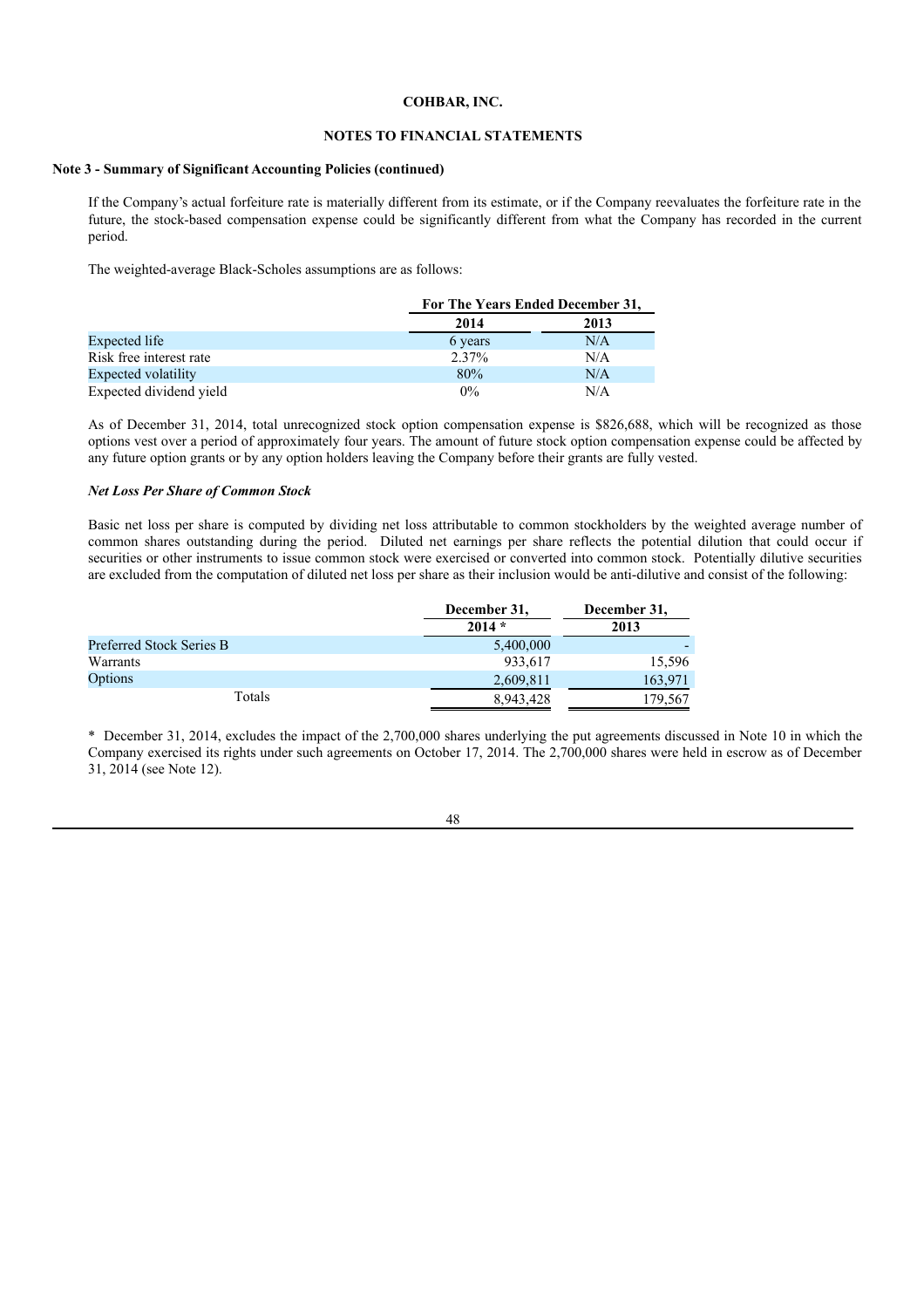## **NOTES TO FINANCIAL STATEMENTS**

### **Note 3 - Summary of Significant Accounting Policies (continued)**

If the Company's actual forfeiture rate is materially different from its estimate, or if the Company reevaluates the forfeiture rate in the future, the stock-based compensation expense could be significantly different from what the Company has recorded in the current period.

The weighted-average Black-Scholes assumptions are as follows:

|                         |          | For The Years Ended December 31, |  |  |  |
|-------------------------|----------|----------------------------------|--|--|--|
|                         | 2014     | 2013                             |  |  |  |
| Expected life           | 6 years  | N/A                              |  |  |  |
| Risk free interest rate | $2.37\%$ | N/A                              |  |  |  |
| Expected volatility     | 80%      | N/A                              |  |  |  |
| Expected dividend yield | $0\%$    | N/A                              |  |  |  |

As of December 31, 2014, total unrecognized stock option compensation expense is \$826,688, which will be recognized as those options vest over a period of approximately four years. The amount of future stock option compensation expense could be affected by any future option grants or by any option holders leaving the Company before their grants are fully vested.

#### *Net Loss Per Share of Common Stock*

Basic net loss per share is computed by dividing net loss attributable to common stockholders by the weighted average number of common shares outstanding during the period. Diluted net earnings per share reflects the potential dilution that could occur if securities or other instruments to issue common stock were exercised or converted into common stock. Potentially dilutive securities are excluded from the computation of diluted net loss per share as their inclusion would be anti-dilutive and consist of the following:

|                          | December 31, | December 31, |
|--------------------------|--------------|--------------|
|                          | $2014*$      | 2013         |
| Preferred Stock Series B | 5,400,000    |              |
| Warrants                 | 933,617      | 15,596       |
| Options                  | 2,609,811    | 163,971      |
| Totals                   | 8,943,428    | 179,567      |

\* December 31, 2014, excludes the impact of the 2,700,000 shares underlying the put agreements discussed in Note 10 in which the Company exercised its rights under such agreements on October 17, 2014. The 2,700,000 shares were held in escrow as of December 31, 2014 (see Note 12).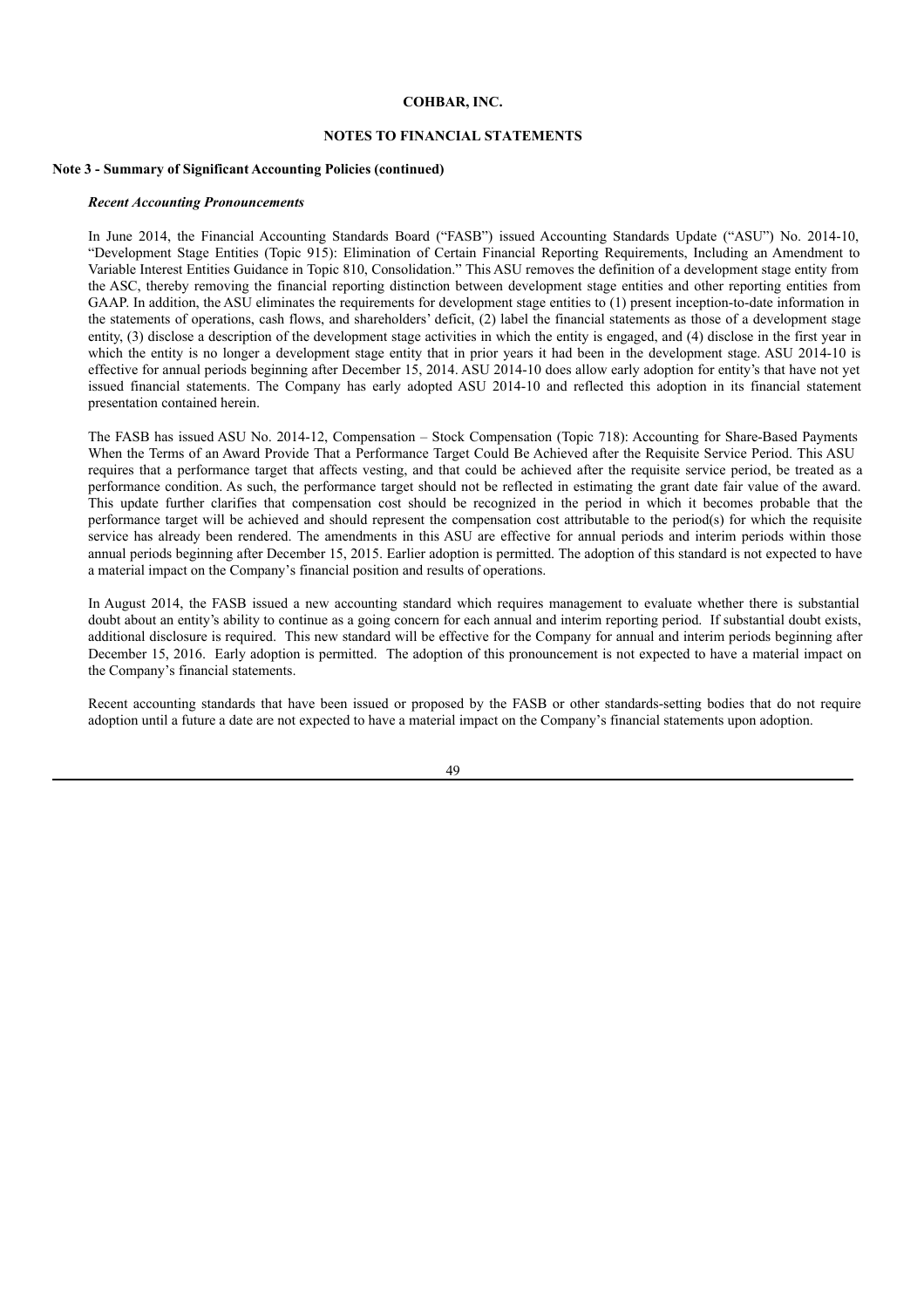### **NOTES TO FINANCIAL STATEMENTS**

## **Note 3 - Summary of Significant Accounting Policies (continued)**

#### *Recent Accounting Pronouncements*

In June 2014, the Financial Accounting Standards Board ("FASB") issued Accounting Standards Update ("ASU") No. 2014-10, "Development Stage Entities (Topic 915): Elimination of Certain Financial Reporting Requirements, Including an Amendment to Variable Interest Entities Guidance in Topic 810, Consolidation." This ASU removes the definition of a development stage entity from the ASC, thereby removing the financial reporting distinction between development stage entities and other reporting entities from GAAP. In addition, the ASU eliminates the requirements for development stage entities to (1) present inception-to-date information in the statements of operations, cash flows, and shareholders' deficit, (2) label the financial statements as those of a development stage entity, (3) disclose a description of the development stage activities in which the entity is engaged, and (4) disclose in the first year in which the entity is no longer a development stage entity that in prior years it had been in the development stage. ASU 2014-10 is effective for annual periods beginning after December 15, 2014. ASU 2014-10 does allow early adoption for entity's that have not yet issued financial statements. The Company has early adopted ASU 2014-10 and reflected this adoption in its financial statement presentation contained herein.

The FASB has issued ASU No. 2014-12, Compensation – Stock Compensation (Topic 718): Accounting for Share-Based Payments When the Terms of an Award Provide That a Performance Target Could Be Achieved after the Requisite Service Period. This ASU requires that a performance target that affects vesting, and that could be achieved after the requisite service period, be treated as a performance condition. As such, the performance target should not be reflected in estimating the grant date fair value of the award. This update further clarifies that compensation cost should be recognized in the period in which it becomes probable that the performance target will be achieved and should represent the compensation cost attributable to the period(s) for which the requisite service has already been rendered. The amendments in this ASU are effective for annual periods and interim periods within those annual periods beginning after December 15, 2015. Earlier adoption is permitted. The adoption of this standard is not expected to have a material impact on the Company's financial position and results of operations.

In August 2014, the FASB issued a new accounting standard which requires management to evaluate whether there is substantial doubt about an entity's ability to continue as a going concern for each annual and interim reporting period. If substantial doubt exists, additional disclosure is required. This new standard will be effective for the Company for annual and interim periods beginning after December 15, 2016. Early adoption is permitted. The adoption of this pronouncement is not expected to have a material impact on the Company's financial statements.

Recent accounting standards that have been issued or proposed by the FASB or other standards-setting bodies that do not require adoption until a future a date are not expected to have a material impact on the Company's financial statements upon adoption.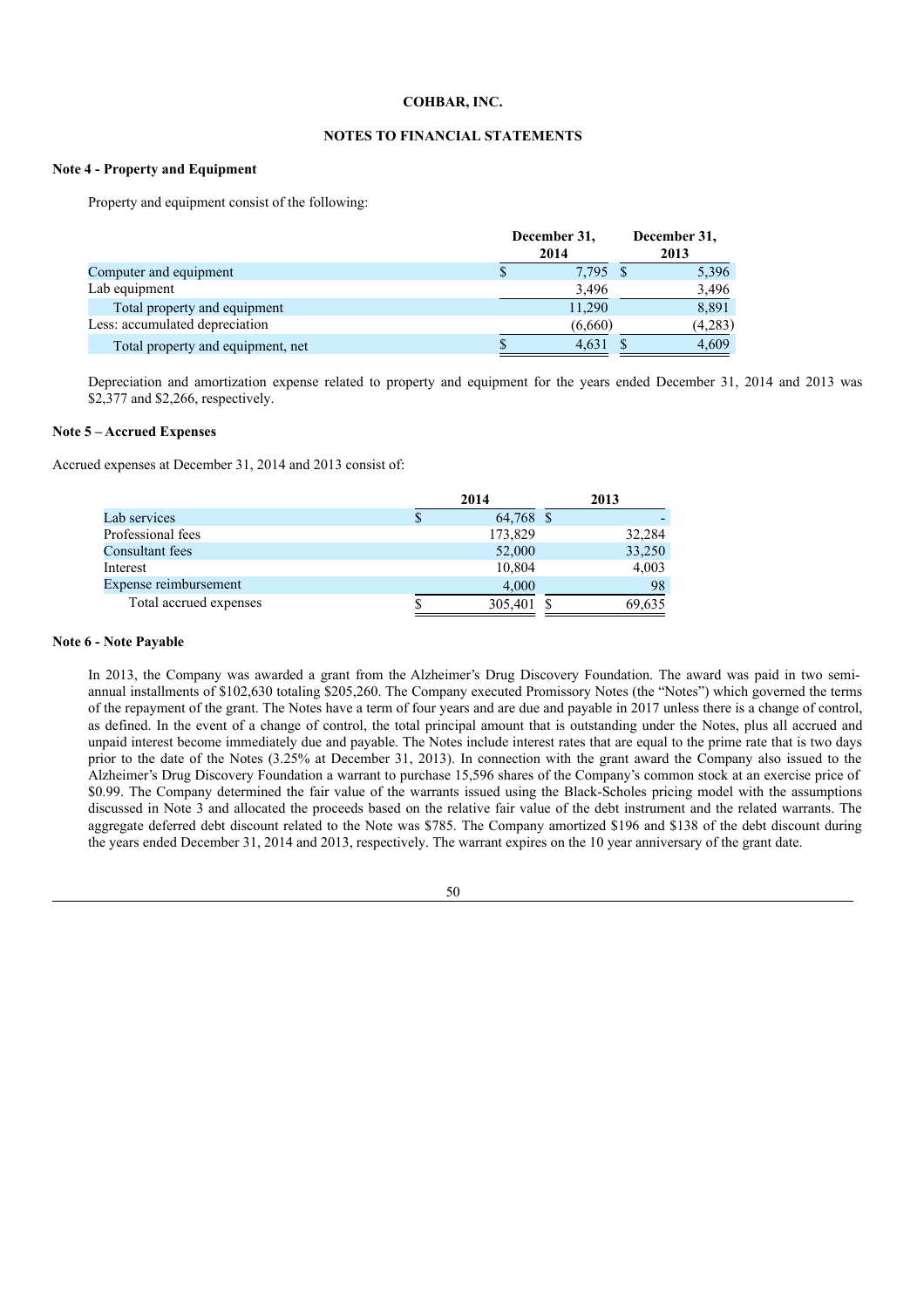## **NOTES TO FINANCIAL STATEMENTS**

## **Note 4 - Property and Equipment**

Property and equipment consist of the following:

| December 31,<br>2014                       | December 31,<br>2013 |
|--------------------------------------------|----------------------|
| 7,795 \$<br>Computer and equipment         | 5,396                |
| Lab equipment<br>3,496                     | 3,496                |
| 11,290<br>Total property and equipment     | 8,891                |
| Less: accumulated depreciation<br>(6,660)  | (4,283)              |
| 4.631<br>Total property and equipment, net | 4.609                |

Depreciation and amortization expense related to property and equipment for the years ended December 31, 2014 and 2013 was \$2,377 and \$2,266, respectively.

# **Note 5 – Accrued Expenses**

Accrued expenses at December 31, 2014 and 2013 consist of:

|                        | 2014      | 2013   |
|------------------------|-----------|--------|
| Lab services           | 64,768 \$ |        |
| Professional fees      | 173,829   | 32,284 |
| Consultant fees        | 52,000    | 33,250 |
| Interest               | 10,804    | 4,003  |
| Expense reimbursement  | 4.000     | 98     |
| Total accrued expenses | 305,401   | 69,635 |

### **Note 6 - Note Payable**

In 2013, the Company was awarded a grant from the Alzheimer's Drug Discovery Foundation. The award was paid in two semiannual installments of \$102,630 totaling \$205,260. The Company executed Promissory Notes (the "Notes") which governed the terms of the repayment of the grant. The Notes have a term of four years and are due and payable in 2017 unless there is a change of control, as defined. In the event of a change of control, the total principal amount that is outstanding under the Notes, plus all accrued and unpaid interest become immediately due and payable. The Notes include interest rates that are equal to the prime rate that is two days prior to the date of the Notes (3.25% at December 31, 2013). In connection with the grant award the Company also issued to the Alzheimer's Drug Discovery Foundation a warrant to purchase 15,596 shares of the Company's common stock at an exercise price of \$0.99. The Company determined the fair value of the warrants issued using the Black-Scholes pricing model with the assumptions discussed in Note 3 and allocated the proceeds based on the relative fair value of the debt instrument and the related warrants. The aggregate deferred debt discount related to the Note was \$785. The Company amortized \$196 and \$138 of the debt discount during the years ended December 31, 2014 and 2013, respectively. The warrant expires on the 10 year anniversary of the grant date.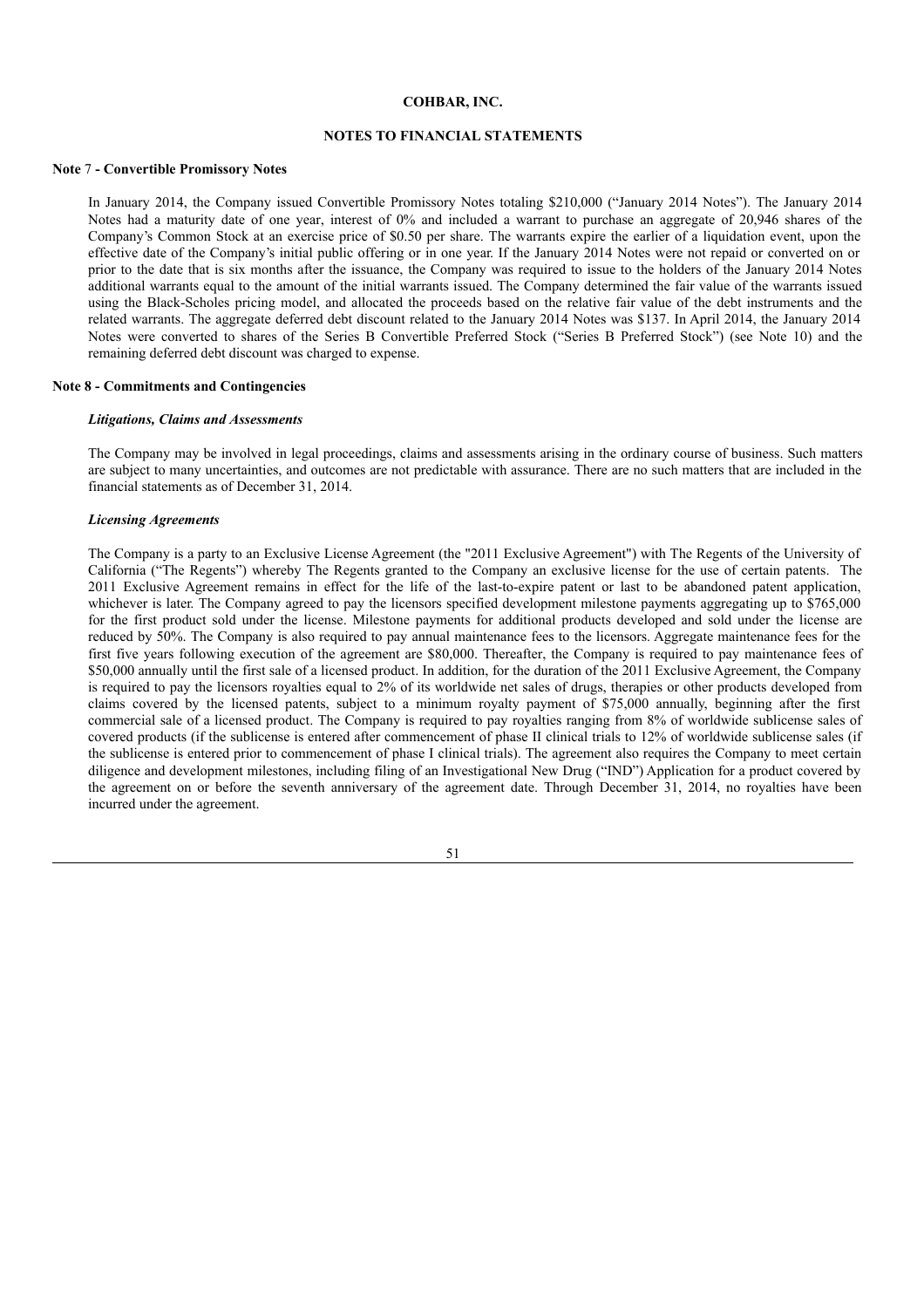## **NOTES TO FINANCIAL STATEMENTS**

#### **Note** 7 **- Convertible Promissory Notes**

In January 2014, the Company issued Convertible Promissory Notes totaling \$210,000 ("January 2014 Notes"). The January 2014 Notes had a maturity date of one year, interest of 0% and included a warrant to purchase an aggregate of 20,946 shares of the Company's Common Stock at an exercise price of \$0.50 per share. The warrants expire the earlier of a liquidation event, upon the effective date of the Company's initial public offering or in one year. If the January 2014 Notes were not repaid or converted on or prior to the date that is six months after the issuance, the Company was required to issue to the holders of the January 2014 Notes additional warrants equal to the amount of the initial warrants issued. The Company determined the fair value of the warrants issued using the Black-Scholes pricing model, and allocated the proceeds based on the relative fair value of the debt instruments and the related warrants. The aggregate deferred debt discount related to the January 2014 Notes was \$137. In April 2014, the January 2014 Notes were converted to shares of the Series B Convertible Preferred Stock ("Series B Preferred Stock") (see Note 10) and the remaining deferred debt discount was charged to expense.

### **Note 8 - Commitments and Contingencies**

### *Litigations, Claims and Assessments*

The Company may be involved in legal proceedings, claims and assessments arising in the ordinary course of business. Such matters are subject to many uncertainties, and outcomes are not predictable with assurance. There are no such matters that are included in the financial statements as of December 31, 2014.

### *Licensing Agreements*

The Company is a party to an Exclusive License Agreement (the "2011 Exclusive Agreement") with The Regents of the University of California ("The Regents") whereby The Regents granted to the Company an exclusive license for the use of certain patents. The 2011 Exclusive Agreement remains in effect for the life of the last-to-expire patent or last to be abandoned patent application, whichever is later. The Company agreed to pay the licensors specified development milestone payments aggregating up to \$765,000 for the first product sold under the license. Milestone payments for additional products developed and sold under the license are reduced by 50%. The Company is also required to pay annual maintenance fees to the licensors. Aggregate maintenance fees for the first five years following execution of the agreement are \$80,000. Thereafter, the Company is required to pay maintenance fees of \$50,000 annually until the first sale of a licensed product. In addition, for the duration of the 2011 Exclusive Agreement, the Company is required to pay the licensors royalties equal to 2% of its worldwide net sales of drugs, therapies or other products developed from claims covered by the licensed patents, subject to a minimum royalty payment of \$75,000 annually, beginning after the first commercial sale of a licensed product. The Company is required to pay royalties ranging from 8% of worldwide sublicense sales of covered products (if the sublicense is entered after commencement of phase II clinical trials to 12% of worldwide sublicense sales (if the sublicense is entered prior to commencement of phase I clinical trials). The agreement also requires the Company to meet certain diligence and development milestones, including filing of an Investigational New Drug ("IND") Application for a product covered by the agreement on or before the seventh anniversary of the agreement date. Through December 31, 2014, no royalties have been incurred under the agreement.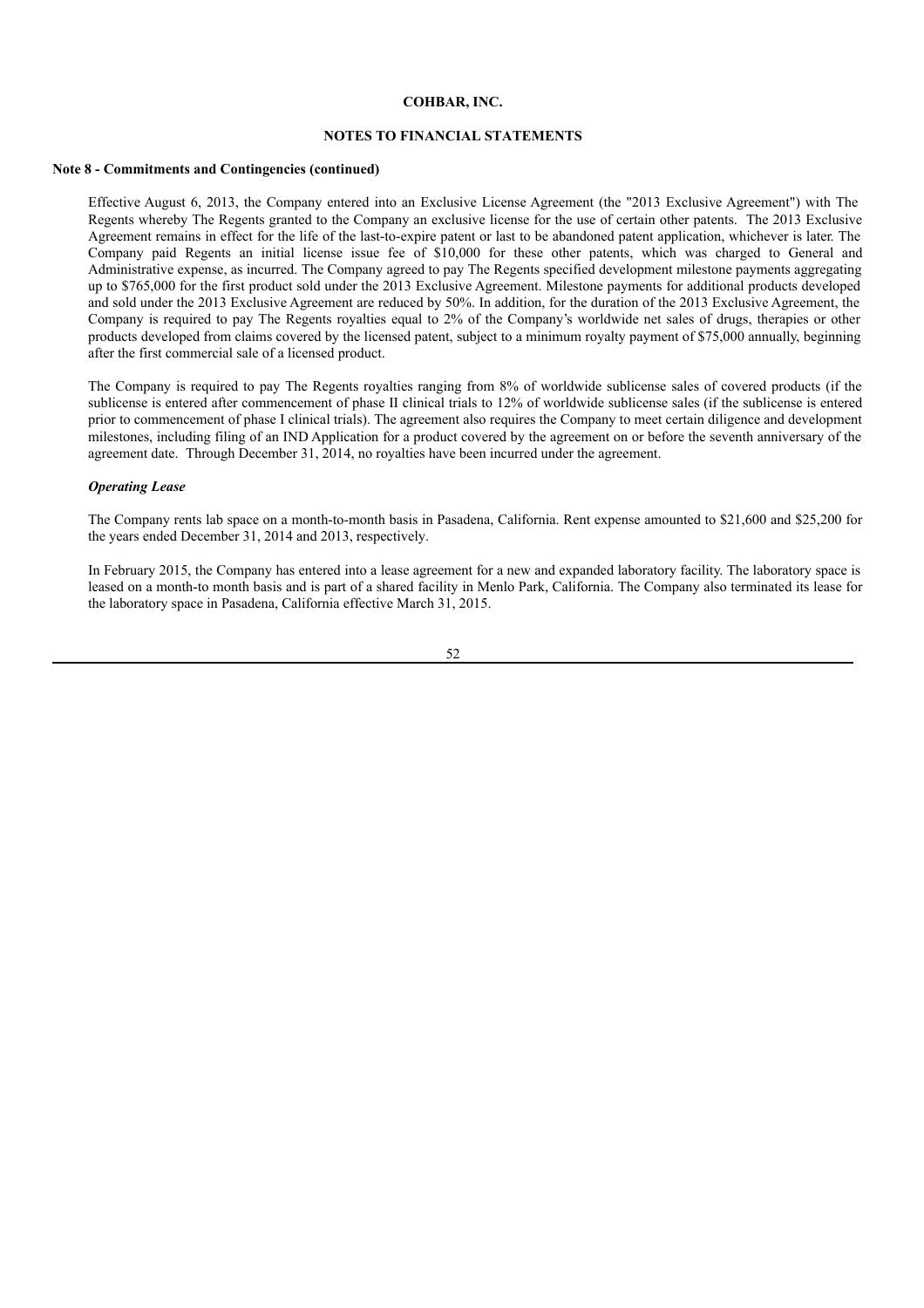### **NOTES TO FINANCIAL STATEMENTS**

### **Note 8 - Commitments and Contingencies (continued)**

Effective August 6, 2013, the Company entered into an Exclusive License Agreement (the "2013 Exclusive Agreement") with The Regents whereby The Regents granted to the Company an exclusive license for the use of certain other patents. The 2013 Exclusive Agreement remains in effect for the life of the last-to-expire patent or last to be abandoned patent application, whichever is later. The Company paid Regents an initial license issue fee of \$10,000 for these other patents, which was charged to General and Administrative expense, as incurred. The Company agreed to pay The Regents specified development milestone payments aggregating up to \$765,000 for the first product sold under the 2013 Exclusive Agreement. Milestone payments for additional products developed and sold under the 2013 Exclusive Agreement are reduced by 50%. In addition, for the duration of the 2013 Exclusive Agreement, the Company is required to pay The Regents royalties equal to 2% of the Company's worldwide net sales of drugs, therapies or other products developed from claims covered by the licensed patent, subject to a minimum royalty payment of \$75,000 annually, beginning after the first commercial sale of a licensed product.

The Company is required to pay The Regents royalties ranging from 8% of worldwide sublicense sales of covered products (if the sublicense is entered after commencement of phase II clinical trials to 12% of worldwide sublicense sales (if the sublicense is entered prior to commencement of phase I clinical trials). The agreement also requires the Company to meet certain diligence and development milestones, including filing of an IND Application for a product covered by the agreement on or before the seventh anniversary of the agreement date. Through December 31, 2014, no royalties have been incurred under the agreement.

### *Operating Lease*

The Company rents lab space on a month-to-month basis in Pasadena, California. Rent expense amounted to \$21,600 and \$25,200 for the years ended December 31, 2014 and 2013, respectively.

In February 2015, the Company has entered into a lease agreement for a new and expanded laboratory facility. The laboratory space is leased on a month-to month basis and is part of a shared facility in Menlo Park, California. The Company also terminated its lease for the laboratory space in Pasadena, California effective March 31, 2015.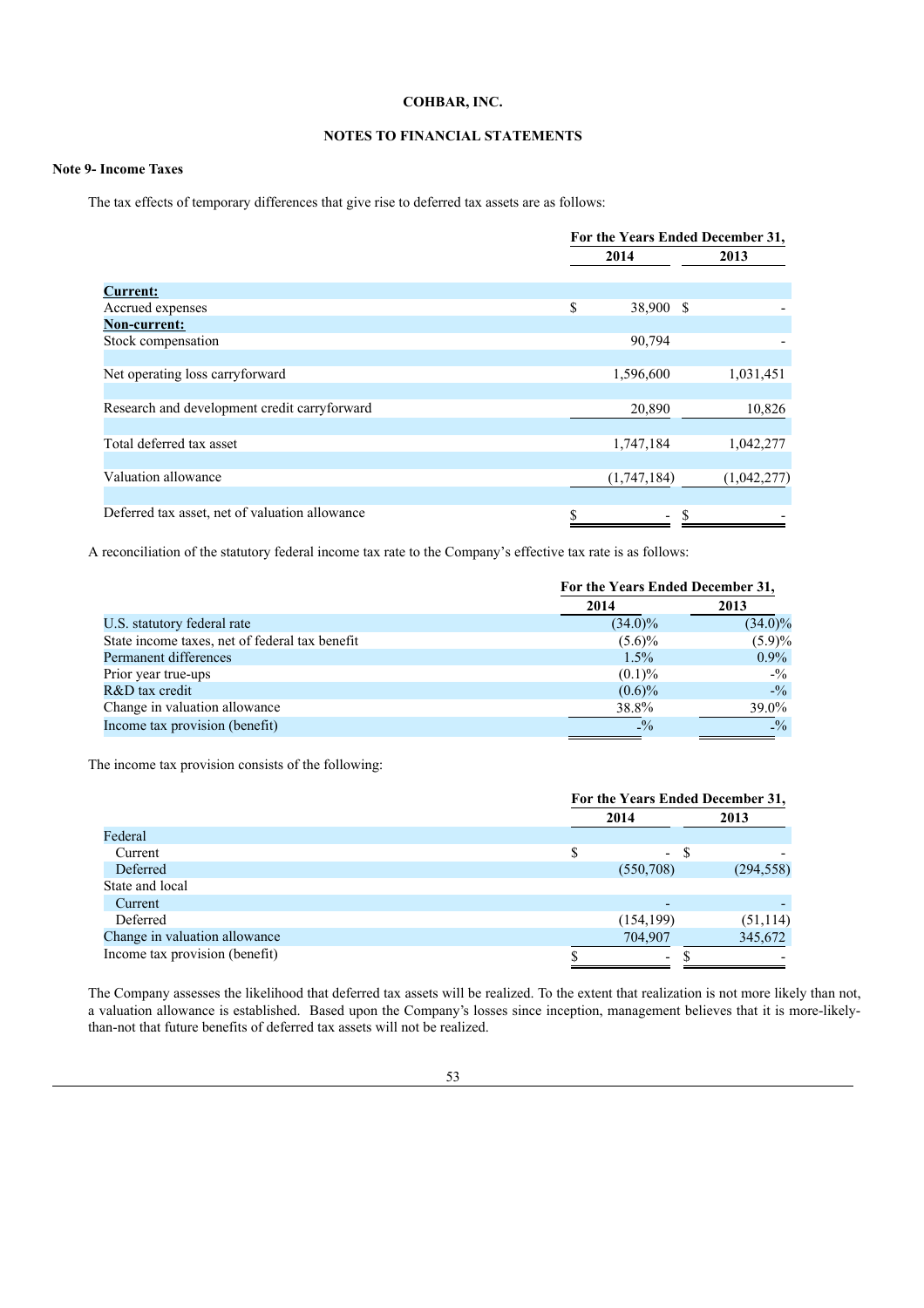## **NOTES TO FINANCIAL STATEMENTS**

## **Note 9- Income Taxes**

The tax effects of temporary differences that give rise to deferred tax assets are as follows:

|                                                | For the Years Ended December 31, |  |             |  |  |
|------------------------------------------------|----------------------------------|--|-------------|--|--|
|                                                | 2014                             |  | 2013        |  |  |
| <b>Current:</b>                                |                                  |  |             |  |  |
| Accrued expenses                               | \$<br>38,900 \$                  |  |             |  |  |
| <b>Non-current:</b>                            |                                  |  |             |  |  |
| Stock compensation                             | 90,794                           |  |             |  |  |
|                                                |                                  |  |             |  |  |
| Net operating loss carryforward                | 1,596,600                        |  | 1,031,451   |  |  |
|                                                |                                  |  |             |  |  |
| Research and development credit carryforward   | 20,890                           |  | 10,826      |  |  |
|                                                |                                  |  |             |  |  |
| Total deferred tax asset                       | 1,747,184                        |  | 1,042,277   |  |  |
|                                                |                                  |  |             |  |  |
| Valuation allowance                            | (1,747,184)                      |  | (1,042,277) |  |  |
|                                                |                                  |  |             |  |  |
| Deferred tax asset, net of valuation allowance | $\overline{\phantom{0}}$         |  |             |  |  |
|                                                |                                  |  |             |  |  |

A reconciliation of the statutory federal income tax rate to the Company's effective tax rate is as follows:

|                                                | For the Years Ended December 31, |                 |
|------------------------------------------------|----------------------------------|-----------------|
|                                                | 2014                             | 2013            |
| U.S. statutory federal rate                    | $(34.0)\%$                       | $(34.0)\%$      |
| State income taxes, net of federal tax benefit | $(5.6)\%$                        | $(5.9)\%$       |
| Permanent differences                          | $1.5\%$                          | $0.9\%$         |
| Prior year true-ups                            | $(0.1)\%$                        | $- \frac{0}{2}$ |
| R&D tax credit                                 | $(0.6)\%$                        | $- \frac{0}{2}$ |
| Change in valuation allowance                  | 38.8%                            | $39.0\%$        |
| Income tax provision (benefit)                 | $^{0}_{-}\%$                     | $^{0}_{-}\%$    |

The income tax provision consists of the following:

|                                | For the Years Ended December 31, |            |  |
|--------------------------------|----------------------------------|------------|--|
|                                | 2014                             | 2013       |  |
| Federal                        |                                  |            |  |
| Current                        | $\equiv$                         | S          |  |
| Deferred                       | (550, 708)                       | (294, 558) |  |
| State and local                |                                  |            |  |
| Current                        |                                  |            |  |
| Deferred                       | (154, 199)                       | (51, 114)  |  |
| Change in valuation allowance  | 704,907                          | 345,672    |  |
| Income tax provision (benefit) | $\overline{\phantom{a}}$         |            |  |

The Company assesses the likelihood that deferred tax assets will be realized. To the extent that realization is not more likely than not, a valuation allowance is established. Based upon the Company's losses since inception, management believes that it is more-likelythan-not that future benefits of deferred tax assets will not be realized.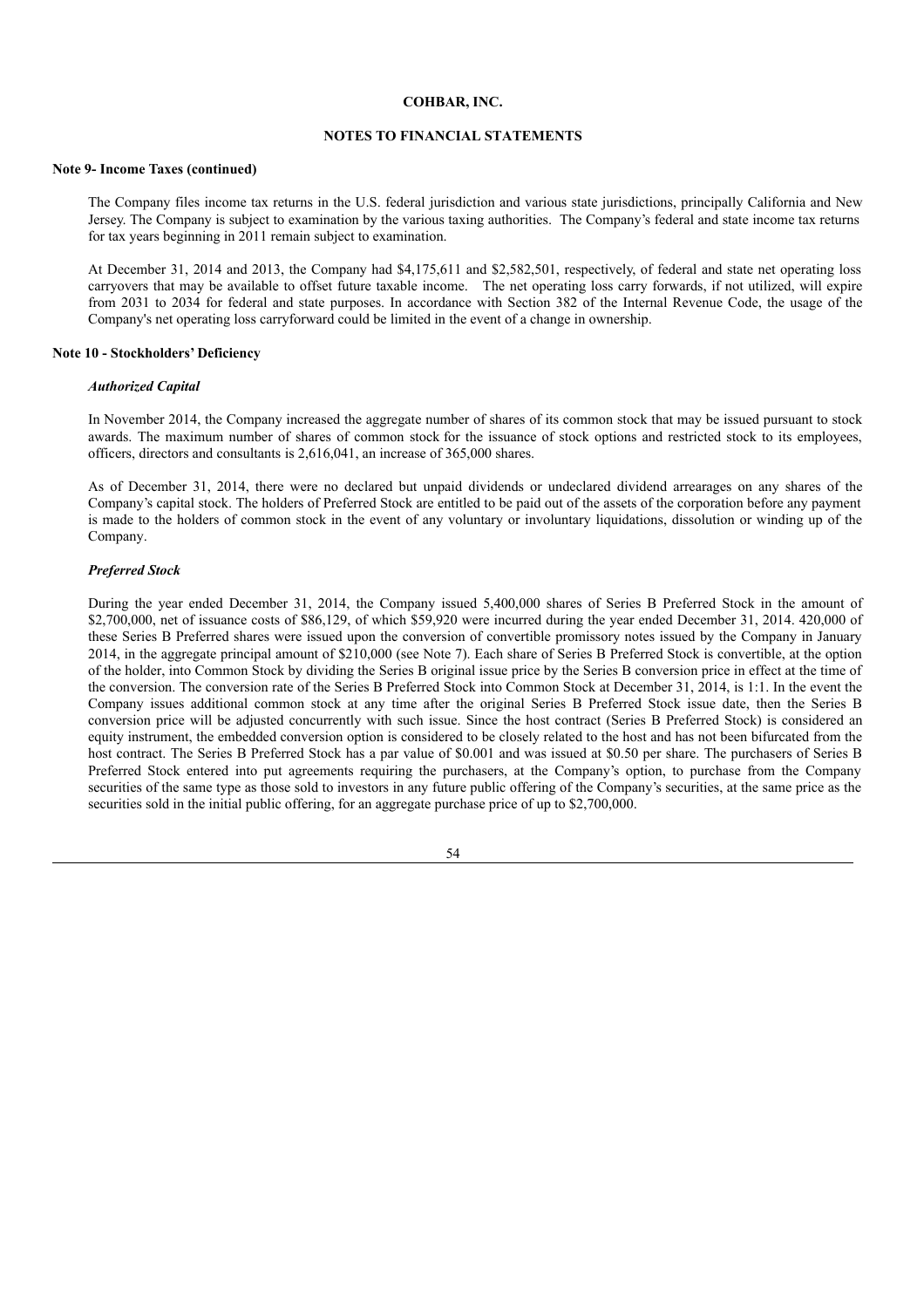## **NOTES TO FINANCIAL STATEMENTS**

### **Note 9- Income Taxes (continued)**

The Company files income tax returns in the U.S. federal jurisdiction and various state jurisdictions, principally California and New Jersey. The Company is subject to examination by the various taxing authorities. The Company's federal and state income tax returns for tax years beginning in 2011 remain subject to examination.

At December 31, 2014 and 2013, the Company had \$4,175,611 and \$2,582,501, respectively, of federal and state net operating loss carryovers that may be available to offset future taxable income. The net operating loss carry forwards, if not utilized, will expire from 2031 to 2034 for federal and state purposes. In accordance with Section 382 of the Internal Revenue Code, the usage of the Company's net operating loss carryforward could be limited in the event of a change in ownership.

### **Note 10 - Stockholders' Deficiency**

#### *Authorized Capital*

In November 2014, the Company increased the aggregate number of shares of its common stock that may be issued pursuant to stock awards. The maximum number of shares of common stock for the issuance of stock options and restricted stock to its employees, officers, directors and consultants is 2,616,041, an increase of 365,000 shares.

As of December 31, 2014, there were no declared but unpaid dividends or undeclared dividend arrearages on any shares of the Company's capital stock. The holders of Preferred Stock are entitled to be paid out of the assets of the corporation before any payment is made to the holders of common stock in the event of any voluntary or involuntary liquidations, dissolution or winding up of the Company.

### *Preferred Stock*

During the year ended December 31, 2014, the Company issued 5,400,000 shares of Series B Preferred Stock in the amount of \$2,700,000, net of issuance costs of \$86,129, of which \$59,920 were incurred during the year ended December 31, 2014. 420,000 of these Series B Preferred shares were issued upon the conversion of convertible promissory notes issued by the Company in January 2014, in the aggregate principal amount of \$210,000 (see Note 7). Each share of Series B Preferred Stock is convertible, at the option of the holder, into Common Stock by dividing the Series B original issue price by the Series B conversion price in effect at the time of the conversion. The conversion rate of the Series B Preferred Stock into Common Stock at December 31, 2014, is 1:1. In the event the Company issues additional common stock at any time after the original Series B Preferred Stock issue date, then the Series B conversion price will be adjusted concurrently with such issue. Since the host contract (Series B Preferred Stock) is considered an equity instrument, the embedded conversion option is considered to be closely related to the host and has not been bifurcated from the host contract. The Series B Preferred Stock has a par value of \$0.001 and was issued at \$0.50 per share. The purchasers of Series B Preferred Stock entered into put agreements requiring the purchasers, at the Company's option, to purchase from the Company securities of the same type as those sold to investors in any future public offering of the Company's securities, at the same price as the securities sold in the initial public offering, for an aggregate purchase price of up to \$2,700,000.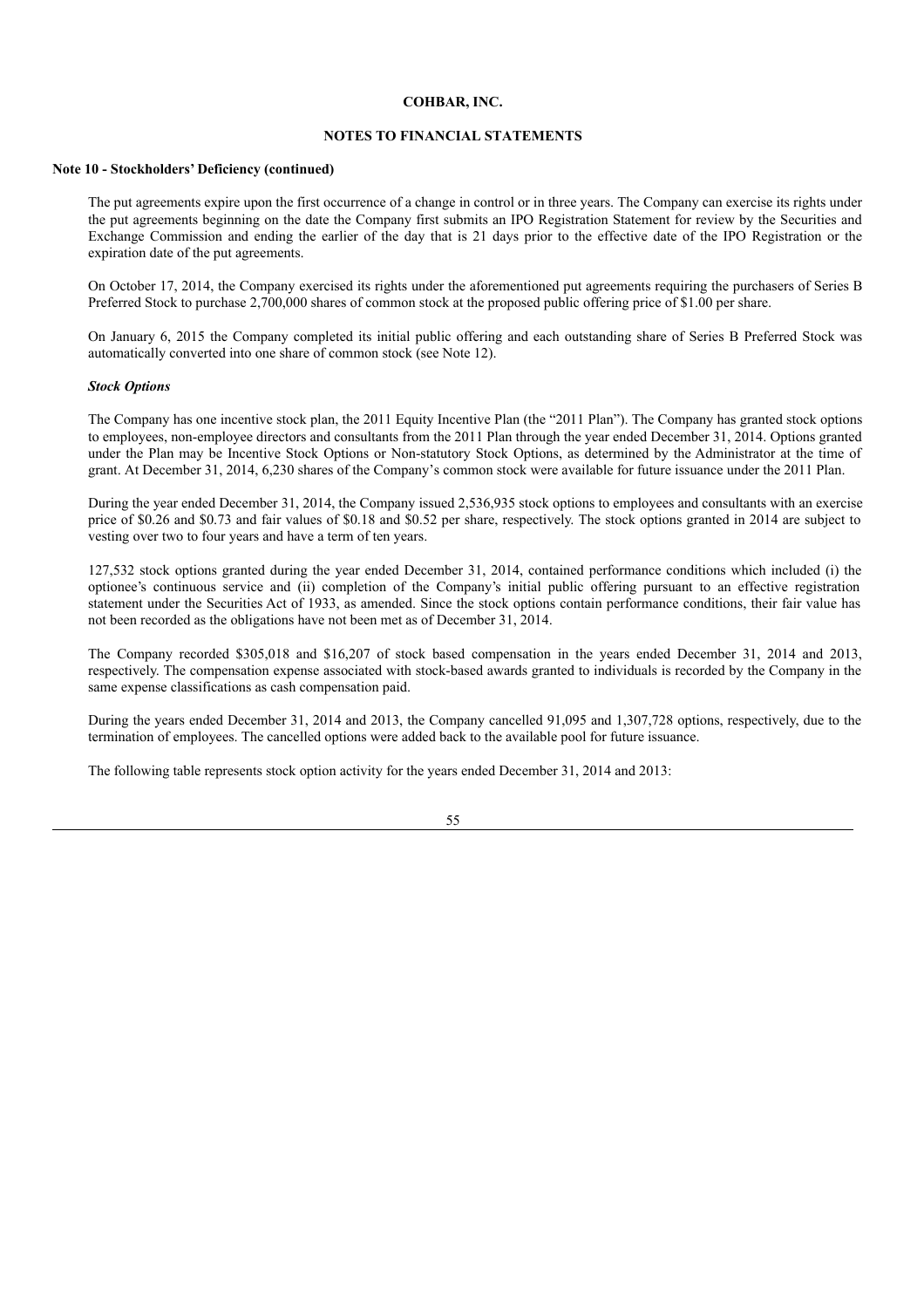## **NOTES TO FINANCIAL STATEMENTS**

### **Note 10 - Stockholders' Deficiency (continued)**

The put agreements expire upon the first occurrence of a change in control or in three years. The Company can exercise its rights under the put agreements beginning on the date the Company first submits an IPO Registration Statement for review by the Securities and Exchange Commission and ending the earlier of the day that is 21 days prior to the effective date of the IPO Registration or the expiration date of the put agreements.

On October 17, 2014, the Company exercised its rights under the aforementioned put agreements requiring the purchasers of Series B Preferred Stock to purchase 2,700,000 shares of common stock at the proposed public offering price of \$1.00 per share.

On January 6, 2015 the Company completed its initial public offering and each outstanding share of Series B Preferred Stock was automatically converted into one share of common stock (see Note 12).

#### *Stock Options*

The Company has one incentive stock plan, the 2011 Equity Incentive Plan (the "2011 Plan"). The Company has granted stock options to employees, non-employee directors and consultants from the 2011 Plan through the year ended December 31, 2014. Options granted under the Plan may be Incentive Stock Options or Non-statutory Stock Options, as determined by the Administrator at the time of grant. At December 31, 2014, 6,230 shares of the Company's common stock were available for future issuance under the 2011 Plan.

During the year ended December 31, 2014, the Company issued 2,536,935 stock options to employees and consultants with an exercise price of \$0.26 and \$0.73 and fair values of \$0.18 and \$0.52 per share, respectively. The stock options granted in 2014 are subject to vesting over two to four years and have a term of ten years.

127,532 stock options granted during the year ended December 31, 2014, contained performance conditions which included (i) the optionee's continuous service and (ii) completion of the Company's initial public offering pursuant to an effective registration statement under the Securities Act of 1933, as amended. Since the stock options contain performance conditions, their fair value has not been recorded as the obligations have not been met as of December 31, 2014.

The Company recorded \$305,018 and \$16,207 of stock based compensation in the years ended December 31, 2014 and 2013, respectively. The compensation expense associated with stock-based awards granted to individuals is recorded by the Company in the same expense classifications as cash compensation paid.

During the years ended December 31, 2014 and 2013, the Company cancelled 91,095 and 1,307,728 options, respectively, due to the termination of employees. The cancelled options were added back to the available pool for future issuance.

The following table represents stock option activity for the years ended December 31, 2014 and 2013: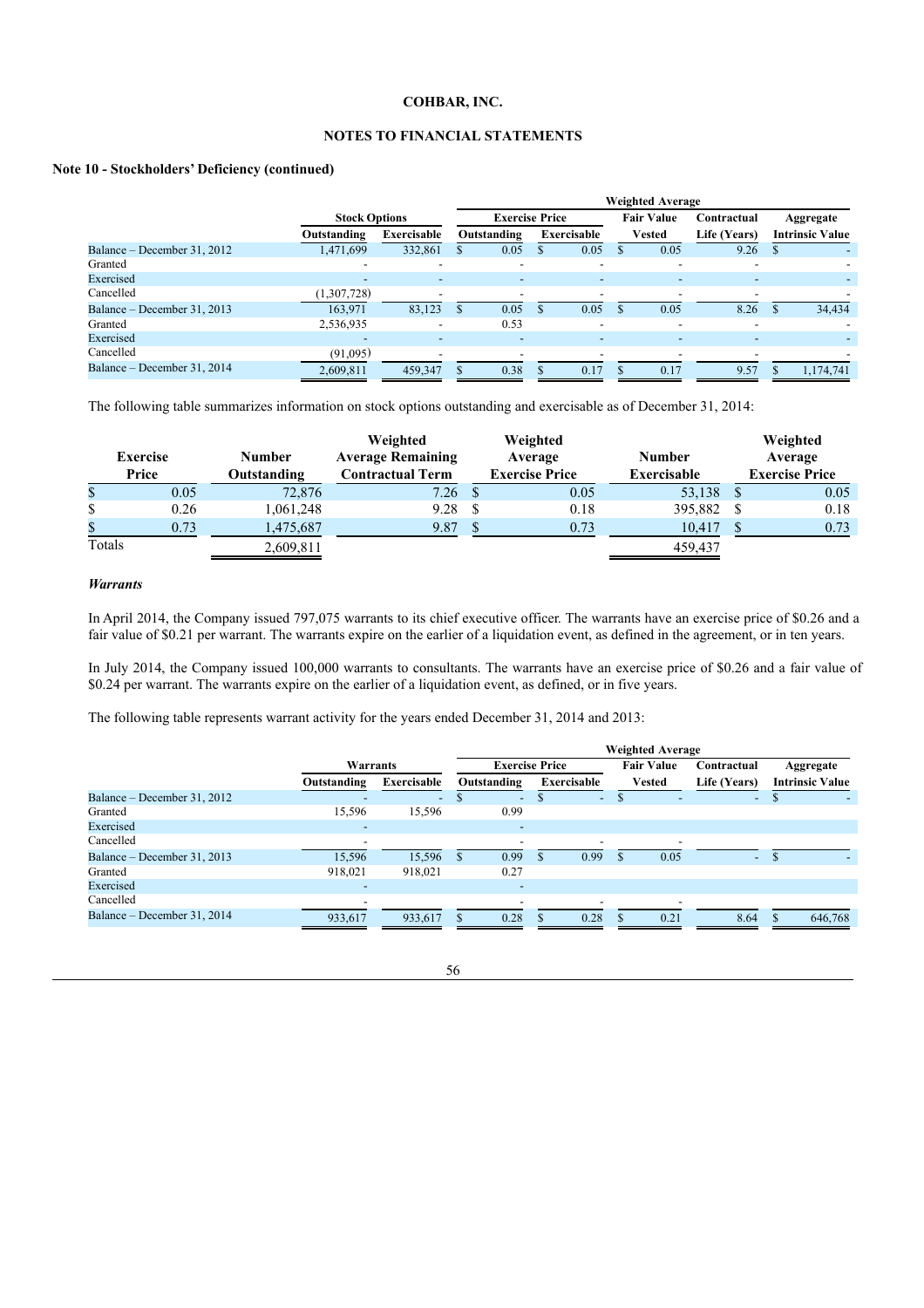## **NOTES TO FINANCIAL STATEMENTS**

### **Note 10 - Stockholders' Deficiency (continued)**

|                             |                          | <b>Weighted Average</b>  |   |                          |  |                          |                   |                          |                          |           |                        |
|-----------------------------|--------------------------|--------------------------|---|--------------------------|--|--------------------------|-------------------|--------------------------|--------------------------|-----------|------------------------|
|                             | <b>Stock Options</b>     |                          |   | <b>Exercise Price</b>    |  |                          | <b>Fair Value</b> |                          | Contractual              | Aggregate |                        |
|                             | Outstanding              | Exercisable              |   | Outstanding              |  | Exercisable              |                   | Vested                   | Life (Years)             |           | <b>Intrinsic Value</b> |
| Balance – December 31, 2012 | 1,471,699                | 332,861                  |   | 0.05                     |  | 0.05                     |                   | 0.05                     | 9.26                     |           |                        |
| Granted                     |                          | $\overline{\phantom{0}}$ |   | $\overline{\phantom{0}}$ |  | $\overline{\phantom{0}}$ |                   |                          |                          |           |                        |
| Exercised                   | $\overline{\phantom{0}}$ | $\overline{\phantom{a}}$ |   | ٠                        |  | $\overline{\phantom{a}}$ |                   | -                        | $\overline{\phantom{a}}$ |           |                        |
| Cancelled                   | (1,307,728)              | $\overline{\phantom{a}}$ |   | $\overline{\phantom{a}}$ |  |                          |                   |                          |                          |           |                        |
| Balance – December 31, 2013 | 163,971                  | 83,123                   | S | 0.05                     |  | 0.05                     |                   | 0.05                     | 8.26                     |           | 34,434                 |
| Granted                     | 2,536,935                | $\overline{\phantom{a}}$ |   | 0.53                     |  | $\overline{\phantom{a}}$ |                   | $\overline{\phantom{0}}$ | $\overline{\phantom{a}}$ |           |                        |
| Exercised                   | ٠                        | $\overline{\phantom{a}}$ |   | $\overline{\phantom{a}}$ |  | $\overline{\phantom{0}}$ |                   |                          |                          |           |                        |
| Cancelled                   | (91,095)                 | $\overline{\phantom{a}}$ |   |                          |  |                          |                   |                          |                          |           |                        |
| Balance – December 31, 2014 | 2.609.811                | 459,347                  | S | 0.38                     |  | 0.17                     |                   | 0.17                     | 9.57                     |           | 1.174.741              |

The following table summarizes information on stock options outstanding and exercisable as of December 31, 2014:

|        | <b>Exercise</b><br>Price | <b>Number</b><br>Outstanding | Weighted<br><b>Average Remaining</b><br><b>Contractual Term</b> | Weighted<br>Average<br><b>Exercise Price</b> | <b>Number</b><br><b>Exercisable</b> | Weighted<br>Average<br><b>Exercise Price</b> |
|--------|--------------------------|------------------------------|-----------------------------------------------------------------|----------------------------------------------|-------------------------------------|----------------------------------------------|
| \$     | 0.05                     | 72,876                       | 7.26                                                            | 0.05                                         | 53,138                              | 0.05                                         |
| \$     | 0.26                     | 1,061,248                    | 9.28                                                            | 0.18                                         | 395,882                             | 0.18                                         |
| \$     | 0.73                     | 1,475,687                    | 9.87                                                            | 0.73                                         | 10,417                              | 0.73                                         |
| Totals |                          | 2,609,811                    |                                                                 |                                              | 459,437                             |                                              |

## *Warrants*

In April 2014, the Company issued 797,075 warrants to its chief executive officer. The warrants have an exercise price of \$0.26 and a fair value of \$0.21 per warrant. The warrants expire on the earlier of a liquidation event, as defined in the agreement, or in ten years.

In July 2014, the Company issued 100,000 warrants to consultants. The warrants have an exercise price of \$0.26 and a fair value of \$0.24 per warrant. The warrants expire on the earlier of a liquidation event, as defined, or in five years.

The following table represents warrant activity for the years ended December 31, 2014 and 2013:

|                             |                          |                          |    | <b>Weighted Average</b>  |   |                          |                   |                          |                          |                        |  |
|-----------------------------|--------------------------|--------------------------|----|--------------------------|---|--------------------------|-------------------|--------------------------|--------------------------|------------------------|--|
|                             | Warrants                 |                          |    | <b>Exercise Price</b>    |   |                          | <b>Fair Value</b> |                          | Contractual              | Aggregate              |  |
|                             | Outstanding              | Exercisable              |    | Outstanding              |   | Exercisable              |                   | <b>Vested</b>            | Life (Years)             | <b>Intrinsic Value</b> |  |
| Balance – December 31, 2012 |                          | $\overline{\phantom{a}}$ | S  | $\overline{\phantom{a}}$ | D | $\overline{\phantom{a}}$ |                   |                          | $\overline{\phantom{a}}$ | Ф                      |  |
| Granted                     | 15,596                   | 15,596                   |    | 0.99                     |   |                          |                   |                          |                          |                        |  |
| Exercised                   | $\overline{\phantom{a}}$ |                          |    | ۰                        |   |                          |                   |                          |                          |                        |  |
| Cancelled                   | $\overline{\phantom{a}}$ |                          |    | $\overline{\phantom{a}}$ |   |                          |                   | $\overline{\phantom{0}}$ |                          |                        |  |
| Balance – December 31, 2013 | 15,596                   | 15,596                   | \$ | 0.99                     |   | 0.99                     |                   | 0.05                     | $\sim$                   |                        |  |
| Granted                     | 918,021                  | 918,021                  |    | 0.27                     |   |                          |                   |                          |                          |                        |  |
| Exercised                   | $\overline{\phantom{0}}$ |                          |    | $\overline{\phantom{a}}$ |   |                          |                   |                          |                          |                        |  |
| Cancelled                   |                          |                          |    |                          |   |                          |                   |                          |                          |                        |  |
| Balance – December 31, 2014 | 933,617                  | 933,617                  |    | 0.28                     |   | 0.28                     |                   | 0.21                     | 8.64                     | 646,768                |  |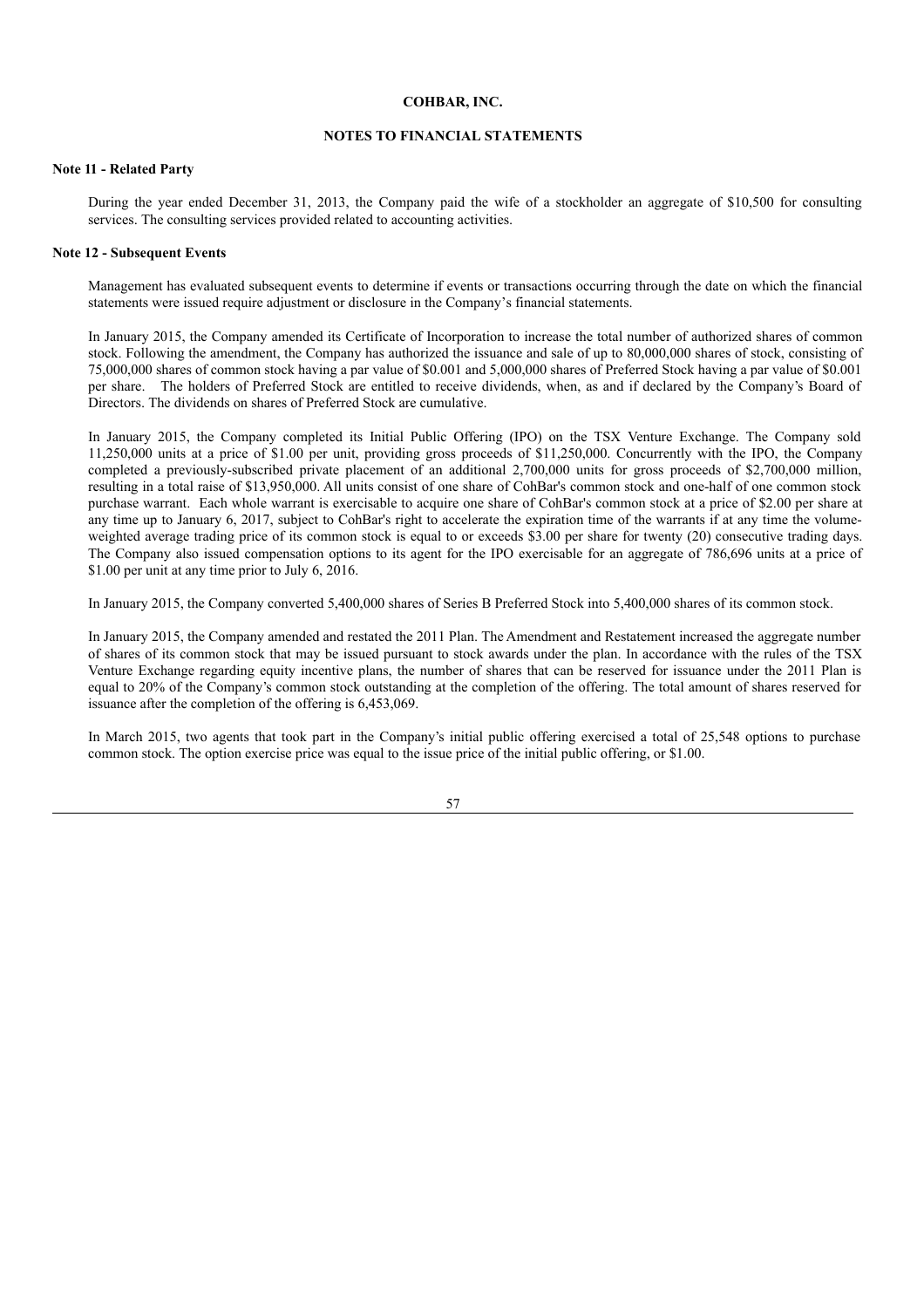## **NOTES TO FINANCIAL STATEMENTS**

### **Note 11 - Related Party**

During the year ended December 31, 2013, the Company paid the wife of a stockholder an aggregate of \$10,500 for consulting services. The consulting services provided related to accounting activities.

### **Note 12 - Subsequent Events**

Management has evaluated subsequent events to determine if events or transactions occurring through the date on which the financial statements were issued require adjustment or disclosure in the Company's financial statements.

In January 2015, the Company amended its Certificate of Incorporation to increase the total number of authorized shares of common stock. Following the amendment, the Company has authorized the issuance and sale of up to 80,000,000 shares of stock, consisting of 75,000,000 shares of common stock having a par value of \$0.001 and 5,000,000 shares of Preferred Stock having a par value of \$0.001 per share. The holders of Preferred Stock are entitled to receive dividends, when, as and if declared by the Company's Board of Directors. The dividends on shares of Preferred Stock are cumulative.

In January 2015, the Company completed its Initial Public Offering (IPO) on the TSX Venture Exchange. The Company sold 11,250,000 units at a price of \$1.00 per unit, providing gross proceeds of \$11,250,000. Concurrently with the IPO, the Company completed a previously-subscribed private placement of an additional 2,700,000 units for gross proceeds of \$2,700,000 million, resulting in a total raise of \$13,950,000. All units consist of one share of CohBar's common stock and one-half of one common stock purchase warrant. Each whole warrant is exercisable to acquire one share of CohBar's common stock at a price of \$2.00 per share at any time up to January 6, 2017, subject to CohBar's right to accelerate the expiration time of the warrants if at any time the volumeweighted average trading price of its common stock is equal to or exceeds \$3.00 per share for twenty (20) consecutive trading days. The Company also issued compensation options to its agent for the IPO exercisable for an aggregate of 786,696 units at a price of \$1.00 per unit at any time prior to July 6, 2016.

In January 2015, the Company converted 5,400,000 shares of Series B Preferred Stock into 5,400,000 shares of its common stock.

In January 2015, the Company amended and restated the 2011 Plan. The Amendment and Restatement increased the aggregate number of shares of its common stock that may be issued pursuant to stock awards under the plan. In accordance with the rules of the TSX Venture Exchange regarding equity incentive plans, the number of shares that can be reserved for issuance under the 2011 Plan is equal to 20% of the Company's common stock outstanding at the completion of the offering. The total amount of shares reserved for issuance after the completion of the offering is 6,453,069.

In March 2015, two agents that took part in the Company's initial public offering exercised a total of 25,548 options to purchase common stock. The option exercise price was equal to the issue price of the initial public offering, or \$1.00.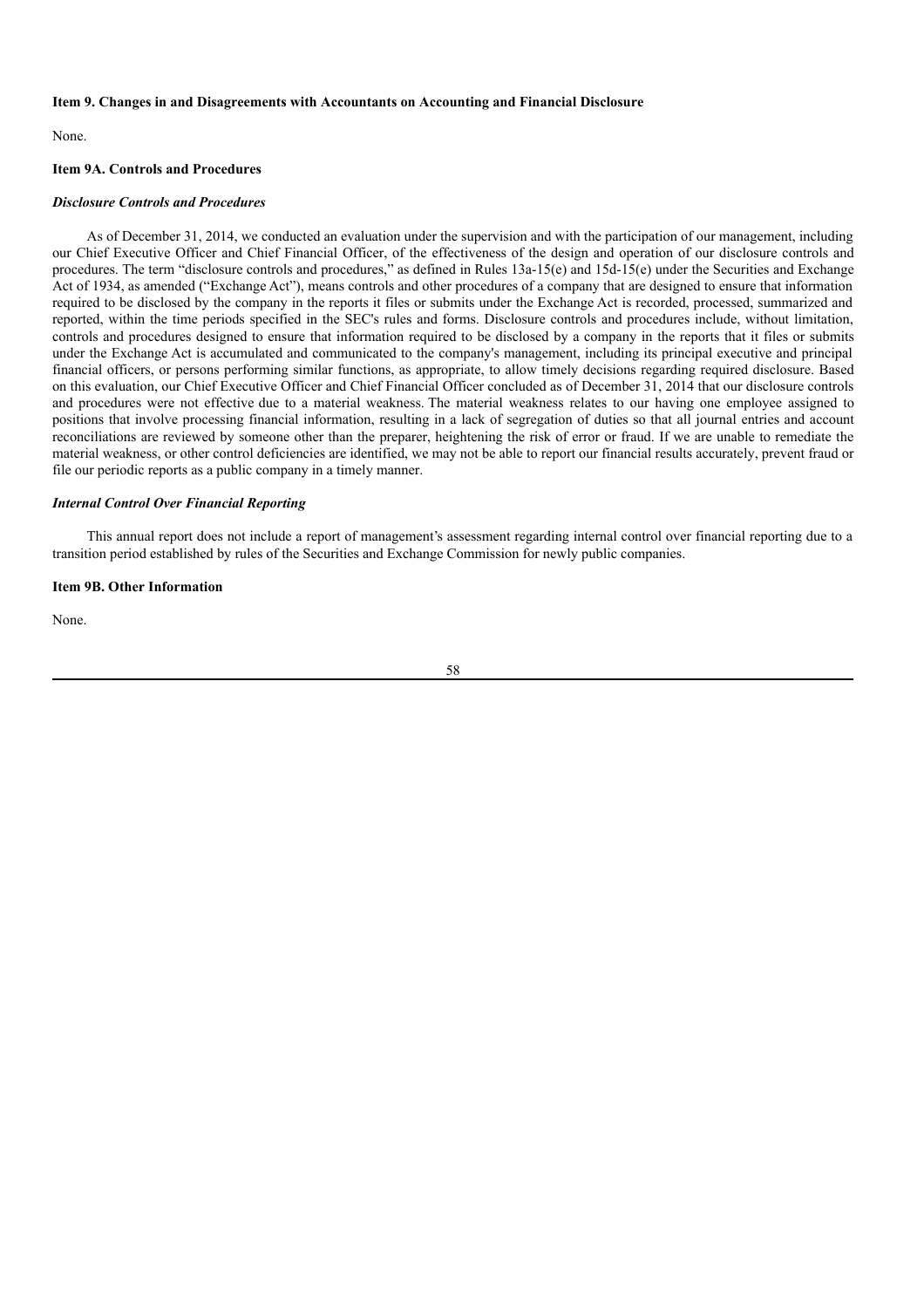#### **Item 9. Changes in and Disagreements with Accountants on Accounting and Financial Disclosure**

None.

#### **Item 9A. Controls and Procedures**

#### *Disclosure Controls and Procedures*

As of December 31, 2014, we conducted an evaluation under the supervision and with the participation of our management, including our Chief Executive Officer and Chief Financial Officer, of the effectiveness of the design and operation of our disclosure controls and procedures. The term "disclosure controls and procedures," as defined in Rules 13a-15(e) and 15d-15(e) under the Securities and Exchange Act of 1934, as amended ("Exchange Act"), means controls and other procedures of a company that are designed to ensure that information required to be disclosed by the company in the reports it files or submits under the Exchange Act is recorded, processed, summarized and reported, within the time periods specified in the SEC's rules and forms. Disclosure controls and procedures include, without limitation, controls and procedures designed to ensure that information required to be disclosed by a company in the reports that it files or submits under the Exchange Act is accumulated and communicated to the company's management, including its principal executive and principal financial officers, or persons performing similar functions, as appropriate, to allow timely decisions regarding required disclosure. Based on this evaluation, our Chief Executive Officer and Chief Financial Officer concluded as of December 31, 2014 that our disclosure controls and procedures were not effective due to a material weakness. The material weakness relates to our having one employee assigned to positions that involve processing financial information, resulting in a lack of segregation of duties so that all journal entries and account reconciliations are reviewed by someone other than the preparer, heightening the risk of error or fraud. If we are unable to remediate the material weakness, or other control deficiencies are identified, we may not be able to report our financial results accurately, prevent fraud or file our periodic reports as a public company in a timely manner.

## *Internal Control Over Financial Reporting*

This annual report does not include a report of management's assessment regarding internal control over financial reporting due to a transition period established by rules of the Securities and Exchange Commission for newly public companies.

#### **Item 9B. Other Information**

None.

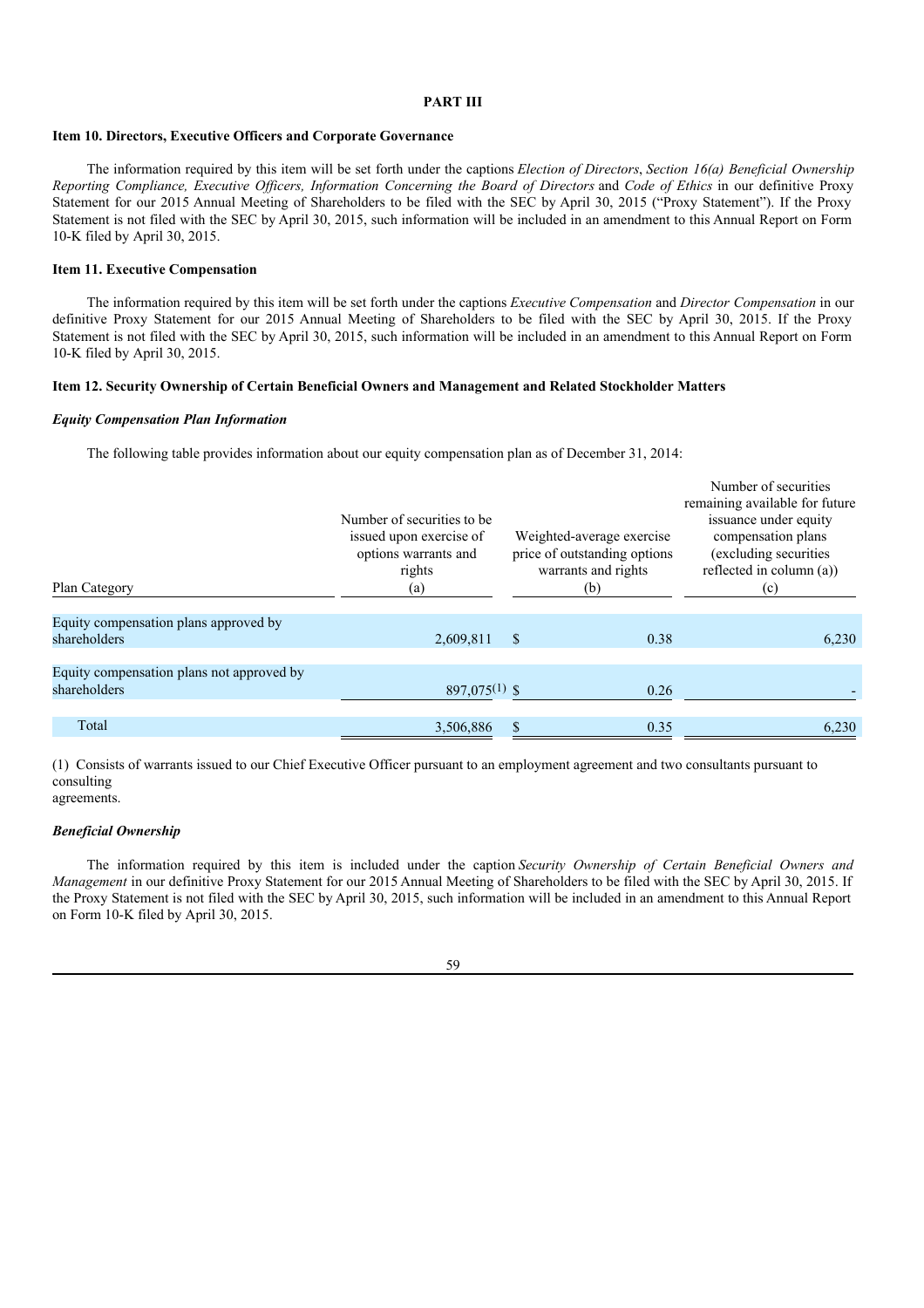## **PART III**

#### **Item 10. Directors, Executive Officers and Corporate Governance**

The information required by this item will be set forth under the captions *Election of Directors*, *Section 16(a) Beneficial Ownership* Reporting Compliance, Executive Officers, Information Concerning the Board of Directors and Code of Ethics in our definitive Proxy Statement for our 2015 Annual Meeting of Shareholders to be filed with the SEC by April 30, 2015 ("Proxy Statement"). If the Proxy Statement is not filed with the SEC by April 30, 2015, such information will be included in an amendment to this Annual Report on Form 10-K filed by April 30, 2015.

### **Item 11. Executive Compensation**

The information required by this item will be set forth under the captions *Executive Compensation* and *Director Compensation* in our definitive Proxy Statement for our 2015 Annual Meeting of Shareholders to be filed with the SEC by April 30, 2015. If the Proxy Statement is not filed with the SEC by April 30, 2015, such information will be included in an amendment to this Annual Report on Form 10-K filed by April 30, 2015.

### **Item 12. Security Ownership of Certain Beneficial Owners and Management and Related Stockholder Matters**

#### *Equity Compensation Plan Information*

The following table provides information about our equity compensation plan as of December 31, 2014:

| Plan Category                                             | Number of securities to be.<br>issued upon exercise of<br>options warrants and<br>rights<br>(a) |   | Weighted-average exercise<br>price of outstanding options<br>warrants and rights<br>(b) | Number of securities<br>remaining available for future<br>issuance under equity<br>compensation plans<br>(excluding securities<br>reflected in column (a))<br>(c) |
|-----------------------------------------------------------|-------------------------------------------------------------------------------------------------|---|-----------------------------------------------------------------------------------------|-------------------------------------------------------------------------------------------------------------------------------------------------------------------|
| Equity compensation plans approved by<br>shareholders     | 2,609,811                                                                                       | S | 0.38                                                                                    | 6,230                                                                                                                                                             |
|                                                           |                                                                                                 |   |                                                                                         |                                                                                                                                                                   |
| Equity compensation plans not approved by<br>shareholders | $897,075^{(1)}$ \$                                                                              |   | 0.26                                                                                    |                                                                                                                                                                   |
| Total                                                     | 3,506,886                                                                                       |   | 0.35                                                                                    | 6,230                                                                                                                                                             |

(1) Consists of warrants issued to our Chief Executive Officer pursuant to an employment agreement and two consultants pursuant to consulting agreements.

#### *Beneficial Ownership*

The information required by this item is included under the caption *Security Ownership of Certain Beneficial Owners and Management* in our definitive Proxy Statement for our 2015 Annual Meeting of Shareholders to be filed with the SEC by April 30, 2015. If the Proxy Statement is not filed with the SEC by April 30, 2015, such information will be included in an amendment to this Annual Report on Form 10-K filed by April 30, 2015.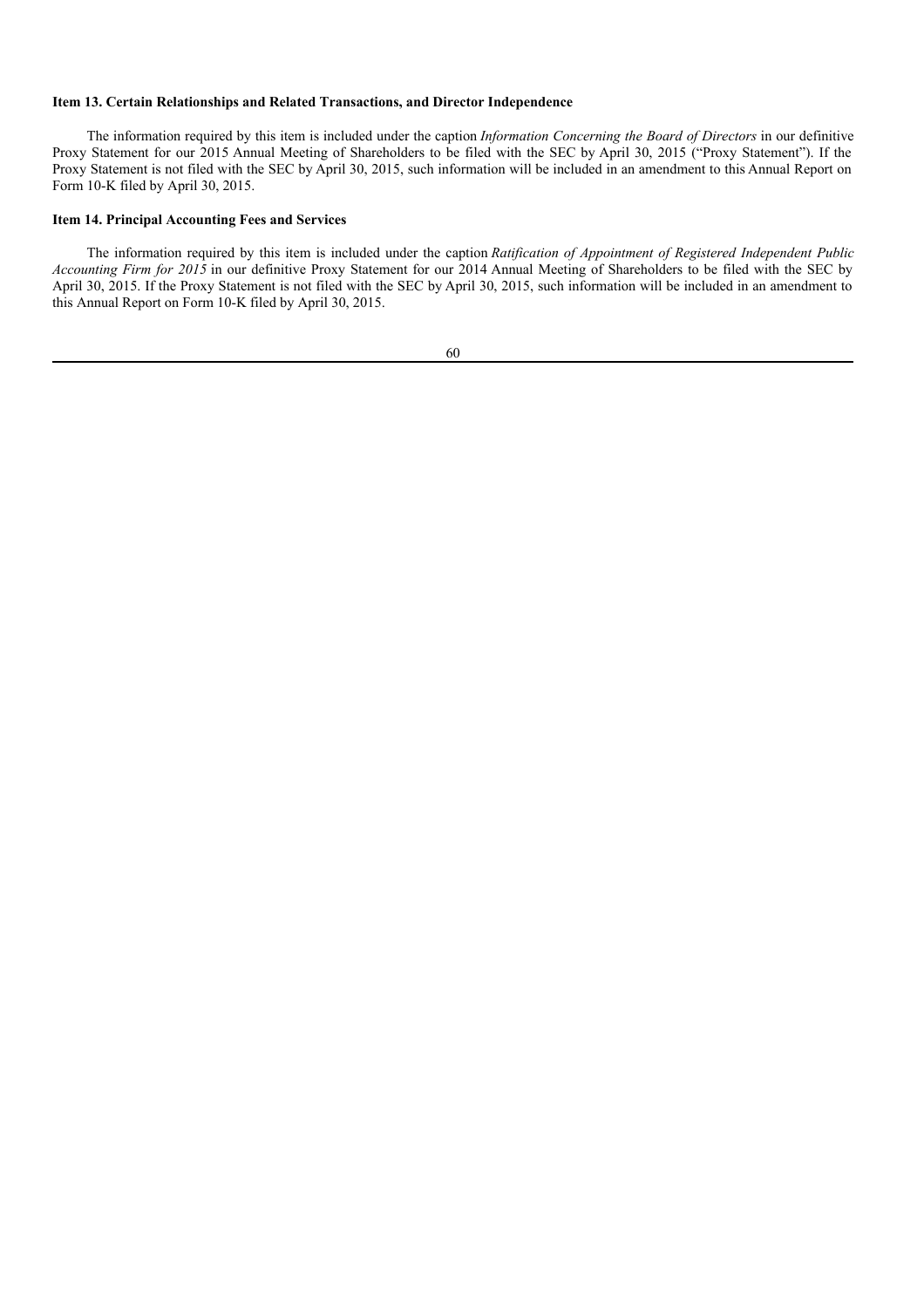### **Item 13. Certain Relationships and Related Transactions, and Director Independence**

The information required by this item is included under the caption *Information Concerning the Board of Directors* in our definitive Proxy Statement for our 2015 Annual Meeting of Shareholders to be filed with the SEC by April 30, 2015 ("Proxy Statement"). If the Proxy Statement is not filed with the SEC by April 30, 2015, such information will be included in an amendment to this Annual Report on Form 10-K filed by April 30, 2015.

## **Item 14. Principal Accounting Fees and Services**

The information required by this item is included under the caption *Ratification of Appointment of Registered Independent Public Accounting Firm for 2015* in our definitive Proxy Statement for our 2014 Annual Meeting of Shareholders to be filed with the SEC by April 30, 2015. If the Proxy Statement is not filed with the SEC by April 30, 2015, such information will be included in an amendment to this Annual Report on Form 10-K filed by April 30, 2015.

| ٠<br>٧                 |                    |
|------------------------|--------------------|
| ۰,<br>I<br>I<br>I<br>٧ | I<br>۰.<br>w<br>۰. |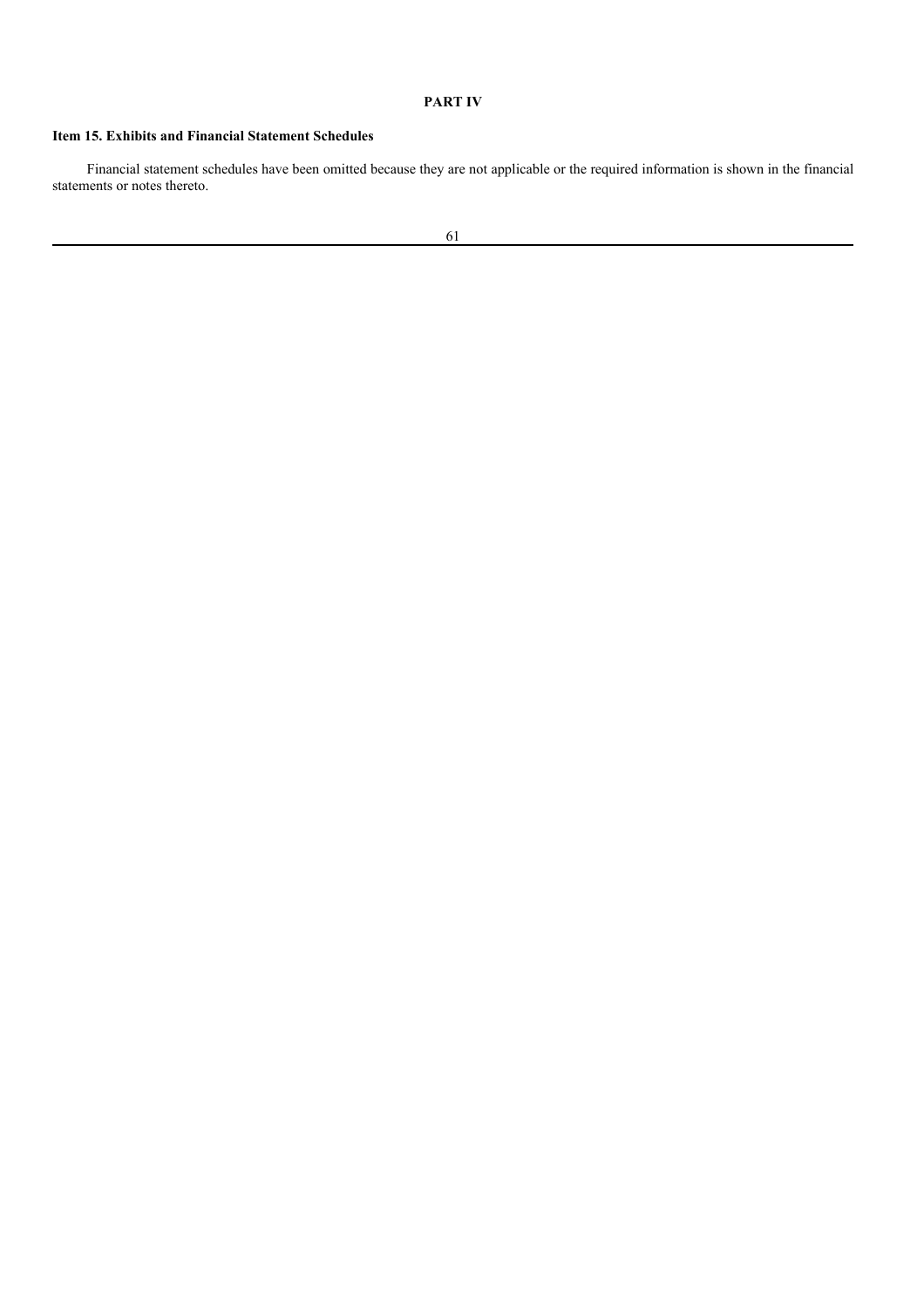# **PART IV**

# **Item 15. Exhibits and Financial Statement Schedules**

Financial statement schedules have been omitted because they are not applicable or the required information is shown in the financial statements or notes thereto.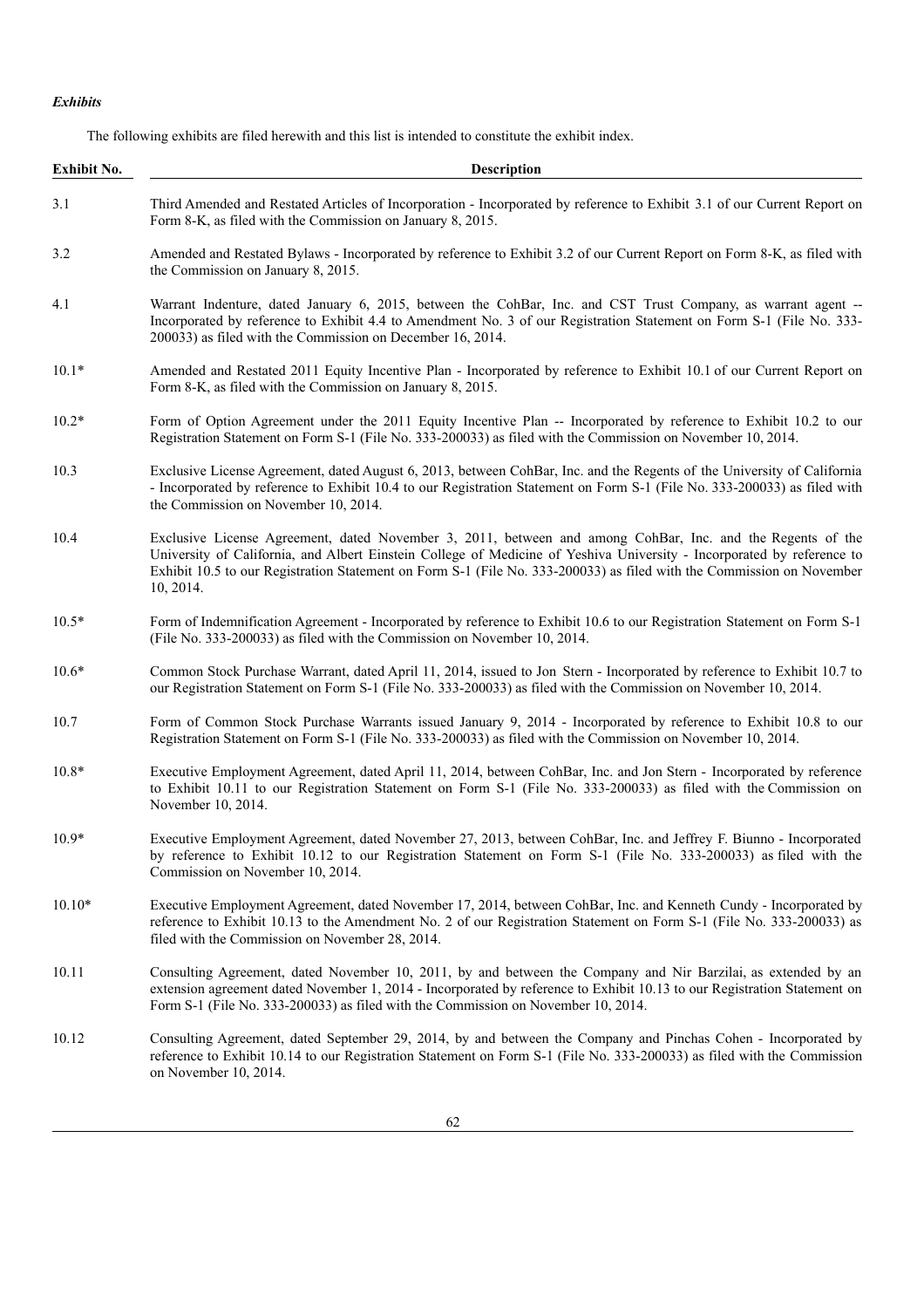# *Exhibits*

The following exhibits are filed herewith and this list is intended to constitute the exhibit index.

| <b>Exhibit No.</b> | Description                                                                                                                                                                                                                                                                                                                                                                |
|--------------------|----------------------------------------------------------------------------------------------------------------------------------------------------------------------------------------------------------------------------------------------------------------------------------------------------------------------------------------------------------------------------|
| 3.1                | Third Amended and Restated Articles of Incorporation - Incorporated by reference to Exhibit 3.1 of our Current Report on<br>Form 8-K, as filed with the Commission on January 8, 2015.                                                                                                                                                                                     |
| 3.2                | Amended and Restated Bylaws - Incorporated by reference to Exhibit 3.2 of our Current Report on Form 8-K, as filed with<br>the Commission on January 8, 2015.                                                                                                                                                                                                              |
| 4.1                | Warrant Indenture, dated January 6, 2015, between the CohBar, Inc. and CST Trust Company, as warrant agent --<br>Incorporated by reference to Exhibit 4.4 to Amendment No. 3 of our Registration Statement on Form S-1 (File No. 333-<br>200033) as filed with the Commission on December 16, 2014.                                                                        |
| $10.1*$            | Amended and Restated 2011 Equity Incentive Plan - Incorporated by reference to Exhibit 10.1 of our Current Report on<br>Form 8-K, as filed with the Commission on January 8, 2015.                                                                                                                                                                                         |
| $10.2*$            | Form of Option Agreement under the 2011 Equity Incentive Plan -- Incorporated by reference to Exhibit 10.2 to our<br>Registration Statement on Form S-1 (File No. 333-200033) as filed with the Commission on November 10, 2014.                                                                                                                                           |
| 10.3               | Exclusive License Agreement, dated August 6, 2013, between CohBar, Inc. and the Regents of the University of California<br>- Incorporated by reference to Exhibit 10.4 to our Registration Statement on Form S-1 (File No. 333-200033) as filed with<br>the Commission on November 10, 2014.                                                                               |
| 10.4               | Exclusive License Agreement, dated November 3, 2011, between and among CohBar, Inc. and the Regents of the<br>University of California, and Albert Einstein College of Medicine of Yeshiva University - Incorporated by reference to<br>Exhibit 10.5 to our Registration Statement on Form S-1 (File No. 333-200033) as filed with the Commission on November<br>10, 2014. |
| $10.5*$            | Form of Indemnification Agreement - Incorporated by reference to Exhibit 10.6 to our Registration Statement on Form S-1<br>(File No. 333-200033) as filed with the Commission on November 10, 2014.                                                                                                                                                                        |
| $10.6*$            | Common Stock Purchase Warrant, dated April 11, 2014, issued to Jon Stern - Incorporated by reference to Exhibit 10.7 to<br>our Registration Statement on Form S-1 (File No. 333-200033) as filed with the Commission on November 10, 2014.                                                                                                                                 |
| 10.7               | Form of Common Stock Purchase Warrants issued January 9, 2014 - Incorporated by reference to Exhibit 10.8 to our<br>Registration Statement on Form S-1 (File No. 333-200033) as filed with the Commission on November 10, 2014.                                                                                                                                            |
| $10.8*$            | Executive Employment Agreement, dated April 11, 2014, between CohBar, Inc. and Jon Stern - Incorporated by reference<br>to Exhibit 10.11 to our Registration Statement on Form S-1 (File No. 333-200033) as filed with the Commission on<br>November 10, 2014.                                                                                                             |
| $10.9*$            | Executive Employment Agreement, dated November 27, 2013, between CohBar, Inc. and Jeffrey F. Biunno - Incorporated<br>by reference to Exhibit 10.12 to our Registration Statement on Form S-1 (File No. 333-200033) as filed with the<br>Commission on November 10, 2014.                                                                                                  |
| $10.10*$           | Executive Employment Agreement, dated November 17, 2014, between CohBar, Inc. and Kenneth Cundy - Incorporated by<br>reference to Exhibit 10.13 to the Amendment No. 2 of our Registration Statement on Form S-1 (File No. 333-200033) as<br>filed with the Commission on November 28, 2014.                                                                               |
| 10.11              | Consulting Agreement, dated November 10, 2011, by and between the Company and Nir Barzilai, as extended by an<br>extension agreement dated November 1, 2014 - Incorporated by reference to Exhibit 10.13 to our Registration Statement on<br>Form S-1 (File No. 333-200033) as filed with the Commission on November 10, 2014.                                             |
| 10.12              | Consulting Agreement, dated September 29, 2014, by and between the Company and Pinchas Cohen - Incorporated by<br>reference to Exhibit 10.14 to our Registration Statement on Form S-1 (File No. 333-200033) as filed with the Commission<br>on November 10, 2014.                                                                                                         |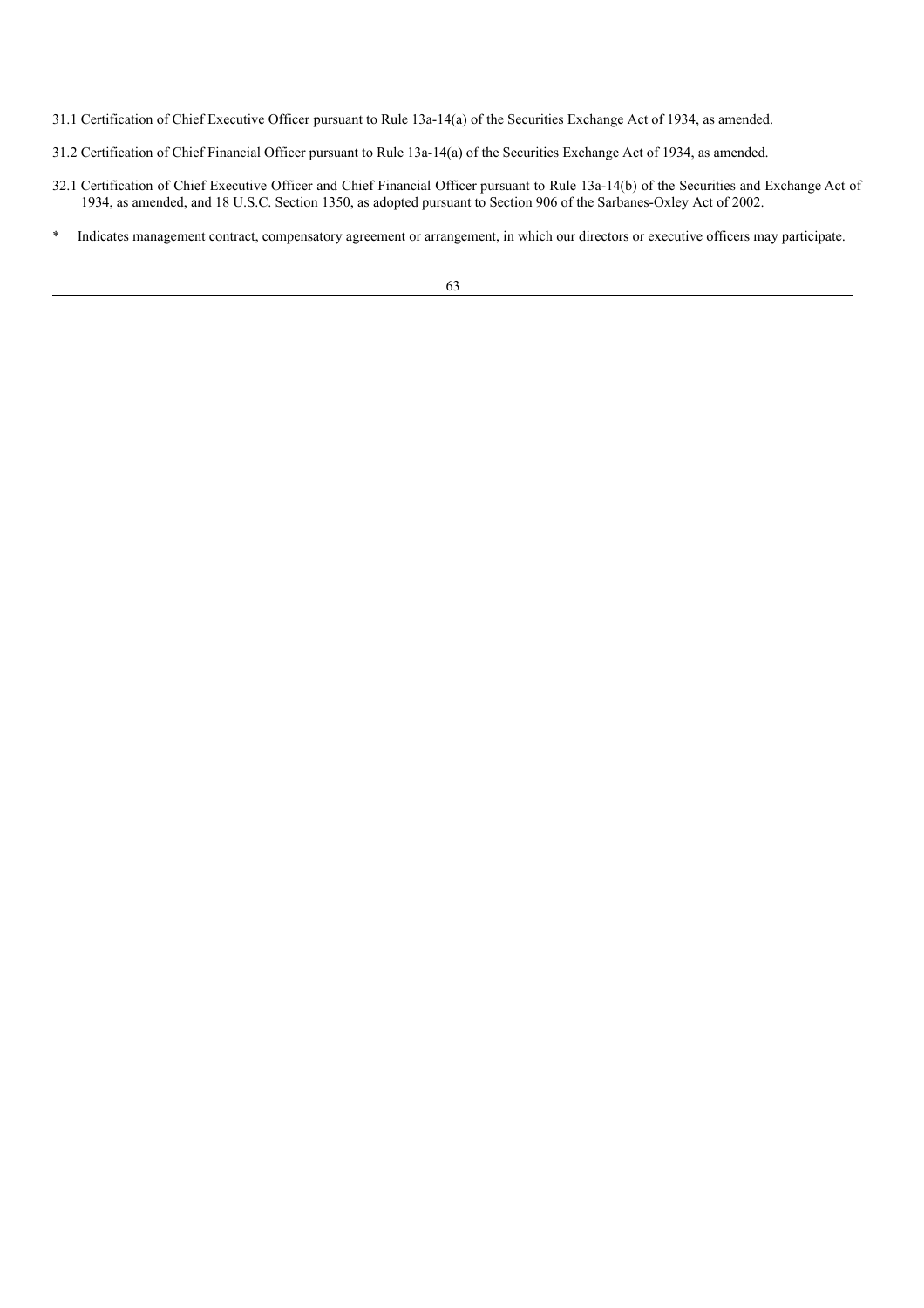31.1 Certification of Chief Executive Officer pursuant to Rule 13a-14(a) of the Securities Exchange Act of 1934, as amended.

- 31.2 Certification of Chief Financial Officer pursuant to Rule 13a-14(a) of the Securities Exchange Act of 1934, as amended.
- 32.1 Certification of Chief Executive Officer and Chief Financial Officer pursuant to Rule 13a-14(b) of the Securities and Exchange Act of 1934, as amended, and 18 U.S.C. Section 1350, as adopted pursuant to Section 906 of the Sarbanes-Oxley Act of 2002.
- \* Indicates management contract, compensatory agreement or arrangement, in which our directors or executive officers may participate.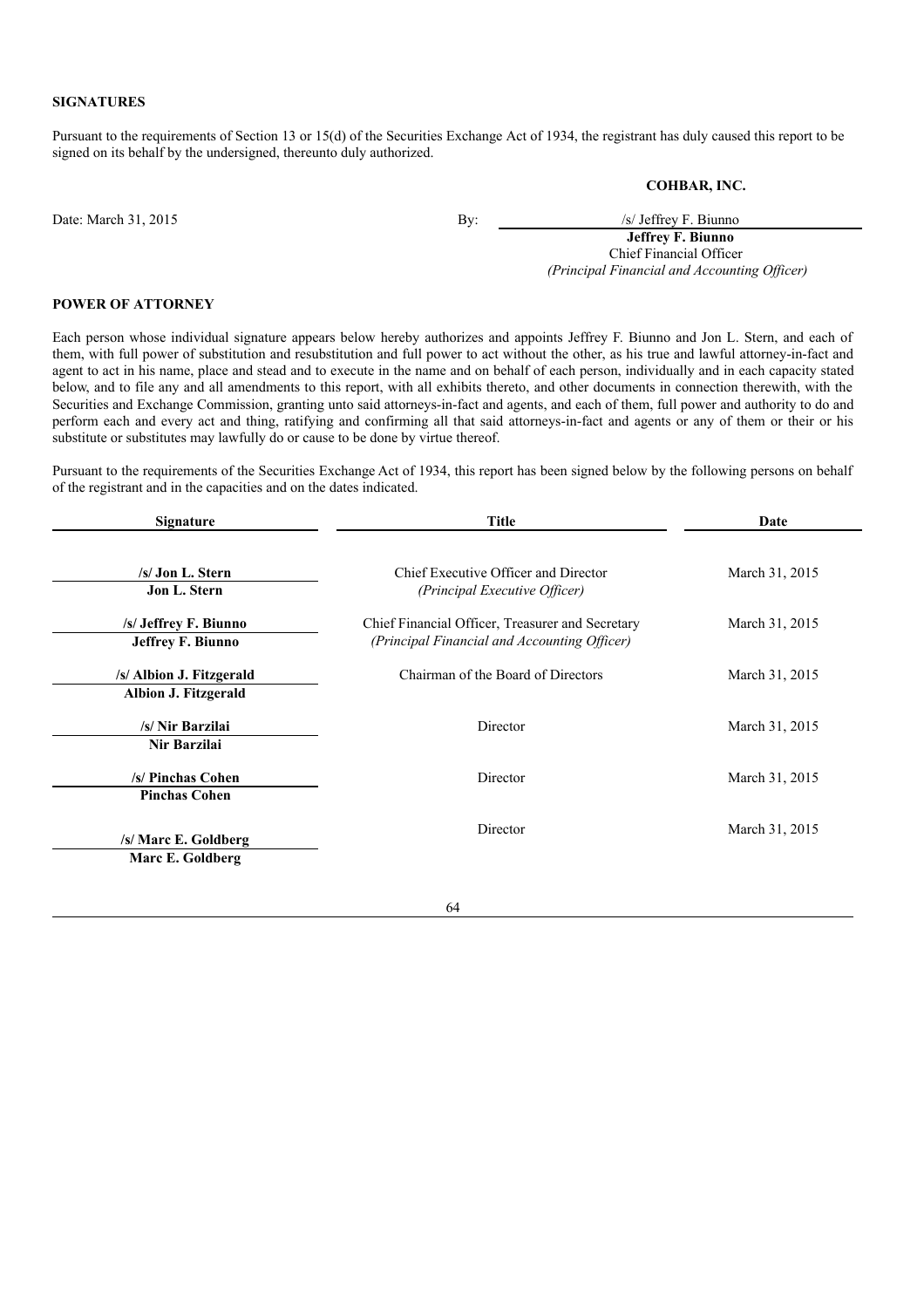## **SIGNATURES**

Pursuant to the requirements of Section 13 or 15(d) of the Securities Exchange Act of 1934, the registrant has duly caused this report to be signed on its behalf by the undersigned, thereunto duly authorized.

**COHBAR, INC.**

Date: March 31, 2015 By: /s/ Jeffrey F. Biunno

**Jeffrey F. Biunno** Chief Financial Officer *(Principal Financial and Accounting Of icer)*

## **POWER OF ATTORNEY**

Each person whose individual signature appears below hereby authorizes and appoints Jeffrey F. Biunno and Jon L. Stern, and each of them, with full power of substitution and resubstitution and full power to act without the other, as his true and lawful attorney-in-fact and agent to act in his name, place and stead and to execute in the name and on behalf of each person, individually and in each capacity stated below, and to file any and all amendments to this report, with all exhibits thereto, and other documents in connection therewith, with the Securities and Exchange Commission, granting unto said attorneys-in-fact and agents, and each of them, full power and authority to do and perform each and every act and thing, ratifying and confirming all that said attorneys-in-fact and agents or any of them or their or his substitute or substitutes may lawfully do or cause to be done by virtue thereof.

Pursuant to the requirements of the Securities Exchange Act of 1934, this report has been signed below by the following persons on behalf of the registrant and in the capacities and on the dates indicated.

| <b>Signature</b>                                  | <b>Title</b>                                                                                     | Date           |
|---------------------------------------------------|--------------------------------------------------------------------------------------------------|----------------|
| /s/ Jon L. Stern<br>Jon L. Stern                  | Chief Executive Officer and Director<br>(Principal Executive Officer)                            | March 31, 2015 |
| /s/ Jeffrey F. Biunno<br><b>Jeffrey F. Biunno</b> | Chief Financial Officer, Treasurer and Secretary<br>(Principal Financial and Accounting Officer) | March 31, 2015 |
| /s/ Albion J. Fitzgerald<br>Albion J. Fitzgerald  | Chairman of the Board of Directors                                                               | March 31, 2015 |
| /s/ Nir Barzilai<br>Nir Barzilai                  | Director                                                                                         | March 31, 2015 |
| /s/ Pinchas Cohen<br><b>Pinchas Cohen</b>         | Director                                                                                         | March 31, 2015 |
| /s/ Marc E. Goldberg<br>Marc E. Goldberg          | Director                                                                                         | March 31, 2015 |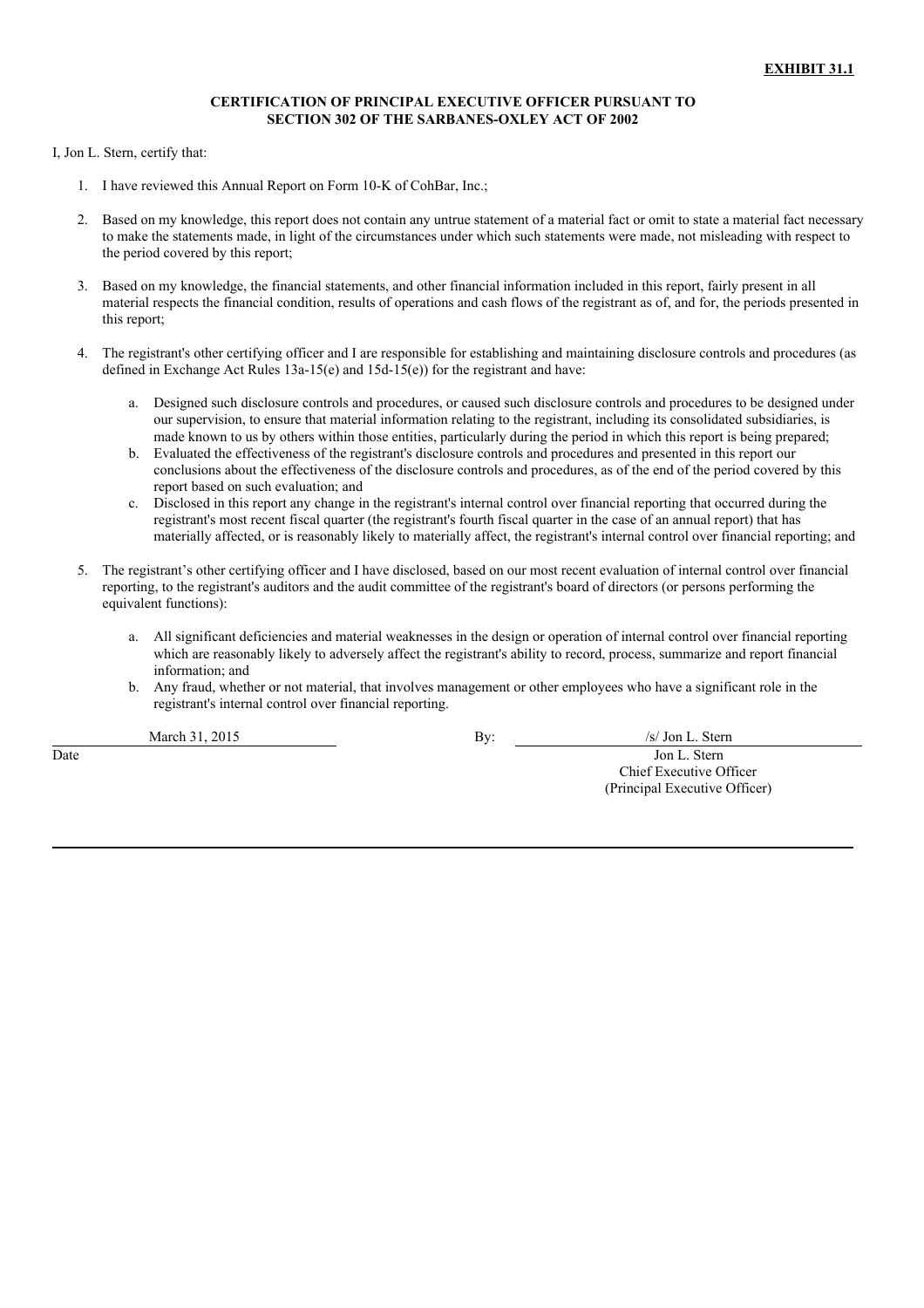### **CERTIFICATION OF PRINCIPAL EXECUTIVE OFFICER PURSUANT TO SECTION 302 OF THE SARBANES-OXLEY ACT OF 2002**

I, Jon L. Stern, certify that:

- 1. I have reviewed this Annual Report on Form 10-K of CohBar, Inc.;
- 2. Based on my knowledge, this report does not contain any untrue statement of a material fact or omit to state a material fact necessary to make the statements made, in light of the circumstances under which such statements were made, not misleading with respect to the period covered by this report;
- 3. Based on my knowledge, the financial statements, and other financial information included in this report, fairly present in all material respects the financial condition, results of operations and cash flows of the registrant as of, and for, the periods presented in this report;
- 4. The registrant's other certifying officer and I are responsible for establishing and maintaining disclosure controls and procedures (as defined in Exchange Act Rules 13a-15(e) and 15d-15(e)) for the registrant and have:
	- a. Designed such disclosure controls and procedures, or caused such disclosure controls and procedures to be designed under our supervision, to ensure that material information relating to the registrant, including its consolidated subsidiaries, is made known to us by others within those entities, particularly during the period in which this report is being prepared;
	- b. Evaluated the effectiveness of the registrant's disclosure controls and procedures and presented in this report our conclusions about the effectiveness of the disclosure controls and procedures, as of the end of the period covered by this report based on such evaluation; and
	- c. Disclosed in this report any change in the registrant's internal control over financial reporting that occurred during the registrant's most recent fiscal quarter (the registrant's fourth fiscal quarter in the case of an annual report) that has materially affected, or is reasonably likely to materially affect, the registrant's internal control over financial reporting; and
- 5. The registrant's other certifying officer and I have disclosed, based on our most recent evaluation of internal control over financial reporting, to the registrant's auditors and the audit committee of the registrant's board of directors (or persons performing the equivalent functions):
	- a. All significant deficiencies and material weaknesses in the design or operation of internal control over financial reporting which are reasonably likely to adversely affect the registrant's ability to record, process, summarize and report financial information; and
	- b. Any fraud, whether or not material, that involves management or other employees who have a significant role in the registrant's internal control over financial reporting.

March 31, 2015 **By:** /s/ Jon L. Stern

**Date** Jon L. Stern Chief Executive Officer (Principal Executive Officer)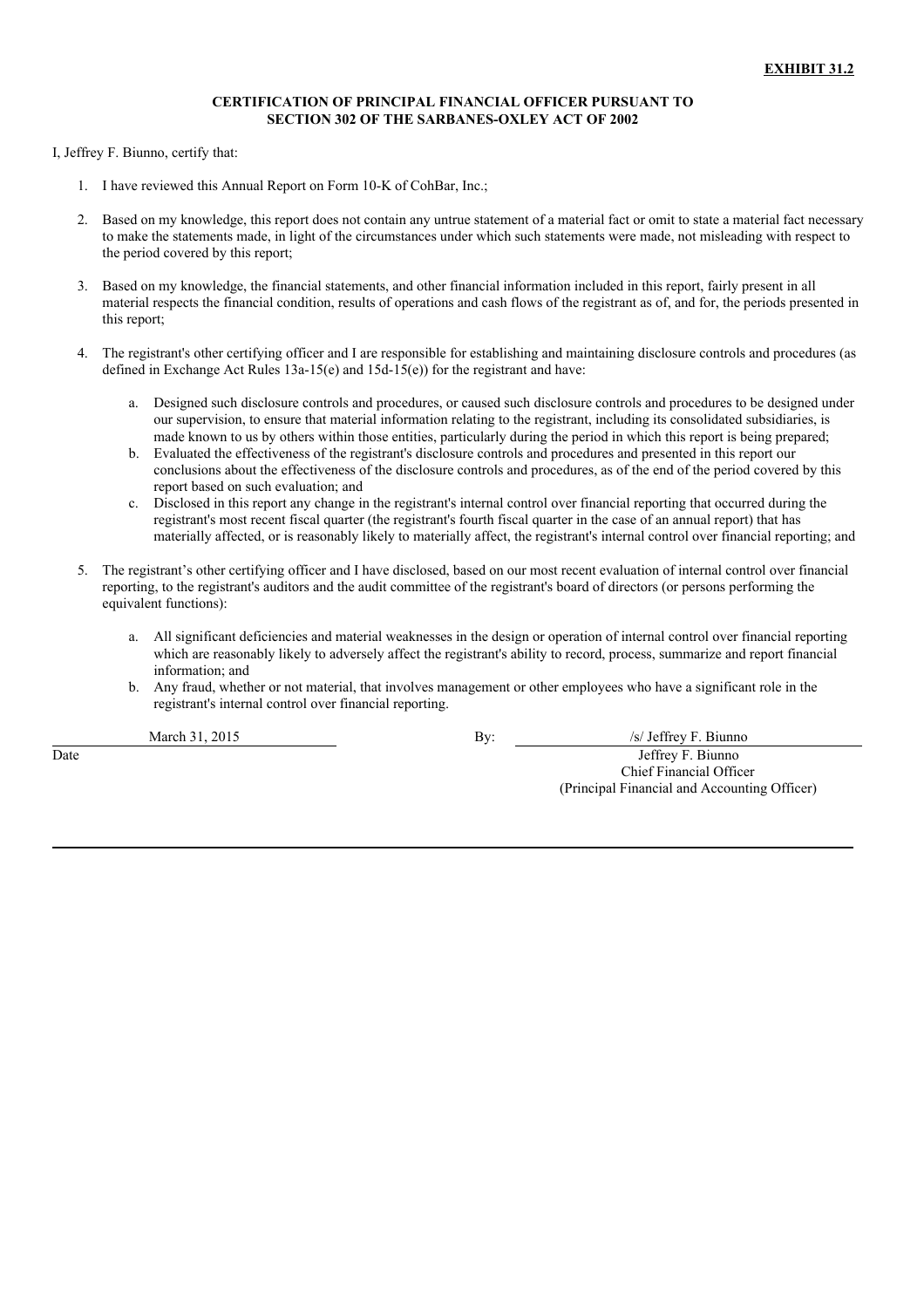## **CERTIFICATION OF PRINCIPAL FINANCIAL OFFICER PURSUANT TO SECTION 302 OF THE SARBANES-OXLEY ACT OF 2002**

I, Jeffrey F. Biunno, certify that:

- 1. I have reviewed this Annual Report on Form 10-K of CohBar, Inc.;
- 2. Based on my knowledge, this report does not contain any untrue statement of a material fact or omit to state a material fact necessary to make the statements made, in light of the circumstances under which such statements were made, not misleading with respect to the period covered by this report;
- 3. Based on my knowledge, the financial statements, and other financial information included in this report, fairly present in all material respects the financial condition, results of operations and cash flows of the registrant as of, and for, the periods presented in this report;
- 4. The registrant's other certifying officer and I are responsible for establishing and maintaining disclosure controls and procedures (as defined in Exchange Act Rules 13a-15(e) and 15d-15(e)) for the registrant and have:
	- a. Designed such disclosure controls and procedures, or caused such disclosure controls and procedures to be designed under our supervision, to ensure that material information relating to the registrant, including its consolidated subsidiaries, is made known to us by others within those entities, particularly during the period in which this report is being prepared;
	- b. Evaluated the effectiveness of the registrant's disclosure controls and procedures and presented in this report our conclusions about the effectiveness of the disclosure controls and procedures, as of the end of the period covered by this report based on such evaluation; and
	- c. Disclosed in this report any change in the registrant's internal control over financial reporting that occurred during the registrant's most recent fiscal quarter (the registrant's fourth fiscal quarter in the case of an annual report) that has materially affected, or is reasonably likely to materially affect, the registrant's internal control over financial reporting; and
- 5. The registrant's other certifying officer and I have disclosed, based on our most recent evaluation of internal control over financial reporting, to the registrant's auditors and the audit committee of the registrant's board of directors (or persons performing the equivalent functions):
	- a. All significant deficiencies and material weaknesses in the design or operation of internal control over financial reporting which are reasonably likely to adversely affect the registrant's ability to record, process, summarize and report financial information; and
	- b. Any fraud, whether or not material, that involves management or other employees who have a significant role in the registrant's internal control over financial reporting.

March 31, 2015 By: *By: S/ Jeffrey F. Biunno* Date Jeffrey F. Biunno Chief Financial Officer (Principal Financial and Accounting Officer)